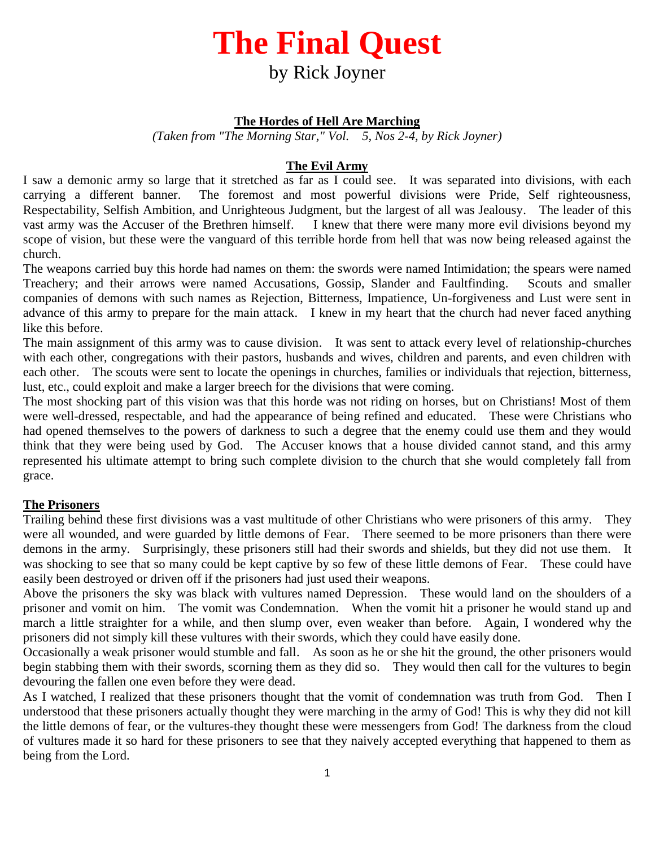

# by Rick Joyner

# **The Hordes of Hell Are Marching**

*(Taken from "The Morning Star," Vol. 5, Nos 2-4, by Rick Joyner)*

#### **The Evil Army**

I saw a demonic army so large that it stretched as far as I could see. It was separated into divisions, with each carrying a different banner. The foremost and most powerful divisions were Pride, Self righteousness, Respectability, Selfish Ambition, and Unrighteous Judgment, but the largest of all was Jealousy. The leader of this vast army was the Accuser of the Brethren himself. I knew that there were many more evil divisions beyond my scope of vision, but these were the vanguard of this terrible horde from hell that was now being released against the church.

The weapons carried buy this horde had names on them: the swords were named Intimidation; the spears were named Treachery; and their arrows were named Accusations, Gossip, Slander and Faultfinding. Scouts and smaller companies of demons with such names as Rejection, Bitterness, Impatience, Un-forgiveness and Lust were sent in advance of this army to prepare for the main attack. I knew in my heart that the church had never faced anything like this before.

The main assignment of this army was to cause division. It was sent to attack every level of relationship-churches with each other, congregations with their pastors, husbands and wives, children and parents, and even children with each other. The scouts were sent to locate the openings in churches, families or individuals that rejection, bitterness, lust, etc., could exploit and make a larger breech for the divisions that were coming.

The most shocking part of this vision was that this horde was not riding on horses, but on Christians! Most of them were well-dressed, respectable, and had the appearance of being refined and educated. These were Christians who had opened themselves to the powers of darkness to such a degree that the enemy could use them and they would think that they were being used by God. The Accuser knows that a house divided cannot stand, and this army represented his ultimate attempt to bring such complete division to the church that she would completely fall from grace.

#### **The Prisoners**

Trailing behind these first divisions was a vast multitude of other Christians who were prisoners of this army. They were all wounded, and were guarded by little demons of Fear. There seemed to be more prisoners than there were demons in the army. Surprisingly, these prisoners still had their swords and shields, but they did not use them. It was shocking to see that so many could be kept captive by so few of these little demons of Fear. These could have easily been destroyed or driven off if the prisoners had just used their weapons.

Above the prisoners the sky was black with vultures named Depression. These would land on the shoulders of a prisoner and vomit on him. The vomit was Condemnation. When the vomit hit a prisoner he would stand up and march a little straighter for a while, and then slump over, even weaker than before. Again, I wondered why the prisoners did not simply kill these vultures with their swords, which they could have easily done.

Occasionally a weak prisoner would stumble and fall. As soon as he or she hit the ground, the other prisoners would begin stabbing them with their swords, scorning them as they did so. They would then call for the vultures to begin devouring the fallen one even before they were dead.

As I watched, I realized that these prisoners thought that the vomit of condemnation was truth from God. Then I understood that these prisoners actually thought they were marching in the army of God! This is why they did not kill the little demons of fear, or the vultures-they thought these were messengers from God! The darkness from the cloud of vultures made it so hard for these prisoners to see that they naively accepted everything that happened to them as being from the Lord.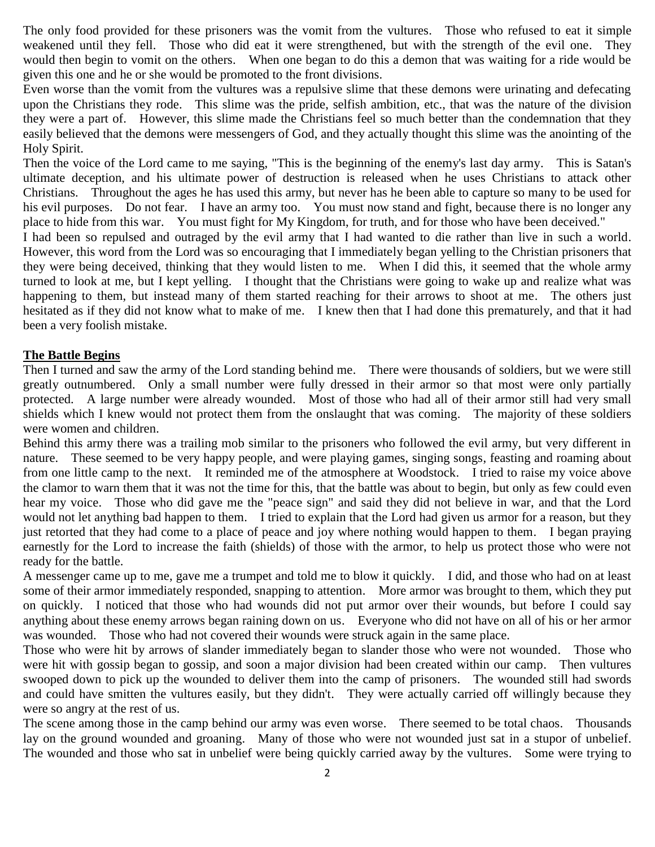The only food provided for these prisoners was the vomit from the vultures. Those who refused to eat it simple weakened until they fell. Those who did eat it were strengthened, but with the strength of the evil one. They would then begin to vomit on the others. When one began to do this a demon that was waiting for a ride would be given this one and he or she would be promoted to the front divisions.

Even worse than the vomit from the vultures was a repulsive slime that these demons were urinating and defecating upon the Christians they rode. This slime was the pride, selfish ambition, etc., that was the nature of the division they were a part of. However, this slime made the Christians feel so much better than the condemnation that they easily believed that the demons were messengers of God, and they actually thought this slime was the anointing of the Holy Spirit.

Then the voice of the Lord came to me saying, "This is the beginning of the enemy's last day army. This is Satan's ultimate deception, and his ultimate power of destruction is released when he uses Christians to attack other Christians. Throughout the ages he has used this army, but never has he been able to capture so many to be used for his evil purposes. Do not fear. I have an army too. You must now stand and fight, because there is no longer any place to hide from this war. You must fight for My Kingdom, for truth, and for those who have been deceived."

I had been so repulsed and outraged by the evil army that I had wanted to die rather than live in such a world. However, this word from the Lord was so encouraging that I immediately began yelling to the Christian prisoners that they were being deceived, thinking that they would listen to me. When I did this, it seemed that the whole army turned to look at me, but I kept yelling. I thought that the Christians were going to wake up and realize what was happening to them, but instead many of them started reaching for their arrows to shoot at me. The others just hesitated as if they did not know what to make of me. I knew then that I had done this prematurely, and that it had been a very foolish mistake.

# **The Battle Begins**

Then I turned and saw the army of the Lord standing behind me. There were thousands of soldiers, but we were still greatly outnumbered. Only a small number were fully dressed in their armor so that most were only partially protected. A large number were already wounded. Most of those who had all of their armor still had very small shields which I knew would not protect them from the onslaught that was coming. The majority of these soldiers were women and children.

Behind this army there was a trailing mob similar to the prisoners who followed the evil army, but very different in nature. These seemed to be very happy people, and were playing games, singing songs, feasting and roaming about from one little camp to the next. It reminded me of the atmosphere at Woodstock. I tried to raise my voice above the clamor to warn them that it was not the time for this, that the battle was about to begin, but only as few could even hear my voice. Those who did gave me the "peace sign" and said they did not believe in war, and that the Lord would not let anything bad happen to them. I tried to explain that the Lord had given us armor for a reason, but they just retorted that they had come to a place of peace and joy where nothing would happen to them. I began praying earnestly for the Lord to increase the faith (shields) of those with the armor, to help us protect those who were not ready for the battle.

A messenger came up to me, gave me a trumpet and told me to blow it quickly. I did, and those who had on at least some of their armor immediately responded, snapping to attention. More armor was brought to them, which they put on quickly. I noticed that those who had wounds did not put armor over their wounds, but before I could say anything about these enemy arrows began raining down on us. Everyone who did not have on all of his or her armor was wounded. Those who had not covered their wounds were struck again in the same place.

Those who were hit by arrows of slander immediately began to slander those who were not wounded. Those who were hit with gossip began to gossip, and soon a major division had been created within our camp. Then vultures swooped down to pick up the wounded to deliver them into the camp of prisoners. The wounded still had swords and could have smitten the vultures easily, but they didn't. They were actually carried off willingly because they were so angry at the rest of us.

The scene among those in the camp behind our army was even worse. There seemed to be total chaos. Thousands lay on the ground wounded and groaning. Many of those who were not wounded just sat in a stupor of unbelief. The wounded and those who sat in unbelief were being quickly carried away by the vultures. Some were trying to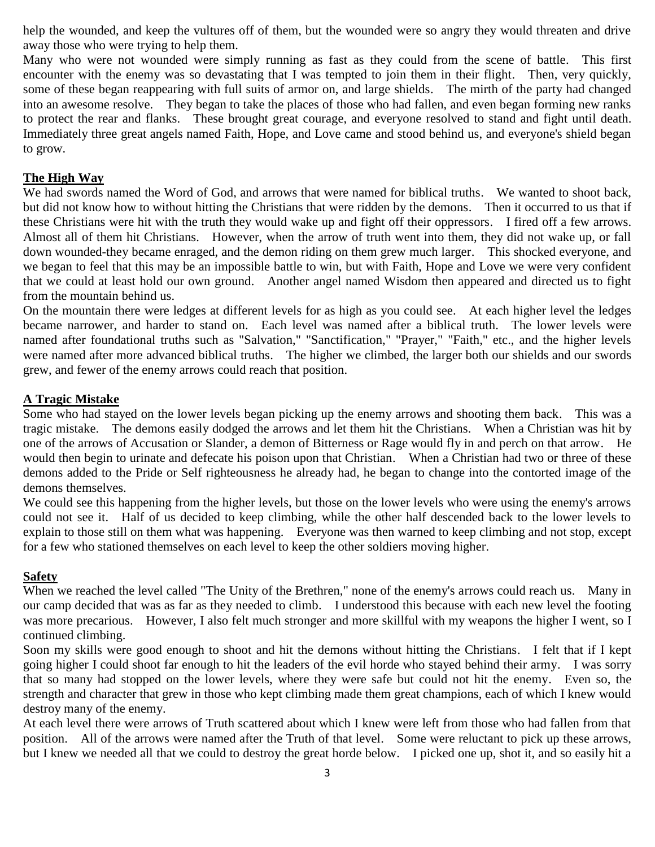help the wounded, and keep the vultures off of them, but the wounded were so angry they would threaten and drive away those who were trying to help them.

Many who were not wounded were simply running as fast as they could from the scene of battle. This first encounter with the enemy was so devastating that I was tempted to join them in their flight. Then, very quickly, some of these began reappearing with full suits of armor on, and large shields. The mirth of the party had changed into an awesome resolve. They began to take the places of those who had fallen, and even began forming new ranks to protect the rear and flanks. These brought great courage, and everyone resolved to stand and fight until death. Immediately three great angels named Faith, Hope, and Love came and stood behind us, and everyone's shield began to grow.

# **The High Way**

We had swords named the Word of God, and arrows that were named for biblical truths. We wanted to shoot back, but did not know how to without hitting the Christians that were ridden by the demons. Then it occurred to us that if these Christians were hit with the truth they would wake up and fight off their oppressors. I fired off a few arrows. Almost all of them hit Christians. However, when the arrow of truth went into them, they did not wake up, or fall down wounded-they became enraged, and the demon riding on them grew much larger. This shocked everyone, and we began to feel that this may be an impossible battle to win, but with Faith, Hope and Love we were very confident that we could at least hold our own ground. Another angel named Wisdom then appeared and directed us to fight from the mountain behind us.

On the mountain there were ledges at different levels for as high as you could see. At each higher level the ledges became narrower, and harder to stand on. Each level was named after a biblical truth. The lower levels were named after foundational truths such as "Salvation," "Sanctification," "Prayer," "Faith," etc., and the higher levels were named after more advanced biblical truths. The higher we climbed, the larger both our shields and our swords grew, and fewer of the enemy arrows could reach that position.

# **A Tragic Mistake**

Some who had stayed on the lower levels began picking up the enemy arrows and shooting them back. This was a tragic mistake. The demons easily dodged the arrows and let them hit the Christians. When a Christian was hit by one of the arrows of Accusation or Slander, a demon of Bitterness or Rage would fly in and perch on that arrow. He would then begin to urinate and defecate his poison upon that Christian. When a Christian had two or three of these demons added to the Pride or Self righteousness he already had, he began to change into the contorted image of the demons themselves.

We could see this happening from the higher levels, but those on the lower levels who were using the enemy's arrows could not see it. Half of us decided to keep climbing, while the other half descended back to the lower levels to explain to those still on them what was happening. Everyone was then warned to keep climbing and not stop, except for a few who stationed themselves on each level to keep the other soldiers moving higher.

#### **Safety**

When we reached the level called "The Unity of the Brethren," none of the enemy's arrows could reach us. Many in our camp decided that was as far as they needed to climb. I understood this because with each new level the footing was more precarious. However, I also felt much stronger and more skillful with my weapons the higher I went, so I continued climbing.

Soon my skills were good enough to shoot and hit the demons without hitting the Christians. I felt that if I kept going higher I could shoot far enough to hit the leaders of the evil horde who stayed behind their army. I was sorry that so many had stopped on the lower levels, where they were safe but could not hit the enemy. Even so, the strength and character that grew in those who kept climbing made them great champions, each of which I knew would destroy many of the enemy.

At each level there were arrows of Truth scattered about which I knew were left from those who had fallen from that position. All of the arrows were named after the Truth of that level. Some were reluctant to pick up these arrows, but I knew we needed all that we could to destroy the great horde below. I picked one up, shot it, and so easily hit a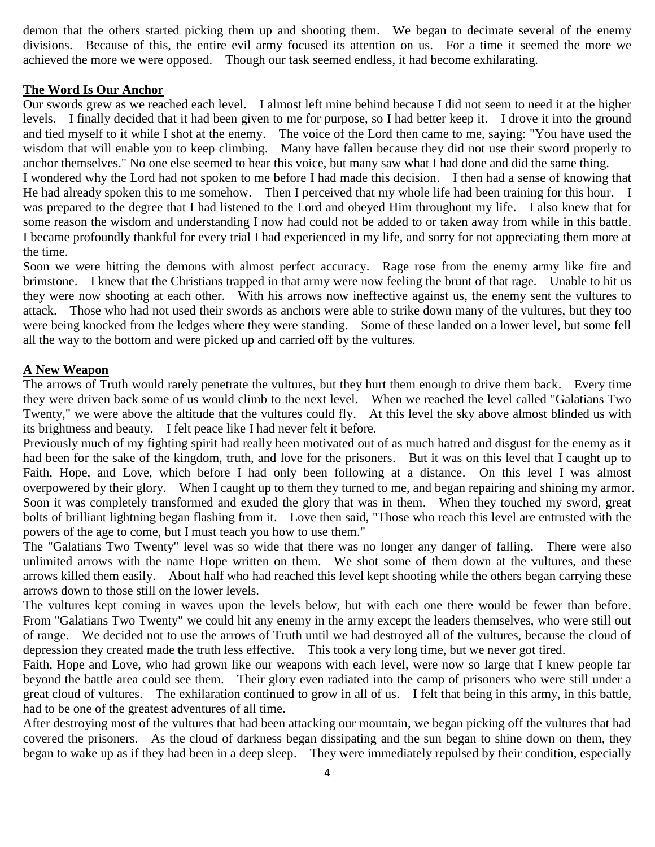demon that the others started picking them up and shooting them. We began to decimate several of the enemy divisions. Because of this, the entire evil army focused its attention on us. For a time it seemed the more we achieved the more we were opposed. Though our task seemed endless, it had become exhilarating.

#### **The Word Is Our Anchor**

Our swords grew as we reached each level. I almost left mine behind because I did not seem to need it at the higher levels. I finally decided that it had been given to me for purpose, so I had better keep it. I drove it into the ground and tied myself to it while I shot at the enemy. The voice of the Lord then came to me, saying: "You have used the wisdom that will enable you to keep climbing. Many have fallen because they did not use their sword properly to anchor themselves." No one else seemed to hear this voice, but many saw what I had done and did the same thing. I wondered why the Lord had not spoken to me before I had made this decision. I then had a sense of knowing that He had already spoken this to me somehow. Then I perceived that my whole life had been training for this hour. I was prepared to the degree that I had listened to the Lord and obeyed Him throughout my life. I also knew that for some reason the wisdom and understanding I now had could not be added to or taken away from while in this battle. I became profoundly thankful for every trial I had experienced in my life, and sorry for not appreciating them more at the time.

Soon we were hitting the demons with almost perfect accuracy. Rage rose from the enemy army like fire and brimstone. I knew that the Christians trapped in that army were now feeling the brunt of that rage. Unable to hit us they were now shooting at each other. With his arrows now ineffective against us, the enemy sent the vultures to attack. Those who had not used their swords as anchors were able to strike down many of the vultures, but they too were being knocked from the ledges where they were standing. Some of these landed on a lower level, but some fell all the way to the bottom and were picked up and carried off by the vultures.

#### **A New Weapon**

The arrows of Truth would rarely penetrate the vultures, but they hurt them enough to drive them back. Every time they were driven back some of us would climb to the next level. When we reached the level called "Galatians Two Twenty," we were above the altitude that the vultures could fly. At this level the sky above almost blinded us with its brightness and beauty. I felt peace like I had never felt it before.

Previously much of my fighting spirit had really been motivated out of as much hatred and disgust for the enemy as it had been for the sake of the kingdom, truth, and love for the prisoners. But it was on this level that I caught up to Faith, Hope, and Love, which before I had only been following at a distance. On this level I was almost overpowered by their glory. When I caught up to them they turned to me, and began repairing and shining my armor. Soon it was completely transformed and exuded the glory that was in them. When they touched my sword, great bolts of brilliant lightning began flashing from it. Love then said, "Those who reach this level are entrusted with the powers of the age to come, but I must teach you how to use them."

The "Galatians Two Twenty" level was so wide that there was no longer any danger of falling. There were also unlimited arrows with the name Hope written on them. We shot some of them down at the vultures, and these arrows killed them easily. About half who had reached this level kept shooting while the others began carrying these arrows down to those still on the lower levels.

The vultures kept coming in waves upon the levels below, but with each one there would be fewer than before. From "Galatians Two Twenty" we could hit any enemy in the army except the leaders themselves, who were still out of range. We decided not to use the arrows of Truth until we had destroyed all of the vultures, because the cloud of depression they created made the truth less effective. This took a very long time, but we never got tired.

Faith, Hope and Love, who had grown like our weapons with each level, were now so large that I knew people far beyond the battle area could see them. Their glory even radiated into the camp of prisoners who were still under a great cloud of vultures. The exhilaration continued to grow in all of us. I felt that being in this army, in this battle, had to be one of the greatest adventures of all time.

After destroying most of the vultures that had been attacking our mountain, we began picking off the vultures that had covered the prisoners. As the cloud of darkness began dissipating and the sun began to shine down on them, they began to wake up as if they had been in a deep sleep. They were immediately repulsed by their condition, especially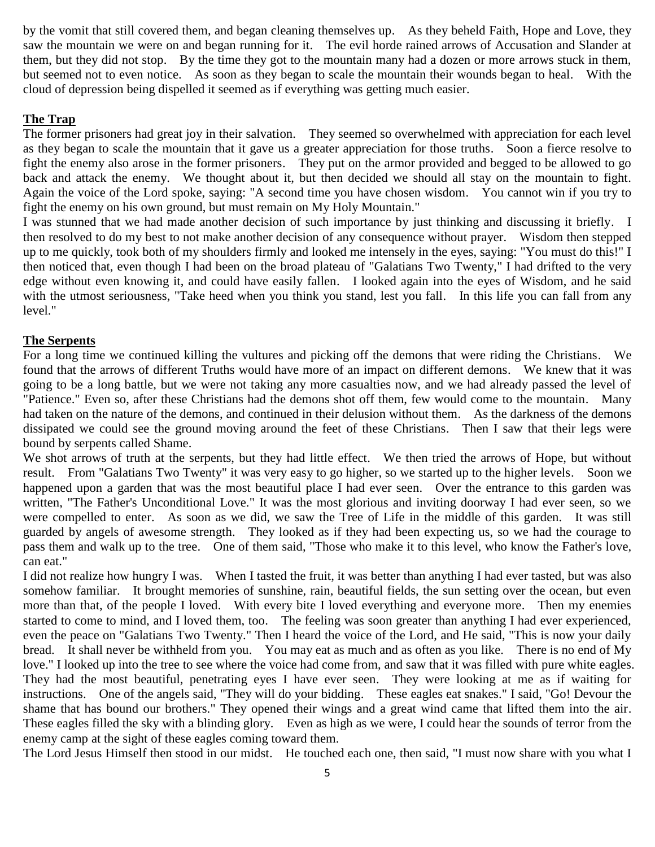by the vomit that still covered them, and began cleaning themselves up. As they beheld Faith, Hope and Love, they saw the mountain we were on and began running for it. The evil horde rained arrows of Accusation and Slander at them, but they did not stop. By the time they got to the mountain many had a dozen or more arrows stuck in them, but seemed not to even notice. As soon as they began to scale the mountain their wounds began to heal. With the cloud of depression being dispelled it seemed as if everything was getting much easier.

### **The Trap**

The former prisoners had great joy in their salvation. They seemed so overwhelmed with appreciation for each level as they began to scale the mountain that it gave us a greater appreciation for those truths. Soon a fierce resolve to fight the enemy also arose in the former prisoners. They put on the armor provided and begged to be allowed to go back and attack the enemy. We thought about it, but then decided we should all stay on the mountain to fight. Again the voice of the Lord spoke, saying: "A second time you have chosen wisdom. You cannot win if you try to fight the enemy on his own ground, but must remain on My Holy Mountain."

I was stunned that we had made another decision of such importance by just thinking and discussing it briefly. I then resolved to do my best to not make another decision of any consequence without prayer. Wisdom then stepped up to me quickly, took both of my shoulders firmly and looked me intensely in the eyes, saying: "You must do this!" I then noticed that, even though I had been on the broad plateau of "Galatians Two Twenty," I had drifted to the very edge without even knowing it, and could have easily fallen. I looked again into the eyes of Wisdom, and he said with the utmost seriousness, "Take heed when you think you stand, lest you fall. In this life you can fall from any level."

#### **The Serpents**

For a long time we continued killing the vultures and picking off the demons that were riding the Christians. We found that the arrows of different Truths would have more of an impact on different demons. We knew that it was going to be a long battle, but we were not taking any more casualties now, and we had already passed the level of "Patience." Even so, after these Christians had the demons shot off them, few would come to the mountain. Many had taken on the nature of the demons, and continued in their delusion without them. As the darkness of the demons dissipated we could see the ground moving around the feet of these Christians. Then I saw that their legs were bound by serpents called Shame.

We shot arrows of truth at the serpents, but they had little effect. We then tried the arrows of Hope, but without result. From "Galatians Two Twenty" it was very easy to go higher, so we started up to the higher levels. Soon we happened upon a garden that was the most beautiful place I had ever seen. Over the entrance to this garden was written, "The Father's Unconditional Love." It was the most glorious and inviting doorway I had ever seen, so we were compelled to enter. As soon as we did, we saw the Tree of Life in the middle of this garden. It was still guarded by angels of awesome strength. They looked as if they had been expecting us, so we had the courage to pass them and walk up to the tree. One of them said, "Those who make it to this level, who know the Father's love, can eat."

I did not realize how hungry I was. When I tasted the fruit, it was better than anything I had ever tasted, but was also somehow familiar. It brought memories of sunshine, rain, beautiful fields, the sun setting over the ocean, but even more than that, of the people I loved. With every bite I loved everything and everyone more. Then my enemies started to come to mind, and I loved them, too. The feeling was soon greater than anything I had ever experienced, even the peace on "Galatians Two Twenty." Then I heard the voice of the Lord, and He said, "This is now your daily bread. It shall never be withheld from you. You may eat as much and as often as you like. There is no end of My love." I looked up into the tree to see where the voice had come from, and saw that it was filled with pure white eagles. They had the most beautiful, penetrating eyes I have ever seen. They were looking at me as if waiting for instructions. One of the angels said, "They will do your bidding. These eagles eat snakes." I said, "Go! Devour the shame that has bound our brothers." They opened their wings and a great wind came that lifted them into the air. These eagles filled the sky with a blinding glory. Even as high as we were, I could hear the sounds of terror from the enemy camp at the sight of these eagles coming toward them.

The Lord Jesus Himself then stood in our midst. He touched each one, then said, "I must now share with you what I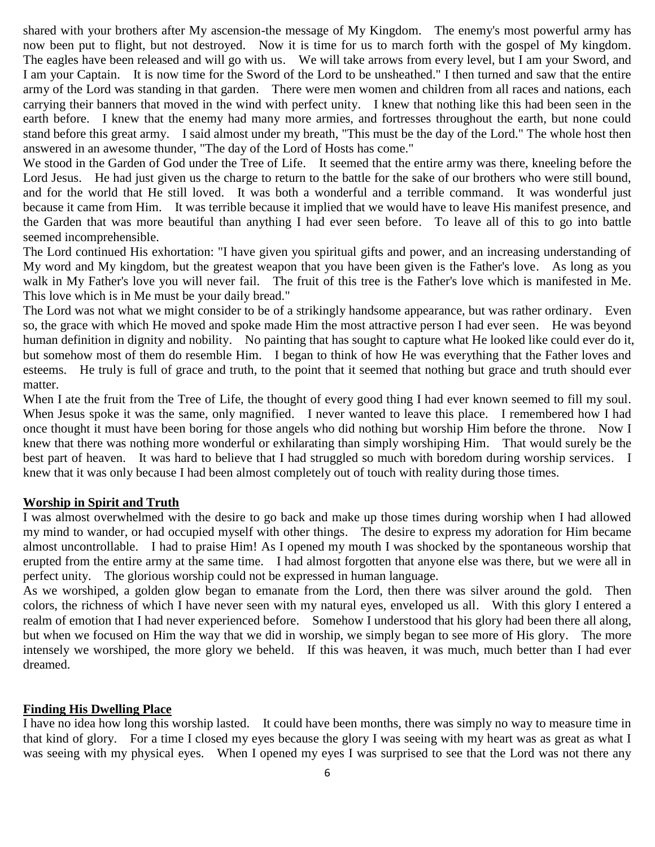shared with your brothers after My ascension-the message of My Kingdom. The enemy's most powerful army has now been put to flight, but not destroyed. Now it is time for us to march forth with the gospel of My kingdom. The eagles have been released and will go with us. We will take arrows from every level, but I am your Sword, and I am your Captain. It is now time for the Sword of the Lord to be unsheathed." I then turned and saw that the entire army of the Lord was standing in that garden. There were men women and children from all races and nations, each carrying their banners that moved in the wind with perfect unity. I knew that nothing like this had been seen in the earth before. I knew that the enemy had many more armies, and fortresses throughout the earth, but none could stand before this great army. I said almost under my breath, "This must be the day of the Lord." The whole host then answered in an awesome thunder, "The day of the Lord of Hosts has come."

We stood in the Garden of God under the Tree of Life. It seemed that the entire army was there, kneeling before the Lord Jesus. He had just given us the charge to return to the battle for the sake of our brothers who were still bound, and for the world that He still loved. It was both a wonderful and a terrible command. It was wonderful just because it came from Him. It was terrible because it implied that we would have to leave His manifest presence, and the Garden that was more beautiful than anything I had ever seen before. To leave all of this to go into battle seemed incomprehensible.

The Lord continued His exhortation: "I have given you spiritual gifts and power, and an increasing understanding of My word and My kingdom, but the greatest weapon that you have been given is the Father's love. As long as you walk in My Father's love you will never fail. The fruit of this tree is the Father's love which is manifested in Me. This love which is in Me must be your daily bread."

The Lord was not what we might consider to be of a strikingly handsome appearance, but was rather ordinary. Even so, the grace with which He moved and spoke made Him the most attractive person I had ever seen. He was beyond human definition in dignity and nobility. No painting that has sought to capture what He looked like could ever do it, but somehow most of them do resemble Him. I began to think of how He was everything that the Father loves and esteems. He truly is full of grace and truth, to the point that it seemed that nothing but grace and truth should ever matter.

When I ate the fruit from the Tree of Life, the thought of every good thing I had ever known seemed to fill my soul. When Jesus spoke it was the same, only magnified. I never wanted to leave this place. I remembered how I had once thought it must have been boring for those angels who did nothing but worship Him before the throne. Now I knew that there was nothing more wonderful or exhilarating than simply worshiping Him. That would surely be the best part of heaven. It was hard to believe that I had struggled so much with boredom during worship services. I knew that it was only because I had been almost completely out of touch with reality during those times.

#### **Worship in Spirit and Truth**

I was almost overwhelmed with the desire to go back and make up those times during worship when I had allowed my mind to wander, or had occupied myself with other things. The desire to express my adoration for Him became almost uncontrollable. I had to praise Him! As I opened my mouth I was shocked by the spontaneous worship that erupted from the entire army at the same time. I had almost forgotten that anyone else was there, but we were all in perfect unity. The glorious worship could not be expressed in human language.

As we worshiped, a golden glow began to emanate from the Lord, then there was silver around the gold. Then colors, the richness of which I have never seen with my natural eyes, enveloped us all. With this glory I entered a realm of emotion that I had never experienced before. Somehow I understood that his glory had been there all along, but when we focused on Him the way that we did in worship, we simply began to see more of His glory. The more intensely we worshiped, the more glory we beheld. If this was heaven, it was much, much better than I had ever dreamed.

#### **Finding His Dwelling Place**

I have no idea how long this worship lasted. It could have been months, there was simply no way to measure time in that kind of glory. For a time I closed my eyes because the glory I was seeing with my heart was as great as what I was seeing with my physical eyes. When I opened my eyes I was surprised to see that the Lord was not there any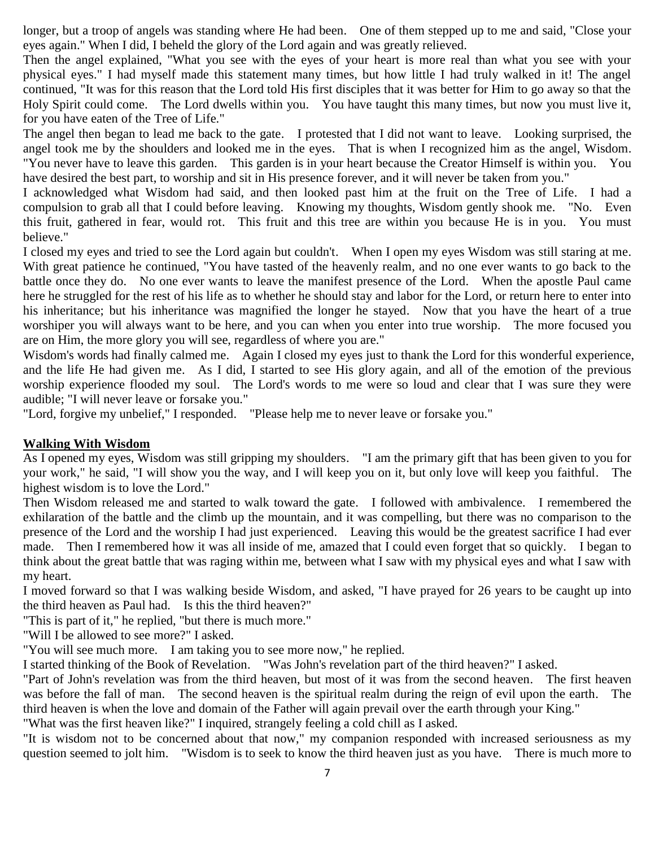longer, but a troop of angels was standing where He had been. One of them stepped up to me and said, "Close your eyes again." When I did, I beheld the glory of the Lord again and was greatly relieved.

Then the angel explained, "What you see with the eyes of your heart is more real than what you see with your physical eyes." I had myself made this statement many times, but how little I had truly walked in it! The angel continued, "It was for this reason that the Lord told His first disciples that it was better for Him to go away so that the Holy Spirit could come. The Lord dwells within you. You have taught this many times, but now you must live it, for you have eaten of the Tree of Life."

The angel then began to lead me back to the gate. I protested that I did not want to leave. Looking surprised, the angel took me by the shoulders and looked me in the eyes. That is when I recognized him as the angel, Wisdom. "You never have to leave this garden. This garden is in your heart because the Creator Himself is within you. You have desired the best part, to worship and sit in His presence forever, and it will never be taken from you."

I acknowledged what Wisdom had said, and then looked past him at the fruit on the Tree of Life. I had a compulsion to grab all that I could before leaving. Knowing my thoughts, Wisdom gently shook me. "No. Even this fruit, gathered in fear, would rot. This fruit and this tree are within you because He is in you. You must believe."

I closed my eyes and tried to see the Lord again but couldn't. When I open my eyes Wisdom was still staring at me. With great patience he continued, "You have tasted of the heavenly realm, and no one ever wants to go back to the battle once they do. No one ever wants to leave the manifest presence of the Lord. When the apostle Paul came here he struggled for the rest of his life as to whether he should stay and labor for the Lord, or return here to enter into his inheritance; but his inheritance was magnified the longer he stayed. Now that you have the heart of a true worshiper you will always want to be here, and you can when you enter into true worship. The more focused you are on Him, the more glory you will see, regardless of where you are."

Wisdom's words had finally calmed me. Again I closed my eyes just to thank the Lord for this wonderful experience, and the life He had given me. As I did, I started to see His glory again, and all of the emotion of the previous worship experience flooded my soul. The Lord's words to me were so loud and clear that I was sure they were audible; "I will never leave or forsake you."

"Lord, forgive my unbelief," I responded. "Please help me to never leave or forsake you."

# **Walking With Wisdom**

As I opened my eyes, Wisdom was still gripping my shoulders. "I am the primary gift that has been given to you for your work," he said, "I will show you the way, and I will keep you on it, but only love will keep you faithful. The highest wisdom is to love the Lord."

Then Wisdom released me and started to walk toward the gate. I followed with ambivalence. I remembered the exhilaration of the battle and the climb up the mountain, and it was compelling, but there was no comparison to the presence of the Lord and the worship I had just experienced. Leaving this would be the greatest sacrifice I had ever made. Then I remembered how it was all inside of me, amazed that I could even forget that so quickly. I began to think about the great battle that was raging within me, between what I saw with my physical eyes and what I saw with my heart.

I moved forward so that I was walking beside Wisdom, and asked, "I have prayed for 26 years to be caught up into the third heaven as Paul had. Is this the third heaven?"

"This is part of it," he replied, "but there is much more."

"Will I be allowed to see more?" I asked.

"You will see much more. I am taking you to see more now," he replied.

I started thinking of the Book of Revelation. "Was John's revelation part of the third heaven?" I asked.

"Part of John's revelation was from the third heaven, but most of it was from the second heaven. The first heaven was before the fall of man. The second heaven is the spiritual realm during the reign of evil upon the earth. The third heaven is when the love and domain of the Father will again prevail over the earth through your King."

"What was the first heaven like?" I inquired, strangely feeling a cold chill as I asked.

"It is wisdom not to be concerned about that now," my companion responded with increased seriousness as my question seemed to jolt him. "Wisdom is to seek to know the third heaven just as you have. There is much more to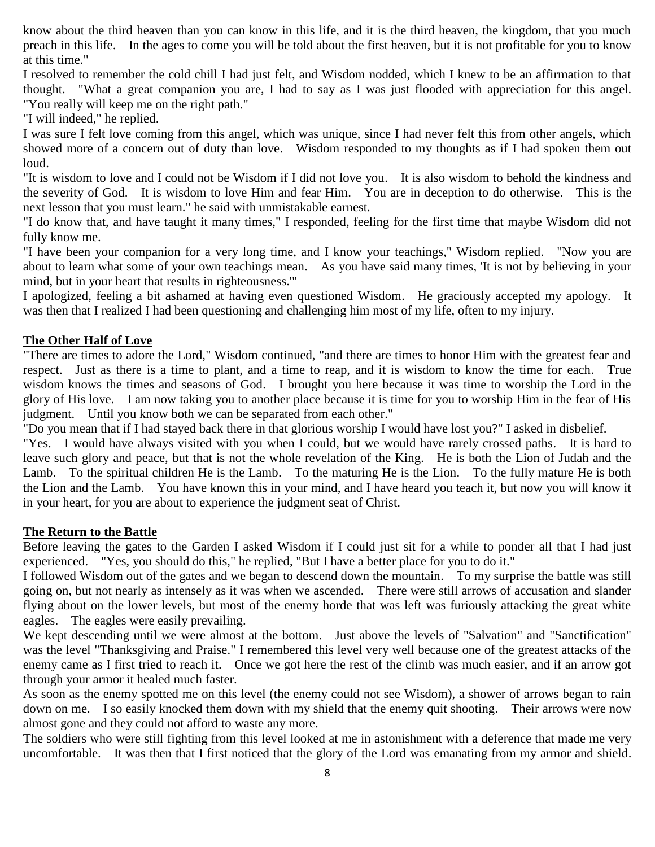know about the third heaven than you can know in this life, and it is the third heaven, the kingdom, that you much preach in this life. In the ages to come you will be told about the first heaven, but it is not profitable for you to know at this time."

I resolved to remember the cold chill I had just felt, and Wisdom nodded, which I knew to be an affirmation to that thought. "What a great companion you are, I had to say as I was just flooded with appreciation for this angel. "You really will keep me on the right path."

"I will indeed," he replied.

I was sure I felt love coming from this angel, which was unique, since I had never felt this from other angels, which showed more of a concern out of duty than love. Wisdom responded to my thoughts as if I had spoken them out loud.

"It is wisdom to love and I could not be Wisdom if I did not love you. It is also wisdom to behold the kindness and the severity of God. It is wisdom to love Him and fear Him. You are in deception to do otherwise. This is the next lesson that you must learn." he said with unmistakable earnest.

"I do know that, and have taught it many times," I responded, feeling for the first time that maybe Wisdom did not fully know me.

"I have been your companion for a very long time, and I know your teachings," Wisdom replied. "Now you are about to learn what some of your own teachings mean. As you have said many times, 'It is not by believing in your mind, but in your heart that results in righteousness.'"

I apologized, feeling a bit ashamed at having even questioned Wisdom. He graciously accepted my apology. It was then that I realized I had been questioning and challenging him most of my life, often to my injury.

# **The Other Half of Love**

"There are times to adore the Lord," Wisdom continued, "and there are times to honor Him with the greatest fear and respect. Just as there is a time to plant, and a time to reap, and it is wisdom to know the time for each. True wisdom knows the times and seasons of God. I brought you here because it was time to worship the Lord in the glory of His love. I am now taking you to another place because it is time for you to worship Him in the fear of His judgment. Until you know both we can be separated from each other."

"Do you mean that if I had stayed back there in that glorious worship I would have lost you?" I asked in disbelief.

"Yes. I would have always visited with you when I could, but we would have rarely crossed paths. It is hard to leave such glory and peace, but that is not the whole revelation of the King. He is both the Lion of Judah and the Lamb. To the spiritual children He is the Lamb. To the maturing He is the Lion. To the fully mature He is both the Lion and the Lamb. You have known this in your mind, and I have heard you teach it, but now you will know it in your heart, for you are about to experience the judgment seat of Christ.

# **The Return to the Battle**

Before leaving the gates to the Garden I asked Wisdom if I could just sit for a while to ponder all that I had just experienced. "Yes, you should do this," he replied, "But I have a better place for you to do it."

I followed Wisdom out of the gates and we began to descend down the mountain. To my surprise the battle was still going on, but not nearly as intensely as it was when we ascended. There were still arrows of accusation and slander flying about on the lower levels, but most of the enemy horde that was left was furiously attacking the great white eagles. The eagles were easily prevailing.

We kept descending until we were almost at the bottom. Just above the levels of "Salvation" and "Sanctification" was the level "Thanksgiving and Praise." I remembered this level very well because one of the greatest attacks of the enemy came as I first tried to reach it. Once we got here the rest of the climb was much easier, and if an arrow got through your armor it healed much faster.

As soon as the enemy spotted me on this level (the enemy could not see Wisdom), a shower of arrows began to rain down on me. I so easily knocked them down with my shield that the enemy quit shooting. Their arrows were now almost gone and they could not afford to waste any more.

The soldiers who were still fighting from this level looked at me in astonishment with a deference that made me very uncomfortable. It was then that I first noticed that the glory of the Lord was emanating from my armor and shield.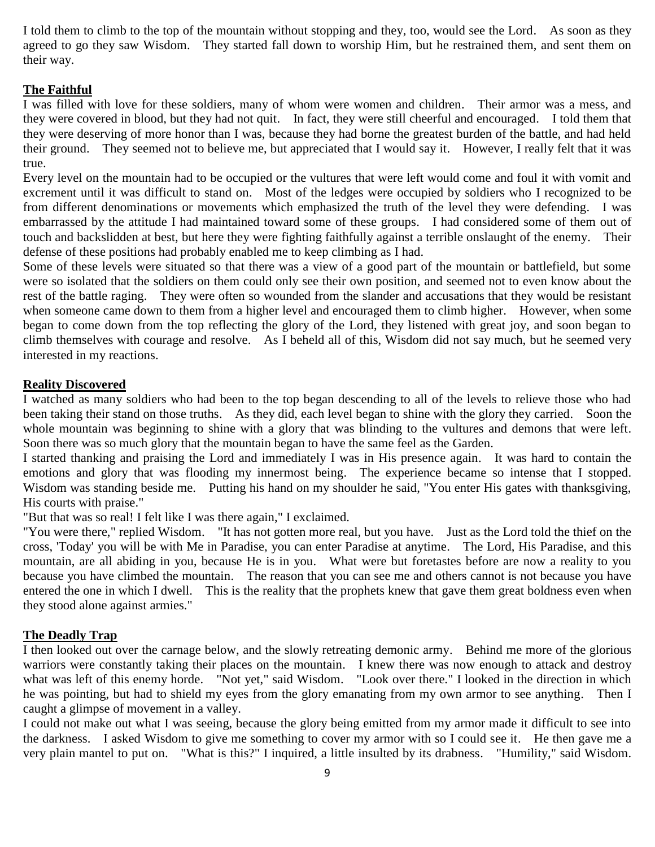I told them to climb to the top of the mountain without stopping and they, too, would see the Lord. As soon as they agreed to go they saw Wisdom. They started fall down to worship Him, but he restrained them, and sent them on their way.

# **The Faithful**

I was filled with love for these soldiers, many of whom were women and children. Their armor was a mess, and they were covered in blood, but they had not quit. In fact, they were still cheerful and encouraged. I told them that they were deserving of more honor than I was, because they had borne the greatest burden of the battle, and had held their ground. They seemed not to believe me, but appreciated that I would say it. However, I really felt that it was true.

Every level on the mountain had to be occupied or the vultures that were left would come and foul it with vomit and excrement until it was difficult to stand on. Most of the ledges were occupied by soldiers who I recognized to be from different denominations or movements which emphasized the truth of the level they were defending. I was embarrassed by the attitude I had maintained toward some of these groups. I had considered some of them out of touch and backslidden at best, but here they were fighting faithfully against a terrible onslaught of the enemy. Their defense of these positions had probably enabled me to keep climbing as I had.

Some of these levels were situated so that there was a view of a good part of the mountain or battlefield, but some were so isolated that the soldiers on them could only see their own position, and seemed not to even know about the rest of the battle raging. They were often so wounded from the slander and accusations that they would be resistant when someone came down to them from a higher level and encouraged them to climb higher. However, when some began to come down from the top reflecting the glory of the Lord, they listened with great joy, and soon began to climb themselves with courage and resolve. As I beheld all of this, Wisdom did not say much, but he seemed very interested in my reactions.

#### **Reality Discovered**

I watched as many soldiers who had been to the top began descending to all of the levels to relieve those who had been taking their stand on those truths. As they did, each level began to shine with the glory they carried. Soon the whole mountain was beginning to shine with a glory that was blinding to the vultures and demons that were left. Soon there was so much glory that the mountain began to have the same feel as the Garden.

I started thanking and praising the Lord and immediately I was in His presence again. It was hard to contain the emotions and glory that was flooding my innermost being. The experience became so intense that I stopped. Wisdom was standing beside me. Putting his hand on my shoulder he said, "You enter His gates with thanksgiving, His courts with praise."

"But that was so real! I felt like I was there again," I exclaimed.

"You were there," replied Wisdom. "It has not gotten more real, but you have. Just as the Lord told the thief on the cross, 'Today' you will be with Me in Paradise, you can enter Paradise at anytime. The Lord, His Paradise, and this mountain, are all abiding in you, because He is in you. What were but foretastes before are now a reality to you because you have climbed the mountain. The reason that you can see me and others cannot is not because you have entered the one in which I dwell. This is the reality that the prophets knew that gave them great boldness even when they stood alone against armies."

#### **The Deadly Trap**

I then looked out over the carnage below, and the slowly retreating demonic army. Behind me more of the glorious warriors were constantly taking their places on the mountain. I knew there was now enough to attack and destroy what was left of this enemy horde. "Not yet," said Wisdom. "Look over there." I looked in the direction in which he was pointing, but had to shield my eyes from the glory emanating from my own armor to see anything. Then I caught a glimpse of movement in a valley.

I could not make out what I was seeing, because the glory being emitted from my armor made it difficult to see into the darkness. I asked Wisdom to give me something to cover my armor with so I could see it. He then gave me a very plain mantel to put on. "What is this?" I inquired, a little insulted by its drabness. "Humility," said Wisdom.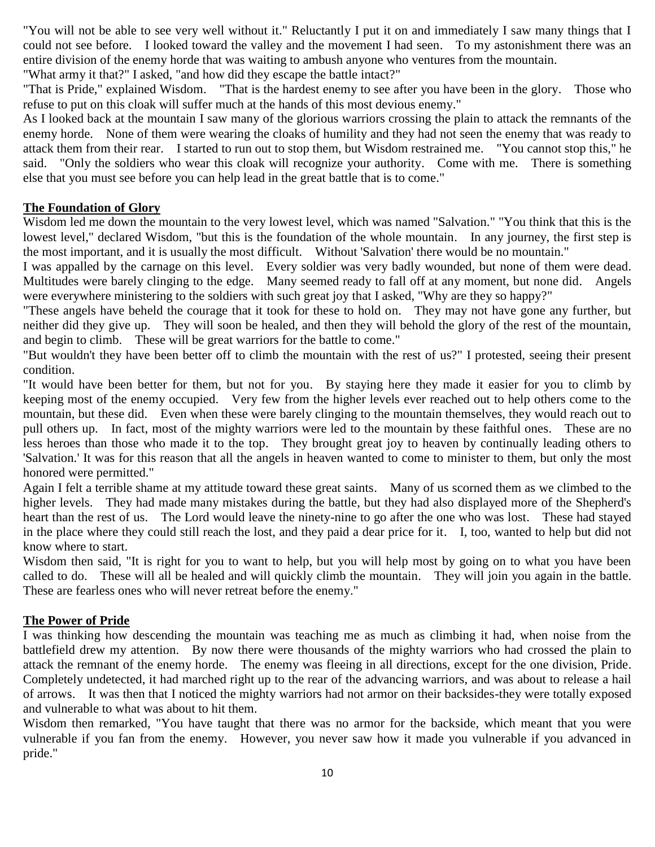"You will not be able to see very well without it." Reluctantly I put it on and immediately I saw many things that I could not see before. I looked toward the valley and the movement I had seen. To my astonishment there was an entire division of the enemy horde that was waiting to ambush anyone who ventures from the mountain.

"What army it that?" I asked, "and how did they escape the battle intact?"

"That is Pride," explained Wisdom. "That is the hardest enemy to see after you have been in the glory. Those who refuse to put on this cloak will suffer much at the hands of this most devious enemy."

As I looked back at the mountain I saw many of the glorious warriors crossing the plain to attack the remnants of the enemy horde. None of them were wearing the cloaks of humility and they had not seen the enemy that was ready to attack them from their rear. I started to run out to stop them, but Wisdom restrained me. "You cannot stop this," he said. "Only the soldiers who wear this cloak will recognize your authority. Come with me. There is something else that you must see before you can help lead in the great battle that is to come."

#### **The Foundation of Glory**

Wisdom led me down the mountain to the very lowest level, which was named "Salvation." "You think that this is the lowest level," declared Wisdom, "but this is the foundation of the whole mountain. In any journey, the first step is the most important, and it is usually the most difficult. Without 'Salvation' there would be no mountain."

I was appalled by the carnage on this level. Every soldier was very badly wounded, but none of them were dead. Multitudes were barely clinging to the edge. Many seemed ready to fall off at any moment, but none did. Angels were everywhere ministering to the soldiers with such great joy that I asked, "Why are they so happy?"

"These angels have beheld the courage that it took for these to hold on. They may not have gone any further, but neither did they give up. They will soon be healed, and then they will behold the glory of the rest of the mountain, and begin to climb. These will be great warriors for the battle to come."

"But wouldn't they have been better off to climb the mountain with the rest of us?" I protested, seeing their present condition.

"It would have been better for them, but not for you. By staying here they made it easier for you to climb by keeping most of the enemy occupied. Very few from the higher levels ever reached out to help others come to the mountain, but these did. Even when these were barely clinging to the mountain themselves, they would reach out to pull others up. In fact, most of the mighty warriors were led to the mountain by these faithful ones. These are no less heroes than those who made it to the top. They brought great joy to heaven by continually leading others to 'Salvation.' It was for this reason that all the angels in heaven wanted to come to minister to them, but only the most honored were permitted."

Again I felt a terrible shame at my attitude toward these great saints. Many of us scorned them as we climbed to the higher levels. They had made many mistakes during the battle, but they had also displayed more of the Shepherd's heart than the rest of us. The Lord would leave the ninety-nine to go after the one who was lost. These had stayed in the place where they could still reach the lost, and they paid a dear price for it. I, too, wanted to help but did not know where to start.

Wisdom then said, "It is right for you to want to help, but you will help most by going on to what you have been called to do. These will all be healed and will quickly climb the mountain. They will join you again in the battle. These are fearless ones who will never retreat before the enemy."

#### **The Power of Pride**

I was thinking how descending the mountain was teaching me as much as climbing it had, when noise from the battlefield drew my attention. By now there were thousands of the mighty warriors who had crossed the plain to attack the remnant of the enemy horde. The enemy was fleeing in all directions, except for the one division, Pride. Completely undetected, it had marched right up to the rear of the advancing warriors, and was about to release a hail of arrows. It was then that I noticed the mighty warriors had not armor on their backsides-they were totally exposed and vulnerable to what was about to hit them.

Wisdom then remarked, "You have taught that there was no armor for the backside, which meant that you were vulnerable if you fan from the enemy. However, you never saw how it made you vulnerable if you advanced in pride."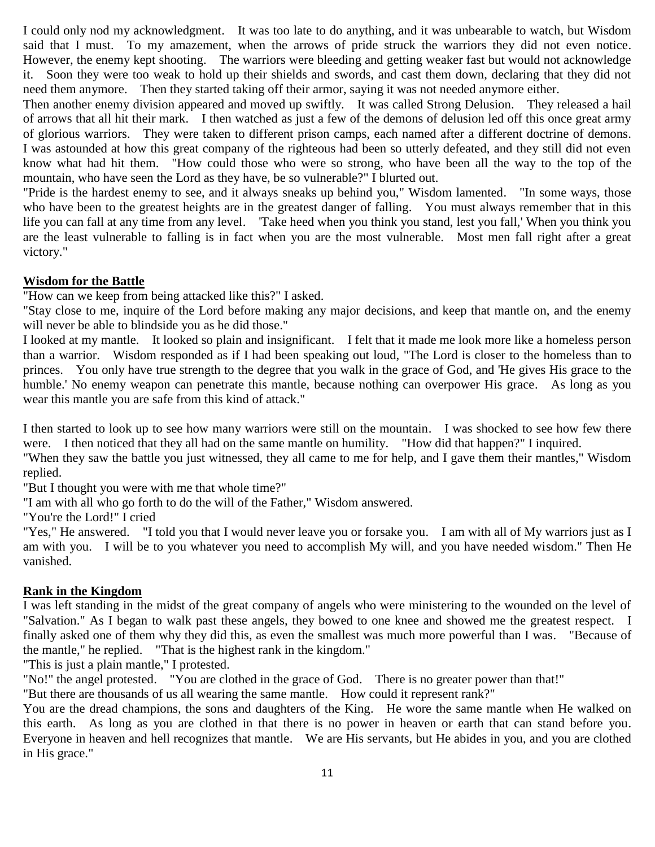I could only nod my acknowledgment. It was too late to do anything, and it was unbearable to watch, but Wisdom said that I must. To my amazement, when the arrows of pride struck the warriors they did not even notice. However, the enemy kept shooting. The warriors were bleeding and getting weaker fast but would not acknowledge it. Soon they were too weak to hold up their shields and swords, and cast them down, declaring that they did not need them anymore. Then they started taking off their armor, saying it was not needed anymore either.

Then another enemy division appeared and moved up swiftly. It was called Strong Delusion. They released a hail of arrows that all hit their mark. I then watched as just a few of the demons of delusion led off this once great army of glorious warriors. They were taken to different prison camps, each named after a different doctrine of demons. I was astounded at how this great company of the righteous had been so utterly defeated, and they still did not even know what had hit them. "How could those who were so strong, who have been all the way to the top of the mountain, who have seen the Lord as they have, be so vulnerable?" I blurted out.

"Pride is the hardest enemy to see, and it always sneaks up behind you," Wisdom lamented. "In some ways, those who have been to the greatest heights are in the greatest danger of falling. You must always remember that in this life you can fall at any time from any level. 'Take heed when you think you stand, lest you fall,' When you think you are the least vulnerable to falling is in fact when you are the most vulnerable. Most men fall right after a great victory."

# **Wisdom for the Battle**

"How can we keep from being attacked like this?" I asked.

"Stay close to me, inquire of the Lord before making any major decisions, and keep that mantle on, and the enemy will never be able to blindside you as he did those."

I looked at my mantle. It looked so plain and insignificant. I felt that it made me look more like a homeless person than a warrior. Wisdom responded as if I had been speaking out loud, "The Lord is closer to the homeless than to princes. You only have true strength to the degree that you walk in the grace of God, and 'He gives His grace to the humble.' No enemy weapon can penetrate this mantle, because nothing can overpower His grace. As long as you wear this mantle you are safe from this kind of attack."

I then started to look up to see how many warriors were still on the mountain. I was shocked to see how few there were. I then noticed that they all had on the same mantle on humility. "How did that happen?" I inquired.

"When they saw the battle you just witnessed, they all came to me for help, and I gave them their mantles," Wisdom replied.

"But I thought you were with me that whole time?"

"I am with all who go forth to do the will of the Father," Wisdom answered.

"You're the Lord!" I cried

"Yes," He answered. "I told you that I would never leave you or forsake you. I am with all of My warriors just as I am with you. I will be to you whatever you need to accomplish My will, and you have needed wisdom." Then He vanished.

#### **Rank in the Kingdom**

I was left standing in the midst of the great company of angels who were ministering to the wounded on the level of "Salvation." As I began to walk past these angels, they bowed to one knee and showed me the greatest respect. I finally asked one of them why they did this, as even the smallest was much more powerful than I was. "Because of the mantle," he replied. "That is the highest rank in the kingdom."

"This is just a plain mantle," I protested.

"No!" the angel protested. "You are clothed in the grace of God. There is no greater power than that!"

"But there are thousands of us all wearing the same mantle. How could it represent rank?"

You are the dread champions, the sons and daughters of the King. He wore the same mantle when He walked on this earth. As long as you are clothed in that there is no power in heaven or earth that can stand before you. Everyone in heaven and hell recognizes that mantle. We are His servants, but He abides in you, and you are clothed in His grace."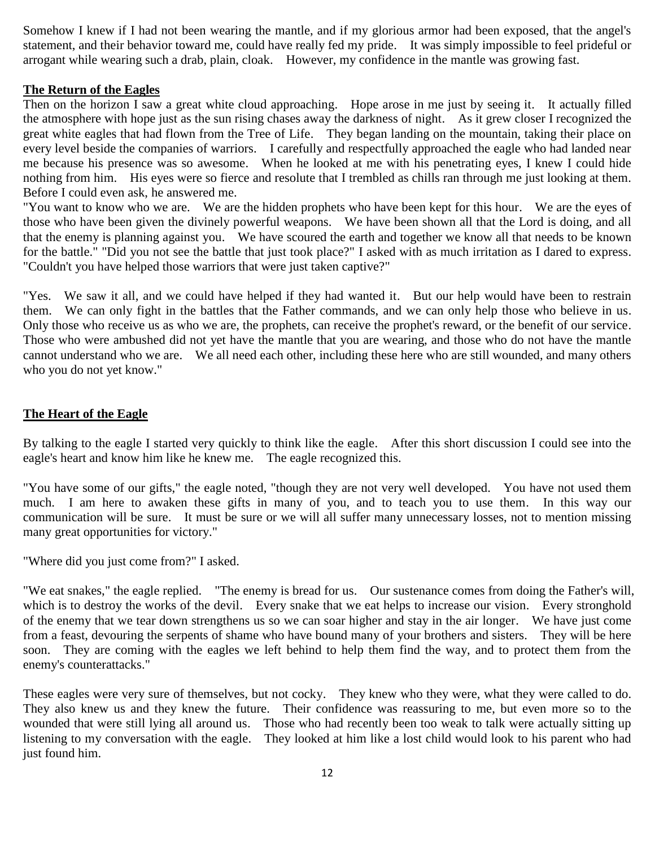Somehow I knew if I had not been wearing the mantle, and if my glorious armor had been exposed, that the angel's statement, and their behavior toward me, could have really fed my pride. It was simply impossible to feel prideful or arrogant while wearing such a drab, plain, cloak. However, my confidence in the mantle was growing fast.

#### **The Return of the Eagles**

Then on the horizon I saw a great white cloud approaching. Hope arose in me just by seeing it. It actually filled the atmosphere with hope just as the sun rising chases away the darkness of night. As it grew closer I recognized the great white eagles that had flown from the Tree of Life. They began landing on the mountain, taking their place on every level beside the companies of warriors. I carefully and respectfully approached the eagle who had landed near me because his presence was so awesome. When he looked at me with his penetrating eyes, I knew I could hide nothing from him. His eyes were so fierce and resolute that I trembled as chills ran through me just looking at them. Before I could even ask, he answered me.

"You want to know who we are. We are the hidden prophets who have been kept for this hour. We are the eyes of those who have been given the divinely powerful weapons. We have been shown all that the Lord is doing, and all that the enemy is planning against you. We have scoured the earth and together we know all that needs to be known for the battle." "Did you not see the battle that just took place?" I asked with as much irritation as I dared to express. "Couldn't you have helped those warriors that were just taken captive?"

"Yes. We saw it all, and we could have helped if they had wanted it. But our help would have been to restrain them. We can only fight in the battles that the Father commands, and we can only help those who believe in us. Only those who receive us as who we are, the prophets, can receive the prophet's reward, or the benefit of our service. Those who were ambushed did not yet have the mantle that you are wearing, and those who do not have the mantle cannot understand who we are. We all need each other, including these here who are still wounded, and many others who you do not yet know."

#### **The Heart of the Eagle**

By talking to the eagle I started very quickly to think like the eagle. After this short discussion I could see into the eagle's heart and know him like he knew me. The eagle recognized this.

"You have some of our gifts," the eagle noted, "though they are not very well developed. You have not used them much. I am here to awaken these gifts in many of you, and to teach you to use them. In this way our communication will be sure. It must be sure or we will all suffer many unnecessary losses, not to mention missing many great opportunities for victory."

"Where did you just come from?" I asked.

"We eat snakes," the eagle replied. "The enemy is bread for us. Our sustenance comes from doing the Father's will, which is to destroy the works of the devil. Every snake that we eat helps to increase our vision. Every stronghold of the enemy that we tear down strengthens us so we can soar higher and stay in the air longer. We have just come from a feast, devouring the serpents of shame who have bound many of your brothers and sisters. They will be here soon. They are coming with the eagles we left behind to help them find the way, and to protect them from the enemy's counterattacks."

These eagles were very sure of themselves, but not cocky. They knew who they were, what they were called to do. They also knew us and they knew the future. Their confidence was reassuring to me, but even more so to the wounded that were still lying all around us. Those who had recently been too weak to talk were actually sitting up listening to my conversation with the eagle. They looked at him like a lost child would look to his parent who had just found him.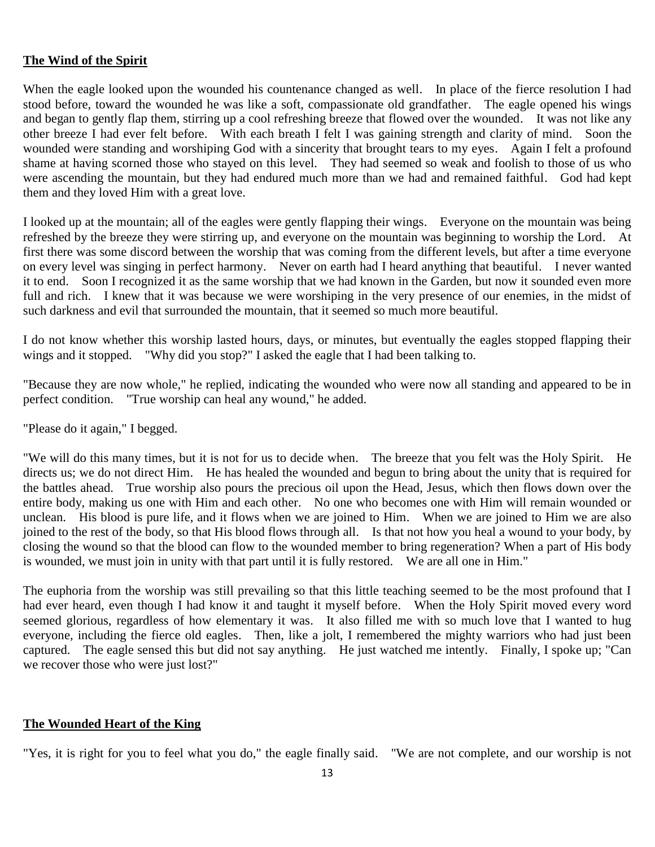# **The Wind of the Spirit**

When the eagle looked upon the wounded his countenance changed as well. In place of the fierce resolution I had stood before, toward the wounded he was like a soft, compassionate old grandfather. The eagle opened his wings and began to gently flap them, stirring up a cool refreshing breeze that flowed over the wounded. It was not like any other breeze I had ever felt before. With each breath I felt I was gaining strength and clarity of mind. Soon the wounded were standing and worshiping God with a sincerity that brought tears to my eyes. Again I felt a profound shame at having scorned those who stayed on this level. They had seemed so weak and foolish to those of us who were ascending the mountain, but they had endured much more than we had and remained faithful. God had kept them and they loved Him with a great love.

I looked up at the mountain; all of the eagles were gently flapping their wings. Everyone on the mountain was being refreshed by the breeze they were stirring up, and everyone on the mountain was beginning to worship the Lord. At first there was some discord between the worship that was coming from the different levels, but after a time everyone on every level was singing in perfect harmony. Never on earth had I heard anything that beautiful. I never wanted it to end. Soon I recognized it as the same worship that we had known in the Garden, but now it sounded even more full and rich. I knew that it was because we were worshiping in the very presence of our enemies, in the midst of such darkness and evil that surrounded the mountain, that it seemed so much more beautiful.

I do not know whether this worship lasted hours, days, or minutes, but eventually the eagles stopped flapping their wings and it stopped. "Why did you stop?" I asked the eagle that I had been talking to.

"Because they are now whole," he replied, indicating the wounded who were now all standing and appeared to be in perfect condition. "True worship can heal any wound," he added.

"Please do it again," I begged.

"We will do this many times, but it is not for us to decide when. The breeze that you felt was the Holy Spirit. He directs us; we do not direct Him. He has healed the wounded and begun to bring about the unity that is required for the battles ahead. True worship also pours the precious oil upon the Head, Jesus, which then flows down over the entire body, making us one with Him and each other. No one who becomes one with Him will remain wounded or unclean. His blood is pure life, and it flows when we are joined to Him. When we are joined to Him we are also joined to the rest of the body, so that His blood flows through all. Is that not how you heal a wound to your body, by closing the wound so that the blood can flow to the wounded member to bring regeneration? When a part of His body is wounded, we must join in unity with that part until it is fully restored. We are all one in Him."

The euphoria from the worship was still prevailing so that this little teaching seemed to be the most profound that I had ever heard, even though I had know it and taught it myself before. When the Holy Spirit moved every word seemed glorious, regardless of how elementary it was. It also filled me with so much love that I wanted to hug everyone, including the fierce old eagles. Then, like a jolt, I remembered the mighty warriors who had just been captured. The eagle sensed this but did not say anything. He just watched me intently. Finally, I spoke up; "Can we recover those who were just lost?"

#### **The Wounded Heart of the King**

"Yes, it is right for you to feel what you do," the eagle finally said. "We are not complete, and our worship is not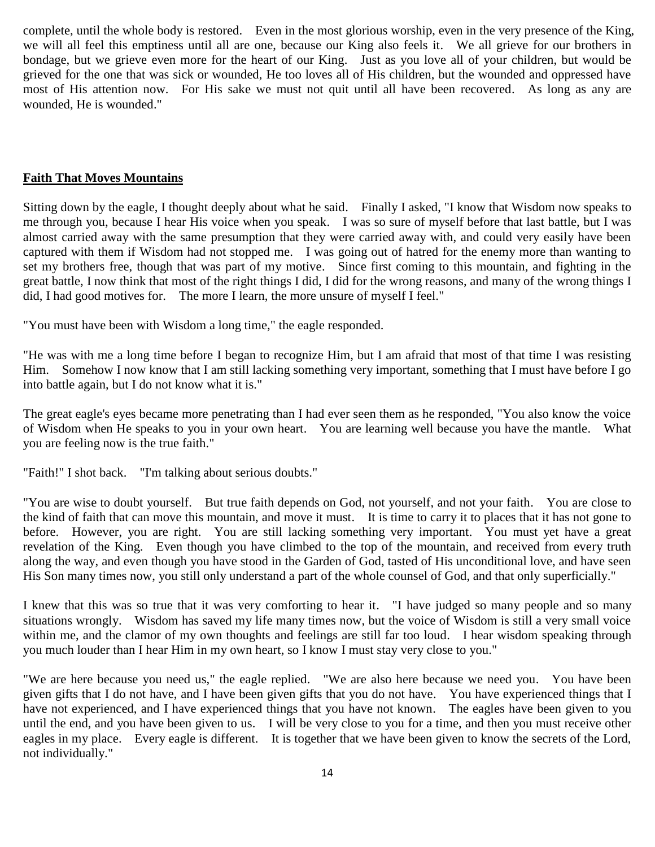complete, until the whole body is restored. Even in the most glorious worship, even in the very presence of the King, we will all feel this emptiness until all are one, because our King also feels it. We all grieve for our brothers in bondage, but we grieve even more for the heart of our King. Just as you love all of your children, but would be grieved for the one that was sick or wounded, He too loves all of His children, but the wounded and oppressed have most of His attention now. For His sake we must not quit until all have been recovered. As long as any are wounded, He is wounded."

#### **Faith That Moves Mountains**

Sitting down by the eagle, I thought deeply about what he said. Finally I asked, "I know that Wisdom now speaks to me through you, because I hear His voice when you speak. I was so sure of myself before that last battle, but I was almost carried away with the same presumption that they were carried away with, and could very easily have been captured with them if Wisdom had not stopped me. I was going out of hatred for the enemy more than wanting to set my brothers free, though that was part of my motive. Since first coming to this mountain, and fighting in the great battle, I now think that most of the right things I did, I did for the wrong reasons, and many of the wrong things I did, I had good motives for. The more I learn, the more unsure of myself I feel."

"You must have been with Wisdom a long time," the eagle responded.

"He was with me a long time before I began to recognize Him, but I am afraid that most of that time I was resisting Him. Somehow I now know that I am still lacking something very important, something that I must have before I go into battle again, but I do not know what it is."

The great eagle's eyes became more penetrating than I had ever seen them as he responded, "You also know the voice of Wisdom when He speaks to you in your own heart. You are learning well because you have the mantle. What you are feeling now is the true faith."

"Faith!" I shot back. "I'm talking about serious doubts."

"You are wise to doubt yourself. But true faith depends on God, not yourself, and not your faith. You are close to the kind of faith that can move this mountain, and move it must. It is time to carry it to places that it has not gone to before. However, you are right. You are still lacking something very important. You must yet have a great revelation of the King. Even though you have climbed to the top of the mountain, and received from every truth along the way, and even though you have stood in the Garden of God, tasted of His unconditional love, and have seen His Son many times now, you still only understand a part of the whole counsel of God, and that only superficially."

I knew that this was so true that it was very comforting to hear it. "I have judged so many people and so many situations wrongly. Wisdom has saved my life many times now, but the voice of Wisdom is still a very small voice within me, and the clamor of my own thoughts and feelings are still far too loud. I hear wisdom speaking through you much louder than I hear Him in my own heart, so I know I must stay very close to you."

"We are here because you need us," the eagle replied. "We are also here because we need you. You have been given gifts that I do not have, and I have been given gifts that you do not have. You have experienced things that I have not experienced, and I have experienced things that you have not known. The eagles have been given to you until the end, and you have been given to us. I will be very close to you for a time, and then you must receive other eagles in my place. Every eagle is different. It is together that we have been given to know the secrets of the Lord, not individually."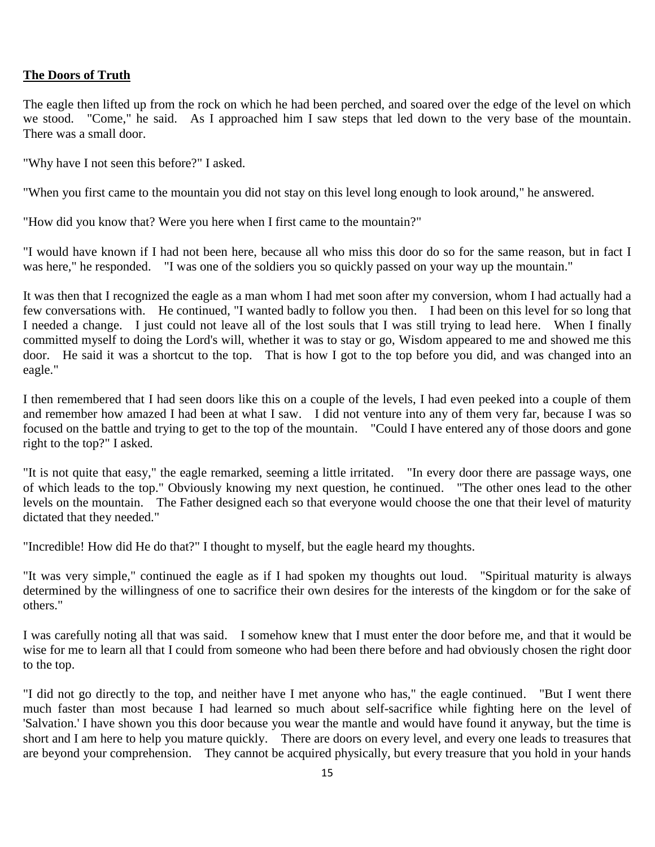# **The Doors of Truth**

The eagle then lifted up from the rock on which he had been perched, and soared over the edge of the level on which we stood. "Come," he said. As I approached him I saw steps that led down to the very base of the mountain. There was a small door.

"Why have I not seen this before?" I asked.

"When you first came to the mountain you did not stay on this level long enough to look around," he answered.

"How did you know that? Were you here when I first came to the mountain?"

"I would have known if I had not been here, because all who miss this door do so for the same reason, but in fact I was here," he responded. "I was one of the soldiers you so quickly passed on your way up the mountain."

It was then that I recognized the eagle as a man whom I had met soon after my conversion, whom I had actually had a few conversations with. He continued, "I wanted badly to follow you then. I had been on this level for so long that I needed a change. I just could not leave all of the lost souls that I was still trying to lead here. When I finally committed myself to doing the Lord's will, whether it was to stay or go, Wisdom appeared to me and showed me this door. He said it was a shortcut to the top. That is how I got to the top before you did, and was changed into an eagle."

I then remembered that I had seen doors like this on a couple of the levels, I had even peeked into a couple of them and remember how amazed I had been at what I saw. I did not venture into any of them very far, because I was so focused on the battle and trying to get to the top of the mountain. "Could I have entered any of those doors and gone right to the top?" I asked.

"It is not quite that easy," the eagle remarked, seeming a little irritated. "In every door there are passage ways, one of which leads to the top." Obviously knowing my next question, he continued. "The other ones lead to the other levels on the mountain. The Father designed each so that everyone would choose the one that their level of maturity dictated that they needed."

"Incredible! How did He do that?" I thought to myself, but the eagle heard my thoughts.

"It was very simple," continued the eagle as if I had spoken my thoughts out loud. "Spiritual maturity is always determined by the willingness of one to sacrifice their own desires for the interests of the kingdom or for the sake of others."

I was carefully noting all that was said. I somehow knew that I must enter the door before me, and that it would be wise for me to learn all that I could from someone who had been there before and had obviously chosen the right door to the top.

"I did not go directly to the top, and neither have I met anyone who has," the eagle continued. "But I went there much faster than most because I had learned so much about self-sacrifice while fighting here on the level of 'Salvation.' I have shown you this door because you wear the mantle and would have found it anyway, but the time is short and I am here to help you mature quickly. There are doors on every level, and every one leads to treasures that are beyond your comprehension. They cannot be acquired physically, but every treasure that you hold in your hands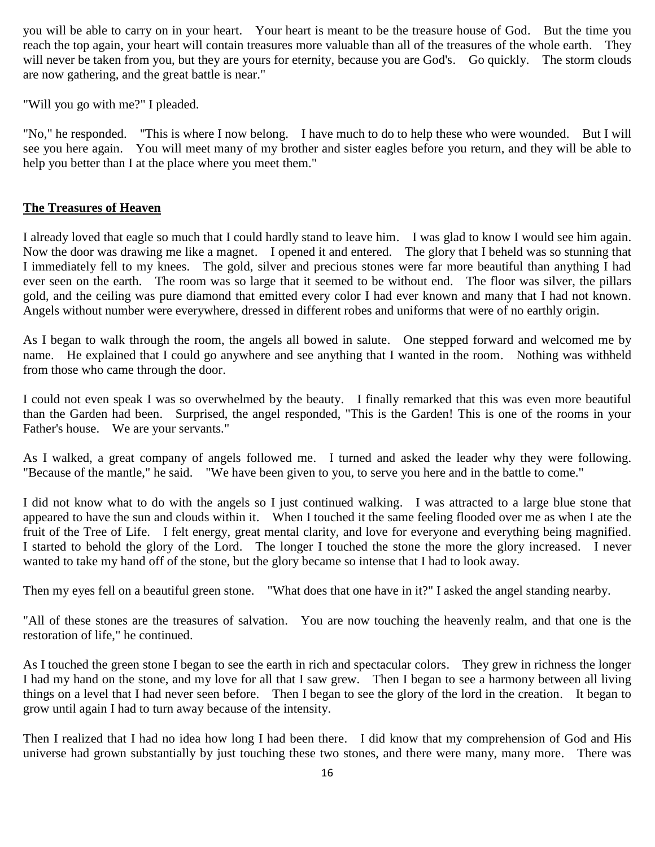you will be able to carry on in your heart. Your heart is meant to be the treasure house of God. But the time you reach the top again, your heart will contain treasures more valuable than all of the treasures of the whole earth. They will never be taken from you, but they are yours for eternity, because you are God's. Go quickly. The storm clouds are now gathering, and the great battle is near."

"Will you go with me?" I pleaded.

"No," he responded. "This is where I now belong. I have much to do to help these who were wounded. But I will see you here again. You will meet many of my brother and sister eagles before you return, and they will be able to help you better than I at the place where you meet them."

#### **The Treasures of Heaven**

I already loved that eagle so much that I could hardly stand to leave him. I was glad to know I would see him again. Now the door was drawing me like a magnet. I opened it and entered. The glory that I beheld was so stunning that I immediately fell to my knees. The gold, silver and precious stones were far more beautiful than anything I had ever seen on the earth. The room was so large that it seemed to be without end. The floor was silver, the pillars gold, and the ceiling was pure diamond that emitted every color I had ever known and many that I had not known. Angels without number were everywhere, dressed in different robes and uniforms that were of no earthly origin.

As I began to walk through the room, the angels all bowed in salute. One stepped forward and welcomed me by name. He explained that I could go anywhere and see anything that I wanted in the room. Nothing was withheld from those who came through the door.

I could not even speak I was so overwhelmed by the beauty. I finally remarked that this was even more beautiful than the Garden had been. Surprised, the angel responded, "This is the Garden! This is one of the rooms in your Father's house. We are your servants."

As I walked, a great company of angels followed me. I turned and asked the leader why they were following. "Because of the mantle," he said. "We have been given to you, to serve you here and in the battle to come."

I did not know what to do with the angels so I just continued walking. I was attracted to a large blue stone that appeared to have the sun and clouds within it. When I touched it the same feeling flooded over me as when I ate the fruit of the Tree of Life. I felt energy, great mental clarity, and love for everyone and everything being magnified. I started to behold the glory of the Lord. The longer I touched the stone the more the glory increased. I never wanted to take my hand off of the stone, but the glory became so intense that I had to look away.

Then my eyes fell on a beautiful green stone. "What does that one have in it?" I asked the angel standing nearby.

"All of these stones are the treasures of salvation. You are now touching the heavenly realm, and that one is the restoration of life," he continued.

As I touched the green stone I began to see the earth in rich and spectacular colors. They grew in richness the longer I had my hand on the stone, and my love for all that I saw grew. Then I began to see a harmony between all living things on a level that I had never seen before. Then I began to see the glory of the lord in the creation. It began to grow until again I had to turn away because of the intensity.

Then I realized that I had no idea how long I had been there. I did know that my comprehension of God and His universe had grown substantially by just touching these two stones, and there were many, many more. There was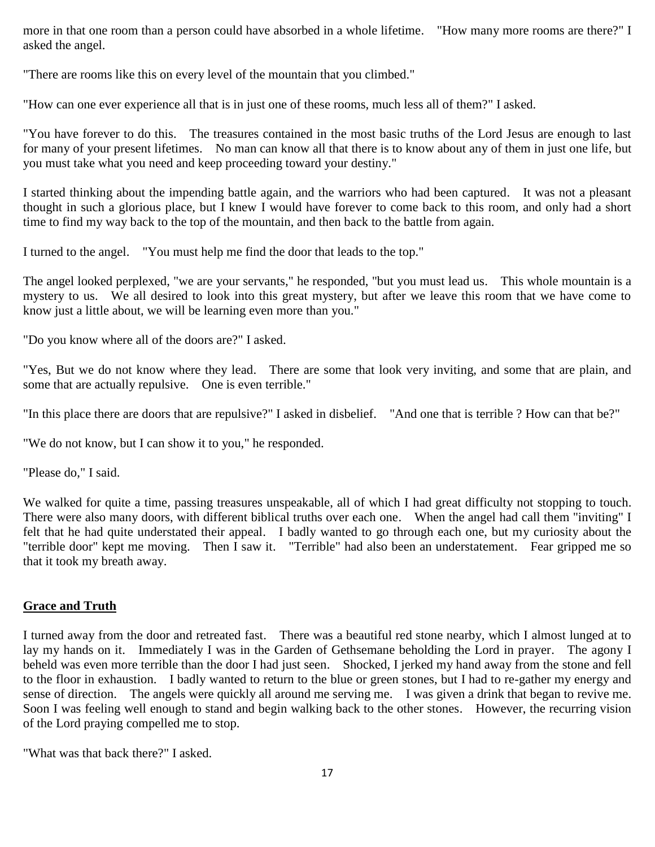more in that one room than a person could have absorbed in a whole lifetime. "How many more rooms are there?" I asked the angel.

"There are rooms like this on every level of the mountain that you climbed."

"How can one ever experience all that is in just one of these rooms, much less all of them?" I asked.

"You have forever to do this. The treasures contained in the most basic truths of the Lord Jesus are enough to last for many of your present lifetimes. No man can know all that there is to know about any of them in just one life, but you must take what you need and keep proceeding toward your destiny."

I started thinking about the impending battle again, and the warriors who had been captured. It was not a pleasant thought in such a glorious place, but I knew I would have forever to come back to this room, and only had a short time to find my way back to the top of the mountain, and then back to the battle from again.

I turned to the angel. "You must help me find the door that leads to the top."

The angel looked perplexed, "we are your servants," he responded, "but you must lead us. This whole mountain is a mystery to us. We all desired to look into this great mystery, but after we leave this room that we have come to know just a little about, we will be learning even more than you."

"Do you know where all of the doors are?" I asked.

"Yes, But we do not know where they lead. There are some that look very inviting, and some that are plain, and some that are actually repulsive. One is even terrible."

"In this place there are doors that are repulsive?" I asked in disbelief. "And one that is terrible ? How can that be?"

"We do not know, but I can show it to you," he responded.

"Please do," I said.

We walked for quite a time, passing treasures unspeakable, all of which I had great difficulty not stopping to touch. There were also many doors, with different biblical truths over each one. When the angel had call them "inviting" I felt that he had quite understated their appeal. I badly wanted to go through each one, but my curiosity about the "terrible door" kept me moving. Then I saw it. "Terrible" had also been an understatement. Fear gripped me so that it took my breath away.

#### **Grace and Truth**

I turned away from the door and retreated fast. There was a beautiful red stone nearby, which I almost lunged at to lay my hands on it. Immediately I was in the Garden of Gethsemane beholding the Lord in prayer. The agony I beheld was even more terrible than the door I had just seen. Shocked, I jerked my hand away from the stone and fell to the floor in exhaustion. I badly wanted to return to the blue or green stones, but I had to re-gather my energy and sense of direction. The angels were quickly all around me serving me. I was given a drink that began to revive me. Soon I was feeling well enough to stand and begin walking back to the other stones. However, the recurring vision of the Lord praying compelled me to stop.

"What was that back there?" I asked.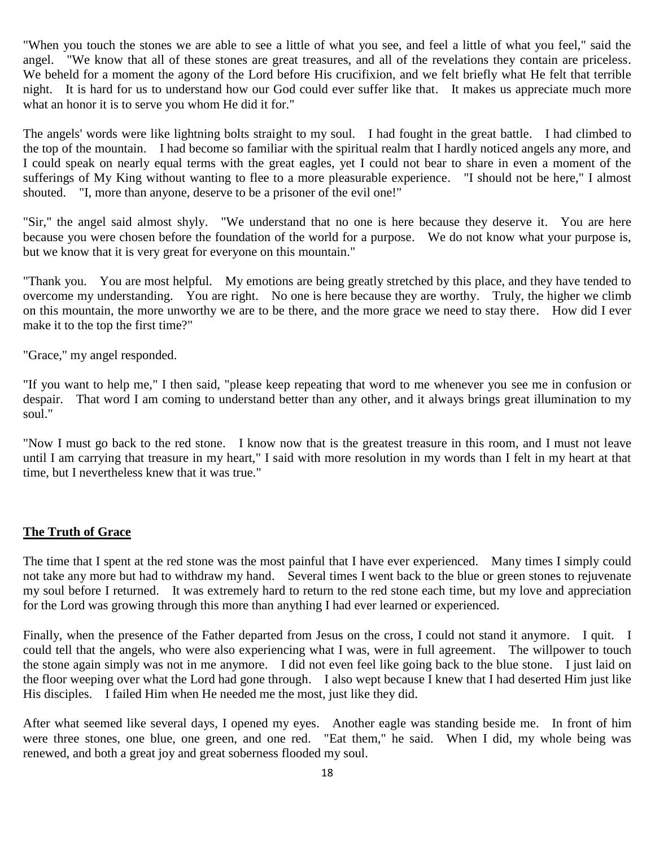"When you touch the stones we are able to see a little of what you see, and feel a little of what you feel," said the angel. "We know that all of these stones are great treasures, and all of the revelations they contain are priceless. We beheld for a moment the agony of the Lord before His crucifixion, and we felt briefly what He felt that terrible night. It is hard for us to understand how our God could ever suffer like that. It makes us appreciate much more what an honor it is to serve you whom He did it for."

The angels' words were like lightning bolts straight to my soul. I had fought in the great battle. I had climbed to the top of the mountain. I had become so familiar with the spiritual realm that I hardly noticed angels any more, and I could speak on nearly equal terms with the great eagles, yet I could not bear to share in even a moment of the sufferings of My King without wanting to flee to a more pleasurable experience. "I should not be here," I almost shouted. "I, more than anyone, deserve to be a prisoner of the evil one!"

"Sir," the angel said almost shyly. "We understand that no one is here because they deserve it. You are here because you were chosen before the foundation of the world for a purpose. We do not know what your purpose is, but we know that it is very great for everyone on this mountain."

"Thank you. You are most helpful. My emotions are being greatly stretched by this place, and they have tended to overcome my understanding. You are right. No one is here because they are worthy. Truly, the higher we climb on this mountain, the more unworthy we are to be there, and the more grace we need to stay there. How did I ever make it to the top the first time?"

"Grace," my angel responded.

"If you want to help me," I then said, "please keep repeating that word to me whenever you see me in confusion or despair. That word I am coming to understand better than any other, and it always brings great illumination to my soul."

"Now I must go back to the red stone. I know now that is the greatest treasure in this room, and I must not leave until I am carrying that treasure in my heart," I said with more resolution in my words than I felt in my heart at that time, but I nevertheless knew that it was true."

#### **The Truth of Grace**

The time that I spent at the red stone was the most painful that I have ever experienced. Many times I simply could not take any more but had to withdraw my hand. Several times I went back to the blue or green stones to rejuvenate my soul before I returned. It was extremely hard to return to the red stone each time, but my love and appreciation for the Lord was growing through this more than anything I had ever learned or experienced.

Finally, when the presence of the Father departed from Jesus on the cross, I could not stand it anymore. I quit. I could tell that the angels, who were also experiencing what I was, were in full agreement. The willpower to touch the stone again simply was not in me anymore. I did not even feel like going back to the blue stone. I just laid on the floor weeping over what the Lord had gone through. I also wept because I knew that I had deserted Him just like His disciples. I failed Him when He needed me the most, just like they did.

After what seemed like several days, I opened my eyes. Another eagle was standing beside me. In front of him were three stones, one blue, one green, and one red. "Eat them," he said. When I did, my whole being was renewed, and both a great joy and great soberness flooded my soul.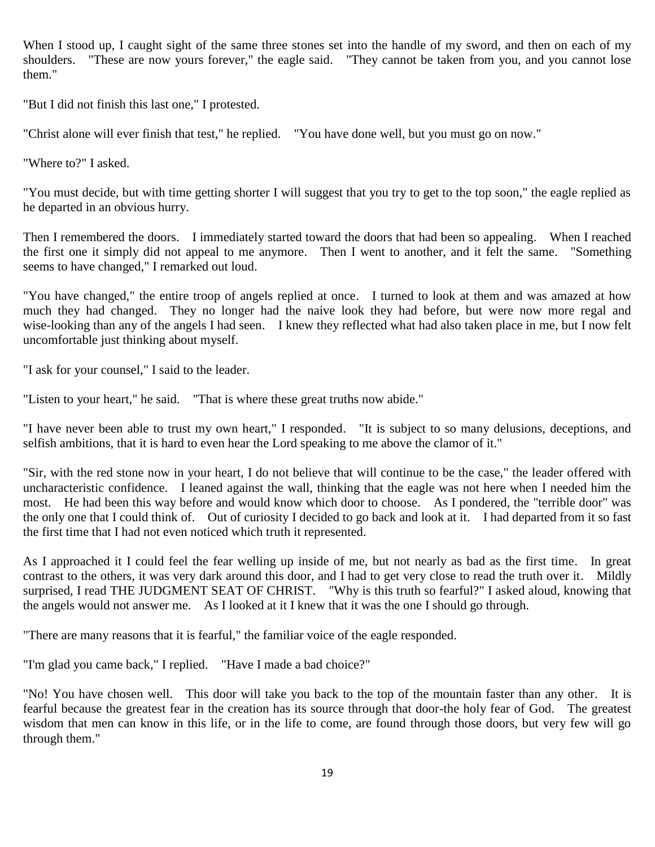When I stood up, I caught sight of the same three stones set into the handle of my sword, and then on each of my shoulders. "These are now yours forever," the eagle said. "They cannot be taken from you, and you cannot lose them."

"But I did not finish this last one," I protested.

"Christ alone will ever finish that test," he replied. "You have done well, but you must go on now."

"Where to?" I asked.

"You must decide, but with time getting shorter I will suggest that you try to get to the top soon," the eagle replied as he departed in an obvious hurry.

Then I remembered the doors. I immediately started toward the doors that had been so appealing. When I reached the first one it simply did not appeal to me anymore. Then I went to another, and it felt the same. "Something seems to have changed," I remarked out loud.

"You have changed," the entire troop of angels replied at once. I turned to look at them and was amazed at how much they had changed. They no longer had the naive look they had before, but were now more regal and wise-looking than any of the angels I had seen. I knew they reflected what had also taken place in me, but I now felt uncomfortable just thinking about myself.

"I ask for your counsel," I said to the leader.

"Listen to your heart," he said. "That is where these great truths now abide."

"I have never been able to trust my own heart," I responded. "It is subject to so many delusions, deceptions, and selfish ambitions, that it is hard to even hear the Lord speaking to me above the clamor of it."

"Sir, with the red stone now in your heart, I do not believe that will continue to be the case," the leader offered with uncharacteristic confidence. I leaned against the wall, thinking that the eagle was not here when I needed him the most. He had been this way before and would know which door to choose. As I pondered, the "terrible door" was the only one that I could think of. Out of curiosity I decided to go back and look at it. I had departed from it so fast the first time that I had not even noticed which truth it represented.

As I approached it I could feel the fear welling up inside of me, but not nearly as bad as the first time. In great contrast to the others, it was very dark around this door, and I had to get very close to read the truth over it. Mildly surprised, I read THE JUDGMENT SEAT OF CHRIST. "Why is this truth so fearful?" I asked aloud, knowing that the angels would not answer me. As I looked at it I knew that it was the one I should go through.

"There are many reasons that it is fearful," the familiar voice of the eagle responded.

"I'm glad you came back," I replied. "Have I made a bad choice?"

"No! You have chosen well. This door will take you back to the top of the mountain faster than any other. It is fearful because the greatest fear in the creation has its source through that door-the holy fear of God. The greatest wisdom that men can know in this life, or in the life to come, are found through those doors, but very few will go through them."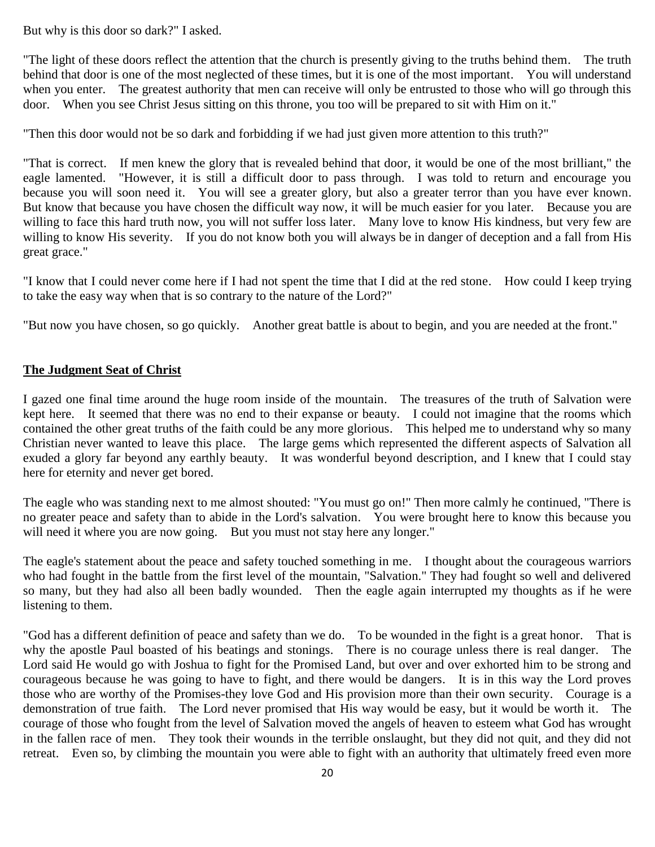But why is this door so dark?" I asked.

"The light of these doors reflect the attention that the church is presently giving to the truths behind them. The truth behind that door is one of the most neglected of these times, but it is one of the most important. You will understand when you enter. The greatest authority that men can receive will only be entrusted to those who will go through this door. When you see Christ Jesus sitting on this throne, you too will be prepared to sit with Him on it."

"Then this door would not be so dark and forbidding if we had just given more attention to this truth?"

"That is correct. If men knew the glory that is revealed behind that door, it would be one of the most brilliant," the eagle lamented. "However, it is still a difficult door to pass through. I was told to return and encourage you because you will soon need it. You will see a greater glory, but also a greater terror than you have ever known. But know that because you have chosen the difficult way now, it will be much easier for you later. Because you are willing to face this hard truth now, you will not suffer loss later. Many love to know His kindness, but very few are willing to know His severity. If you do not know both you will always be in danger of deception and a fall from His great grace."

"I know that I could never come here if I had not spent the time that I did at the red stone. How could I keep trying to take the easy way when that is so contrary to the nature of the Lord?"

"But now you have chosen, so go quickly. Another great battle is about to begin, and you are needed at the front."

# **The Judgment Seat of Christ**

I gazed one final time around the huge room inside of the mountain. The treasures of the truth of Salvation were kept here. It seemed that there was no end to their expanse or beauty. I could not imagine that the rooms which contained the other great truths of the faith could be any more glorious. This helped me to understand why so many Christian never wanted to leave this place. The large gems which represented the different aspects of Salvation all exuded a glory far beyond any earthly beauty. It was wonderful beyond description, and I knew that I could stay here for eternity and never get bored.

The eagle who was standing next to me almost shouted: "You must go on!" Then more calmly he continued, "There is no greater peace and safety than to abide in the Lord's salvation. You were brought here to know this because you will need it where you are now going. But you must not stay here any longer."

The eagle's statement about the peace and safety touched something in me. I thought about the courageous warriors who had fought in the battle from the first level of the mountain, "Salvation." They had fought so well and delivered so many, but they had also all been badly wounded. Then the eagle again interrupted my thoughts as if he were listening to them.

"God has a different definition of peace and safety than we do. To be wounded in the fight is a great honor. That is why the apostle Paul boasted of his beatings and stonings. There is no courage unless there is real danger. The Lord said He would go with Joshua to fight for the Promised Land, but over and over exhorted him to be strong and courageous because he was going to have to fight, and there would be dangers. It is in this way the Lord proves those who are worthy of the Promises-they love God and His provision more than their own security. Courage is a demonstration of true faith. The Lord never promised that His way would be easy, but it would be worth it. The courage of those who fought from the level of Salvation moved the angels of heaven to esteem what God has wrought in the fallen race of men. They took their wounds in the terrible onslaught, but they did not quit, and they did not retreat. Even so, by climbing the mountain you were able to fight with an authority that ultimately freed even more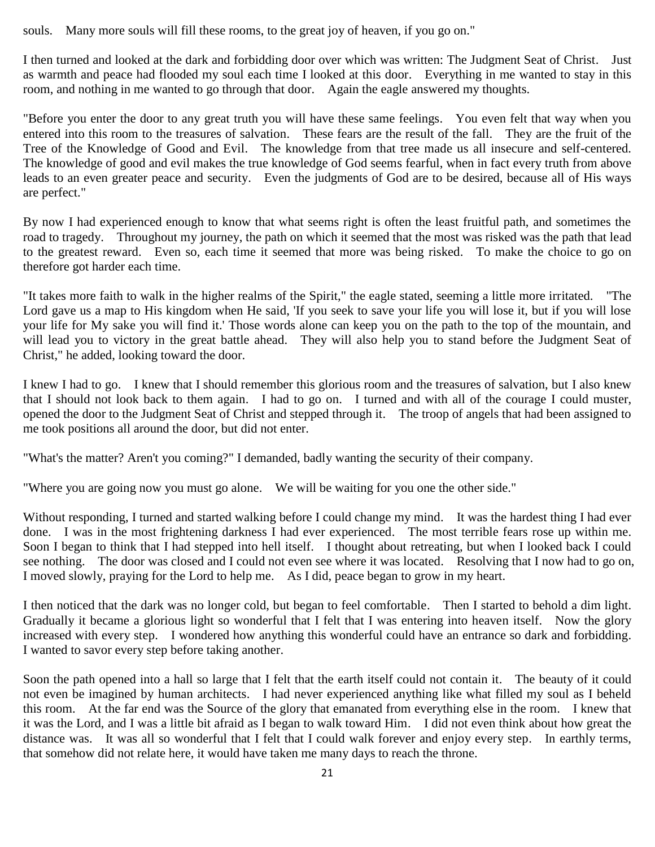souls. Many more souls will fill these rooms, to the great joy of heaven, if you go on."

I then turned and looked at the dark and forbidding door over which was written: The Judgment Seat of Christ. Just as warmth and peace had flooded my soul each time I looked at this door. Everything in me wanted to stay in this room, and nothing in me wanted to go through that door. Again the eagle answered my thoughts.

"Before you enter the door to any great truth you will have these same feelings. You even felt that way when you entered into this room to the treasures of salvation. These fears are the result of the fall. They are the fruit of the Tree of the Knowledge of Good and Evil. The knowledge from that tree made us all insecure and self-centered. The knowledge of good and evil makes the true knowledge of God seems fearful, when in fact every truth from above leads to an even greater peace and security. Even the judgments of God are to be desired, because all of His ways are perfect."

By now I had experienced enough to know that what seems right is often the least fruitful path, and sometimes the road to tragedy. Throughout my journey, the path on which it seemed that the most was risked was the path that lead to the greatest reward. Even so, each time it seemed that more was being risked. To make the choice to go on therefore got harder each time.

"It takes more faith to walk in the higher realms of the Spirit," the eagle stated, seeming a little more irritated. "The Lord gave us a map to His kingdom when He said, 'If you seek to save your life you will lose it, but if you will lose your life for My sake you will find it.' Those words alone can keep you on the path to the top of the mountain, and will lead you to victory in the great battle ahead. They will also help you to stand before the Judgment Seat of Christ," he added, looking toward the door.

I knew I had to go. I knew that I should remember this glorious room and the treasures of salvation, but I also knew that I should not look back to them again. I had to go on. I turned and with all of the courage I could muster, opened the door to the Judgment Seat of Christ and stepped through it. The troop of angels that had been assigned to me took positions all around the door, but did not enter.

"What's the matter? Aren't you coming?" I demanded, badly wanting the security of their company.

"Where you are going now you must go alone. We will be waiting for you one the other side."

Without responding, I turned and started walking before I could change my mind. It was the hardest thing I had ever done. I was in the most frightening darkness I had ever experienced. The most terrible fears rose up within me. Soon I began to think that I had stepped into hell itself. I thought about retreating, but when I looked back I could see nothing. The door was closed and I could not even see where it was located. Resolving that I now had to go on, I moved slowly, praying for the Lord to help me. As I did, peace began to grow in my heart.

I then noticed that the dark was no longer cold, but began to feel comfortable. Then I started to behold a dim light. Gradually it became a glorious light so wonderful that I felt that I was entering into heaven itself. Now the glory increased with every step. I wondered how anything this wonderful could have an entrance so dark and forbidding. I wanted to savor every step before taking another.

Soon the path opened into a hall so large that I felt that the earth itself could not contain it. The beauty of it could not even be imagined by human architects. I had never experienced anything like what filled my soul as I beheld this room. At the far end was the Source of the glory that emanated from everything else in the room. I knew that it was the Lord, and I was a little bit afraid as I began to walk toward Him. I did not even think about how great the distance was. It was all so wonderful that I felt that I could walk forever and enjoy every step. In earthly terms, that somehow did not relate here, it would have taken me many days to reach the throne.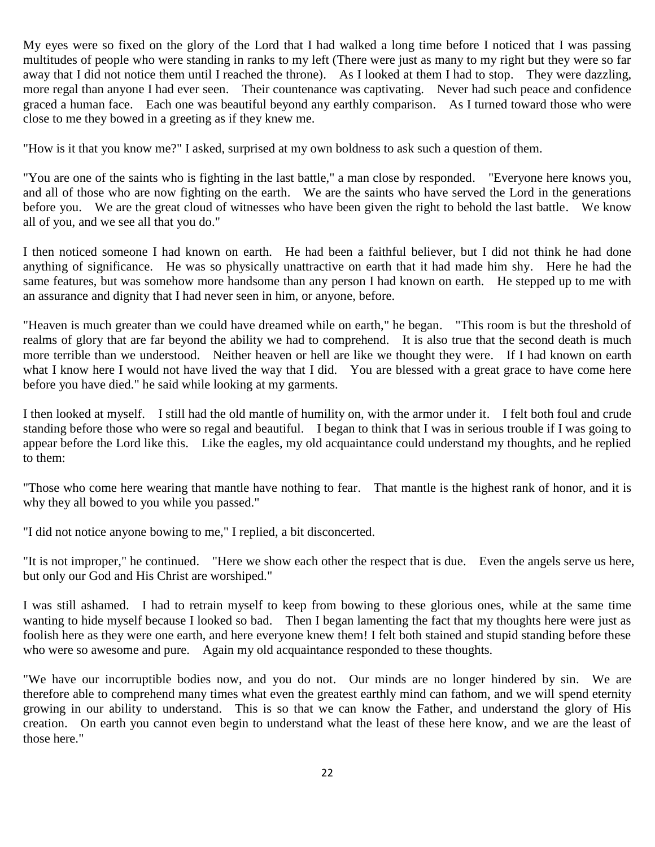My eyes were so fixed on the glory of the Lord that I had walked a long time before I noticed that I was passing multitudes of people who were standing in ranks to my left (There were just as many to my right but they were so far away that I did not notice them until I reached the throne). As I looked at them I had to stop. They were dazzling, more regal than anyone I had ever seen. Their countenance was captivating. Never had such peace and confidence graced a human face. Each one was beautiful beyond any earthly comparison. As I turned toward those who were close to me they bowed in a greeting as if they knew me.

"How is it that you know me?" I asked, surprised at my own boldness to ask such a question of them.

"You are one of the saints who is fighting in the last battle," a man close by responded. "Everyone here knows you, and all of those who are now fighting on the earth. We are the saints who have served the Lord in the generations before you. We are the great cloud of witnesses who have been given the right to behold the last battle. We know all of you, and we see all that you do."

I then noticed someone I had known on earth. He had been a faithful believer, but I did not think he had done anything of significance. He was so physically unattractive on earth that it had made him shy. Here he had the same features, but was somehow more handsome than any person I had known on earth. He stepped up to me with an assurance and dignity that I had never seen in him, or anyone, before.

"Heaven is much greater than we could have dreamed while on earth," he began. "This room is but the threshold of realms of glory that are far beyond the ability we had to comprehend. It is also true that the second death is much more terrible than we understood. Neither heaven or hell are like we thought they were. If I had known on earth what I know here I would not have lived the way that I did. You are blessed with a great grace to have come here before you have died." he said while looking at my garments.

I then looked at myself. I still had the old mantle of humility on, with the armor under it. I felt both foul and crude standing before those who were so regal and beautiful. I began to think that I was in serious trouble if I was going to appear before the Lord like this. Like the eagles, my old acquaintance could understand my thoughts, and he replied to them:

"Those who come here wearing that mantle have nothing to fear. That mantle is the highest rank of honor, and it is why they all bowed to you while you passed."

"I did not notice anyone bowing to me," I replied, a bit disconcerted.

"It is not improper," he continued. "Here we show each other the respect that is due. Even the angels serve us here, but only our God and His Christ are worshiped."

I was still ashamed. I had to retrain myself to keep from bowing to these glorious ones, while at the same time wanting to hide myself because I looked so bad. Then I began lamenting the fact that my thoughts here were just as foolish here as they were one earth, and here everyone knew them! I felt both stained and stupid standing before these who were so awesome and pure. Again my old acquaintance responded to these thoughts.

"We have our incorruptible bodies now, and you do not. Our minds are no longer hindered by sin. We are therefore able to comprehend many times what even the greatest earthly mind can fathom, and we will spend eternity growing in our ability to understand. This is so that we can know the Father, and understand the glory of His creation. On earth you cannot even begin to understand what the least of these here know, and we are the least of those here."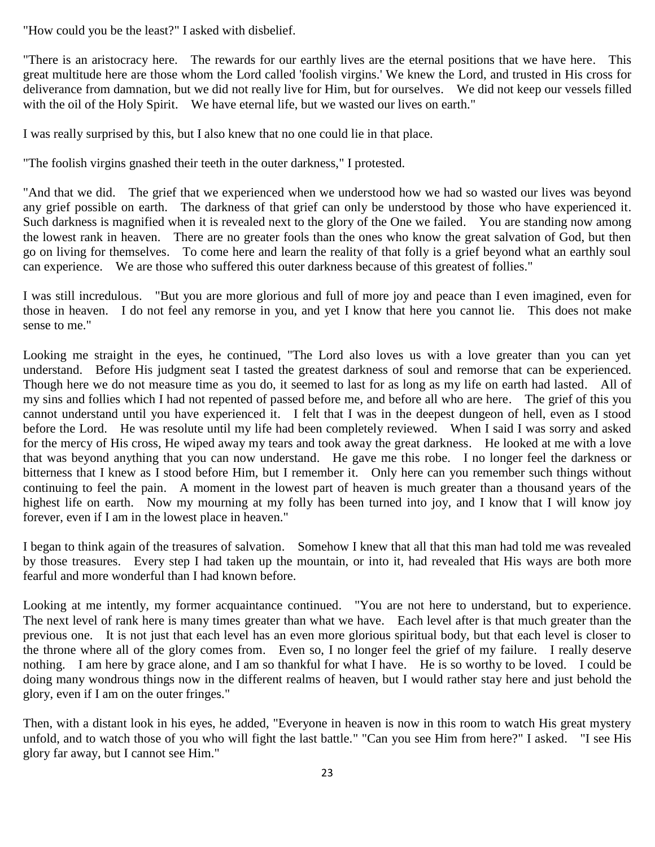"How could you be the least?" I asked with disbelief.

"There is an aristocracy here. The rewards for our earthly lives are the eternal positions that we have here. This great multitude here are those whom the Lord called 'foolish virgins.' We knew the Lord, and trusted in His cross for deliverance from damnation, but we did not really live for Him, but for ourselves. We did not keep our vessels filled with the oil of the Holy Spirit. We have eternal life, but we wasted our lives on earth."

I was really surprised by this, but I also knew that no one could lie in that place.

"The foolish virgins gnashed their teeth in the outer darkness," I protested.

"And that we did. The grief that we experienced when we understood how we had so wasted our lives was beyond any grief possible on earth. The darkness of that grief can only be understood by those who have experienced it. Such darkness is magnified when it is revealed next to the glory of the One we failed. You are standing now among the lowest rank in heaven. There are no greater fools than the ones who know the great salvation of God, but then go on living for themselves. To come here and learn the reality of that folly is a grief beyond what an earthly soul can experience. We are those who suffered this outer darkness because of this greatest of follies."

I was still incredulous. "But you are more glorious and full of more joy and peace than I even imagined, even for those in heaven. I do not feel any remorse in you, and yet I know that here you cannot lie. This does not make sense to me."

Looking me straight in the eyes, he continued, "The Lord also loves us with a love greater than you can yet understand. Before His judgment seat I tasted the greatest darkness of soul and remorse that can be experienced. Though here we do not measure time as you do, it seemed to last for as long as my life on earth had lasted. All of my sins and follies which I had not repented of passed before me, and before all who are here. The grief of this you cannot understand until you have experienced it. I felt that I was in the deepest dungeon of hell, even as I stood before the Lord. He was resolute until my life had been completely reviewed. When I said I was sorry and asked for the mercy of His cross, He wiped away my tears and took away the great darkness. He looked at me with a love that was beyond anything that you can now understand. He gave me this robe. I no longer feel the darkness or bitterness that I knew as I stood before Him, but I remember it. Only here can you remember such things without continuing to feel the pain. A moment in the lowest part of heaven is much greater than a thousand years of the highest life on earth. Now my mourning at my folly has been turned into joy, and I know that I will know joy forever, even if I am in the lowest place in heaven."

I began to think again of the treasures of salvation. Somehow I knew that all that this man had told me was revealed by those treasures. Every step I had taken up the mountain, or into it, had revealed that His ways are both more fearful and more wonderful than I had known before.

Looking at me intently, my former acquaintance continued. "You are not here to understand, but to experience. The next level of rank here is many times greater than what we have. Each level after is that much greater than the previous one. It is not just that each level has an even more glorious spiritual body, but that each level is closer to the throne where all of the glory comes from. Even so, I no longer feel the grief of my failure. I really deserve nothing. I am here by grace alone, and I am so thankful for what I have. He is so worthy to be loved. I could be doing many wondrous things now in the different realms of heaven, but I would rather stay here and just behold the glory, even if I am on the outer fringes."

Then, with a distant look in his eyes, he added, "Everyone in heaven is now in this room to watch His great mystery unfold, and to watch those of you who will fight the last battle." "Can you see Him from here?" I asked. "I see His glory far away, but I cannot see Him."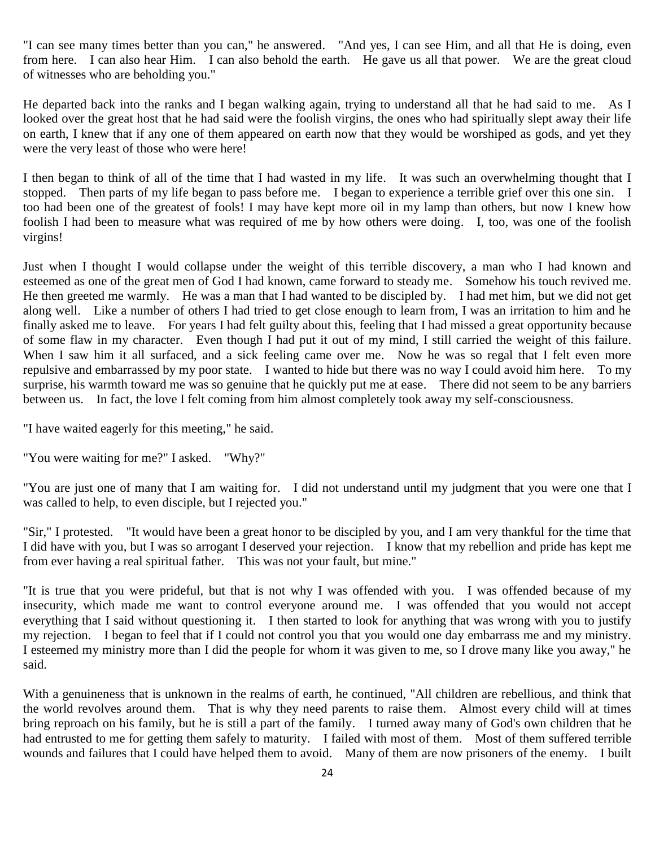"I can see many times better than you can," he answered. "And yes, I can see Him, and all that He is doing, even from here. I can also hear Him. I can also behold the earth. He gave us all that power. We are the great cloud of witnesses who are beholding you."

He departed back into the ranks and I began walking again, trying to understand all that he had said to me. As I looked over the great host that he had said were the foolish virgins, the ones who had spiritually slept away their life on earth, I knew that if any one of them appeared on earth now that they would be worshiped as gods, and yet they were the very least of those who were here!

I then began to think of all of the time that I had wasted in my life. It was such an overwhelming thought that I stopped. Then parts of my life began to pass before me. I began to experience a terrible grief over this one sin. I too had been one of the greatest of fools! I may have kept more oil in my lamp than others, but now I knew how foolish I had been to measure what was required of me by how others were doing. I, too, was one of the foolish virgins!

Just when I thought I would collapse under the weight of this terrible discovery, a man who I had known and esteemed as one of the great men of God I had known, came forward to steady me. Somehow his touch revived me. He then greeted me warmly. He was a man that I had wanted to be discipled by. I had met him, but we did not get along well. Like a number of others I had tried to get close enough to learn from, I was an irritation to him and he finally asked me to leave. For years I had felt guilty about this, feeling that I had missed a great opportunity because of some flaw in my character. Even though I had put it out of my mind, I still carried the weight of this failure. When I saw him it all surfaced, and a sick feeling came over me. Now he was so regal that I felt even more repulsive and embarrassed by my poor state. I wanted to hide but there was no way I could avoid him here. To my surprise, his warmth toward me was so genuine that he quickly put me at ease. There did not seem to be any barriers between us. In fact, the love I felt coming from him almost completely took away my self-consciousness.

"I have waited eagerly for this meeting," he said.

"You were waiting for me?" I asked. "Why?"

"You are just one of many that I am waiting for. I did not understand until my judgment that you were one that I was called to help, to even disciple, but I rejected you."

"Sir," I protested. "It would have been a great honor to be discipled by you, and I am very thankful for the time that I did have with you, but I was so arrogant I deserved your rejection. I know that my rebellion and pride has kept me from ever having a real spiritual father. This was not your fault, but mine."

"It is true that you were prideful, but that is not why I was offended with you. I was offended because of my insecurity, which made me want to control everyone around me. I was offended that you would not accept everything that I said without questioning it. I then started to look for anything that was wrong with you to justify my rejection. I began to feel that if I could not control you that you would one day embarrass me and my ministry. I esteemed my ministry more than I did the people for whom it was given to me, so I drove many like you away," he said.

With a genuineness that is unknown in the realms of earth, he continued, "All children are rebellious, and think that the world revolves around them. That is why they need parents to raise them. Almost every child will at times bring reproach on his family, but he is still a part of the family. I turned away many of God's own children that he had entrusted to me for getting them safely to maturity. I failed with most of them. Most of them suffered terrible wounds and failures that I could have helped them to avoid. Many of them are now prisoners of the enemy. I built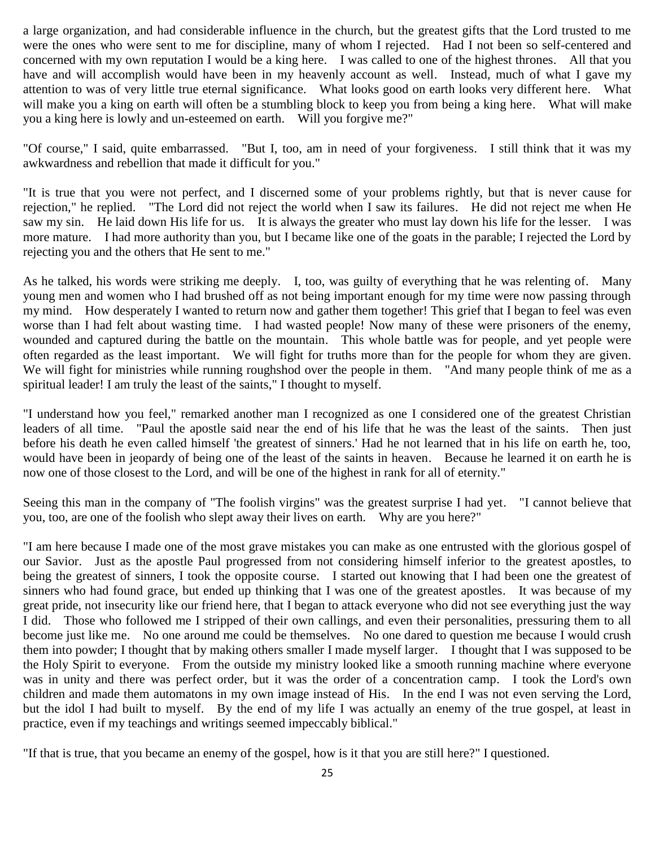a large organization, and had considerable influence in the church, but the greatest gifts that the Lord trusted to me were the ones who were sent to me for discipline, many of whom I rejected. Had I not been so self-centered and concerned with my own reputation I would be a king here. I was called to one of the highest thrones. All that you have and will accomplish would have been in my heavenly account as well. Instead, much of what I gave my attention to was of very little true eternal significance. What looks good on earth looks very different here. What will make you a king on earth will often be a stumbling block to keep you from being a king here. What will make you a king here is lowly and un-esteemed on earth. Will you forgive me?"

"Of course," I said, quite embarrassed. "But I, too, am in need of your forgiveness. I still think that it was my awkwardness and rebellion that made it difficult for you."

"It is true that you were not perfect, and I discerned some of your problems rightly, but that is never cause for rejection," he replied. "The Lord did not reject the world when I saw its failures. He did not reject me when He saw my sin. He laid down His life for us. It is always the greater who must lay down his life for the lesser. I was more mature. I had more authority than you, but I became like one of the goats in the parable; I rejected the Lord by rejecting you and the others that He sent to me."

As he talked, his words were striking me deeply. I, too, was guilty of everything that he was relenting of. Many young men and women who I had brushed off as not being important enough for my time were now passing through my mind. How desperately I wanted to return now and gather them together! This grief that I began to feel was even worse than I had felt about wasting time. I had wasted people! Now many of these were prisoners of the enemy, wounded and captured during the battle on the mountain. This whole battle was for people, and yet people were often regarded as the least important. We will fight for truths more than for the people for whom they are given. We will fight for ministries while running roughshod over the people in them. "And many people think of me as a spiritual leader! I am truly the least of the saints," I thought to myself.

"I understand how you feel," remarked another man I recognized as one I considered one of the greatest Christian leaders of all time. "Paul the apostle said near the end of his life that he was the least of the saints. Then just before his death he even called himself 'the greatest of sinners.' Had he not learned that in his life on earth he, too, would have been in jeopardy of being one of the least of the saints in heaven. Because he learned it on earth he is now one of those closest to the Lord, and will be one of the highest in rank for all of eternity."

Seeing this man in the company of "The foolish virgins" was the greatest surprise I had yet. "I cannot believe that you, too, are one of the foolish who slept away their lives on earth. Why are you here?"

"I am here because I made one of the most grave mistakes you can make as one entrusted with the glorious gospel of our Savior. Just as the apostle Paul progressed from not considering himself inferior to the greatest apostles, to being the greatest of sinners, I took the opposite course. I started out knowing that I had been one the greatest of sinners who had found grace, but ended up thinking that I was one of the greatest apostles. It was because of my great pride, not insecurity like our friend here, that I began to attack everyone who did not see everything just the way I did. Those who followed me I stripped of their own callings, and even their personalities, pressuring them to all become just like me. No one around me could be themselves. No one dared to question me because I would crush them into powder; I thought that by making others smaller I made myself larger. I thought that I was supposed to be the Holy Spirit to everyone. From the outside my ministry looked like a smooth running machine where everyone was in unity and there was perfect order, but it was the order of a concentration camp. I took the Lord's own children and made them automatons in my own image instead of His. In the end I was not even serving the Lord, but the idol I had built to myself. By the end of my life I was actually an enemy of the true gospel, at least in practice, even if my teachings and writings seemed impeccably biblical."

"If that is true, that you became an enemy of the gospel, how is it that you are still here?" I questioned.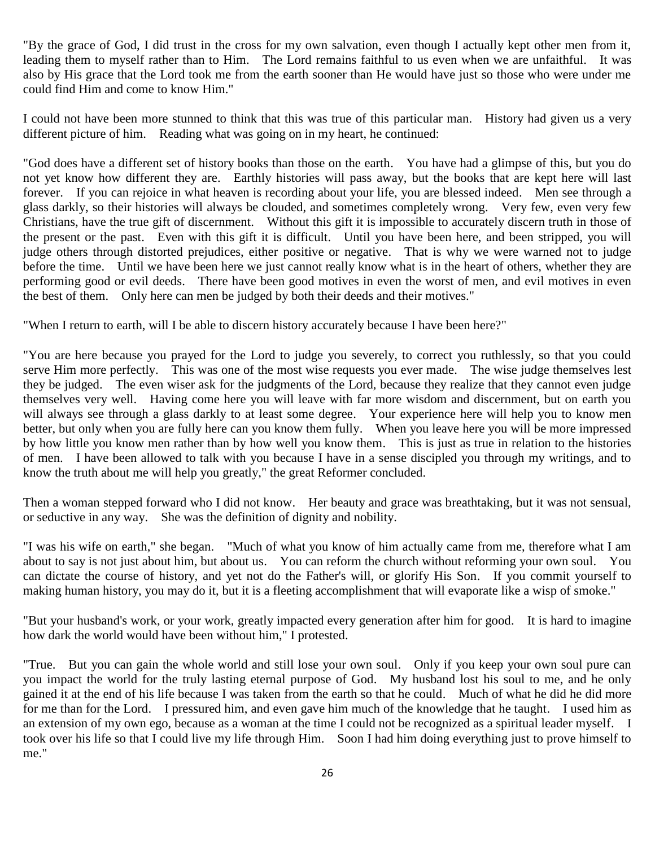"By the grace of God, I did trust in the cross for my own salvation, even though I actually kept other men from it, leading them to myself rather than to Him. The Lord remains faithful to us even when we are unfaithful. It was also by His grace that the Lord took me from the earth sooner than He would have just so those who were under me could find Him and come to know Him."

I could not have been more stunned to think that this was true of this particular man. History had given us a very different picture of him. Reading what was going on in my heart, he continued:

"God does have a different set of history books than those on the earth. You have had a glimpse of this, but you do not yet know how different they are. Earthly histories will pass away, but the books that are kept here will last forever. If you can rejoice in what heaven is recording about your life, you are blessed indeed. Men see through a glass darkly, so their histories will always be clouded, and sometimes completely wrong. Very few, even very few Christians, have the true gift of discernment. Without this gift it is impossible to accurately discern truth in those of the present or the past. Even with this gift it is difficult. Until you have been here, and been stripped, you will judge others through distorted prejudices, either positive or negative. That is why we were warned not to judge before the time. Until we have been here we just cannot really know what is in the heart of others, whether they are performing good or evil deeds. There have been good motives in even the worst of men, and evil motives in even the best of them. Only here can men be judged by both their deeds and their motives."

"When I return to earth, will I be able to discern history accurately because I have been here?"

"You are here because you prayed for the Lord to judge you severely, to correct you ruthlessly, so that you could serve Him more perfectly. This was one of the most wise requests you ever made. The wise judge themselves lest they be judged. The even wiser ask for the judgments of the Lord, because they realize that they cannot even judge themselves very well. Having come here you will leave with far more wisdom and discernment, but on earth you will always see through a glass darkly to at least some degree. Your experience here will help you to know men better, but only when you are fully here can you know them fully. When you leave here you will be more impressed by how little you know men rather than by how well you know them. This is just as true in relation to the histories of men. I have been allowed to talk with you because I have in a sense discipled you through my writings, and to know the truth about me will help you greatly," the great Reformer concluded.

Then a woman stepped forward who I did not know. Her beauty and grace was breathtaking, but it was not sensual, or seductive in any way. She was the definition of dignity and nobility.

"I was his wife on earth," she began. "Much of what you know of him actually came from me, therefore what I am about to say is not just about him, but about us. You can reform the church without reforming your own soul. You can dictate the course of history, and yet not do the Father's will, or glorify His Son. If you commit yourself to making human history, you may do it, but it is a fleeting accomplishment that will evaporate like a wisp of smoke."

"But your husband's work, or your work, greatly impacted every generation after him for good. It is hard to imagine how dark the world would have been without him," I protested.

"True. But you can gain the whole world and still lose your own soul. Only if you keep your own soul pure can you impact the world for the truly lasting eternal purpose of God. My husband lost his soul to me, and he only gained it at the end of his life because I was taken from the earth so that he could. Much of what he did he did more for me than for the Lord. I pressured him, and even gave him much of the knowledge that he taught. I used him as an extension of my own ego, because as a woman at the time I could not be recognized as a spiritual leader myself. I took over his life so that I could live my life through Him. Soon I had him doing everything just to prove himself to me."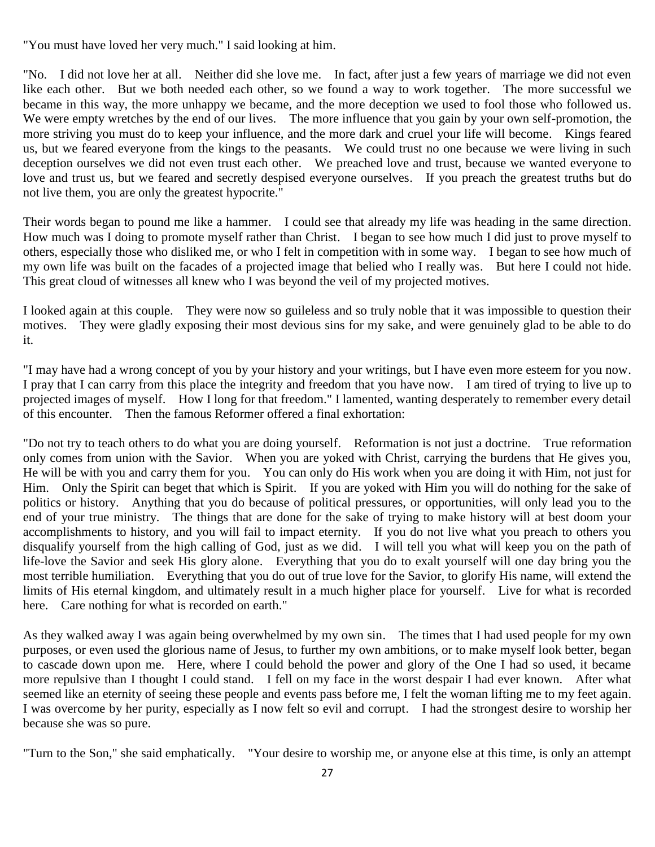"You must have loved her very much." I said looking at him.

"No. I did not love her at all. Neither did she love me. In fact, after just a few years of marriage we did not even like each other. But we both needed each other, so we found a way to work together. The more successful we became in this way, the more unhappy we became, and the more deception we used to fool those who followed us. We were empty wretches by the end of our lives. The more influence that you gain by your own self-promotion, the more striving you must do to keep your influence, and the more dark and cruel your life will become. Kings feared us, but we feared everyone from the kings to the peasants. We could trust no one because we were living in such deception ourselves we did not even trust each other. We preached love and trust, because we wanted everyone to love and trust us, but we feared and secretly despised everyone ourselves. If you preach the greatest truths but do not live them, you are only the greatest hypocrite."

Their words began to pound me like a hammer. I could see that already my life was heading in the same direction. How much was I doing to promote myself rather than Christ. I began to see how much I did just to prove myself to others, especially those who disliked me, or who I felt in competition with in some way. I began to see how much of my own life was built on the facades of a projected image that belied who I really was. But here I could not hide. This great cloud of witnesses all knew who I was beyond the veil of my projected motives.

I looked again at this couple. They were now so guileless and so truly noble that it was impossible to question their motives. They were gladly exposing their most devious sins for my sake, and were genuinely glad to be able to do it.

"I may have had a wrong concept of you by your history and your writings, but I have even more esteem for you now. I pray that I can carry from this place the integrity and freedom that you have now. I am tired of trying to live up to projected images of myself. How I long for that freedom." I lamented, wanting desperately to remember every detail of this encounter. Then the famous Reformer offered a final exhortation:

"Do not try to teach others to do what you are doing yourself. Reformation is not just a doctrine. True reformation only comes from union with the Savior. When you are yoked with Christ, carrying the burdens that He gives you, He will be with you and carry them for you. You can only do His work when you are doing it with Him, not just for Him. Only the Spirit can beget that which is Spirit. If you are yoked with Him you will do nothing for the sake of politics or history. Anything that you do because of political pressures, or opportunities, will only lead you to the end of your true ministry. The things that are done for the sake of trying to make history will at best doom your accomplishments to history, and you will fail to impact eternity. If you do not live what you preach to others you disqualify yourself from the high calling of God, just as we did. I will tell you what will keep you on the path of life-love the Savior and seek His glory alone. Everything that you do to exalt yourself will one day bring you the most terrible humiliation. Everything that you do out of true love for the Savior, to glorify His name, will extend the limits of His eternal kingdom, and ultimately result in a much higher place for yourself. Live for what is recorded here. Care nothing for what is recorded on earth."

As they walked away I was again being overwhelmed by my own sin. The times that I had used people for my own purposes, or even used the glorious name of Jesus, to further my own ambitions, or to make myself look better, began to cascade down upon me. Here, where I could behold the power and glory of the One I had so used, it became more repulsive than I thought I could stand. I fell on my face in the worst despair I had ever known. After what seemed like an eternity of seeing these people and events pass before me, I felt the woman lifting me to my feet again. I was overcome by her purity, especially as I now felt so evil and corrupt. I had the strongest desire to worship her because she was so pure.

"Turn to the Son," she said emphatically. "Your desire to worship me, or anyone else at this time, is only an attempt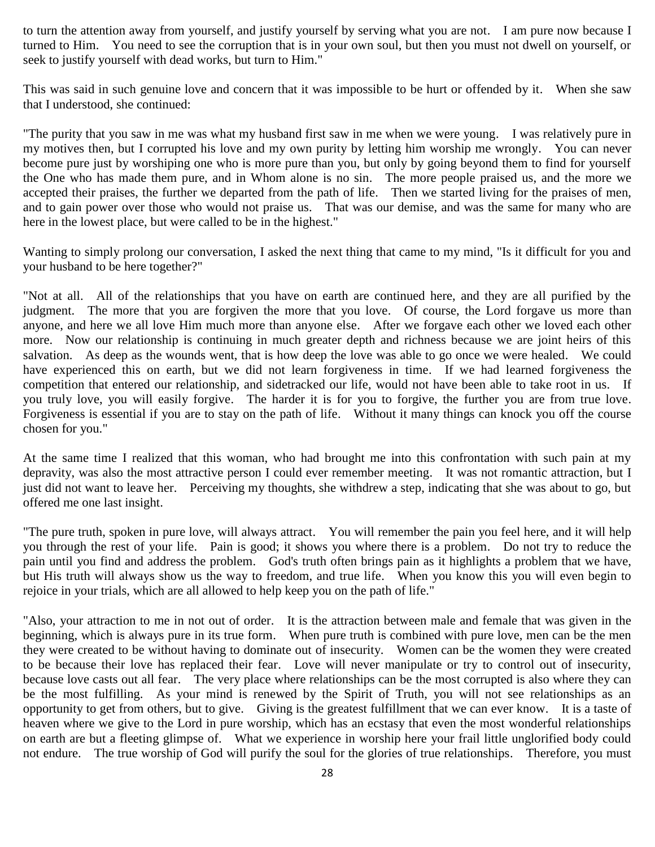to turn the attention away from yourself, and justify yourself by serving what you are not. I am pure now because I turned to Him. You need to see the corruption that is in your own soul, but then you must not dwell on yourself, or seek to justify yourself with dead works, but turn to Him."

This was said in such genuine love and concern that it was impossible to be hurt or offended by it. When she saw that I understood, she continued:

"The purity that you saw in me was what my husband first saw in me when we were young. I was relatively pure in my motives then, but I corrupted his love and my own purity by letting him worship me wrongly. You can never become pure just by worshiping one who is more pure than you, but only by going beyond them to find for yourself the One who has made them pure, and in Whom alone is no sin. The more people praised us, and the more we accepted their praises, the further we departed from the path of life. Then we started living for the praises of men, and to gain power over those who would not praise us. That was our demise, and was the same for many who are here in the lowest place, but were called to be in the highest."

Wanting to simply prolong our conversation, I asked the next thing that came to my mind, "Is it difficult for you and your husband to be here together?"

"Not at all. All of the relationships that you have on earth are continued here, and they are all purified by the judgment. The more that you are forgiven the more that you love. Of course, the Lord forgave us more than anyone, and here we all love Him much more than anyone else. After we forgave each other we loved each other more. Now our relationship is continuing in much greater depth and richness because we are joint heirs of this salvation. As deep as the wounds went, that is how deep the love was able to go once we were healed. We could have experienced this on earth, but we did not learn forgiveness in time. If we had learned forgiveness the competition that entered our relationship, and sidetracked our life, would not have been able to take root in us. If you truly love, you will easily forgive. The harder it is for you to forgive, the further you are from true love. Forgiveness is essential if you are to stay on the path of life. Without it many things can knock you off the course chosen for you."

At the same time I realized that this woman, who had brought me into this confrontation with such pain at my depravity, was also the most attractive person I could ever remember meeting. It was not romantic attraction, but I just did not want to leave her. Perceiving my thoughts, she withdrew a step, indicating that she was about to go, but offered me one last insight.

"The pure truth, spoken in pure love, will always attract. You will remember the pain you feel here, and it will help you through the rest of your life. Pain is good; it shows you where there is a problem. Do not try to reduce the pain until you find and address the problem. God's truth often brings pain as it highlights a problem that we have, but His truth will always show us the way to freedom, and true life. When you know this you will even begin to rejoice in your trials, which are all allowed to help keep you on the path of life."

"Also, your attraction to me in not out of order. It is the attraction between male and female that was given in the beginning, which is always pure in its true form. When pure truth is combined with pure love, men can be the men they were created to be without having to dominate out of insecurity. Women can be the women they were created to be because their love has replaced their fear. Love will never manipulate or try to control out of insecurity, because love casts out all fear. The very place where relationships can be the most corrupted is also where they can be the most fulfilling. As your mind is renewed by the Spirit of Truth, you will not see relationships as an opportunity to get from others, but to give. Giving is the greatest fulfillment that we can ever know. It is a taste of heaven where we give to the Lord in pure worship, which has an ecstasy that even the most wonderful relationships on earth are but a fleeting glimpse of. What we experience in worship here your frail little unglorified body could not endure. The true worship of God will purify the soul for the glories of true relationships. Therefore, you must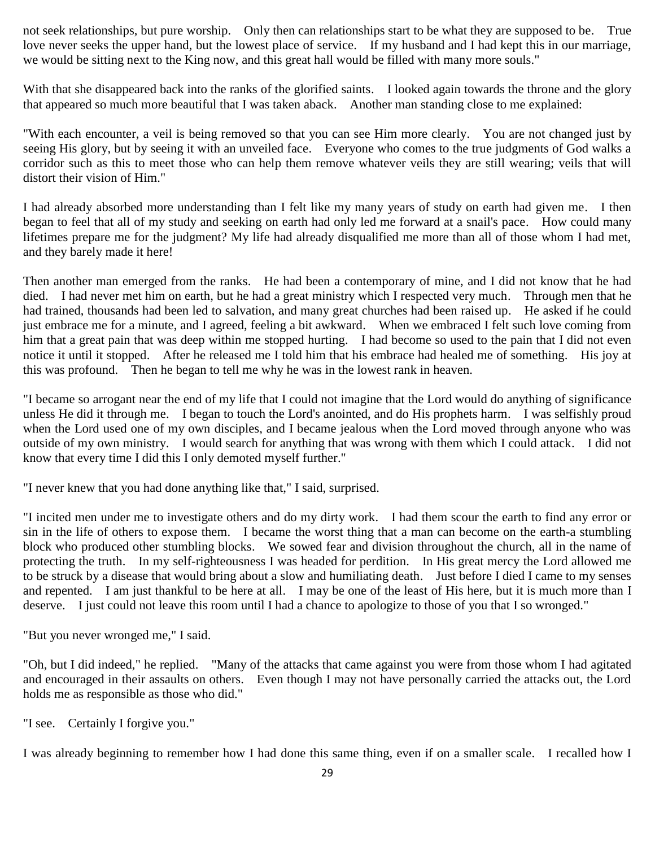not seek relationships, but pure worship. Only then can relationships start to be what they are supposed to be. True love never seeks the upper hand, but the lowest place of service. If my husband and I had kept this in our marriage, we would be sitting next to the King now, and this great hall would be filled with many more souls."

With that she disappeared back into the ranks of the glorified saints. I looked again towards the throne and the glory that appeared so much more beautiful that I was taken aback. Another man standing close to me explained:

"With each encounter, a veil is being removed so that you can see Him more clearly. You are not changed just by seeing His glory, but by seeing it with an unveiled face. Everyone who comes to the true judgments of God walks a corridor such as this to meet those who can help them remove whatever veils they are still wearing; veils that will distort their vision of Him."

I had already absorbed more understanding than I felt like my many years of study on earth had given me. I then began to feel that all of my study and seeking on earth had only led me forward at a snail's pace. How could many lifetimes prepare me for the judgment? My life had already disqualified me more than all of those whom I had met, and they barely made it here!

Then another man emerged from the ranks. He had been a contemporary of mine, and I did not know that he had died. I had never met him on earth, but he had a great ministry which I respected very much. Through men that he had trained, thousands had been led to salvation, and many great churches had been raised up. He asked if he could just embrace me for a minute, and I agreed, feeling a bit awkward. When we embraced I felt such love coming from him that a great pain that was deep within me stopped hurting. I had become so used to the pain that I did not even notice it until it stopped. After he released me I told him that his embrace had healed me of something. His joy at this was profound. Then he began to tell me why he was in the lowest rank in heaven.

"I became so arrogant near the end of my life that I could not imagine that the Lord would do anything of significance unless He did it through me. I began to touch the Lord's anointed, and do His prophets harm. I was selfishly proud when the Lord used one of my own disciples, and I became jealous when the Lord moved through anyone who was outside of my own ministry. I would search for anything that was wrong with them which I could attack. I did not know that every time I did this I only demoted myself further."

"I never knew that you had done anything like that," I said, surprised.

"I incited men under me to investigate others and do my dirty work. I had them scour the earth to find any error or sin in the life of others to expose them. I became the worst thing that a man can become on the earth-a stumbling block who produced other stumbling blocks. We sowed fear and division throughout the church, all in the name of protecting the truth. In my self-righteousness I was headed for perdition. In His great mercy the Lord allowed me to be struck by a disease that would bring about a slow and humiliating death. Just before I died I came to my senses and repented. I am just thankful to be here at all. I may be one of the least of His here, but it is much more than I deserve. I just could not leave this room until I had a chance to apologize to those of you that I so wronged."

"But you never wronged me," I said.

"Oh, but I did indeed," he replied. "Many of the attacks that came against you were from those whom I had agitated and encouraged in their assaults on others. Even though I may not have personally carried the attacks out, the Lord holds me as responsible as those who did."

"I see. Certainly I forgive you."

I was already beginning to remember how I had done this same thing, even if on a smaller scale. I recalled how I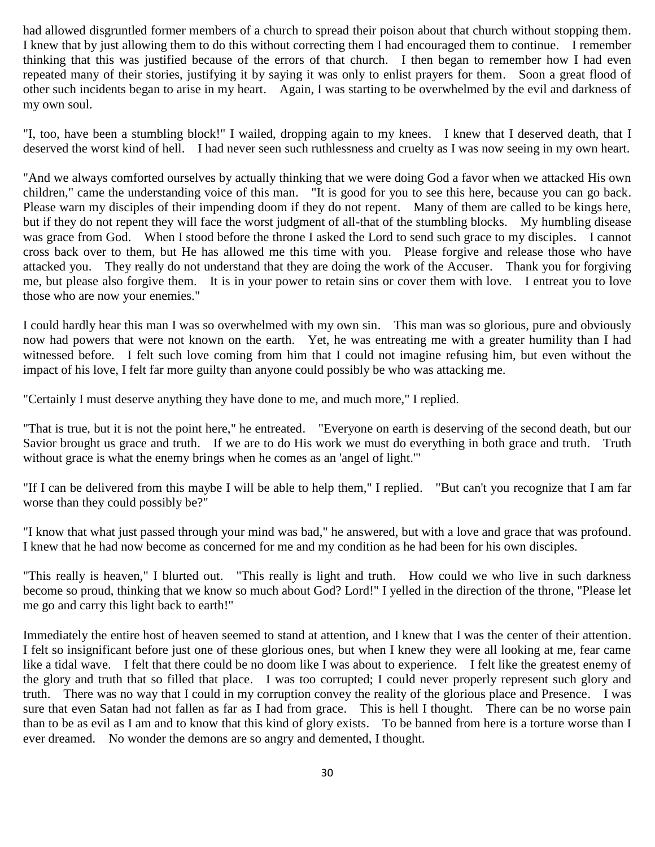had allowed disgruntled former members of a church to spread their poison about that church without stopping them. I knew that by just allowing them to do this without correcting them I had encouraged them to continue. I remember thinking that this was justified because of the errors of that church. I then began to remember how I had even repeated many of their stories, justifying it by saying it was only to enlist prayers for them. Soon a great flood of other such incidents began to arise in my heart. Again, I was starting to be overwhelmed by the evil and darkness of my own soul.

"I, too, have been a stumbling block!" I wailed, dropping again to my knees. I knew that I deserved death, that I deserved the worst kind of hell. I had never seen such ruthlessness and cruelty as I was now seeing in my own heart.

"And we always comforted ourselves by actually thinking that we were doing God a favor when we attacked His own children," came the understanding voice of this man. "It is good for you to see this here, because you can go back. Please warn my disciples of their impending doom if they do not repent. Many of them are called to be kings here, but if they do not repent they will face the worst judgment of all-that of the stumbling blocks. My humbling disease was grace from God. When I stood before the throne I asked the Lord to send such grace to my disciples. I cannot cross back over to them, but He has allowed me this time with you. Please forgive and release those who have attacked you. They really do not understand that they are doing the work of the Accuser. Thank you for forgiving me, but please also forgive them. It is in your power to retain sins or cover them with love. I entreat you to love those who are now your enemies."

I could hardly hear this man I was so overwhelmed with my own sin. This man was so glorious, pure and obviously now had powers that were not known on the earth. Yet, he was entreating me with a greater humility than I had witnessed before. I felt such love coming from him that I could not imagine refusing him, but even without the impact of his love, I felt far more guilty than anyone could possibly be who was attacking me.

"Certainly I must deserve anything they have done to me, and much more," I replied.

"That is true, but it is not the point here," he entreated. "Everyone on earth is deserving of the second death, but our Savior brought us grace and truth. If we are to do His work we must do everything in both grace and truth. Truth without grace is what the enemy brings when he comes as an 'angel of light."

"If I can be delivered from this maybe I will be able to help them," I replied. "But can't you recognize that I am far worse than they could possibly be?"

"I know that what just passed through your mind was bad," he answered, but with a love and grace that was profound. I knew that he had now become as concerned for me and my condition as he had been for his own disciples.

"This really is heaven," I blurted out. "This really is light and truth. How could we who live in such darkness become so proud, thinking that we know so much about God? Lord!" I yelled in the direction of the throne, "Please let me go and carry this light back to earth!"

Immediately the entire host of heaven seemed to stand at attention, and I knew that I was the center of their attention. I felt so insignificant before just one of these glorious ones, but when I knew they were all looking at me, fear came like a tidal wave. I felt that there could be no doom like I was about to experience. I felt like the greatest enemy of the glory and truth that so filled that place. I was too corrupted; I could never properly represent such glory and truth. There was no way that I could in my corruption convey the reality of the glorious place and Presence. I was sure that even Satan had not fallen as far as I had from grace. This is hell I thought. There can be no worse pain than to be as evil as I am and to know that this kind of glory exists. To be banned from here is a torture worse than I ever dreamed. No wonder the demons are so angry and demented, I thought.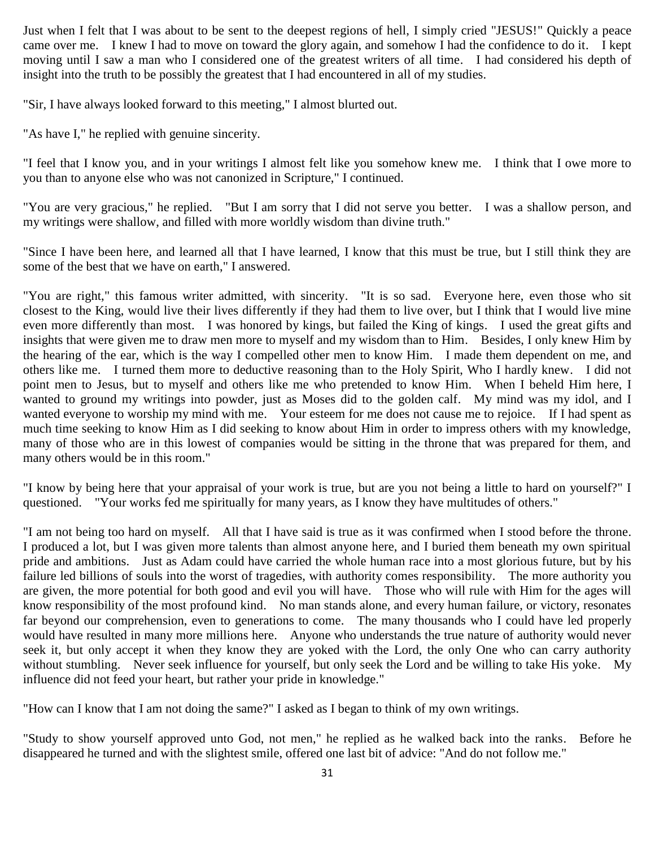Just when I felt that I was about to be sent to the deepest regions of hell, I simply cried "JESUS!" Quickly a peace came over me. I knew I had to move on toward the glory again, and somehow I had the confidence to do it. I kept moving until I saw a man who I considered one of the greatest writers of all time. I had considered his depth of insight into the truth to be possibly the greatest that I had encountered in all of my studies.

"Sir, I have always looked forward to this meeting," I almost blurted out.

"As have I," he replied with genuine sincerity.

"I feel that I know you, and in your writings I almost felt like you somehow knew me. I think that I owe more to you than to anyone else who was not canonized in Scripture," I continued.

"You are very gracious," he replied. "But I am sorry that I did not serve you better. I was a shallow person, and my writings were shallow, and filled with more worldly wisdom than divine truth."

"Since I have been here, and learned all that I have learned, I know that this must be true, but I still think they are some of the best that we have on earth," I answered.

"You are right," this famous writer admitted, with sincerity. "It is so sad. Everyone here, even those who sit closest to the King, would live their lives differently if they had them to live over, but I think that I would live mine even more differently than most. I was honored by kings, but failed the King of kings. I used the great gifts and insights that were given me to draw men more to myself and my wisdom than to Him. Besides, I only knew Him by the hearing of the ear, which is the way I compelled other men to know Him. I made them dependent on me, and others like me. I turned them more to deductive reasoning than to the Holy Spirit, Who I hardly knew. I did not point men to Jesus, but to myself and others like me who pretended to know Him. When I beheld Him here, I wanted to ground my writings into powder, just as Moses did to the golden calf. My mind was my idol, and I wanted everyone to worship my mind with me. Your esteem for me does not cause me to rejoice. If I had spent as much time seeking to know Him as I did seeking to know about Him in order to impress others with my knowledge, many of those who are in this lowest of companies would be sitting in the throne that was prepared for them, and many others would be in this room."

"I know by being here that your appraisal of your work is true, but are you not being a little to hard on yourself?" I questioned. "Your works fed me spiritually for many years, as I know they have multitudes of others."

"I am not being too hard on myself. All that I have said is true as it was confirmed when I stood before the throne. I produced a lot, but I was given more talents than almost anyone here, and I buried them beneath my own spiritual pride and ambitions. Just as Adam could have carried the whole human race into a most glorious future, but by his failure led billions of souls into the worst of tragedies, with authority comes responsibility. The more authority you are given, the more potential for both good and evil you will have. Those who will rule with Him for the ages will know responsibility of the most profound kind. No man stands alone, and every human failure, or victory, resonates far beyond our comprehension, even to generations to come. The many thousands who I could have led properly would have resulted in many more millions here. Anyone who understands the true nature of authority would never seek it, but only accept it when they know they are yoked with the Lord, the only One who can carry authority without stumbling. Never seek influence for yourself, but only seek the Lord and be willing to take His yoke. My influence did not feed your heart, but rather your pride in knowledge."

"How can I know that I am not doing the same?" I asked as I began to think of my own writings.

"Study to show yourself approved unto God, not men," he replied as he walked back into the ranks. Before he disappeared he turned and with the slightest smile, offered one last bit of advice: "And do not follow me."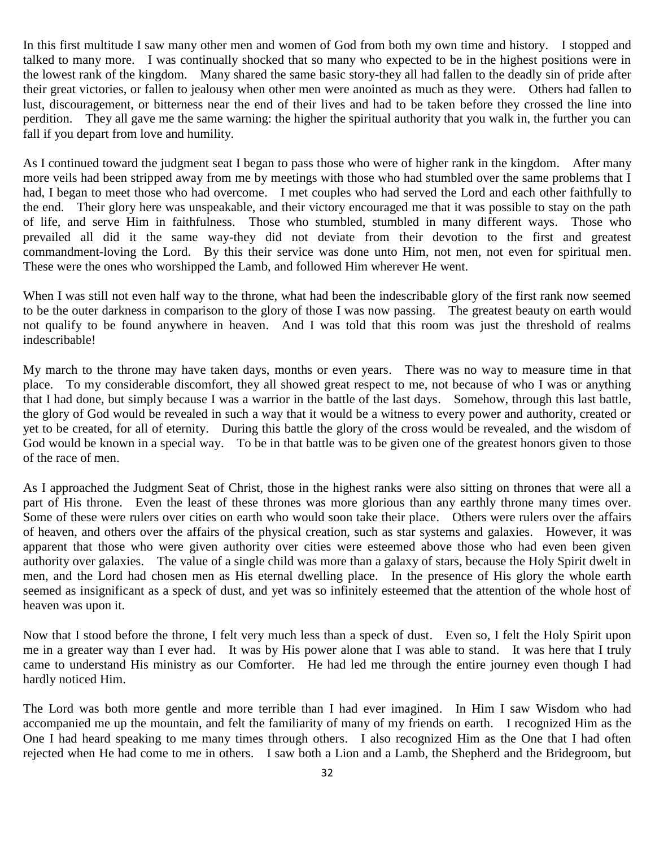In this first multitude I saw many other men and women of God from both my own time and history. I stopped and talked to many more. I was continually shocked that so many who expected to be in the highest positions were in the lowest rank of the kingdom. Many shared the same basic story-they all had fallen to the deadly sin of pride after their great victories, or fallen to jealousy when other men were anointed as much as they were. Others had fallen to lust, discouragement, or bitterness near the end of their lives and had to be taken before they crossed the line into perdition. They all gave me the same warning: the higher the spiritual authority that you walk in, the further you can fall if you depart from love and humility.

As I continued toward the judgment seat I began to pass those who were of higher rank in the kingdom. After many more veils had been stripped away from me by meetings with those who had stumbled over the same problems that I had, I began to meet those who had overcome. I met couples who had served the Lord and each other faithfully to the end. Their glory here was unspeakable, and their victory encouraged me that it was possible to stay on the path of life, and serve Him in faithfulness. Those who stumbled, stumbled in many different ways. Those who prevailed all did it the same way-they did not deviate from their devotion to the first and greatest commandment-loving the Lord. By this their service was done unto Him, not men, not even for spiritual men. These were the ones who worshipped the Lamb, and followed Him wherever He went.

When I was still not even half way to the throne, what had been the indescribable glory of the first rank now seemed to be the outer darkness in comparison to the glory of those I was now passing. The greatest beauty on earth would not qualify to be found anywhere in heaven. And I was told that this room was just the threshold of realms indescribable!

My march to the throne may have taken days, months or even years. There was no way to measure time in that place. To my considerable discomfort, they all showed great respect to me, not because of who I was or anything that I had done, but simply because I was a warrior in the battle of the last days. Somehow, through this last battle, the glory of God would be revealed in such a way that it would be a witness to every power and authority, created or yet to be created, for all of eternity. During this battle the glory of the cross would be revealed, and the wisdom of God would be known in a special way. To be in that battle was to be given one of the greatest honors given to those of the race of men.

As I approached the Judgment Seat of Christ, those in the highest ranks were also sitting on thrones that were all a part of His throne. Even the least of these thrones was more glorious than any earthly throne many times over. Some of these were rulers over cities on earth who would soon take their place. Others were rulers over the affairs of heaven, and others over the affairs of the physical creation, such as star systems and galaxies. However, it was apparent that those who were given authority over cities were esteemed above those who had even been given authority over galaxies. The value of a single child was more than a galaxy of stars, because the Holy Spirit dwelt in men, and the Lord had chosen men as His eternal dwelling place. In the presence of His glory the whole earth seemed as insignificant as a speck of dust, and yet was so infinitely esteemed that the attention of the whole host of heaven was upon it.

Now that I stood before the throne, I felt very much less than a speck of dust. Even so, I felt the Holy Spirit upon me in a greater way than I ever had. It was by His power alone that I was able to stand. It was here that I truly came to understand His ministry as our Comforter. He had led me through the entire journey even though I had hardly noticed Him.

The Lord was both more gentle and more terrible than I had ever imagined. In Him I saw Wisdom who had accompanied me up the mountain, and felt the familiarity of many of my friends on earth. I recognized Him as the One I had heard speaking to me many times through others. I also recognized Him as the One that I had often rejected when He had come to me in others. I saw both a Lion and a Lamb, the Shepherd and the Bridegroom, but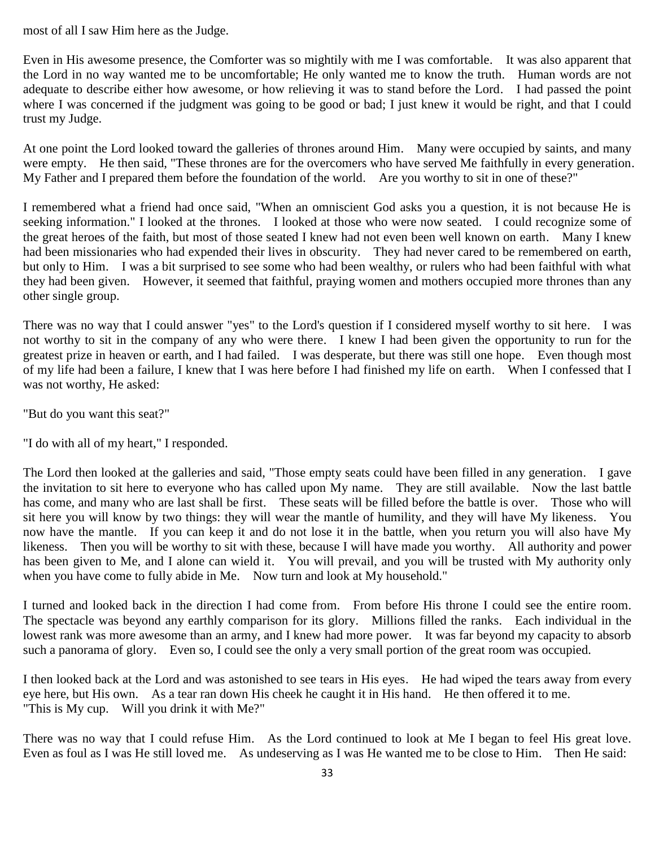most of all I saw Him here as the Judge.

Even in His awesome presence, the Comforter was so mightily with me I was comfortable. It was also apparent that the Lord in no way wanted me to be uncomfortable; He only wanted me to know the truth. Human words are not adequate to describe either how awesome, or how relieving it was to stand before the Lord. I had passed the point where I was concerned if the judgment was going to be good or bad; I just knew it would be right, and that I could trust my Judge.

At one point the Lord looked toward the galleries of thrones around Him. Many were occupied by saints, and many were empty. He then said, "These thrones are for the overcomers who have served Me faithfully in every generation. My Father and I prepared them before the foundation of the world. Are you worthy to sit in one of these?"

I remembered what a friend had once said, "When an omniscient God asks you a question, it is not because He is seeking information." I looked at the thrones. I looked at those who were now seated. I could recognize some of the great heroes of the faith, but most of those seated I knew had not even been well known on earth. Many I knew had been missionaries who had expended their lives in obscurity. They had never cared to be remembered on earth, but only to Him. I was a bit surprised to see some who had been wealthy, or rulers who had been faithful with what they had been given. However, it seemed that faithful, praying women and mothers occupied more thrones than any other single group.

There was no way that I could answer "yes" to the Lord's question if I considered myself worthy to sit here. I was not worthy to sit in the company of any who were there. I knew I had been given the opportunity to run for the greatest prize in heaven or earth, and I had failed. I was desperate, but there was still one hope. Even though most of my life had been a failure, I knew that I was here before I had finished my life on earth. When I confessed that I was not worthy, He asked:

"But do you want this seat?"

"I do with all of my heart," I responded.

The Lord then looked at the galleries and said, "Those empty seats could have been filled in any generation. I gave the invitation to sit here to everyone who has called upon My name. They are still available. Now the last battle has come, and many who are last shall be first. These seats will be filled before the battle is over. Those who will sit here you will know by two things: they will wear the mantle of humility, and they will have My likeness. You now have the mantle. If you can keep it and do not lose it in the battle, when you return you will also have My likeness. Then you will be worthy to sit with these, because I will have made you worthy. All authority and power has been given to Me, and I alone can wield it. You will prevail, and you will be trusted with My authority only when you have come to fully abide in Me. Now turn and look at My household."

I turned and looked back in the direction I had come from. From before His throne I could see the entire room. The spectacle was beyond any earthly comparison for its glory. Millions filled the ranks. Each individual in the lowest rank was more awesome than an army, and I knew had more power. It was far beyond my capacity to absorb such a panorama of glory. Even so, I could see the only a very small portion of the great room was occupied.

I then looked back at the Lord and was astonished to see tears in His eyes. He had wiped the tears away from every eye here, but His own. As a tear ran down His cheek he caught it in His hand. He then offered it to me. "This is My cup. Will you drink it with Me?"

There was no way that I could refuse Him. As the Lord continued to look at Me I began to feel His great love. Even as foul as I was He still loved me. As undeserving as I was He wanted me to be close to Him. Then He said: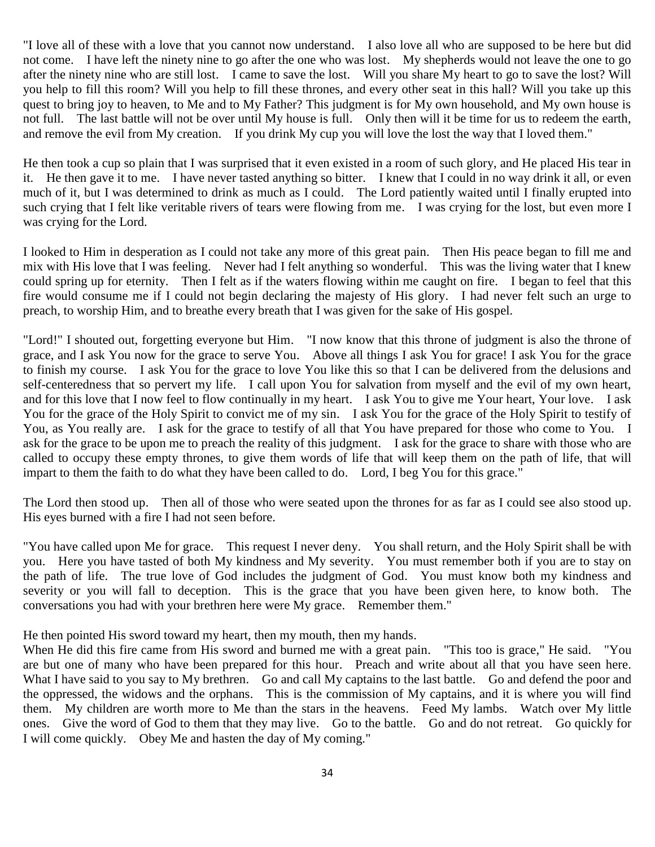"I love all of these with a love that you cannot now understand. I also love all who are supposed to be here but did not come. I have left the ninety nine to go after the one who was lost. My shepherds would not leave the one to go after the ninety nine who are still lost. I came to save the lost. Will you share My heart to go to save the lost? Will you help to fill this room? Will you help to fill these thrones, and every other seat in this hall? Will you take up this quest to bring joy to heaven, to Me and to My Father? This judgment is for My own household, and My own house is not full. The last battle will not be over until My house is full. Only then will it be time for us to redeem the earth, and remove the evil from My creation. If you drink My cup you will love the lost the way that I loved them."

He then took a cup so plain that I was surprised that it even existed in a room of such glory, and He placed His tear in it. He then gave it to me. I have never tasted anything so bitter. I knew that I could in no way drink it all, or even much of it, but I was determined to drink as much as I could. The Lord patiently waited until I finally erupted into such crying that I felt like veritable rivers of tears were flowing from me. I was crying for the lost, but even more I was crying for the Lord.

I looked to Him in desperation as I could not take any more of this great pain. Then His peace began to fill me and mix with His love that I was feeling. Never had I felt anything so wonderful. This was the living water that I knew could spring up for eternity. Then I felt as if the waters flowing within me caught on fire. I began to feel that this fire would consume me if I could not begin declaring the majesty of His glory. I had never felt such an urge to preach, to worship Him, and to breathe every breath that I was given for the sake of His gospel.

"Lord!" I shouted out, forgetting everyone but Him. "I now know that this throne of judgment is also the throne of grace, and I ask You now for the grace to serve You. Above all things I ask You for grace! I ask You for the grace to finish my course. I ask You for the grace to love You like this so that I can be delivered from the delusions and self-centeredness that so pervert my life. I call upon You for salvation from myself and the evil of my own heart, and for this love that I now feel to flow continually in my heart. I ask You to give me Your heart, Your love. I ask You for the grace of the Holy Spirit to convict me of my sin. I ask You for the grace of the Holy Spirit to testify of You, as You really are. I ask for the grace to testify of all that You have prepared for those who come to You. I ask for the grace to be upon me to preach the reality of this judgment. I ask for the grace to share with those who are called to occupy these empty thrones, to give them words of life that will keep them on the path of life, that will impart to them the faith to do what they have been called to do. Lord, I beg You for this grace."

The Lord then stood up. Then all of those who were seated upon the thrones for as far as I could see also stood up. His eyes burned with a fire I had not seen before.

"You have called upon Me for grace. This request I never deny. You shall return, and the Holy Spirit shall be with you. Here you have tasted of both My kindness and My severity. You must remember both if you are to stay on the path of life. The true love of God includes the judgment of God. You must know both my kindness and severity or you will fall to deception. This is the grace that you have been given here, to know both. The conversations you had with your brethren here were My grace. Remember them."

He then pointed His sword toward my heart, then my mouth, then my hands.

When He did this fire came from His sword and burned me with a great pain. "This too is grace," He said. "You are but one of many who have been prepared for this hour. Preach and write about all that you have seen here. What I have said to you say to My brethren. Go and call My captains to the last battle. Go and defend the poor and the oppressed, the widows and the orphans. This is the commission of My captains, and it is where you will find them. My children are worth more to Me than the stars in the heavens. Feed My lambs. Watch over My little ones. Give the word of God to them that they may live. Go to the battle. Go and do not retreat. Go quickly for I will come quickly. Obey Me and hasten the day of My coming."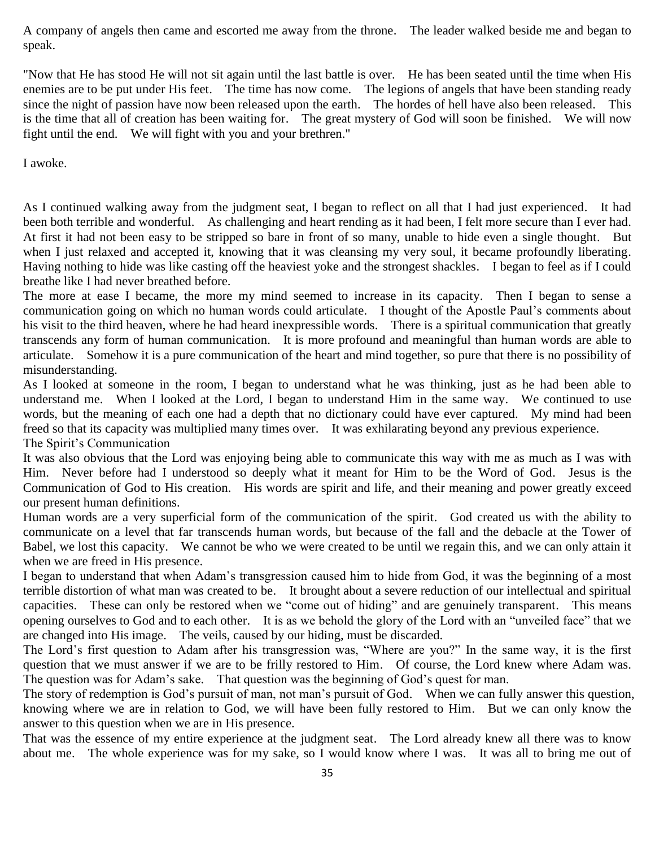A company of angels then came and escorted me away from the throne. The leader walked beside me and began to speak.

"Now that He has stood He will not sit again until the last battle is over. He has been seated until the time when His enemies are to be put under His feet. The time has now come. The legions of angels that have been standing ready since the night of passion have now been released upon the earth. The hordes of hell have also been released. This is the time that all of creation has been waiting for. The great mystery of God will soon be finished. We will now fight until the end. We will fight with you and your brethren."

I awoke.

As I continued walking away from the judgment seat, I began to reflect on all that I had just experienced. It had been both terrible and wonderful. As challenging and heart rending as it had been, I felt more secure than I ever had. At first it had not been easy to be stripped so bare in front of so many, unable to hide even a single thought. But when I just relaxed and accepted it, knowing that it was cleansing my very soul, it became profoundly liberating. Having nothing to hide was like casting off the heaviest yoke and the strongest shackles. I began to feel as if I could breathe like I had never breathed before.

The more at ease I became, the more my mind seemed to increase in its capacity. Then I began to sense a communication going on which no human words could articulate. I thought of the Apostle Paul"s comments about his visit to the third heaven, where he had heard inexpressible words. There is a spiritual communication that greatly transcends any form of human communication. It is more profound and meaningful than human words are able to articulate. Somehow it is a pure communication of the heart and mind together, so pure that there is no possibility of misunderstanding.

As I looked at someone in the room, I began to understand what he was thinking, just as he had been able to understand me. When I looked at the Lord, I began to understand Him in the same way. We continued to use words, but the meaning of each one had a depth that no dictionary could have ever captured. My mind had been freed so that its capacity was multiplied many times over. It was exhilarating beyond any previous experience. The Spirit"s Communication

It was also obvious that the Lord was enjoying being able to communicate this way with me as much as I was with Him. Never before had I understood so deeply what it meant for Him to be the Word of God. Jesus is the Communication of God to His creation. His words are spirit and life, and their meaning and power greatly exceed our present human definitions.

Human words are a very superficial form of the communication of the spirit. God created us with the ability to communicate on a level that far transcends human words, but because of the fall and the debacle at the Tower of Babel, we lost this capacity. We cannot be who we were created to be until we regain this, and we can only attain it when we are freed in His presence.

I began to understand that when Adam"s transgression caused him to hide from God, it was the beginning of a most terrible distortion of what man was created to be. It brought about a severe reduction of our intellectual and spiritual capacities. These can only be restored when we "come out of hiding" and are genuinely transparent. This means opening ourselves to God and to each other. It is as we behold the glory of the Lord with an "unveiled face" that we are changed into His image. The veils, caused by our hiding, must be discarded.

The Lord"s first question to Adam after his transgression was, "Where are you?" In the same way, it is the first question that we must answer if we are to be frilly restored to Him. Of course, the Lord knew where Adam was. The question was for Adam's sake. That question was the beginning of God's quest for man.

The story of redemption is God's pursuit of man, not man's pursuit of God. When we can fully answer this question, knowing where we are in relation to God, we will have been fully restored to Him. But we can only know the answer to this question when we are in His presence.

That was the essence of my entire experience at the judgment seat. The Lord already knew all there was to know about me. The whole experience was for my sake, so I would know where I was. It was all to bring me out of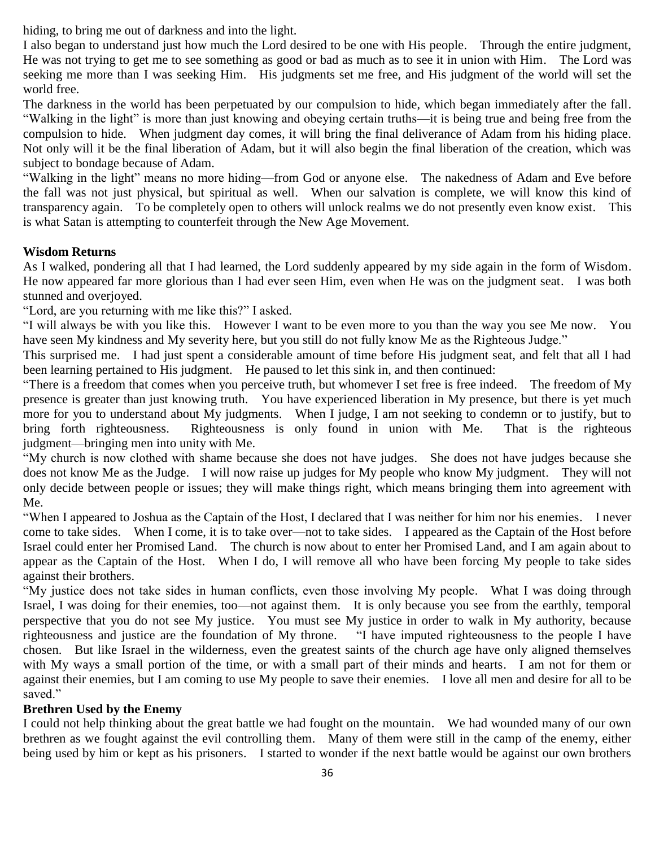hiding, to bring me out of darkness and into the light.

I also began to understand just how much the Lord desired to be one with His people. Through the entire judgment, He was not trying to get me to see something as good or bad as much as to see it in union with Him. The Lord was seeking me more than I was seeking Him. His judgments set me free, and His judgment of the world will set the world free.

The darkness in the world has been perpetuated by our compulsion to hide, which began immediately after the fall. "Walking in the light" is more than just knowing and obeying certain truths—it is being true and being free from the compulsion to hide. When judgment day comes, it will bring the final deliverance of Adam from his hiding place. Not only will it be the final liberation of Adam, but it will also begin the final liberation of the creation, which was subject to bondage because of Adam.

"Walking in the light" means no more hiding—from God or anyone else. The nakedness of Adam and Eve before the fall was not just physical, but spiritual as well. When our salvation is complete, we will know this kind of transparency again. To be completely open to others will unlock realms we do not presently even know exist. This is what Satan is attempting to counterfeit through the New Age Movement.

# **Wisdom Returns**

As I walked, pondering all that I had learned, the Lord suddenly appeared by my side again in the form of Wisdom. He now appeared far more glorious than I had ever seen Him, even when He was on the judgment seat. I was both stunned and overjoyed.

"Lord, are you returning with me like this?" I asked.

"I will always be with you like this. However I want to be even more to you than the way you see Me now. You have seen My kindness and My severity here, but you still do not fully know Me as the Righteous Judge."

This surprised me. I had just spent a considerable amount of time before His judgment seat, and felt that all I had been learning pertained to His judgment. He paused to let this sink in, and then continued:

"There is a freedom that comes when you perceive truth, but whomever I set free is free indeed. The freedom of My presence is greater than just knowing truth. You have experienced liberation in My presence, but there is yet much more for you to understand about My judgments. When I judge, I am not seeking to condemn or to justify, but to bring forth righteousness. Righteousness is only found in union with Me. That is the righteous judgment—bringing men into unity with Me.

"My church is now clothed with shame because she does not have judges. She does not have judges because she does not know Me as the Judge. I will now raise up judges for My people who know My judgment. They will not only decide between people or issues; they will make things right, which means bringing them into agreement with Me.

"When I appeared to Joshua as the Captain of the Host, I declared that I was neither for him nor his enemies. I never come to take sides. When I come, it is to take over—not to take sides. I appeared as the Captain of the Host before Israel could enter her Promised Land. The church is now about to enter her Promised Land, and I am again about to appear as the Captain of the Host. When I do, I will remove all who have been forcing My people to take sides against their brothers.

"My justice does not take sides in human conflicts, even those involving My people. What I was doing through Israel, I was doing for their enemies, too—not against them. It is only because you see from the earthly, temporal perspective that you do not see My justice. You must see My justice in order to walk in My authority, because righteousness and justice are the foundation of My throne. "I have imputed righteousness to the people I have chosen. But like Israel in the wilderness, even the greatest saints of the church age have only aligned themselves with My ways a small portion of the time, or with a small part of their minds and hearts. I am not for them or against their enemies, but I am coming to use My people to save their enemies. I love all men and desire for all to be saved."

# **Brethren Used by the Enemy**

I could not help thinking about the great battle we had fought on the mountain. We had wounded many of our own brethren as we fought against the evil controlling them. Many of them were still in the camp of the enemy, either being used by him or kept as his prisoners. I started to wonder if the next battle would be against our own brothers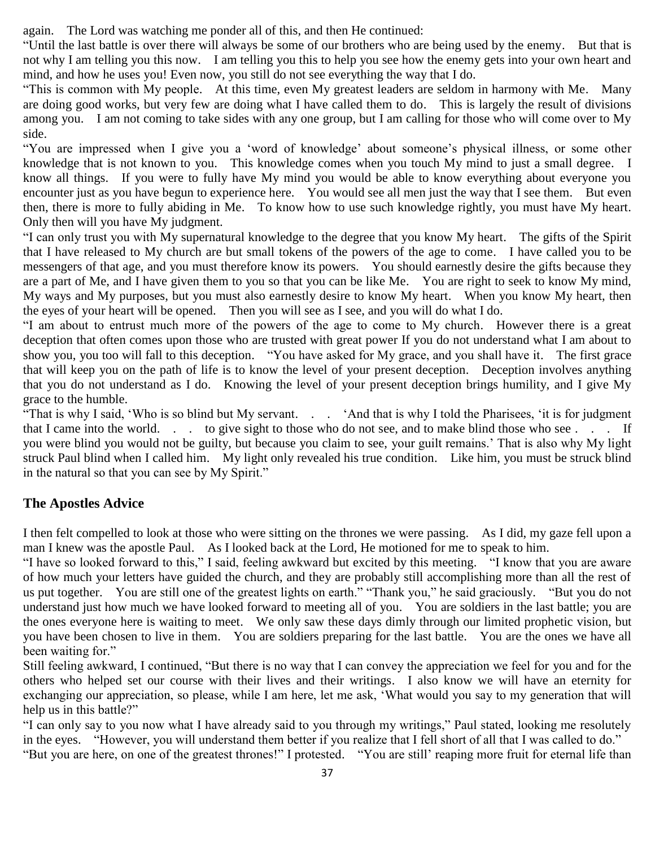again. The Lord was watching me ponder all of this, and then He continued:

"Until the last battle is over there will always be some of our brothers who are being used by the enemy. But that is not why I am telling you this now. I am telling you this to help you see how the enemy gets into your own heart and mind, and how he uses you! Even now, you still do not see everything the way that I do.

"This is common with My people. At this time, even My greatest leaders are seldom in harmony with Me. Many are doing good works, but very few are doing what I have called them to do. This is largely the result of divisions among you. I am not coming to take sides with any one group, but I am calling for those who will come over to My side.

"You are impressed when I give you a "word of knowledge" about someone"s physical illness, or some other knowledge that is not known to you. This knowledge comes when you touch My mind to just a small degree. I know all things. If you were to fully have My mind you would be able to know everything about everyone you encounter just as you have begun to experience here. You would see all men just the way that I see them. But even then, there is more to fully abiding in Me. To know how to use such knowledge rightly, you must have My heart. Only then will you have My judgment.

"I can only trust you with My supernatural knowledge to the degree that you know My heart. The gifts of the Spirit that I have released to My church are but small tokens of the powers of the age to come. I have called you to be messengers of that age, and you must therefore know its powers. You should earnestly desire the gifts because they are a part of Me, and I have given them to you so that you can be like Me. You are right to seek to know My mind, My ways and My purposes, but you must also earnestly desire to know My heart. When you know My heart, then the eyes of your heart will be opened. Then you will see as I see, and you will do what I do.

"I am about to entrust much more of the powers of the age to come to My church. However there is a great deception that often comes upon those who are trusted with great power If you do not understand what I am about to show you, you too will fall to this deception. "You have asked for My grace, and you shall have it. The first grace that will keep you on the path of life is to know the level of your present deception. Deception involves anything that you do not understand as I do. Knowing the level of your present deception brings humility, and I give My grace to the humble.

"That is why I said, "Who is so blind but My servant. . . "And that is why I told the Pharisees, "it is for judgment that I came into the world. . . to give sight to those who do not see, and to make blind those who see . . . If you were blind you would not be guilty, but because you claim to see, your guilt remains." That is also why My light struck Paul blind when I called him. My light only revealed his true condition. Like him, you must be struck blind in the natural so that you can see by My Spirit."

# **The Apostles Advice**

I then felt compelled to look at those who were sitting on the thrones we were passing. As I did, my gaze fell upon a man I knew was the apostle Paul. As I looked back at the Lord, He motioned for me to speak to him.

"I have so looked forward to this," I said, feeling awkward but excited by this meeting. "I know that you are aware of how much your letters have guided the church, and they are probably still accomplishing more than all the rest of us put together. You are still one of the greatest lights on earth." "Thank you," he said graciously. "But you do not understand just how much we have looked forward to meeting all of you. You are soldiers in the last battle; you are the ones everyone here is waiting to meet. We only saw these days dimly through our limited prophetic vision, but you have been chosen to live in them. You are soldiers preparing for the last battle. You are the ones we have all been waiting for."

Still feeling awkward, I continued, "But there is no way that I can convey the appreciation we feel for you and for the others who helped set our course with their lives and their writings. I also know we will have an eternity for exchanging our appreciation, so please, while I am here, let me ask, "What would you say to my generation that will help us in this battle?"

"I can only say to you now what I have already said to you through my writings," Paul stated, looking me resolutely in the eyes. "However, you will understand them better if you realize that I fell short of all that I was called to do." "But you are here, on one of the greatest thrones!" I protested. "You are still" reaping more fruit for eternal life than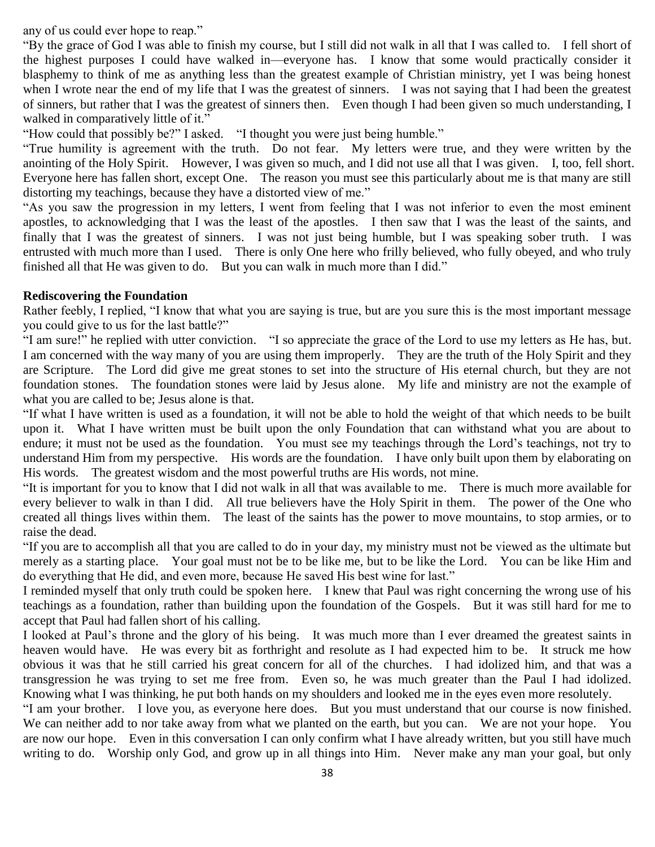any of us could ever hope to reap."

"By the grace of God I was able to finish my course, but I still did not walk in all that I was called to. I fell short of the highest purposes I could have walked in—everyone has. I know that some would practically consider it blasphemy to think of me as anything less than the greatest example of Christian ministry, yet I was being honest when I wrote near the end of my life that I was the greatest of sinners. I was not saying that I had been the greatest of sinners, but rather that I was the greatest of sinners then. Even though I had been given so much understanding, I walked in comparatively little of it."

"How could that possibly be?" I asked. "I thought you were just being humble."

"True humility is agreement with the truth. Do not fear. My letters were true, and they were written by the anointing of the Holy Spirit. However, I was given so much, and I did not use all that I was given. I, too, fell short. Everyone here has fallen short, except One. The reason you must see this particularly about me is that many are still distorting my teachings, because they have a distorted view of me."

"As you saw the progression in my letters, I went from feeling that I was not inferior to even the most eminent apostles, to acknowledging that I was the least of the apostles. I then saw that I was the least of the saints, and finally that I was the greatest of sinners. I was not just being humble, but I was speaking sober truth. I was entrusted with much more than I used. There is only One here who frilly believed, who fully obeyed, and who truly finished all that He was given to do. But you can walk in much more than I did."

#### **Rediscovering the Foundation**

Rather feebly, I replied, "I know that what you are saying is true, but are you sure this is the most important message you could give to us for the last battle?"

"I am sure!" he replied with utter conviction. "I so appreciate the grace of the Lord to use my letters as He has, but. I am concerned with the way many of you are using them improperly. They are the truth of the Holy Spirit and they are Scripture. The Lord did give me great stones to set into the structure of His eternal church, but they are not foundation stones. The foundation stones were laid by Jesus alone. My life and ministry are not the example of what you are called to be; Jesus alone is that.

"If what I have written is used as a foundation, it will not be able to hold the weight of that which needs to be built upon it. What I have written must be built upon the only Foundation that can withstand what you are about to endure; it must not be used as the foundation. You must see my teachings through the Lord"s teachings, not try to understand Him from my perspective. His words are the foundation. I have only built upon them by elaborating on His words. The greatest wisdom and the most powerful truths are His words, not mine.

"It is important for you to know that I did not walk in all that was available to me. There is much more available for every believer to walk in than I did. All true believers have the Holy Spirit in them. The power of the One who created all things lives within them. The least of the saints has the power to move mountains, to stop armies, or to raise the dead.

"If you are to accomplish all that you are called to do in your day, my ministry must not be viewed as the ultimate but merely as a starting place. Your goal must not be to be like me, but to be like the Lord. You can be like Him and do everything that He did, and even more, because He saved His best wine for last."

I reminded myself that only truth could be spoken here. I knew that Paul was right concerning the wrong use of his teachings as a foundation, rather than building upon the foundation of the Gospels. But it was still hard for me to accept that Paul had fallen short of his calling.

I looked at Paul"s throne and the glory of his being. It was much more than I ever dreamed the greatest saints in heaven would have. He was every bit as forthright and resolute as I had expected him to be. It struck me how obvious it was that he still carried his great concern for all of the churches. I had idolized him, and that was a transgression he was trying to set me free from. Even so, he was much greater than the Paul I had idolized. Knowing what I was thinking, he put both hands on my shoulders and looked me in the eyes even more resolutely.

"I am your brother. I love you, as everyone here does. But you must understand that our course is now finished. We can neither add to nor take away from what we planted on the earth, but you can. We are not your hope. You are now our hope. Even in this conversation I can only confirm what I have already written, but you still have much writing to do. Worship only God, and grow up in all things into Him. Never make any man your goal, but only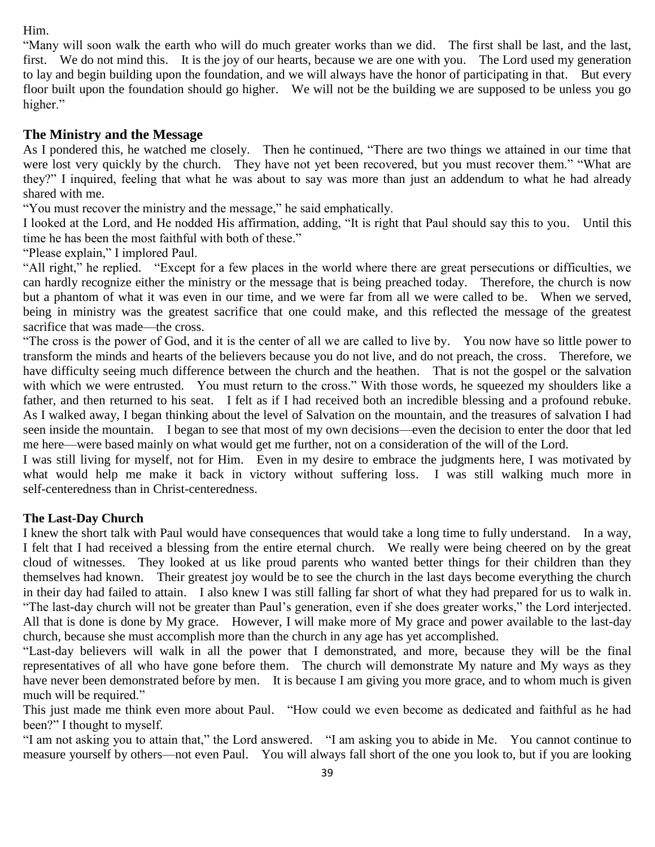Him.

"Many will soon walk the earth who will do much greater works than we did. The first shall be last, and the last, first. We do not mind this. It is the joy of our hearts, because we are one with you. The Lord used my generation to lay and begin building upon the foundation, and we will always have the honor of participating in that. But every floor built upon the foundation should go higher. We will not be the building we are supposed to be unless you go higher."

# **The Ministry and the Message**

As I pondered this, he watched me closely. Then he continued, "There are two things we attained in our time that were lost very quickly by the church. They have not yet been recovered, but you must recover them." "What are they?" I inquired, feeling that what he was about to say was more than just an addendum to what he had already shared with me.

"You must recover the ministry and the message," he said emphatically.

I looked at the Lord, and He nodded His affirmation, adding, "It is right that Paul should say this to you. Until this time he has been the most faithful with both of these."

"Please explain," I implored Paul.

"All right," he replied. "Except for a few places in the world where there are great persecutions or difficulties, we can hardly recognize either the ministry or the message that is being preached today. Therefore, the church is now but a phantom of what it was even in our time, and we were far from all we were called to be. When we served, being in ministry was the greatest sacrifice that one could make, and this reflected the message of the greatest sacrifice that was made—the cross.

"The cross is the power of God, and it is the center of all we are called to live by. You now have so little power to transform the minds and hearts of the believers because you do not live, and do not preach, the cross. Therefore, we have difficulty seeing much difference between the church and the heathen. That is not the gospel or the salvation with which we were entrusted. You must return to the cross." With those words, he squeezed my shoulders like a father, and then returned to his seat. I felt as if I had received both an incredible blessing and a profound rebuke. As I walked away, I began thinking about the level of Salvation on the mountain, and the treasures of salvation I had seen inside the mountain. I began to see that most of my own decisions—even the decision to enter the door that led me here—were based mainly on what would get me further, not on a consideration of the will of the Lord.

I was still living for myself, not for Him. Even in my desire to embrace the judgments here, I was motivated by what would help me make it back in victory without suffering loss. I was still walking much more in self-centeredness than in Christ-centeredness.

## **The Last-Day Church**

I knew the short talk with Paul would have consequences that would take a long time to fully understand. In a way, I felt that I had received a blessing from the entire eternal church. We really were being cheered on by the great cloud of witnesses. They looked at us like proud parents who wanted better things for their children than they themselves had known. Their greatest joy would be to see the church in the last days become everything the church in their day had failed to attain. I also knew I was still falling far short of what they had prepared for us to walk in. "The last-day church will not be greater than Paul"s generation, even if she does greater works," the Lord interjected. All that is done is done by My grace. However, I will make more of My grace and power available to the last-day church, because she must accomplish more than the church in any age has yet accomplished.

"Last-day believers will walk in all the power that I demonstrated, and more, because they will be the final representatives of all who have gone before them. The church will demonstrate My nature and My ways as they have never been demonstrated before by men. It is because I am giving you more grace, and to whom much is given much will be required."

This just made me think even more about Paul. "How could we even become as dedicated and faithful as he had been?" I thought to myself.

"I am not asking you to attain that," the Lord answered. "I am asking you to abide in Me. You cannot continue to measure yourself by others—not even Paul. You will always fall short of the one you look to, but if you are looking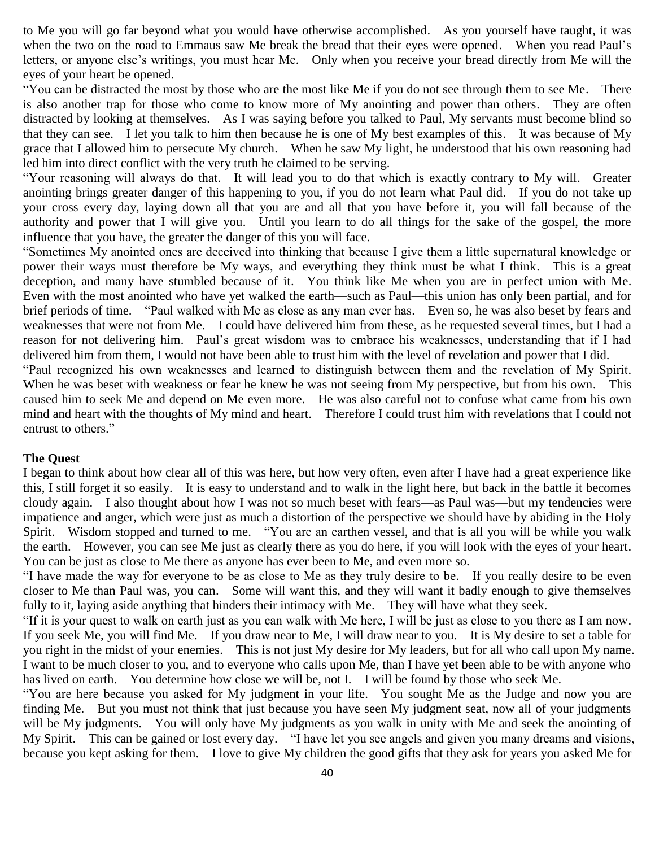to Me you will go far beyond what you would have otherwise accomplished. As you yourself have taught, it was when the two on the road to Emmaus saw Me break the bread that their eyes were opened. When you read Paul's letters, or anyone else"s writings, you must hear Me. Only when you receive your bread directly from Me will the eyes of your heart be opened.

"You can be distracted the most by those who are the most like Me if you do not see through them to see Me. There is also another trap for those who come to know more of My anointing and power than others. They are often distracted by looking at themselves. As I was saying before you talked to Paul, My servants must become blind so that they can see. I let you talk to him then because he is one of My best examples of this. It was because of My grace that I allowed him to persecute My church. When he saw My light, he understood that his own reasoning had led him into direct conflict with the very truth he claimed to be serving.

"Your reasoning will always do that. It will lead you to do that which is exactly contrary to My will. Greater anointing brings greater danger of this happening to you, if you do not learn what Paul did. If you do not take up your cross every day, laying down all that you are and all that you have before it, you will fall because of the authority and power that I will give you. Until you learn to do all things for the sake of the gospel, the more influence that you have, the greater the danger of this you will face.

"Sometimes My anointed ones are deceived into thinking that because I give them a little supernatural knowledge or power their ways must therefore be My ways, and everything they think must be what I think. This is a great deception, and many have stumbled because of it. You think like Me when you are in perfect union with Me. Even with the most anointed who have yet walked the earth—such as Paul—this union has only been partial, and for brief periods of time. "Paul walked with Me as close as any man ever has. Even so, he was also beset by fears and weaknesses that were not from Me. I could have delivered him from these, as he requested several times, but I had a reason for not delivering him. Paul"s great wisdom was to embrace his weaknesses, understanding that if I had delivered him from them, I would not have been able to trust him with the level of revelation and power that I did.

"Paul recognized his own weaknesses and learned to distinguish between them and the revelation of My Spirit. When he was beset with weakness or fear he knew he was not seeing from My perspective, but from his own. This caused him to seek Me and depend on Me even more. He was also careful not to confuse what came from his own mind and heart with the thoughts of My mind and heart. Therefore I could trust him with revelations that I could not entrust to others."

#### **The Quest**

I began to think about how clear all of this was here, but how very often, even after I have had a great experience like this, I still forget it so easily. It is easy to understand and to walk in the light here, but back in the battle it becomes cloudy again. I also thought about how I was not so much beset with fears—as Paul was—but my tendencies were impatience and anger, which were just as much a distortion of the perspective we should have by abiding in the Holy Spirit. Wisdom stopped and turned to me. "You are an earthen vessel, and that is all you will be while you walk the earth. However, you can see Me just as clearly there as you do here, if you will look with the eyes of your heart. You can be just as close to Me there as anyone has ever been to Me, and even more so.

"I have made the way for everyone to be as close to Me as they truly desire to be. If you really desire to be even closer to Me than Paul was, you can. Some will want this, and they will want it badly enough to give themselves fully to it, laying aside anything that hinders their intimacy with Me. They will have what they seek.

"If it is your quest to walk on earth just as you can walk with Me here, I will be just as close to you there as I am now. If you seek Me, you will find Me. If you draw near to Me, I will draw near to you. It is My desire to set a table for you right in the midst of your enemies. This is not just My desire for My leaders, but for all who call upon My name. I want to be much closer to you, and to everyone who calls upon Me, than I have yet been able to be with anyone who has lived on earth. You determine how close we will be, not I. I will be found by those who seek Me.

"You are here because you asked for My judgment in your life. You sought Me as the Judge and now you are finding Me. But you must not think that just because you have seen My judgment seat, now all of your judgments will be My judgments. You will only have My judgments as you walk in unity with Me and seek the anointing of My Spirit. This can be gained or lost every day. "I have let you see angels and given you many dreams and visions, because you kept asking for them. I love to give My children the good gifts that they ask for years you asked Me for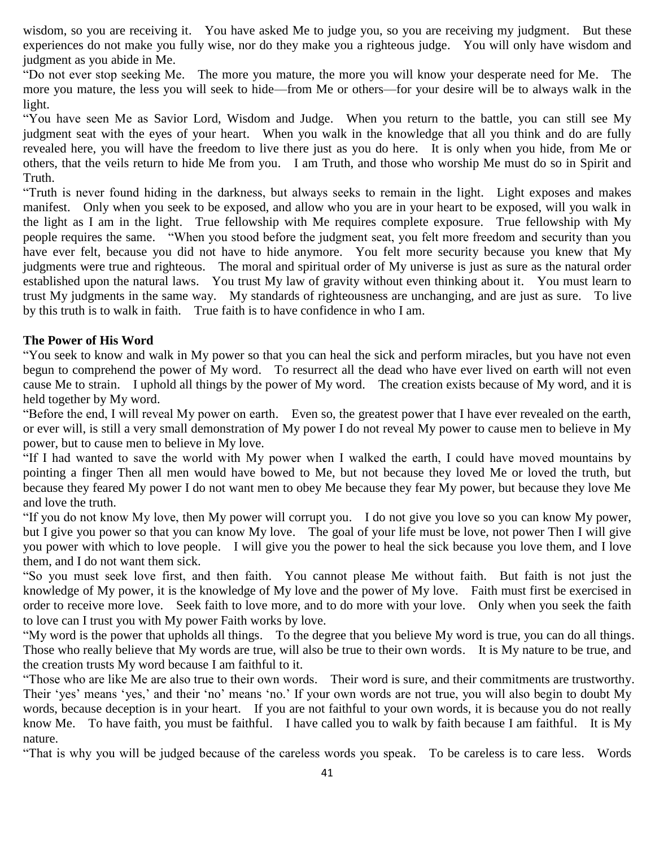wisdom, so you are receiving it. You have asked Me to judge you, so you are receiving my judgment. But these experiences do not make you fully wise, nor do they make you a righteous judge. You will only have wisdom and judgment as you abide in Me.

"Do not ever stop seeking Me. The more you mature, the more you will know your desperate need for Me. The more you mature, the less you will seek to hide—from Me or others—for your desire will be to always walk in the light.

"You have seen Me as Savior Lord, Wisdom and Judge. When you return to the battle, you can still see My judgment seat with the eyes of your heart. When you walk in the knowledge that all you think and do are fully revealed here, you will have the freedom to live there just as you do here. It is only when you hide, from Me or others, that the veils return to hide Me from you. I am Truth, and those who worship Me must do so in Spirit and Truth.

"Truth is never found hiding in the darkness, but always seeks to remain in the light. Light exposes and makes manifest. Only when you seek to be exposed, and allow who you are in your heart to be exposed, will you walk in the light as I am in the light. True fellowship with Me requires complete exposure. True fellowship with My people requires the same. "When you stood before the judgment seat, you felt more freedom and security than you have ever felt, because you did not have to hide anymore. You felt more security because you knew that My judgments were true and righteous. The moral and spiritual order of My universe is just as sure as the natural order established upon the natural laws. You trust My law of gravity without even thinking about it. You must learn to trust My judgments in the same way. My standards of righteousness are unchanging, and are just as sure. To live by this truth is to walk in faith. True faith is to have confidence in who I am.

# **The Power of His Word**

"You seek to know and walk in My power so that you can heal the sick and perform miracles, but you have not even begun to comprehend the power of My word. To resurrect all the dead who have ever lived on earth will not even cause Me to strain. I uphold all things by the power of My word. The creation exists because of My word, and it is held together by My word.

"Before the end, I will reveal My power on earth. Even so, the greatest power that I have ever revealed on the earth, or ever will, is still a very small demonstration of My power I do not reveal My power to cause men to believe in My power, but to cause men to believe in My love.

"If I had wanted to save the world with My power when I walked the earth, I could have moved mountains by pointing a finger Then all men would have bowed to Me, but not because they loved Me or loved the truth, but because they feared My power I do not want men to obey Me because they fear My power, but because they love Me and love the truth.

"If you do not know My love, then My power will corrupt you. I do not give you love so you can know My power, but I give you power so that you can know My love. The goal of your life must be love, not power Then I will give you power with which to love people. I will give you the power to heal the sick because you love them, and I love them, and I do not want them sick.

"So you must seek love first, and then faith. You cannot please Me without faith. But faith is not just the knowledge of My power, it is the knowledge of My love and the power of My love. Faith must first be exercised in order to receive more love. Seek faith to love more, and to do more with your love. Only when you seek the faith to love can I trust you with My power Faith works by love.

"My word is the power that upholds all things. To the degree that you believe My word is true, you can do all things. Those who really believe that My words are true, will also be true to their own words. It is My nature to be true, and the creation trusts My word because I am faithful to it.

"Those who are like Me are also true to their own words. Their word is sure, and their commitments are trustworthy. Their 'yes' means 'yes,' and their 'no' means 'no.' If your own words are not true, you will also begin to doubt My words, because deception is in your heart. If you are not faithful to your own words, it is because you do not really know Me. To have faith, you must be faithful. I have called you to walk by faith because I am faithful. It is My nature.

"That is why you will be judged because of the careless words you speak. To be careless is to care less. Words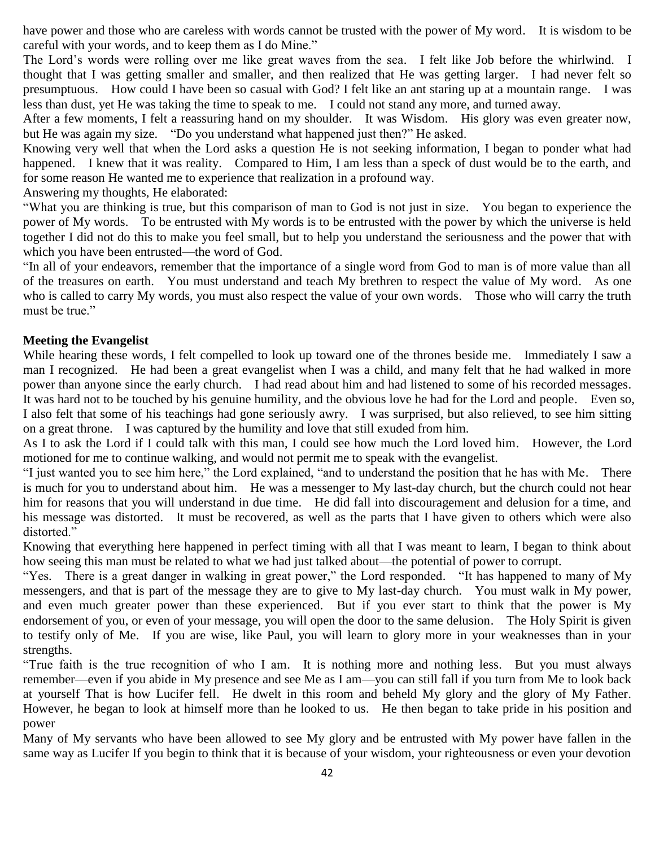have power and those who are careless with words cannot be trusted with the power of My word. It is wisdom to be careful with your words, and to keep them as I do Mine."

The Lord"s words were rolling over me like great waves from the sea. I felt like Job before the whirlwind. I thought that I was getting smaller and smaller, and then realized that He was getting larger. I had never felt so presumptuous. How could I have been so casual with God? I felt like an ant staring up at a mountain range. I was less than dust, yet He was taking the time to speak to me. I could not stand any more, and turned away.

After a few moments, I felt a reassuring hand on my shoulder. It was Wisdom. His glory was even greater now, but He was again my size. "Do you understand what happened just then?" He asked.

Knowing very well that when the Lord asks a question He is not seeking information, I began to ponder what had happened. I knew that it was reality. Compared to Him, I am less than a speck of dust would be to the earth, and for some reason He wanted me to experience that realization in a profound way.

Answering my thoughts, He elaborated:

"What you are thinking is true, but this comparison of man to God is not just in size. You began to experience the power of My words. To be entrusted with My words is to be entrusted with the power by which the universe is held together I did not do this to make you feel small, but to help you understand the seriousness and the power that with which you have been entrusted—the word of God.

"In all of your endeavors, remember that the importance of a single word from God to man is of more value than all of the treasures on earth. You must understand and teach My brethren to respect the value of My word. As one who is called to carry My words, you must also respect the value of your own words. Those who will carry the truth must be true."

## **Meeting the Evangelist**

While hearing these words, I felt compelled to look up toward one of the thrones beside me. Immediately I saw a man I recognized. He had been a great evangelist when I was a child, and many felt that he had walked in more power than anyone since the early church. I had read about him and had listened to some of his recorded messages. It was hard not to be touched by his genuine humility, and the obvious love he had for the Lord and people. Even so, I also felt that some of his teachings had gone seriously awry. I was surprised, but also relieved, to see him sitting on a great throne. I was captured by the humility and love that still exuded from him.

As I to ask the Lord if I could talk with this man, I could see how much the Lord loved him. However, the Lord motioned for me to continue walking, and would not permit me to speak with the evangelist.

"I just wanted you to see him here," the Lord explained, "and to understand the position that he has with Me. There is much for you to understand about him. He was a messenger to My last-day church, but the church could not hear him for reasons that you will understand in due time. He did fall into discouragement and delusion for a time, and his message was distorted. It must be recovered, as well as the parts that I have given to others which were also distorted."

Knowing that everything here happened in perfect timing with all that I was meant to learn, I began to think about how seeing this man must be related to what we had just talked about—the potential of power to corrupt.

"Yes. There is a great danger in walking in great power," the Lord responded. "It has happened to many of My messengers, and that is part of the message they are to give to My last-day church. You must walk in My power, and even much greater power than these experienced. But if you ever start to think that the power is My endorsement of you, or even of your message, you will open the door to the same delusion. The Holy Spirit is given to testify only of Me. If you are wise, like Paul, you will learn to glory more in your weaknesses than in your strengths.

"True faith is the true recognition of who I am. It is nothing more and nothing less. But you must always remember—even if you abide in My presence and see Me as I am—you can still fall if you turn from Me to look back at yourself That is how Lucifer fell. He dwelt in this room and beheld My glory and the glory of My Father. However, he began to look at himself more than he looked to us. He then began to take pride in his position and power

Many of My servants who have been allowed to see My glory and be entrusted with My power have fallen in the same way as Lucifer If you begin to think that it is because of your wisdom, your righteousness or even your devotion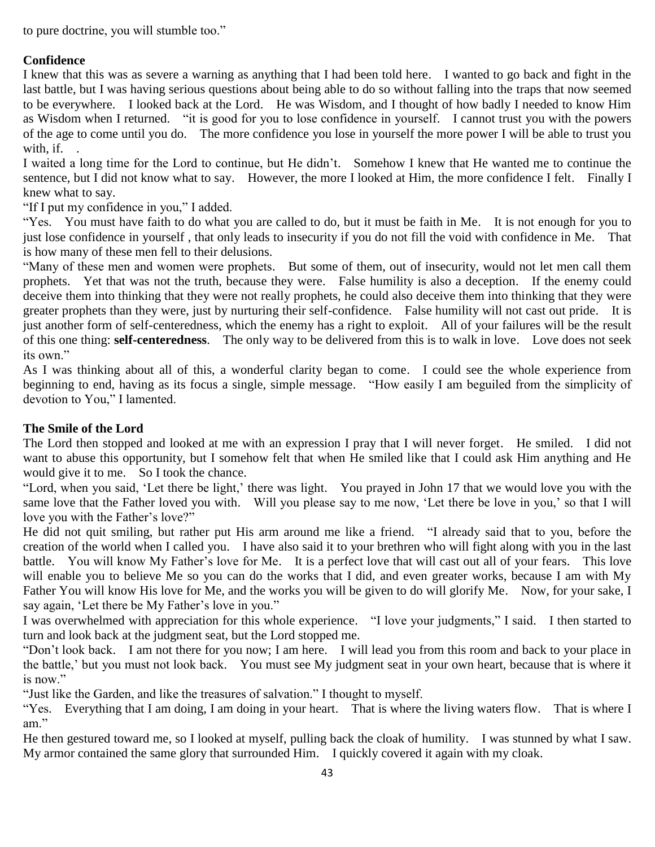to pure doctrine, you will stumble too."

# **Confidence**

I knew that this was as severe a warning as anything that I had been told here. I wanted to go back and fight in the last battle, but I was having serious questions about being able to do so without falling into the traps that now seemed to be everywhere. I looked back at the Lord. He was Wisdom, and I thought of how badly I needed to know Him as Wisdom when I returned. "it is good for you to lose confidence in yourself. I cannot trust you with the powers of the age to come until you do. The more confidence you lose in yourself the more power I will be able to trust you with, if.

I waited a long time for the Lord to continue, but He didn"t. Somehow I knew that He wanted me to continue the sentence, but I did not know what to say. However, the more I looked at Him, the more confidence I felt. Finally I knew what to say.

"If I put my confidence in you," I added.

"Yes. You must have faith to do what you are called to do, but it must be faith in Me. It is not enough for you to just lose confidence in yourself , that only leads to insecurity if you do not fill the void with confidence in Me. That is how many of these men fell to their delusions.

"Many of these men and women were prophets. But some of them, out of insecurity, would not let men call them prophets. Yet that was not the truth, because they were. False humility is also a deception. If the enemy could deceive them into thinking that they were not really prophets, he could also deceive them into thinking that they were greater prophets than they were, just by nurturing their self-confidence. False humility will not cast out pride. It is just another form of self-centeredness, which the enemy has a right to exploit. All of your failures will be the result of this one thing: **self-centeredness**. The only way to be delivered from this is to walk in love. Love does not seek its own."

As I was thinking about all of this, a wonderful clarity began to come. I could see the whole experience from beginning to end, having as its focus a single, simple message. "How easily I am beguiled from the simplicity of devotion to You," I lamented.

# **The Smile of the Lord**

The Lord then stopped and looked at me with an expression I pray that I will never forget. He smiled. I did not want to abuse this opportunity, but I somehow felt that when He smiled like that I could ask Him anything and He would give it to me. So I took the chance.

"Lord, when you said, 'Let there be light,' there was light. You prayed in John 17 that we would love you with the same love that the Father loved you with. Will you please say to me now, 'Let there be love in you,' so that I will love you with the Father's love?"

He did not quit smiling, but rather put His arm around me like a friend. "I already said that to you, before the creation of the world when I called you. I have also said it to your brethren who will fight along with you in the last battle. You will know My Father's love for Me. It is a perfect love that will cast out all of your fears. This love will enable you to believe Me so you can do the works that I did, and even greater works, because I am with My Father You will know His love for Me, and the works you will be given to do will glorify Me. Now, for your sake, I say again, 'Let there be My Father's love in you."

I was overwhelmed with appreciation for this whole experience. "I love your judgments," I said. I then started to turn and look back at the judgment seat, but the Lord stopped me.

"Don"t look back. I am not there for you now; I am here. I will lead you from this room and back to your place in the battle," but you must not look back. You must see My judgment seat in your own heart, because that is where it is now."

"Just like the Garden, and like the treasures of salvation." I thought to myself.

"Yes. Everything that I am doing, I am doing in your heart. That is where the living waters flow. That is where I am."

He then gestured toward me, so I looked at myself, pulling back the cloak of humility. I was stunned by what I saw. My armor contained the same glory that surrounded Him. I quickly covered it again with my cloak.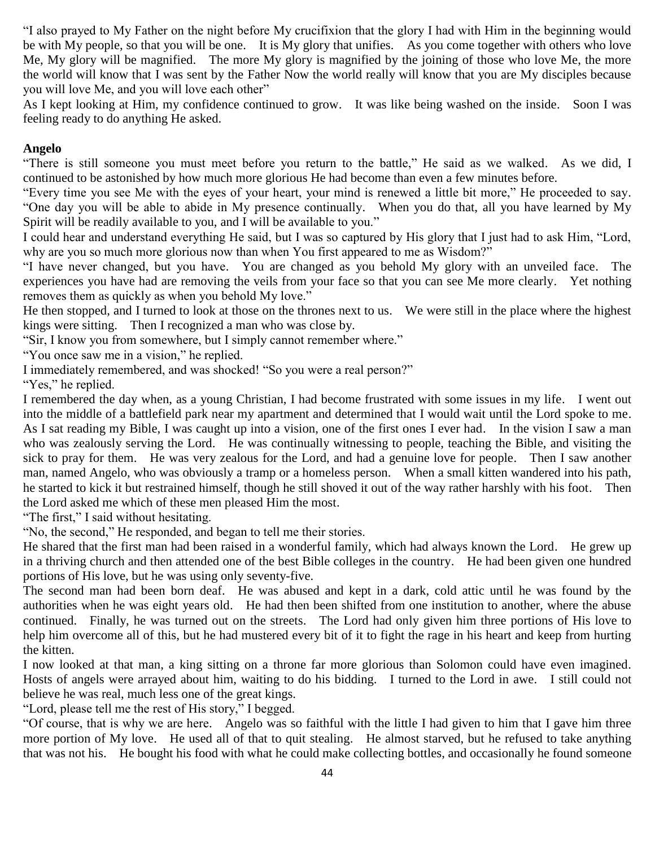"I also prayed to My Father on the night before My crucifixion that the glory I had with Him in the beginning would be with My people, so that you will be one. It is My glory that unifies. As you come together with others who love Me, My glory will be magnified. The more My glory is magnified by the joining of those who love Me, the more the world will know that I was sent by the Father Now the world really will know that you are My disciples because you will love Me, and you will love each other"

As I kept looking at Him, my confidence continued to grow. It was like being washed on the inside. Soon I was feeling ready to do anything He asked.

## **Angelo**

"There is still someone you must meet before you return to the battle," He said as we walked. As we did, I continued to be astonished by how much more glorious He had become than even a few minutes before.

"Every time you see Me with the eyes of your heart, your mind is renewed a little bit more," He proceeded to say. "One day you will be able to abide in My presence continually. When you do that, all you have learned by My Spirit will be readily available to you, and I will be available to you."

I could hear and understand everything He said, but I was so captured by His glory that I just had to ask Him, "Lord, why are you so much more glorious now than when You first appeared to me as Wisdom?"

"I have never changed, but you have. You are changed as you behold My glory with an unveiled face. The experiences you have had are removing the veils from your face so that you can see Me more clearly. Yet nothing removes them as quickly as when you behold My love."

He then stopped, and I turned to look at those on the thrones next to us. We were still in the place where the highest kings were sitting. Then I recognized a man who was close by.

"Sir, I know you from somewhere, but I simply cannot remember where."

"You once saw me in a vision," he replied.

I immediately remembered, and was shocked! "So you were a real person?"

"Yes," he replied.

I remembered the day when, as a young Christian, I had become frustrated with some issues in my life. I went out into the middle of a battlefield park near my apartment and determined that I would wait until the Lord spoke to me. As I sat reading my Bible, I was caught up into a vision, one of the first ones I ever had. In the vision I saw a man who was zealously serving the Lord. He was continually witnessing to people, teaching the Bible, and visiting the sick to pray for them. He was very zealous for the Lord, and had a genuine love for people. Then I saw another man, named Angelo, who was obviously a tramp or a homeless person. When a small kitten wandered into his path, he started to kick it but restrained himself, though he still shoved it out of the way rather harshly with his foot. Then the Lord asked me which of these men pleased Him the most.

"The first," I said without hesitating.

"No, the second," He responded, and began to tell me their stories.

He shared that the first man had been raised in a wonderful family, which had always known the Lord. He grew up in a thriving church and then attended one of the best Bible colleges in the country. He had been given one hundred portions of His love, but he was using only seventy-five.

The second man had been born deaf. He was abused and kept in a dark, cold attic until he was found by the authorities when he was eight years old. He had then been shifted from one institution to another, where the abuse continued. Finally, he was turned out on the streets. The Lord had only given him three portions of His love to help him overcome all of this, but he had mustered every bit of it to fight the rage in his heart and keep from hurting the kitten.

I now looked at that man, a king sitting on a throne far more glorious than Solomon could have even imagined. Hosts of angels were arrayed about him, waiting to do his bidding. I turned to the Lord in awe. I still could not believe he was real, much less one of the great kings.

"Lord, please tell me the rest of His story," I begged.

"Of course, that is why we are here. Angelo was so faithful with the little I had given to him that I gave him three more portion of My love. He used all of that to quit stealing. He almost starved, but he refused to take anything that was not his. He bought his food with what he could make collecting bottles, and occasionally he found someone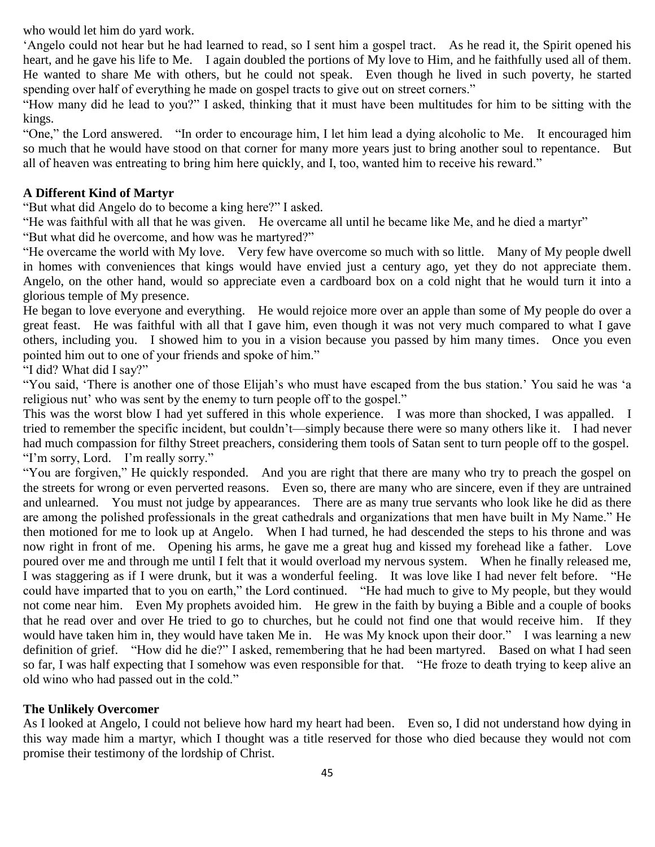who would let him do yard work.

"Angelo could not hear but he had learned to read, so I sent him a gospel tract. As he read it, the Spirit opened his heart, and he gave his life to Me. I again doubled the portions of My love to Him, and he faithfully used all of them. He wanted to share Me with others, but he could not speak. Even though he lived in such poverty, he started spending over half of everything he made on gospel tracts to give out on street corners."

"How many did he lead to you?" I asked, thinking that it must have been multitudes for him to be sitting with the kings.

"One," the Lord answered. "In order to encourage him, I let him lead a dying alcoholic to Me. It encouraged him so much that he would have stood on that corner for many more years just to bring another soul to repentance. But all of heaven was entreating to bring him here quickly, and I, too, wanted him to receive his reward."

# **A Different Kind of Martyr**

"But what did Angelo do to become a king here?" I asked.

"He was faithful with all that he was given. He overcame all until he became like Me, and he died a martyr" "But what did he overcome, and how was he martyred?"

"He overcame the world with My love. Very few have overcome so much with so little. Many of My people dwell in homes with conveniences that kings would have envied just a century ago, yet they do not appreciate them. Angelo, on the other hand, would so appreciate even a cardboard box on a cold night that he would turn it into a glorious temple of My presence.

He began to love everyone and everything. He would rejoice more over an apple than some of My people do over a great feast. He was faithful with all that I gave him, even though it was not very much compared to what I gave others, including you. I showed him to you in a vision because you passed by him many times. Once you even pointed him out to one of your friends and spoke of him."

"I did? What did I say?"

"You said, "There is another one of those Elijah"s who must have escaped from the bus station." You said he was "a religious nut' who was sent by the enemy to turn people off to the gospel."

This was the worst blow I had yet suffered in this whole experience. I was more than shocked, I was appalled. I tried to remember the specific incident, but couldn"t—simply because there were so many others like it. I had never had much compassion for filthy Street preachers, considering them tools of Satan sent to turn people off to the gospel. "I"m sorry, Lord. I"m really sorry."

"You are forgiven," He quickly responded. And you are right that there are many who try to preach the gospel on the streets for wrong or even perverted reasons. Even so, there are many who are sincere, even if they are untrained and unlearned. You must not judge by appearances. There are as many true servants who look like he did as there are among the polished professionals in the great cathedrals and organizations that men have built in My Name." He then motioned for me to look up at Angelo. When I had turned, he had descended the steps to his throne and was now right in front of me. Opening his arms, he gave me a great hug and kissed my forehead like a father. Love poured over me and through me until I felt that it would overload my nervous system. When he finally released me, I was staggering as if I were drunk, but it was a wonderful feeling. It was love like I had never felt before. "He could have imparted that to you on earth," the Lord continued. "He had much to give to My people, but they would not come near him. Even My prophets avoided him. He grew in the faith by buying a Bible and a couple of books that he read over and over He tried to go to churches, but he could not find one that would receive him. If they would have taken him in, they would have taken Me in. He was My knock upon their door." I was learning a new definition of grief. "How did he die?" I asked, remembering that he had been martyred. Based on what I had seen so far, I was half expecting that I somehow was even responsible for that. "He froze to death trying to keep alive an old wino who had passed out in the cold."

# **The Unlikely Overcomer**

As I looked at Angelo, I could not believe how hard my heart had been. Even so, I did not understand how dying in this way made him a martyr, which I thought was a title reserved for those who died because they would not com promise their testimony of the lordship of Christ.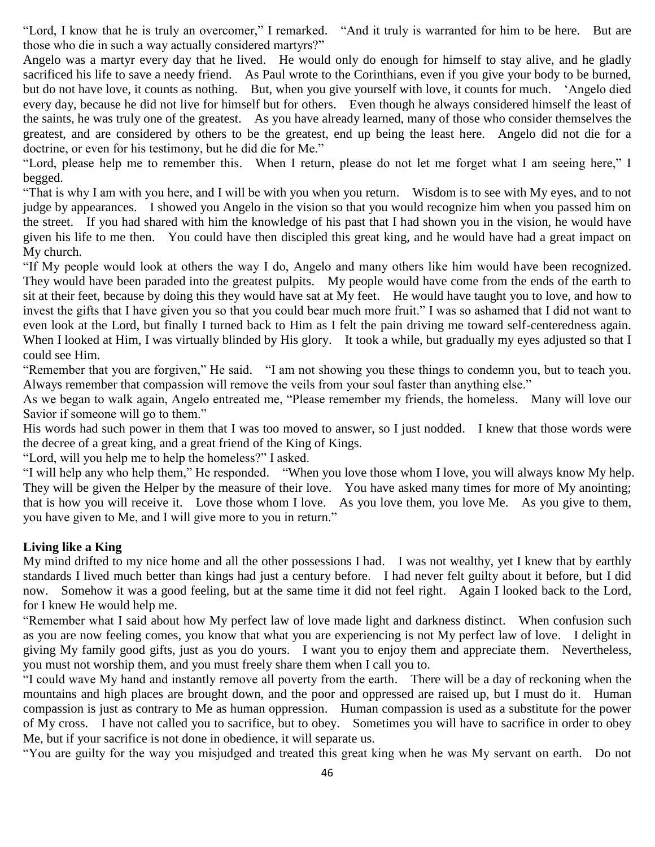"Lord, I know that he is truly an overcomer," I remarked. "And it truly is warranted for him to be here. But are those who die in such a way actually considered martyrs?"

Angelo was a martyr every day that he lived. He would only do enough for himself to stay alive, and he gladly sacrificed his life to save a needy friend. As Paul wrote to the Corinthians, even if you give your body to be burned, but do not have love, it counts as nothing. But, when you give yourself with love, it counts for much. "Angelo died every day, because he did not live for himself but for others. Even though he always considered himself the least of the saints, he was truly one of the greatest. As you have already learned, many of those who consider themselves the greatest, and are considered by others to be the greatest, end up being the least here. Angelo did not die for a doctrine, or even for his testimony, but he did die for Me."

"Lord, please help me to remember this. When I return, please do not let me forget what I am seeing here," I begged.

"That is why I am with you here, and I will be with you when you return. Wisdom is to see with My eyes, and to not judge by appearances. I showed you Angelo in the vision so that you would recognize him when you passed him on the street. If you had shared with him the knowledge of his past that I had shown you in the vision, he would have given his life to me then. You could have then discipled this great king, and he would have had a great impact on My church.

"If My people would look at others the way I do, Angelo and many others like him would have been recognized. They would have been paraded into the greatest pulpits. My people would have come from the ends of the earth to sit at their feet, because by doing this they would have sat at My feet. He would have taught you to love, and how to invest the gifts that I have given you so that you could bear much more fruit." I was so ashamed that I did not want to even look at the Lord, but finally I turned back to Him as I felt the pain driving me toward self-centeredness again. When I looked at Him, I was virtually blinded by His glory. It took a while, but gradually my eyes adjusted so that I could see Him.

"Remember that you are forgiven," He said. "I am not showing you these things to condemn you, but to teach you. Always remember that compassion will remove the veils from your soul faster than anything else."

As we began to walk again, Angelo entreated me, "Please remember my friends, the homeless. Many will love our Savior if someone will go to them."

His words had such power in them that I was too moved to answer, so I just nodded. I knew that those words were the decree of a great king, and a great friend of the King of Kings.

"Lord, will you help me to help the homeless?" I asked.

"I will help any who help them," He responded. "When you love those whom I love, you will always know My help. They will be given the Helper by the measure of their love. You have asked many times for more of My anointing; that is how you will receive it. Love those whom I love. As you love them, you love Me. As you give to them, you have given to Me, and I will give more to you in return."

## **Living like a King**

My mind drifted to my nice home and all the other possessions I had. I was not wealthy, yet I knew that by earthly standards I lived much better than kings had just a century before. I had never felt guilty about it before, but I did now. Somehow it was a good feeling, but at the same time it did not feel right. Again I looked back to the Lord, for I knew He would help me.

"Remember what I said about how My perfect law of love made light and darkness distinct. When confusion such as you are now feeling comes, you know that what you are experiencing is not My perfect law of love. I delight in giving My family good gifts, just as you do yours. I want you to enjoy them and appreciate them. Nevertheless, you must not worship them, and you must freely share them when I call you to.

"I could wave My hand and instantly remove all poverty from the earth. There will be a day of reckoning when the mountains and high places are brought down, and the poor and oppressed are raised up, but I must do it. Human compassion is just as contrary to Me as human oppression. Human compassion is used as a substitute for the power of My cross. I have not called you to sacrifice, but to obey. Sometimes you will have to sacrifice in order to obey Me, but if your sacrifice is not done in obedience, it will separate us.

"You are guilty for the way you misjudged and treated this great king when he was My servant on earth. Do not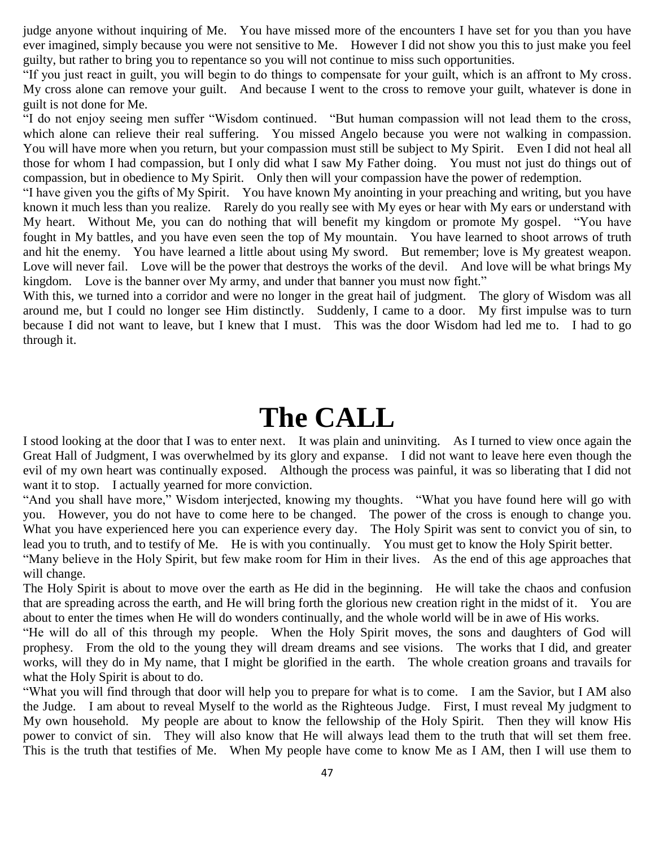judge anyone without inquiring of Me. You have missed more of the encounters I have set for you than you have ever imagined, simply because you were not sensitive to Me. However I did not show you this to just make you feel guilty, but rather to bring you to repentance so you will not continue to miss such opportunities.

"If you just react in guilt, you will begin to do things to compensate for your guilt, which is an affront to My cross. My cross alone can remove your guilt. And because I went to the cross to remove your guilt, whatever is done in guilt is not done for Me.

"I do not enjoy seeing men suffer "Wisdom continued. "But human compassion will not lead them to the cross, which alone can relieve their real suffering. You missed Angelo because you were not walking in compassion. You will have more when you return, but your compassion must still be subject to My Spirit. Even I did not heal all those for whom I had compassion, but I only did what I saw My Father doing. You must not just do things out of compassion, but in obedience to My Spirit. Only then will your compassion have the power of redemption.

"I have given you the gifts of My Spirit. You have known My anointing in your preaching and writing, but you have known it much less than you realize. Rarely do you really see with My eyes or hear with My ears or understand with My heart. Without Me, you can do nothing that will benefit my kingdom or promote My gospel. "You have fought in My battles, and you have even seen the top of My mountain. You have learned to shoot arrows of truth and hit the enemy. You have learned a little about using My sword. But remember; love is My greatest weapon. Love will never fail. Love will be the power that destroys the works of the devil. And love will be what brings My kingdom. Love is the banner over My army, and under that banner you must now fight."

With this, we turned into a corridor and were no longer in the great hail of judgment. The glory of Wisdom was all around me, but I could no longer see Him distinctly. Suddenly, I came to a door. My first impulse was to turn because I did not want to leave, but I knew that I must. This was the door Wisdom had led me to. I had to go through it.

# **The CALL**

I stood looking at the door that I was to enter next. It was plain and uninviting. As I turned to view once again the Great Hall of Judgment, I was overwhelmed by its glory and expanse. I did not want to leave here even though the evil of my own heart was continually exposed. Although the process was painful, it was so liberating that I did not want it to stop. I actually yearned for more conviction.

"And you shall have more," Wisdom interjected, knowing my thoughts. "What you have found here will go with you. However, you do not have to come here to be changed. The power of the cross is enough to change you. What you have experienced here you can experience every day. The Holy Spirit was sent to convict you of sin, to lead you to truth, and to testify of Me. He is with you continually. You must get to know the Holy Spirit better.

"Many believe in the Holy Spirit, but few make room for Him in their lives. As the end of this age approaches that will change.

The Holy Spirit is about to move over the earth as He did in the beginning. He will take the chaos and confusion that are spreading across the earth, and He will bring forth the glorious new creation right in the midst of it. You are about to enter the times when He will do wonders continually, and the whole world will be in awe of His works.

"He will do all of this through my people. When the Holy Spirit moves, the sons and daughters of God will prophesy. From the old to the young they will dream dreams and see visions. The works that I did, and greater works, will they do in My name, that I might be glorified in the earth. The whole creation groans and travails for what the Holy Spirit is about to do.

"What you will find through that door will help you to prepare for what is to come. I am the Savior, but I AM also the Judge. I am about to reveal Myself to the world as the Righteous Judge. First, I must reveal My judgment to My own household. My people are about to know the fellowship of the Holy Spirit. Then they will know His power to convict of sin. They will also know that He will always lead them to the truth that will set them free. This is the truth that testifies of Me. When My people have come to know Me as I AM, then I will use them to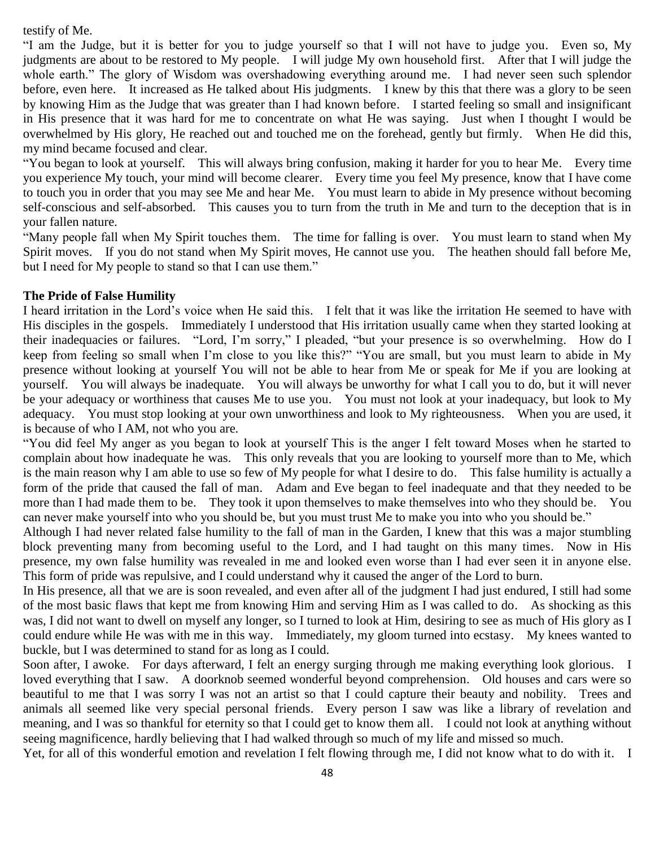testify of Me.

"I am the Judge, but it is better for you to judge yourself so that I will not have to judge you. Even so, My judgments are about to be restored to My people. I will judge My own household first. After that I will judge the whole earth." The glory of Wisdom was overshadowing everything around me. I had never seen such splendor before, even here. It increased as He talked about His judgments. I knew by this that there was a glory to be seen by knowing Him as the Judge that was greater than I had known before. I started feeling so small and insignificant in His presence that it was hard for me to concentrate on what He was saying. Just when I thought I would be overwhelmed by His glory, He reached out and touched me on the forehead, gently but firmly. When He did this, my mind became focused and clear.

"You began to look at yourself. This will always bring confusion, making it harder for you to hear Me. Every time you experience My touch, your mind will become clearer. Every time you feel My presence, know that I have come to touch you in order that you may see Me and hear Me. You must learn to abide in My presence without becoming self-conscious and self-absorbed. This causes you to turn from the truth in Me and turn to the deception that is in your fallen nature.

"Many people fall when My Spirit touches them. The time for falling is over. You must learn to stand when My Spirit moves. If you do not stand when My Spirit moves, He cannot use you. The heathen should fall before Me, but I need for My people to stand so that I can use them."

## **The Pride of False Humility**

I heard irritation in the Lord"s voice when He said this. I felt that it was like the irritation He seemed to have with His disciples in the gospels. Immediately I understood that His irritation usually came when they started looking at their inadequacies or failures. "Lord, I"m sorry," I pleaded, "but your presence is so overwhelming. How do I keep from feeling so small when I"m close to you like this?" "You are small, but you must learn to abide in My presence without looking at yourself You will not be able to hear from Me or speak for Me if you are looking at yourself. You will always be inadequate. You will always be unworthy for what I call you to do, but it will never be your adequacy or worthiness that causes Me to use you. You must not look at your inadequacy, but look to My adequacy. You must stop looking at your own unworthiness and look to My righteousness. When you are used, it is because of who I AM, not who you are.

"You did feel My anger as you began to look at yourself This is the anger I felt toward Moses when he started to complain about how inadequate he was. This only reveals that you are looking to yourself more than to Me, which is the main reason why I am able to use so few of My people for what I desire to do. This false humility is actually a form of the pride that caused the fall of man. Adam and Eve began to feel inadequate and that they needed to be more than I had made them to be. They took it upon themselves to make themselves into who they should be. You can never make yourself into who you should be, but you must trust Me to make you into who you should be."

Although I had never related false humility to the fall of man in the Garden, I knew that this was a major stumbling block preventing many from becoming useful to the Lord, and I had taught on this many times. Now in His presence, my own false humility was revealed in me and looked even worse than I had ever seen it in anyone else. This form of pride was repulsive, and I could understand why it caused the anger of the Lord to burn.

In His presence, all that we are is soon revealed, and even after all of the judgment I had just endured, I still had some of the most basic flaws that kept me from knowing Him and serving Him as I was called to do. As shocking as this was, I did not want to dwell on myself any longer, so I turned to look at Him, desiring to see as much of His glory as I could endure while He was with me in this way. Immediately, my gloom turned into ecstasy. My knees wanted to buckle, but I was determined to stand for as long as I could.

Soon after, I awoke. For days afterward, I felt an energy surging through me making everything look glorious. I loved everything that I saw. A doorknob seemed wonderful beyond comprehension. Old houses and cars were so beautiful to me that I was sorry I was not an artist so that I could capture their beauty and nobility. Trees and animals all seemed like very special personal friends. Every person I saw was like a library of revelation and meaning, and I was so thankful for eternity so that I could get to know them all. I could not look at anything without seeing magnificence, hardly believing that I had walked through so much of my life and missed so much.

Yet, for all of this wonderful emotion and revelation I felt flowing through me, I did not know what to do with it. I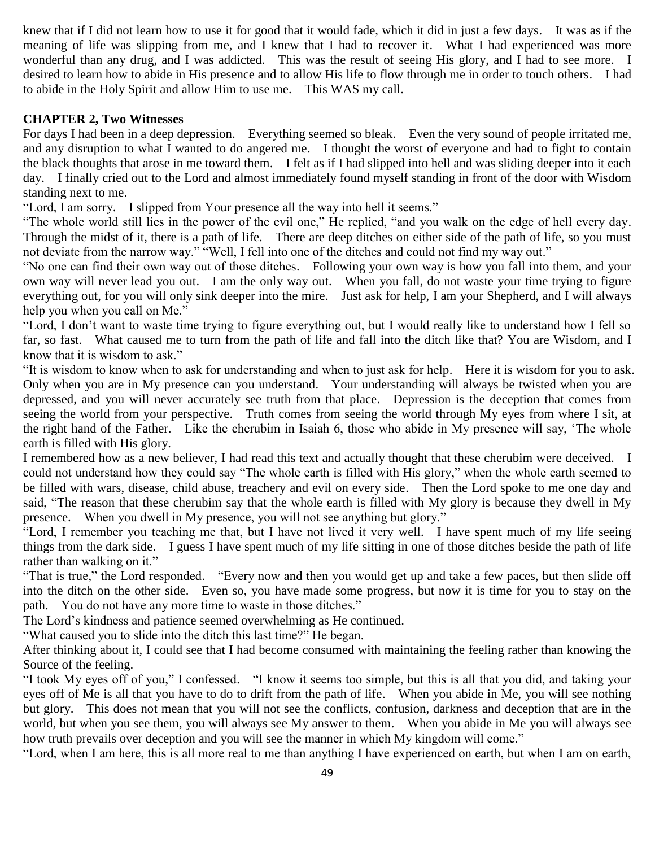knew that if I did not learn how to use it for good that it would fade, which it did in just a few days. It was as if the meaning of life was slipping from me, and I knew that I had to recover it. What I had experienced was more wonderful than any drug, and I was addicted. This was the result of seeing His glory, and I had to see more. I desired to learn how to abide in His presence and to allow His life to flow through me in order to touch others. I had to abide in the Holy Spirit and allow Him to use me. This WAS my call.

## **CHAPTER 2, Two Witnesses**

For days I had been in a deep depression. Everything seemed so bleak. Even the very sound of people irritated me, and any disruption to what I wanted to do angered me. I thought the worst of everyone and had to fight to contain the black thoughts that arose in me toward them. I felt as if I had slipped into hell and was sliding deeper into it each day. I finally cried out to the Lord and almost immediately found myself standing in front of the door with Wisdom standing next to me.

"Lord, I am sorry. I slipped from Your presence all the way into hell it seems."

"The whole world still lies in the power of the evil one," He replied, "and you walk on the edge of hell every day. Through the midst of it, there is a path of life. There are deep ditches on either side of the path of life, so you must not deviate from the narrow way." "Well, I fell into one of the ditches and could not find my way out."

"No one can find their own way out of those ditches. Following your own way is how you fall into them, and your own way will never lead you out. I am the only way out. When you fall, do not waste your time trying to figure everything out, for you will only sink deeper into the mire. Just ask for help, I am your Shepherd, and I will always help you when you call on Me."

"Lord, I don"t want to waste time trying to figure everything out, but I would really like to understand how I fell so far, so fast. What caused me to turn from the path of life and fall into the ditch like that? You are Wisdom, and I know that it is wisdom to ask."

"It is wisdom to know when to ask for understanding and when to just ask for help. Here it is wisdom for you to ask. Only when you are in My presence can you understand. Your understanding will always be twisted when you are depressed, and you will never accurately see truth from that place. Depression is the deception that comes from seeing the world from your perspective. Truth comes from seeing the world through My eyes from where I sit, at the right hand of the Father. Like the cherubim in Isaiah 6, those who abide in My presence will say, "The whole earth is filled with His glory.

I remembered how as a new believer, I had read this text and actually thought that these cherubim were deceived. I could not understand how they could say "The whole earth is filled with His glory," when the whole earth seemed to be filled with wars, disease, child abuse, treachery and evil on every side. Then the Lord spoke to me one day and said, "The reason that these cherubim say that the whole earth is filled with My glory is because they dwell in My presence. When you dwell in My presence, you will not see anything but glory."

"Lord, I remember you teaching me that, but I have not lived it very well. I have spent much of my life seeing things from the dark side. I guess I have spent much of my life sitting in one of those ditches beside the path of life rather than walking on it."

"That is true," the Lord responded. "Every now and then you would get up and take a few paces, but then slide off into the ditch on the other side. Even so, you have made some progress, but now it is time for you to stay on the path. You do not have any more time to waste in those ditches."

The Lord"s kindness and patience seemed overwhelming as He continued.

"What caused you to slide into the ditch this last time?" He began.

After thinking about it, I could see that I had become consumed with maintaining the feeling rather than knowing the Source of the feeling.

"I took My eyes off of you," I confessed. "I know it seems too simple, but this is all that you did, and taking your eyes off of Me is all that you have to do to drift from the path of life. When you abide in Me, you will see nothing but glory. This does not mean that you will not see the conflicts, confusion, darkness and deception that are in the world, but when you see them, you will always see My answer to them. When you abide in Me you will always see how truth prevails over deception and you will see the manner in which My kingdom will come."

"Lord, when I am here, this is all more real to me than anything I have experienced on earth, but when I am on earth,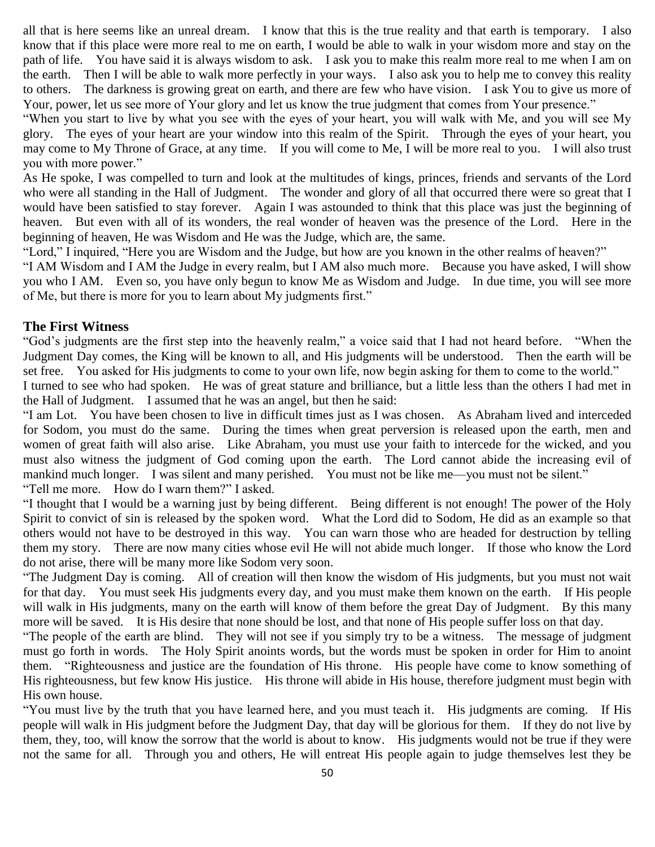all that is here seems like an unreal dream. I know that this is the true reality and that earth is temporary. I also know that if this place were more real to me on earth, I would be able to walk in your wisdom more and stay on the path of life. You have said it is always wisdom to ask. I ask you to make this realm more real to me when I am on the earth. Then I will be able to walk more perfectly in your ways. I also ask you to help me to convey this reality to others. The darkness is growing great on earth, and there are few who have vision. I ask You to give us more of Your, power, let us see more of Your glory and let us know the true judgment that comes from Your presence."

"When you start to live by what you see with the eyes of your heart, you will walk with Me, and you will see My glory. The eyes of your heart are your window into this realm of the Spirit. Through the eyes of your heart, you may come to My Throne of Grace, at any time. If you will come to Me, I will be more real to you. I will also trust you with more power."

As He spoke, I was compelled to turn and look at the multitudes of kings, princes, friends and servants of the Lord who were all standing in the Hall of Judgment. The wonder and glory of all that occurred there were so great that I would have been satisfied to stay forever. Again I was astounded to think that this place was just the beginning of heaven. But even with all of its wonders, the real wonder of heaven was the presence of the Lord. Here in the beginning of heaven, He was Wisdom and He was the Judge, which are, the same.

"Lord," I inquired, "Here you are Wisdom and the Judge, but how are you known in the other realms of heaven?"

"I AM Wisdom and I AM the Judge in every realm, but I AM also much more. Because you have asked, I will show you who I AM. Even so, you have only begun to know Me as Wisdom and Judge. In due time, you will see more of Me, but there is more for you to learn about My judgments first."

# **The First Witness**

"God"s judgments are the first step into the heavenly realm," a voice said that I had not heard before. "When the Judgment Day comes, the King will be known to all, and His judgments will be understood. Then the earth will be set free. You asked for His judgments to come to your own life, now begin asking for them to come to the world."

I turned to see who had spoken. He was of great stature and brilliance, but a little less than the others I had met in the Hall of Judgment. I assumed that he was an angel, but then he said:

"I am Lot. You have been chosen to live in difficult times just as I was chosen. As Abraham lived and interceded for Sodom, you must do the same. During the times when great perversion is released upon the earth, men and women of great faith will also arise. Like Abraham, you must use your faith to intercede for the wicked, and you must also witness the judgment of God coming upon the earth. The Lord cannot abide the increasing evil of mankind much longer. I was silent and many perished. You must not be like me—you must not be silent." "Tell me more. How do I warn them?" I asked.

"I thought that I would be a warning just by being different. Being different is not enough! The power of the Holy Spirit to convict of sin is released by the spoken word. What the Lord did to Sodom, He did as an example so that others would not have to be destroyed in this way. You can warn those who are headed for destruction by telling them my story. There are now many cities whose evil He will not abide much longer. If those who know the Lord do not arise, there will be many more like Sodom very soon.

"The Judgment Day is coming. All of creation will then know the wisdom of His judgments, but you must not wait for that day. You must seek His judgments every day, and you must make them known on the earth. If His people will walk in His judgments, many on the earth will know of them before the great Day of Judgment. By this many more will be saved. It is His desire that none should be lost, and that none of His people suffer loss on that day.

"The people of the earth are blind. They will not see if you simply try to be a witness. The message of judgment must go forth in words. The Holy Spirit anoints words, but the words must be spoken in order for Him to anoint them. "Righteousness and justice are the foundation of His throne. His people have come to know something of His righteousness, but few know His justice. His throne will abide in His house, therefore judgment must begin with His own house.

"You must live by the truth that you have learned here, and you must teach it. His judgments are coming. If His people will walk in His judgment before the Judgment Day, that day will be glorious for them. If they do not live by them, they, too, will know the sorrow that the world is about to know. His judgments would not be true if they were not the same for all. Through you and others, He will entreat His people again to judge themselves lest they be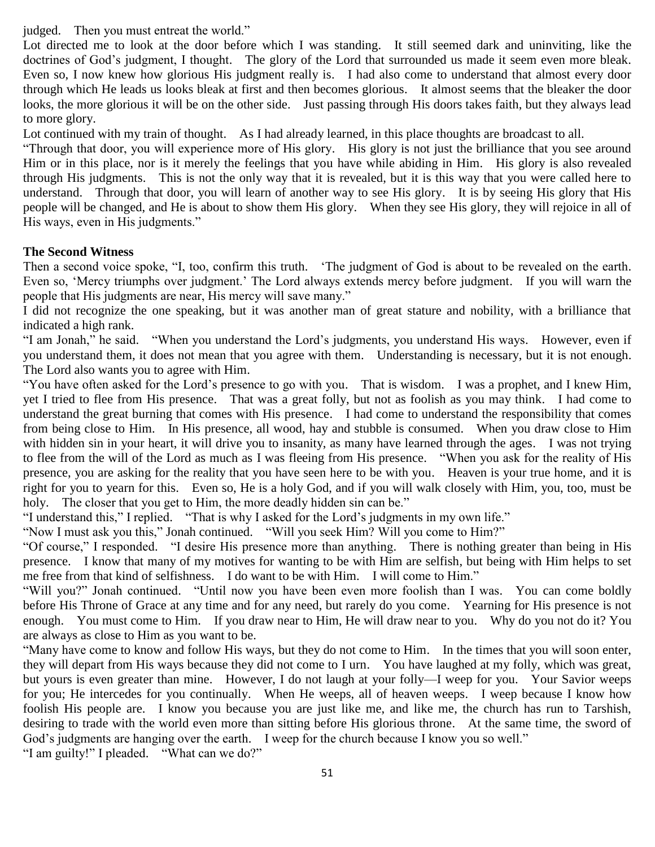judged. Then you must entreat the world."

Lot directed me to look at the door before which I was standing. It still seemed dark and uninviting, like the doctrines of God's judgment, I thought. The glory of the Lord that surrounded us made it seem even more bleak. Even so, I now knew how glorious His judgment really is. I had also come to understand that almost every door through which He leads us looks bleak at first and then becomes glorious. It almost seems that the bleaker the door looks, the more glorious it will be on the other side. Just passing through His doors takes faith, but they always lead to more glory.

Lot continued with my train of thought. As I had already learned, in this place thoughts are broadcast to all.

"Through that door, you will experience more of His glory. His glory is not just the brilliance that you see around Him or in this place, nor is it merely the feelings that you have while abiding in Him. His glory is also revealed through His judgments. This is not the only way that it is revealed, but it is this way that you were called here to understand. Through that door, you will learn of another way to see His glory. It is by seeing His glory that His people will be changed, and He is about to show them His glory. When they see His glory, they will rejoice in all of His ways, even in His judgments."

# **The Second Witness**

Then a second voice spoke, "I, too, confirm this truth. "The judgment of God is about to be revealed on the earth. Even so, "Mercy triumphs over judgment." The Lord always extends mercy before judgment. If you will warn the people that His judgments are near, His mercy will save many."

I did not recognize the one speaking, but it was another man of great stature and nobility, with a brilliance that indicated a high rank.

"I am Jonah," he said. "When you understand the Lord"s judgments, you understand His ways. However, even if you understand them, it does not mean that you agree with them. Understanding is necessary, but it is not enough. The Lord also wants you to agree with Him.

"You have often asked for the Lord"s presence to go with you. That is wisdom. I was a prophet, and I knew Him, yet I tried to flee from His presence. That was a great folly, but not as foolish as you may think. I had come to understand the great burning that comes with His presence. I had come to understand the responsibility that comes from being close to Him. In His presence, all wood, hay and stubble is consumed. When you draw close to Him with hidden sin in your heart, it will drive you to insanity, as many have learned through the ages. I was not trying to flee from the will of the Lord as much as I was fleeing from His presence. "When you ask for the reality of His presence, you are asking for the reality that you have seen here to be with you. Heaven is your true home, and it is right for you to yearn for this. Even so, He is a holy God, and if you will walk closely with Him, you, too, must be holy. The closer that you get to Him, the more deadly hidden sin can be."

"I understand this," I replied. "That is why I asked for the Lord"s judgments in my own life."

"Now I must ask you this," Jonah continued. "Will you seek Him? Will you come to Him?"

"Of course," I responded. "I desire His presence more than anything. There is nothing greater than being in His presence. I know that many of my motives for wanting to be with Him are selfish, but being with Him helps to set me free from that kind of selfishness. I do want to be with Him. I will come to Him."

"Will you?" Jonah continued. "Until now you have been even more foolish than I was. You can come boldly before His Throne of Grace at any time and for any need, but rarely do you come. Yearning for His presence is not enough. You must come to Him. If you draw near to Him, He will draw near to you. Why do you not do it? You are always as close to Him as you want to be.

"Many have come to know and follow His ways, but they do not come to Him. In the times that you will soon enter, they will depart from His ways because they did not come to I urn. You have laughed at my folly, which was great, but yours is even greater than mine. However, I do not laugh at your folly—I weep for you. Your Savior weeps for you; He intercedes for you continually. When He weeps, all of heaven weeps. I weep because I know how foolish His people are. I know you because you are just like me, and like me, the church has run to Tarshish, desiring to trade with the world even more than sitting before His glorious throne. At the same time, the sword of God's judgments are hanging over the earth. I weep for the church because I know you so well." "I am guilty!" I pleaded. "What can we do?"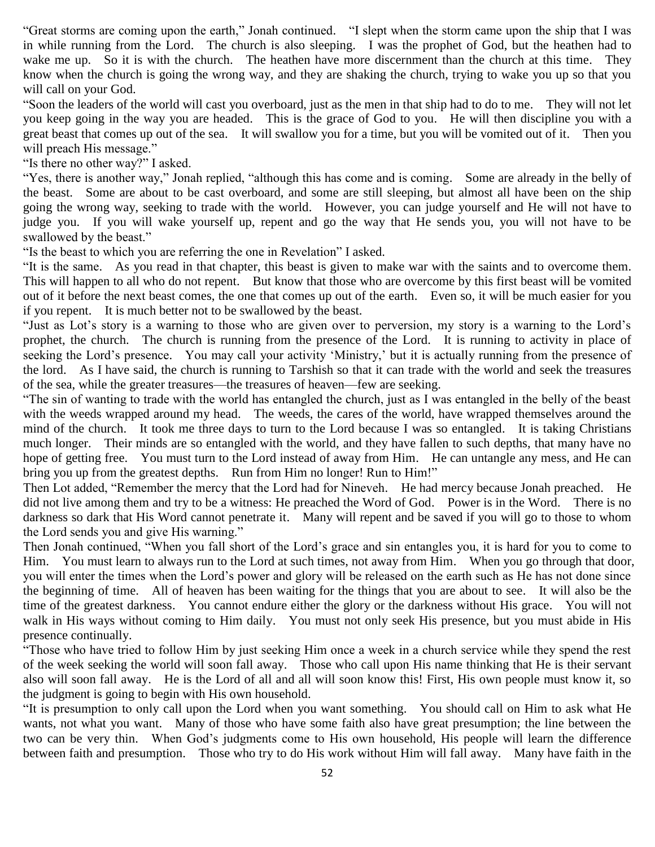"Great storms are coming upon the earth," Jonah continued. "I slept when the storm came upon the ship that I was in while running from the Lord. The church is also sleeping. I was the prophet of God, but the heathen had to wake me up. So it is with the church. The heathen have more discernment than the church at this time. They know when the church is going the wrong way, and they are shaking the church, trying to wake you up so that you will call on your God.

"Soon the leaders of the world will cast you overboard, just as the men in that ship had to do to me. They will not let you keep going in the way you are headed. This is the grace of God to you. He will then discipline you with a great beast that comes up out of the sea. It will swallow you for a time, but you will be vomited out of it. Then you will preach His message."

"Is there no other way?" I asked.

"Yes, there is another way," Jonah replied, "although this has come and is coming. Some are already in the belly of the beast. Some are about to be cast overboard, and some are still sleeping, but almost all have been on the ship going the wrong way, seeking to trade with the world. However, you can judge yourself and He will not have to judge you. If you will wake yourself up, repent and go the way that He sends you, you will not have to be swallowed by the beast."

"Is the beast to which you are referring the one in Revelation" I asked.

"It is the same. As you read in that chapter, this beast is given to make war with the saints and to overcome them. This will happen to all who do not repent. But know that those who are overcome by this first beast will be vomited out of it before the next beast comes, the one that comes up out of the earth. Even so, it will be much easier for you if you repent. It is much better not to be swallowed by the beast.

"Just as Lot"s story is a warning to those who are given over to perversion, my story is a warning to the Lord"s prophet, the church. The church is running from the presence of the Lord. It is running to activity in place of seeking the Lord's presence. You may call your activity 'Ministry,' but it is actually running from the presence of the lord. As I have said, the church is running to Tarshish so that it can trade with the world and seek the treasures of the sea, while the greater treasures—the treasures of heaven—few are seeking.

"The sin of wanting to trade with the world has entangled the church, just as I was entangled in the belly of the beast with the weeds wrapped around my head. The weeds, the cares of the world, have wrapped themselves around the mind of the church. It took me three days to turn to the Lord because I was so entangled. It is taking Christians much longer. Their minds are so entangled with the world, and they have fallen to such depths, that many have no hope of getting free. You must turn to the Lord instead of away from Him. He can untangle any mess, and He can bring you up from the greatest depths. Run from Him no longer! Run to Him!"

Then Lot added, "Remember the mercy that the Lord had for Nineveh. He had mercy because Jonah preached. He did not live among them and try to be a witness: He preached the Word of God. Power is in the Word. There is no darkness so dark that His Word cannot penetrate it. Many will repent and be saved if you will go to those to whom the Lord sends you and give His warning."

Then Jonah continued, "When you fall short of the Lord"s grace and sin entangles you, it is hard for you to come to Him. You must learn to always run to the Lord at such times, not away from Him. When you go through that door, you will enter the times when the Lord"s power and glory will be released on the earth such as He has not done since the beginning of time. All of heaven has been waiting for the things that you are about to see. It will also be the time of the greatest darkness. You cannot endure either the glory or the darkness without His grace. You will not walk in His ways without coming to Him daily. You must not only seek His presence, but you must abide in His presence continually.

"Those who have tried to follow Him by just seeking Him once a week in a church service while they spend the rest of the week seeking the world will soon fall away. Those who call upon His name thinking that He is their servant also will soon fall away. He is the Lord of all and all will soon know this! First, His own people must know it, so the judgment is going to begin with His own household.

"It is presumption to only call upon the Lord when you want something. You should call on Him to ask what He wants, not what you want. Many of those who have some faith also have great presumption; the line between the two can be very thin. When God"s judgments come to His own household, His people will learn the difference between faith and presumption. Those who try to do His work without Him will fall away. Many have faith in the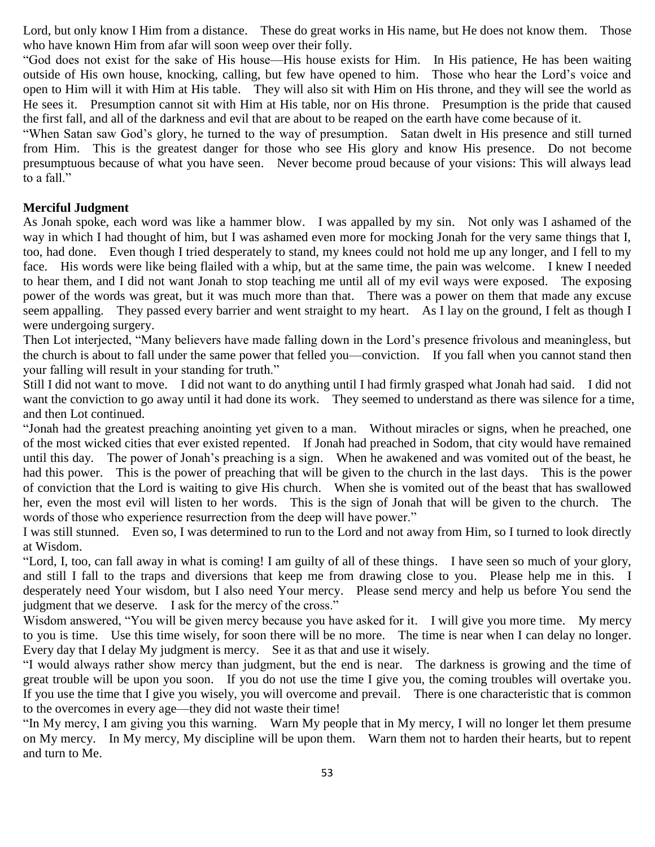Lord, but only know I Him from a distance. These do great works in His name, but He does not know them. Those who have known Him from afar will soon weep over their folly.

"God does not exist for the sake of His house—His house exists for Him. In His patience, He has been waiting outside of His own house, knocking, calling, but few have opened to him. Those who hear the Lord"s voice and open to Him will it with Him at His table. They will also sit with Him on His throne, and they will see the world as He sees it. Presumption cannot sit with Him at His table, nor on His throne. Presumption is the pride that caused the first fall, and all of the darkness and evil that are about to be reaped on the earth have come because of it.

"When Satan saw God"s glory, he turned to the way of presumption. Satan dwelt in His presence and still turned from Him. This is the greatest danger for those who see His glory and know His presence. Do not become presumptuous because of what you have seen. Never become proud because of your visions: This will always lead to a fall."

### **Merciful Judgment**

As Jonah spoke, each word was like a hammer blow. I was appalled by my sin. Not only was I ashamed of the way in which I had thought of him, but I was ashamed even more for mocking Jonah for the very same things that I, too, had done. Even though I tried desperately to stand, my knees could not hold me up any longer, and I fell to my face. His words were like being flailed with a whip, but at the same time, the pain was welcome. I knew I needed to hear them, and I did not want Jonah to stop teaching me until all of my evil ways were exposed. The exposing power of the words was great, but it was much more than that. There was a power on them that made any excuse seem appalling. They passed every barrier and went straight to my heart. As I lay on the ground, I felt as though I were undergoing surgery.

Then Lot interjected, "Many believers have made falling down in the Lord"s presence frivolous and meaningless, but the church is about to fall under the same power that felled you—conviction. If you fall when you cannot stand then your falling will result in your standing for truth."

Still I did not want to move. I did not want to do anything until I had firmly grasped what Jonah had said. I did not want the conviction to go away until it had done its work. They seemed to understand as there was silence for a time, and then Lot continued.

"Jonah had the greatest preaching anointing yet given to a man. Without miracles or signs, when he preached, one of the most wicked cities that ever existed repented. If Jonah had preached in Sodom, that city would have remained until this day. The power of Jonah"s preaching is a sign. When he awakened and was vomited out of the beast, he had this power. This is the power of preaching that will be given to the church in the last days. This is the power of conviction that the Lord is waiting to give His church. When she is vomited out of the beast that has swallowed her, even the most evil will listen to her words. This is the sign of Jonah that will be given to the church. The words of those who experience resurrection from the deep will have power."

I was still stunned. Even so, I was determined to run to the Lord and not away from Him, so I turned to look directly at Wisdom.

"Lord, I, too, can fall away in what is coming! I am guilty of all of these things. I have seen so much of your glory, and still I fall to the traps and diversions that keep me from drawing close to you. Please help me in this. I desperately need Your wisdom, but I also need Your mercy. Please send mercy and help us before You send the judgment that we deserve. I ask for the mercy of the cross."

Wisdom answered, "You will be given mercy because you have asked for it. I will give you more time. My mercy to you is time. Use this time wisely, for soon there will be no more. The time is near when I can delay no longer. Every day that I delay My judgment is mercy. See it as that and use it wisely.

"I would always rather show mercy than judgment, but the end is near. The darkness is growing and the time of great trouble will be upon you soon. If you do not use the time I give you, the coming troubles will overtake you. If you use the time that I give you wisely, you will overcome and prevail. There is one characteristic that is common to the overcomes in every age—they did not waste their time!

"In My mercy, I am giving you this warning. Warn My people that in My mercy, I will no longer let them presume on My mercy. In My mercy, My discipline will be upon them. Warn them not to harden their hearts, but to repent and turn to Me.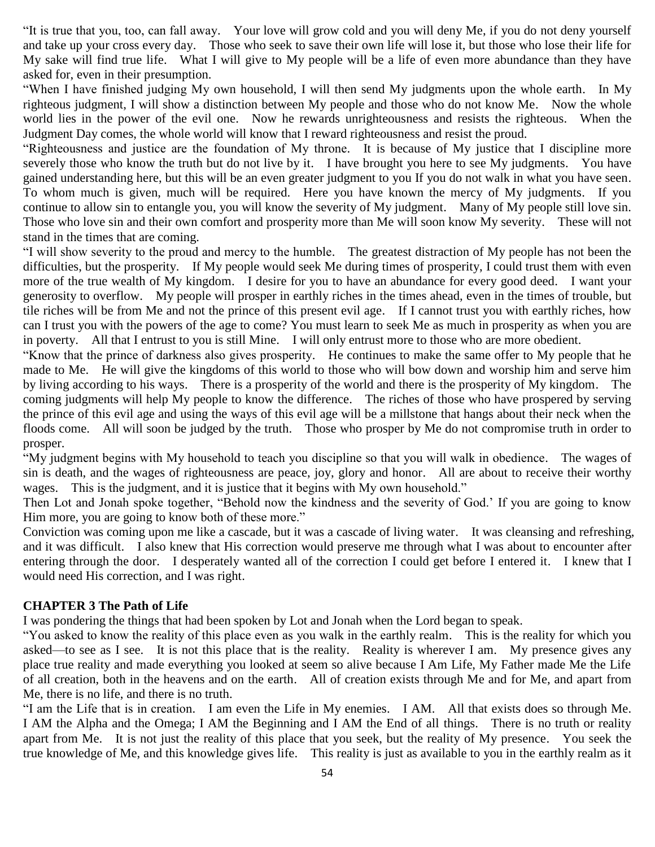"It is true that you, too, can fall away. Your love will grow cold and you will deny Me, if you do not deny yourself and take up your cross every day. Those who seek to save their own life will lose it, but those who lose their life for My sake will find true life. What I will give to My people will be a life of even more abundance than they have asked for, even in their presumption.

"When I have finished judging My own household, I will then send My judgments upon the whole earth. In My righteous judgment, I will show a distinction between My people and those who do not know Me. Now the whole world lies in the power of the evil one. Now he rewards unrighteousness and resists the righteous. When the Judgment Day comes, the whole world will know that I reward righteousness and resist the proud.

"Righteousness and justice are the foundation of My throne. It is because of My justice that I discipline more severely those who know the truth but do not live by it. I have brought you here to see My judgments. You have gained understanding here, but this will be an even greater judgment to you If you do not walk in what you have seen. To whom much is given, much will be required. Here you have known the mercy of My judgments. If you continue to allow sin to entangle you, you will know the severity of My judgment. Many of My people still love sin. Those who love sin and their own comfort and prosperity more than Me will soon know My severity. These will not stand in the times that are coming.

"I will show severity to the proud and mercy to the humble. The greatest distraction of My people has not been the difficulties, but the prosperity. If My people would seek Me during times of prosperity, I could trust them with even more of the true wealth of My kingdom. I desire for you to have an abundance for every good deed. I want your generosity to overflow. My people will prosper in earthly riches in the times ahead, even in the times of trouble, but tile riches will be from Me and not the prince of this present evil age. If I cannot trust you with earthly riches, how can I trust you with the powers of the age to come? You must learn to seek Me as much in prosperity as when you are in poverty. All that I entrust to you is still Mine. I will only entrust more to those who are more obedient.

"Know that the prince of darkness also gives prosperity. He continues to make the same offer to My people that he made to Me. He will give the kingdoms of this world to those who will bow down and worship him and serve him by living according to his ways. There is a prosperity of the world and there is the prosperity of My kingdom. The coming judgments will help My people to know the difference. The riches of those who have prospered by serving the prince of this evil age and using the ways of this evil age will be a millstone that hangs about their neck when the floods come. All will soon be judged by the truth. Those who prosper by Me do not compromise truth in order to prosper.

"My judgment begins with My household to teach you discipline so that you will walk in obedience. The wages of sin is death, and the wages of righteousness are peace, joy, glory and honor. All are about to receive their worthy wages. This is the judgment, and it is justice that it begins with My own household."

Then Lot and Jonah spoke together, "Behold now the kindness and the severity of God." If you are going to know Him more, you are going to know both of these more."

Conviction was coming upon me like a cascade, but it was a cascade of living water. It was cleansing and refreshing, and it was difficult. I also knew that His correction would preserve me through what I was about to encounter after entering through the door. I desperately wanted all of the correction I could get before I entered it. I knew that I would need His correction, and I was right.

## **CHAPTER 3 The Path of Life**

I was pondering the things that had been spoken by Lot and Jonah when the Lord began to speak.

"You asked to know the reality of this place even as you walk in the earthly realm. This is the reality for which you asked—to see as I see. It is not this place that is the reality. Reality is wherever I am. My presence gives any place true reality and made everything you looked at seem so alive because I Am Life, My Father made Me the Life of all creation, both in the heavens and on the earth. All of creation exists through Me and for Me, and apart from Me, there is no life, and there is no truth.

"I am the Life that is in creation. I am even the Life in My enemies. I AM. All that exists does so through Me. I AM the Alpha and the Omega; I AM the Beginning and I AM the End of all things. There is no truth or reality apart from Me. It is not just the reality of this place that you seek, but the reality of My presence. You seek the true knowledge of Me, and this knowledge gives life. This reality is just as available to you in the earthly realm as it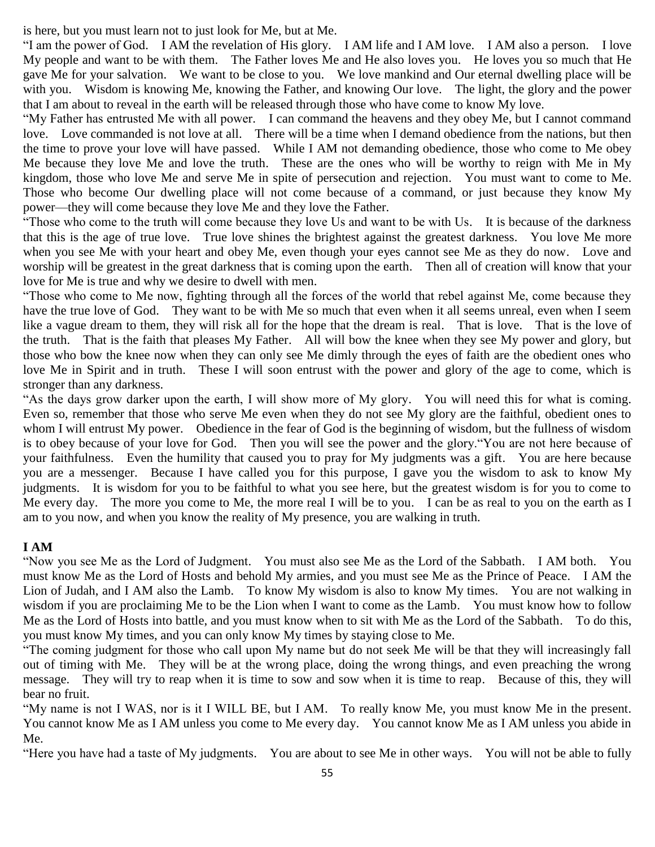is here, but you must learn not to just look for Me, but at Me.

"I am the power of God. I AM the revelation of His glory. I AM life and I AM love. I AM also a person. I love My people and want to be with them. The Father loves Me and He also loves you. He loves you so much that He gave Me for your salvation. We want to be close to you. We love mankind and Our eternal dwelling place will be with you. Wisdom is knowing Me, knowing the Father, and knowing Our love. The light, the glory and the power that I am about to reveal in the earth will be released through those who have come to know My love.

"My Father has entrusted Me with all power. I can command the heavens and they obey Me, but I cannot command love. Love commanded is not love at all. There will be a time when I demand obedience from the nations, but then the time to prove your love will have passed. While I AM not demanding obedience, those who come to Me obey Me because they love Me and love the truth. These are the ones who will be worthy to reign with Me in My kingdom, those who love Me and serve Me in spite of persecution and rejection. You must want to come to Me. Those who become Our dwelling place will not come because of a command, or just because they know My power—they will come because they love Me and they love the Father.

"Those who come to the truth will come because they love Us and want to be with Us. It is because of the darkness that this is the age of true love. True love shines the brightest against the greatest darkness. You love Me more when you see Me with your heart and obey Me, even though your eyes cannot see Me as they do now. Love and worship will be greatest in the great darkness that is coming upon the earth. Then all of creation will know that your love for Me is true and why we desire to dwell with men.

"Those who come to Me now, fighting through all the forces of the world that rebel against Me, come because they have the true love of God. They want to be with Me so much that even when it all seems unreal, even when I seem like a vague dream to them, they will risk all for the hope that the dream is real. That is love. That is the love of the truth. That is the faith that pleases My Father. All will bow the knee when they see My power and glory, but those who bow the knee now when they can only see Me dimly through the eyes of faith are the obedient ones who love Me in Spirit and in truth. These I will soon entrust with the power and glory of the age to come, which is stronger than any darkness.

"As the days grow darker upon the earth, I will show more of My glory. You will need this for what is coming. Even so, remember that those who serve Me even when they do not see My glory are the faithful, obedient ones to whom I will entrust My power. Obedience in the fear of God is the beginning of wisdom, but the fullness of wisdom is to obey because of your love for God. Then you will see the power and the glory."You are not here because of your faithfulness. Even the humility that caused you to pray for My judgments was a gift. You are here because you are a messenger. Because I have called you for this purpose, I gave you the wisdom to ask to know My judgments. It is wisdom for you to be faithful to what you see here, but the greatest wisdom is for you to come to Me every day. The more you come to Me, the more real I will be to you. I can be as real to you on the earth as I am to you now, and when you know the reality of My presence, you are walking in truth.

# **I AM**

"Now you see Me as the Lord of Judgment. You must also see Me as the Lord of the Sabbath. I AM both. You must know Me as the Lord of Hosts and behold My armies, and you must see Me as the Prince of Peace. I AM the Lion of Judah, and I AM also the Lamb. To know My wisdom is also to know My times. You are not walking in wisdom if you are proclaiming Me to be the Lion when I want to come as the Lamb. You must know how to follow Me as the Lord of Hosts into battle, and you must know when to sit with Me as the Lord of the Sabbath. To do this, you must know My times, and you can only know My times by staying close to Me.

"The coming judgment for those who call upon My name but do not seek Me will be that they will increasingly fall out of timing with Me. They will be at the wrong place, doing the wrong things, and even preaching the wrong message. They will try to reap when it is time to sow and sow when it is time to reap. Because of this, they will bear no fruit.

"My name is not I WAS, nor is it I WILL BE, but I AM. To really know Me, you must know Me in the present. You cannot know Me as I AM unless you come to Me every day. You cannot know Me as I AM unless you abide in Me.

"Here you have had a taste of My judgments. You are about to see Me in other ways. You will not be able to fully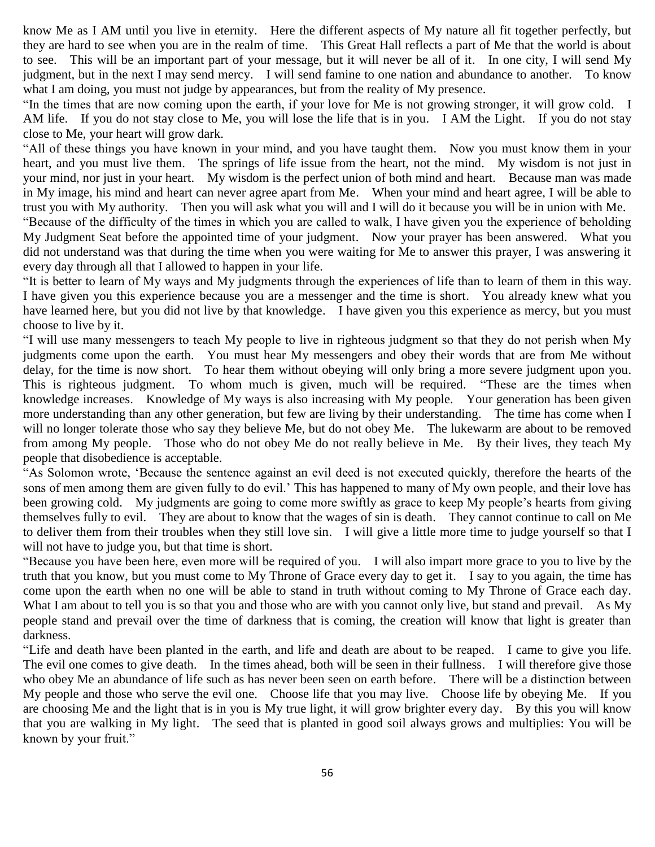know Me as I AM until you live in eternity. Here the different aspects of My nature all fit together perfectly, but they are hard to see when you are in the realm of time. This Great Hall reflects a part of Me that the world is about to see. This will be an important part of your message, but it will never be all of it. In one city, I will send My judgment, but in the next I may send mercy. I will send famine to one nation and abundance to another. To know what I am doing, you must not judge by appearances, but from the reality of My presence.

"In the times that are now coming upon the earth, if your love for Me is not growing stronger, it will grow cold. I AM life. If you do not stay close to Me, you will lose the life that is in you. I AM the Light. If you do not stay close to Me, your heart will grow dark.

"All of these things you have known in your mind, and you have taught them. Now you must know them in your heart, and you must live them. The springs of life issue from the heart, not the mind. My wisdom is not just in your mind, nor just in your heart. My wisdom is the perfect union of both mind and heart. Because man was made in My image, his mind and heart can never agree apart from Me. When your mind and heart agree, I will be able to trust you with My authority. Then you will ask what you will and I will do it because you will be in union with Me.

"Because of the difficulty of the times in which you are called to walk, I have given you the experience of beholding My Judgment Seat before the appointed time of your judgment. Now your prayer has been answered. What you did not understand was that during the time when you were waiting for Me to answer this prayer, I was answering it every day through all that I allowed to happen in your life.

"It is better to learn of My ways and My judgments through the experiences of life than to learn of them in this way. I have given you this experience because you are a messenger and the time is short. You already knew what you have learned here, but you did not live by that knowledge. I have given you this experience as mercy, but you must choose to live by it.

"I will use many messengers to teach My people to live in righteous judgment so that they do not perish when My judgments come upon the earth. You must hear My messengers and obey their words that are from Me without delay, for the time is now short. To hear them without obeying will only bring a more severe judgment upon you. This is righteous judgment. To whom much is given, much will be required. "These are the times when knowledge increases. Knowledge of My ways is also increasing with My people. Your generation has been given more understanding than any other generation, but few are living by their understanding. The time has come when I will no longer tolerate those who say they believe Me, but do not obey Me. The lukewarm are about to be removed from among My people. Those who do not obey Me do not really believe in Me. By their lives, they teach My people that disobedience is acceptable.

"As Solomon wrote, "Because the sentence against an evil deed is not executed quickly, therefore the hearts of the sons of men among them are given fully to do evil.' This has happened to many of My own people, and their love has been growing cold. My judgments are going to come more swiftly as grace to keep My people"s hearts from giving themselves fully to evil. They are about to know that the wages of sin is death. They cannot continue to call on Me to deliver them from their troubles when they still love sin. I will give a little more time to judge yourself so that I will not have to judge you, but that time is short.

"Because you have been here, even more will be required of you. I will also impart more grace to you to live by the truth that you know, but you must come to My Throne of Grace every day to get it. I say to you again, the time has come upon the earth when no one will be able to stand in truth without coming to My Throne of Grace each day. What I am about to tell you is so that you and those who are with you cannot only live, but stand and prevail. As My people stand and prevail over the time of darkness that is coming, the creation will know that light is greater than darkness.

"Life and death have been planted in the earth, and life and death are about to be reaped. I came to give you life. The evil one comes to give death. In the times ahead, both will be seen in their fullness. I will therefore give those who obey Me an abundance of life such as has never been seen on earth before. There will be a distinction between My people and those who serve the evil one. Choose life that you may live. Choose life by obeying Me. If you are choosing Me and the light that is in you is My true light, it will grow brighter every day. By this you will know that you are walking in My light. The seed that is planted in good soil always grows and multiplies: You will be known by your fruit."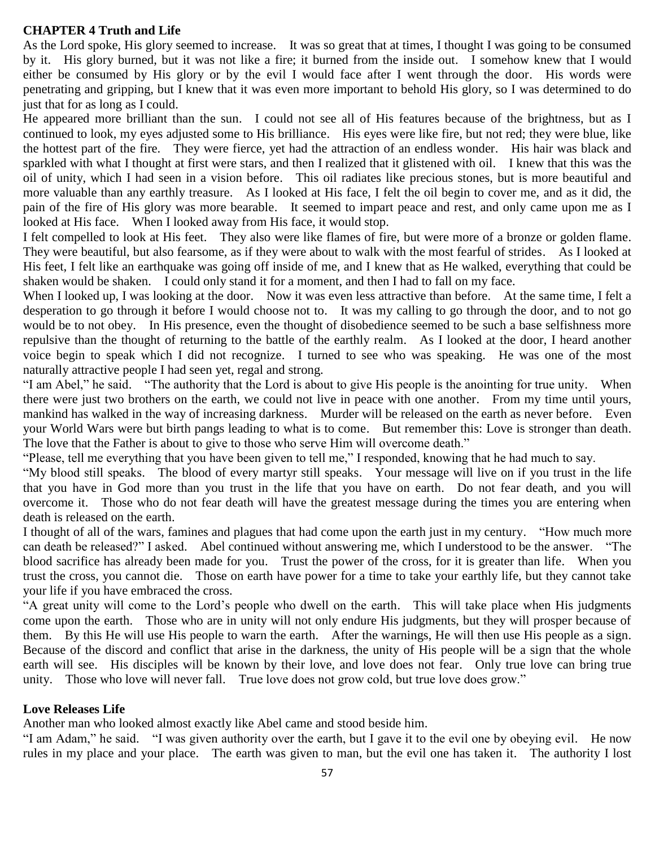## **CHAPTER 4 Truth and Life**

As the Lord spoke, His glory seemed to increase. It was so great that at times, I thought I was going to be consumed by it. His glory burned, but it was not like a fire; it burned from the inside out. I somehow knew that I would either be consumed by His glory or by the evil I would face after I went through the door. His words were penetrating and gripping, but I knew that it was even more important to behold His glory, so I was determined to do just that for as long as I could.

He appeared more brilliant than the sun. I could not see all of His features because of the brightness, but as I continued to look, my eyes adjusted some to His brilliance. His eyes were like fire, but not red; they were blue, like the hottest part of the fire. They were fierce, yet had the attraction of an endless wonder. His hair was black and sparkled with what I thought at first were stars, and then I realized that it glistened with oil. I knew that this was the oil of unity, which I had seen in a vision before. This oil radiates like precious stones, but is more beautiful and more valuable than any earthly treasure. As I looked at His face, I felt the oil begin to cover me, and as it did, the pain of the fire of His glory was more bearable. It seemed to impart peace and rest, and only came upon me as I looked at His face. When I looked away from His face, it would stop.

I felt compelled to look at His feet. They also were like flames of fire, but were more of a bronze or golden flame. They were beautiful, but also fearsome, as if they were about to walk with the most fearful of strides. As I looked at His feet, I felt like an earthquake was going off inside of me, and I knew that as He walked, everything that could be shaken would be shaken. I could only stand it for a moment, and then I had to fall on my face.

When I looked up, I was looking at the door. Now it was even less attractive than before. At the same time, I felt a desperation to go through it before I would choose not to. It was my calling to go through the door, and to not go would be to not obey. In His presence, even the thought of disobedience seemed to be such a base selfishness more repulsive than the thought of returning to the battle of the earthly realm. As I looked at the door, I heard another voice begin to speak which I did not recognize. I turned to see who was speaking. He was one of the most naturally attractive people I had seen yet, regal and strong.

"I am Abel," he said. "The authority that the Lord is about to give His people is the anointing for true unity. When there were just two brothers on the earth, we could not live in peace with one another. From my time until yours, mankind has walked in the way of increasing darkness. Murder will be released on the earth as never before. Even your World Wars were but birth pangs leading to what is to come. But remember this: Love is stronger than death. The love that the Father is about to give to those who serve Him will overcome death."

"Please, tell me everything that you have been given to tell me," I responded, knowing that he had much to say.

"My blood still speaks. The blood of every martyr still speaks. Your message will live on if you trust in the life that you have in God more than you trust in the life that you have on earth. Do not fear death, and you will overcome it. Those who do not fear death will have the greatest message during the times you are entering when death is released on the earth.

I thought of all of the wars, famines and plagues that had come upon the earth just in my century. "How much more can death be released?" I asked. Abel continued without answering me, which I understood to be the answer. "The blood sacrifice has already been made for you. Trust the power of the cross, for it is greater than life. When you trust the cross, you cannot die. Those on earth have power for a time to take your earthly life, but they cannot take your life if you have embraced the cross.

"A great unity will come to the Lord"s people who dwell on the earth. This will take place when His judgments come upon the earth. Those who are in unity will not only endure His judgments, but they will prosper because of them. By this He will use His people to warn the earth. After the warnings, He will then use His people as a sign. Because of the discord and conflict that arise in the darkness, the unity of His people will be a sign that the whole earth will see. His disciples will be known by their love, and love does not fear. Only true love can bring true unity. Those who love will never fall. True love does not grow cold, but true love does grow."

## **Love Releases Life**

Another man who looked almost exactly like Abel came and stood beside him.

"I am Adam," he said. "I was given authority over the earth, but I gave it to the evil one by obeying evil. He now rules in my place and your place. The earth was given to man, but the evil one has taken it. The authority I lost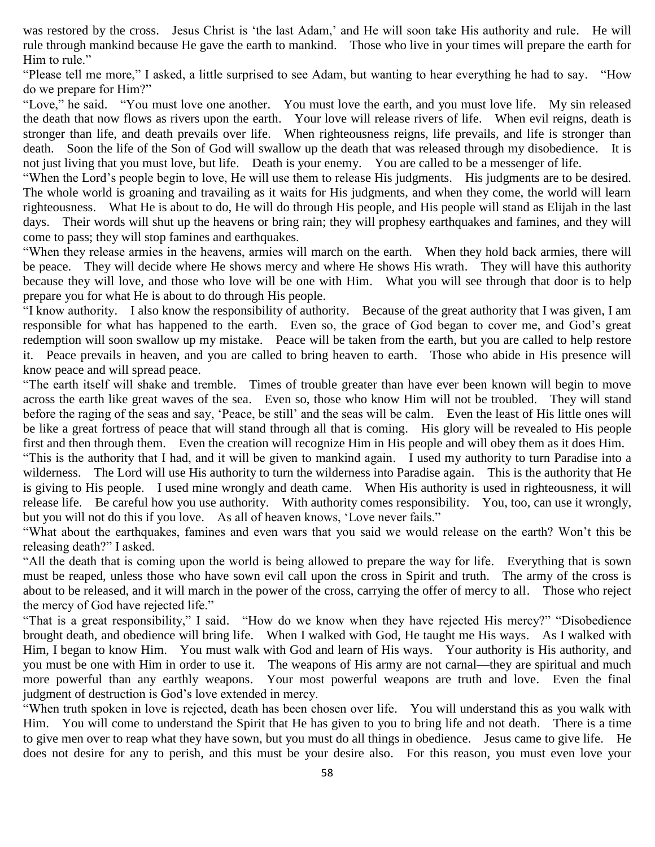was restored by the cross. Jesus Christ is 'the last Adam,' and He will soon take His authority and rule. He will rule through mankind because He gave the earth to mankind. Those who live in your times will prepare the earth for Him to rule."

"Please tell me more," I asked, a little surprised to see Adam, but wanting to hear everything he had to say. "How do we prepare for Him?"

"Love," he said. "You must love one another. You must love the earth, and you must love life. My sin released the death that now flows as rivers upon the earth. Your love will release rivers of life. When evil reigns, death is stronger than life, and death prevails over life. When righteousness reigns, life prevails, and life is stronger than death. Soon the life of the Son of God will swallow up the death that was released through my disobedience. It is not just living that you must love, but life. Death is your enemy. You are called to be a messenger of life.

"When the Lord"s people begin to love, He will use them to release His judgments. His judgments are to be desired. The whole world is groaning and travailing as it waits for His judgments, and when they come, the world will learn righteousness. What He is about to do, He will do through His people, and His people will stand as Elijah in the last days. Their words will shut up the heavens or bring rain; they will prophesy earthquakes and famines, and they will come to pass; they will stop famines and earthquakes.

"When they release armies in the heavens, armies will march on the earth. When they hold back armies, there will be peace. They will decide where He shows mercy and where He shows His wrath. They will have this authority because they will love, and those who love will be one with Him. What you will see through that door is to help prepare you for what He is about to do through His people.

"I know authority. I also know the responsibility of authority. Because of the great authority that I was given, I am responsible for what has happened to the earth. Even so, the grace of God began to cover me, and God"s great redemption will soon swallow up my mistake. Peace will be taken from the earth, but you are called to help restore it. Peace prevails in heaven, and you are called to bring heaven to earth. Those who abide in His presence will know peace and will spread peace.

"The earth itself will shake and tremble. Times of trouble greater than have ever been known will begin to move across the earth like great waves of the sea. Even so, those who know Him will not be troubled. They will stand before the raging of the seas and say, "Peace, be still" and the seas will be calm. Even the least of His little ones will be like a great fortress of peace that will stand through all that is coming. His glory will be revealed to His people first and then through them. Even the creation will recognize Him in His people and will obey them as it does Him.

"This is the authority that I had, and it will be given to mankind again. I used my authority to turn Paradise into a wilderness. The Lord will use His authority to turn the wilderness into Paradise again. This is the authority that He is giving to His people. I used mine wrongly and death came. When His authority is used in righteousness, it will release life. Be careful how you use authority. With authority comes responsibility. You, too, can use it wrongly, but you will not do this if you love. As all of heaven knows, "Love never fails."

"What about the earthquakes, famines and even wars that you said we would release on the earth? Won"t this be releasing death?" I asked.

"All the death that is coming upon the world is being allowed to prepare the way for life. Everything that is sown must be reaped, unless those who have sown evil call upon the cross in Spirit and truth. The army of the cross is about to be released, and it will march in the power of the cross, carrying the offer of mercy to all. Those who reject the mercy of God have rejected life."

"That is a great responsibility," I said. "How do we know when they have rejected His mercy?" "Disobedience brought death, and obedience will bring life. When I walked with God, He taught me His ways. As I walked with Him, I began to know Him. You must walk with God and learn of His ways. Your authority is His authority, and you must be one with Him in order to use it. The weapons of His army are not carnal—they are spiritual and much more powerful than any earthly weapons. Your most powerful weapons are truth and love. Even the final judgment of destruction is God's love extended in mercy.

"When truth spoken in love is rejected, death has been chosen over life. You will understand this as you walk with Him. You will come to understand the Spirit that He has given to you to bring life and not death. There is a time to give men over to reap what they have sown, but you must do all things in obedience. Jesus came to give life. He does not desire for any to perish, and this must be your desire also. For this reason, you must even love your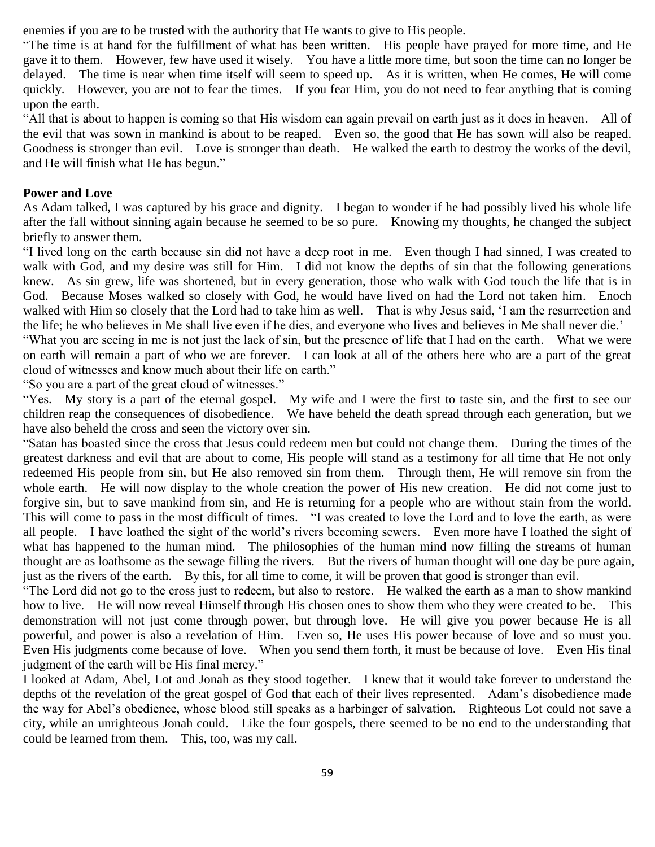enemies if you are to be trusted with the authority that He wants to give to His people.

"The time is at hand for the fulfillment of what has been written. His people have prayed for more time, and He gave it to them. However, few have used it wisely. You have a little more time, but soon the time can no longer be delayed. The time is near when time itself will seem to speed up. As it is written, when He comes, He will come quickly. However, you are not to fear the times. If you fear Him, you do not need to fear anything that is coming upon the earth.

"All that is about to happen is coming so that His wisdom can again prevail on earth just as it does in heaven. All of the evil that was sown in mankind is about to be reaped. Even so, the good that He has sown will also be reaped. Goodness is stronger than evil. Love is stronger than death. He walked the earth to destroy the works of the devil, and He will finish what He has begun."

## **Power and Love**

As Adam talked, I was captured by his grace and dignity. I began to wonder if he had possibly lived his whole life after the fall without sinning again because he seemed to be so pure. Knowing my thoughts, he changed the subject briefly to answer them.

"I lived long on the earth because sin did not have a deep root in me. Even though I had sinned, I was created to walk with God, and my desire was still for Him. I did not know the depths of sin that the following generations knew. As sin grew, life was shortened, but in every generation, those who walk with God touch the life that is in God. Because Moses walked so closely with God, he would have lived on had the Lord not taken him. Enoch walked with Him so closely that the Lord had to take him as well. That is why Jesus said, 'I am the resurrection and the life; he who believes in Me shall live even if he dies, and everyone who lives and believes in Me shall never die."

"What you are seeing in me is not just the lack of sin, but the presence of life that I had on the earth. What we were on earth will remain a part of who we are forever. I can look at all of the others here who are a part of the great cloud of witnesses and know much about their life on earth."

"So you are a part of the great cloud of witnesses."

"Yes. My story is a part of the eternal gospel. My wife and I were the first to taste sin, and the first to see our children reap the consequences of disobedience. We have beheld the death spread through each generation, but we have also beheld the cross and seen the victory over sin.

"Satan has boasted since the cross that Jesus could redeem men but could not change them. During the times of the greatest darkness and evil that are about to come, His people will stand as a testimony for all time that He not only redeemed His people from sin, but He also removed sin from them. Through them, He will remove sin from the whole earth. He will now display to the whole creation the power of His new creation. He did not come just to forgive sin, but to save mankind from sin, and He is returning for a people who are without stain from the world. This will come to pass in the most difficult of times. "I was created to love the Lord and to love the earth, as were all people. I have loathed the sight of the world"s rivers becoming sewers. Even more have I loathed the sight of what has happened to the human mind. The philosophies of the human mind now filling the streams of human thought are as loathsome as the sewage filling the rivers. But the rivers of human thought will one day be pure again, just as the rivers of the earth. By this, for all time to come, it will be proven that good is stronger than evil.

"The Lord did not go to the cross just to redeem, but also to restore. He walked the earth as a man to show mankind how to live. He will now reveal Himself through His chosen ones to show them who they were created to be. This demonstration will not just come through power, but through love. He will give you power because He is all powerful, and power is also a revelation of Him. Even so, He uses His power because of love and so must you. Even His judgments come because of love. When you send them forth, it must be because of love. Even His final judgment of the earth will be His final mercy."

I looked at Adam, Abel, Lot and Jonah as they stood together. I knew that it would take forever to understand the depths of the revelation of the great gospel of God that each of their lives represented. Adam"s disobedience made the way for Abel"s obedience, whose blood still speaks as a harbinger of salvation. Righteous Lot could not save a city, while an unrighteous Jonah could. Like the four gospels, there seemed to be no end to the understanding that could be learned from them. This, too, was my call.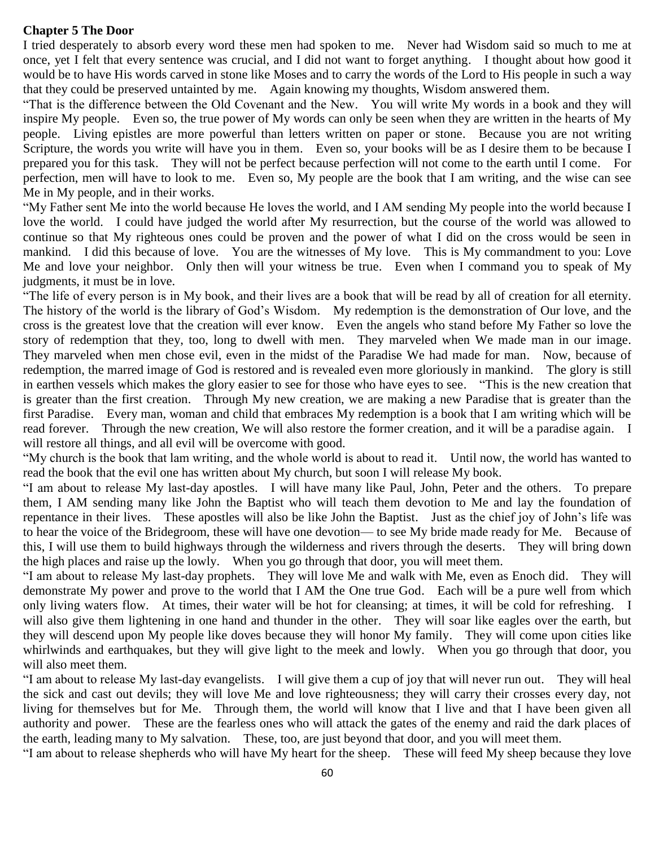## **Chapter 5 The Door**

I tried desperately to absorb every word these men had spoken to me. Never had Wisdom said so much to me at once, yet I felt that every sentence was crucial, and I did not want to forget anything. I thought about how good it would be to have His words carved in stone like Moses and to carry the words of the Lord to His people in such a way that they could be preserved untainted by me. Again knowing my thoughts, Wisdom answered them.

"That is the difference between the Old Covenant and the New. You will write My words in a book and they will inspire My people. Even so, the true power of My words can only be seen when they are written in the hearts of My people. Living epistles are more powerful than letters written on paper or stone. Because you are not writing Scripture, the words you write will have you in them. Even so, your books will be as I desire them to be because I prepared you for this task. They will not be perfect because perfection will not come to the earth until I come. For perfection, men will have to look to me. Even so, My people are the book that I am writing, and the wise can see Me in My people, and in their works.

"My Father sent Me into the world because He loves the world, and I AM sending My people into the world because I love the world. I could have judged the world after My resurrection, but the course of the world was allowed to continue so that My righteous ones could be proven and the power of what I did on the cross would be seen in mankind. I did this because of love. You are the witnesses of My love. This is My commandment to you: Love Me and love your neighbor. Only then will your witness be true. Even when I command you to speak of My judgments, it must be in love.

"The life of every person is in My book, and their lives are a book that will be read by all of creation for all eternity. The history of the world is the library of God"s Wisdom. My redemption is the demonstration of Our love, and the cross is the greatest love that the creation will ever know. Even the angels who stand before My Father so love the story of redemption that they, too, long to dwell with men. They marveled when We made man in our image. They marveled when men chose evil, even in the midst of the Paradise We had made for man. Now, because of redemption, the marred image of God is restored and is revealed even more gloriously in mankind. The glory is still in earthen vessels which makes the glory easier to see for those who have eyes to see. "This is the new creation that is greater than the first creation. Through My new creation, we are making a new Paradise that is greater than the first Paradise. Every man, woman and child that embraces My redemption is a book that I am writing which will be read forever. Through the new creation, We will also restore the former creation, and it will be a paradise again. I will restore all things, and all evil will be overcome with good.

"My church is the book that lam writing, and the whole world is about to read it. Until now, the world has wanted to read the book that the evil one has written about My church, but soon I will release My book.

"I am about to release My last-day apostles. I will have many like Paul, John, Peter and the others. To prepare them, I AM sending many like John the Baptist who will teach them devotion to Me and lay the foundation of repentance in their lives. These apostles will also be like John the Baptist. Just as the chief joy of John"s life was to hear the voice of the Bridegroom, these will have one devotion— to see My bride made ready for Me. Because of this, I will use them to build highways through the wilderness and rivers through the deserts. They will bring down the high places and raise up the lowly. When you go through that door, you will meet them.

"I am about to release My last-day prophets. They will love Me and walk with Me, even as Enoch did. They will demonstrate My power and prove to the world that I AM the One true God. Each will be a pure well from which only living waters flow. At times, their water will be hot for cleansing; at times, it will be cold for refreshing. I will also give them lightening in one hand and thunder in the other. They will soar like eagles over the earth, but they will descend upon My people like doves because they will honor My family. They will come upon cities like whirlwinds and earthquakes, but they will give light to the meek and lowly. When you go through that door, you will also meet them.

"I am about to release My last-day evangelists. I will give them a cup of joy that will never run out. They will heal the sick and cast out devils; they will love Me and love righteousness; they will carry their crosses every day, not living for themselves but for Me. Through them, the world will know that I live and that I have been given all authority and power. These are the fearless ones who will attack the gates of the enemy and raid the dark places of the earth, leading many to My salvation. These, too, are just beyond that door, and you will meet them.

"I am about to release shepherds who will have My heart for the sheep. These will feed My sheep because they love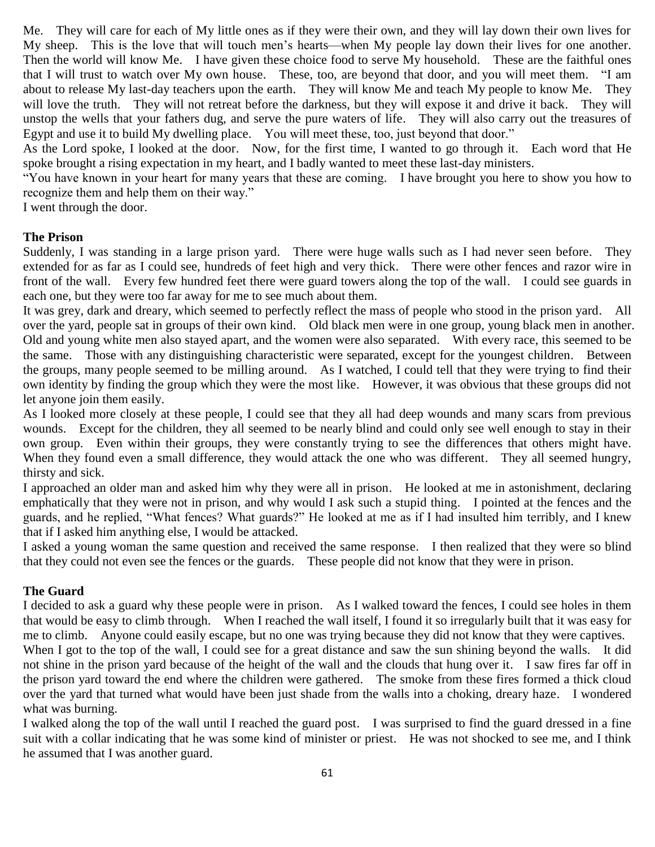Me. They will care for each of My little ones as if they were their own, and they will lay down their own lives for My sheep. This is the love that will touch men"s hearts—when My people lay down their lives for one another. Then the world will know Me. I have given these choice food to serve My household. These are the faithful ones that I will trust to watch over My own house. These, too, are beyond that door, and you will meet them. "I am about to release My last-day teachers upon the earth. They will know Me and teach My people to know Me. They will love the truth. They will not retreat before the darkness, but they will expose it and drive it back. They will unstop the wells that your fathers dug, and serve the pure waters of life. They will also carry out the treasures of Egypt and use it to build My dwelling place. You will meet these, too, just beyond that door."

As the Lord spoke, I looked at the door. Now, for the first time, I wanted to go through it. Each word that He spoke brought a rising expectation in my heart, and I badly wanted to meet these last-day ministers.

"You have known in your heart for many years that these are coming. I have brought you here to show you how to recognize them and help them on their way."

I went through the door.

## **The Prison**

Suddenly, I was standing in a large prison yard. There were huge walls such as I had never seen before. They extended for as far as I could see, hundreds of feet high and very thick. There were other fences and razor wire in front of the wall. Every few hundred feet there were guard towers along the top of the wall. I could see guards in each one, but they were too far away for me to see much about them.

It was grey, dark and dreary, which seemed to perfectly reflect the mass of people who stood in the prison yard. All over the yard, people sat in groups of their own kind. Old black men were in one group, young black men in another. Old and young white men also stayed apart, and the women were also separated. With every race, this seemed to be the same. Those with any distinguishing characteristic were separated, except for the youngest children. Between the groups, many people seemed to be milling around. As I watched, I could tell that they were trying to find their own identity by finding the group which they were the most like. However, it was obvious that these groups did not let anyone join them easily.

As I looked more closely at these people, I could see that they all had deep wounds and many scars from previous wounds. Except for the children, they all seemed to be nearly blind and could only see well enough to stay in their own group. Even within their groups, they were constantly trying to see the differences that others might have. When they found even a small difference, they would attack the one who was different. They all seemed hungry, thirsty and sick.

I approached an older man and asked him why they were all in prison. He looked at me in astonishment, declaring emphatically that they were not in prison, and why would I ask such a stupid thing. I pointed at the fences and the guards, and he replied, "What fences? What guards?" He looked at me as if I had insulted him terribly, and I knew that if I asked him anything else, I would be attacked.

I asked a young woman the same question and received the same response. I then realized that they were so blind that they could not even see the fences or the guards. These people did not know that they were in prison.

# **The Guard**

I decided to ask a guard why these people were in prison. As I walked toward the fences, I could see holes in them that would be easy to climb through. When I reached the wall itself, I found it so irregularly built that it was easy for me to climb. Anyone could easily escape, but no one was trying because they did not know that they were captives.

When I got to the top of the wall, I could see for a great distance and saw the sun shining beyond the walls. It did not shine in the prison yard because of the height of the wall and the clouds that hung over it. I saw fires far off in the prison yard toward the end where the children were gathered. The smoke from these fires formed a thick cloud over the yard that turned what would have been just shade from the walls into a choking, dreary haze. I wondered what was burning.

I walked along the top of the wall until I reached the guard post. I was surprised to find the guard dressed in a fine suit with a collar indicating that he was some kind of minister or priest. He was not shocked to see me, and I think he assumed that I was another guard.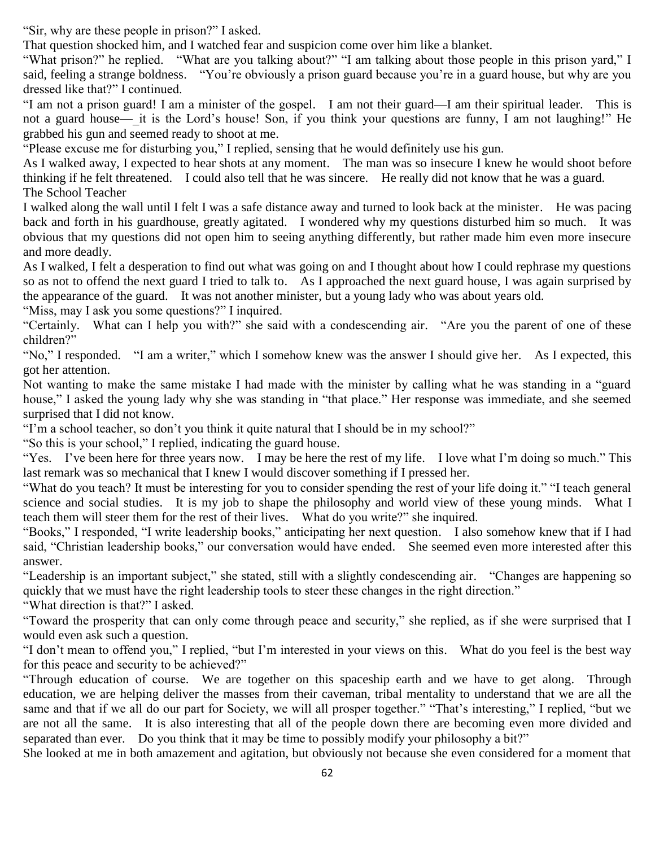"Sir, why are these people in prison?" I asked.

That question shocked him, and I watched fear and suspicion come over him like a blanket.

"What prison?" he replied. "What are you talking about?" "I am talking about those people in this prison yard," I said, feeling a strange boldness. "You"re obviously a prison guard because you"re in a guard house, but why are you dressed like that?" I continued.

"I am not a prison guard! I am a minister of the gospel. I am not their guard—I am their spiritual leader. This is not a guard house— it is the Lord's house! Son, if you think your questions are funny, I am not laughing!" He grabbed his gun and seemed ready to shoot at me.

"Please excuse me for disturbing you," I replied, sensing that he would definitely use his gun.

As I walked away, I expected to hear shots at any moment. The man was so insecure I knew he would shoot before thinking if he felt threatened. I could also tell that he was sincere. He really did not know that he was a guard. The School Teacher

I walked along the wall until I felt I was a safe distance away and turned to look back at the minister. He was pacing back and forth in his guardhouse, greatly agitated. I wondered why my questions disturbed him so much. It was obvious that my questions did not open him to seeing anything differently, but rather made him even more insecure and more deadly.

As I walked, I felt a desperation to find out what was going on and I thought about how I could rephrase my questions so as not to offend the next guard I tried to talk to. As I approached the next guard house, I was again surprised by the appearance of the guard. It was not another minister, but a young lady who was about years old.

"Miss, may I ask you some questions?" I inquired.

"Certainly. What can I help you with?" she said with a condescending air. "Are you the parent of one of these children?"

"No," I responded. "I am a writer," which I somehow knew was the answer I should give her. As I expected, this got her attention.

Not wanting to make the same mistake I had made with the minister by calling what he was standing in a "guard house," I asked the young lady why she was standing in "that place." Her response was immediate, and she seemed surprised that I did not know.

"I'm a school teacher, so don't you think it quite natural that I should be in my school?"

"So this is your school," I replied, indicating the guard house.

"Yes. I've been here for three years now. I may be here the rest of my life. I love what I'm doing so much." This last remark was so mechanical that I knew I would discover something if I pressed her.

"What do you teach? It must be interesting for you to consider spending the rest of your life doing it." "I teach general science and social studies. It is my job to shape the philosophy and world view of these young minds. What I teach them will steer them for the rest of their lives. What do you write?" she inquired.

"Books," I responded, "I write leadership books," anticipating her next question. I also somehow knew that if I had said, "Christian leadership books," our conversation would have ended. She seemed even more interested after this answer.

"Leadership is an important subject," she stated, still with a slightly condescending air. "Changes are happening so quickly that we must have the right leadership tools to steer these changes in the right direction."

"What direction is that?" I asked.

"Toward the prosperity that can only come through peace and security," she replied, as if she were surprised that I would even ask such a question.

"I don"t mean to offend you," I replied, "but I"m interested in your views on this. What do you feel is the best way for this peace and security to be achieved?"

"Through education of course. We are together on this spaceship earth and we have to get along. Through education, we are helping deliver the masses from their caveman, tribal mentality to understand that we are all the same and that if we all do our part for Society, we will all prosper together." "That's interesting," I replied, "but we are not all the same. It is also interesting that all of the people down there are becoming even more divided and separated than ever. Do you think that it may be time to possibly modify your philosophy a bit?"

She looked at me in both amazement and agitation, but obviously not because she even considered for a moment that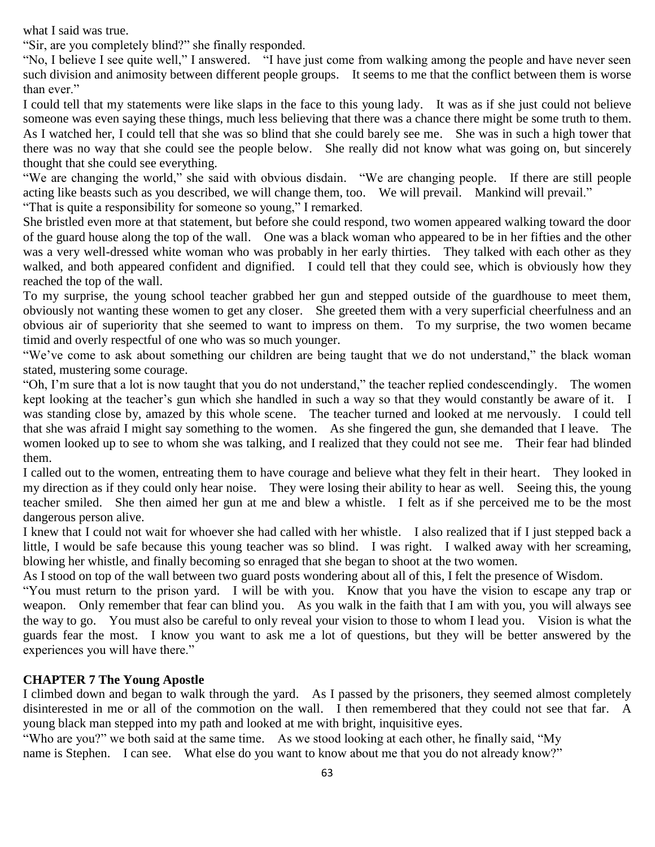what I said was true.

"Sir, are you completely blind?" she finally responded.

"No, I believe I see quite well," I answered. "I have just come from walking among the people and have never seen such division and animosity between different people groups. It seems to me that the conflict between them is worse than ever."

I could tell that my statements were like slaps in the face to this young lady. It was as if she just could not believe someone was even saying these things, much less believing that there was a chance there might be some truth to them. As I watched her, I could tell that she was so blind that she could barely see me. She was in such a high tower that there was no way that she could see the people below. She really did not know what was going on, but sincerely thought that she could see everything.

"We are changing the world," she said with obvious disdain. "We are changing people. If there are still people acting like beasts such as you described, we will change them, too. We will prevail. Mankind will prevail." "That is quite a responsibility for someone so young," I remarked.

She bristled even more at that statement, but before she could respond, two women appeared walking toward the door of the guard house along the top of the wall. One was a black woman who appeared to be in her fifties and the other was a very well-dressed white woman who was probably in her early thirties. They talked with each other as they walked, and both appeared confident and dignified. I could tell that they could see, which is obviously how they reached the top of the wall.

To my surprise, the young school teacher grabbed her gun and stepped outside of the guardhouse to meet them, obviously not wanting these women to get any closer. She greeted them with a very superficial cheerfulness and an obvious air of superiority that she seemed to want to impress on them. To my surprise, the two women became timid and overly respectful of one who was so much younger.

"We"ve come to ask about something our children are being taught that we do not understand," the black woman stated, mustering some courage.

"Oh, I"m sure that a lot is now taught that you do not understand," the teacher replied condescendingly. The women kept looking at the teacher's gun which she handled in such a way so that they would constantly be aware of it. I was standing close by, amazed by this whole scene. The teacher turned and looked at me nervously. I could tell that she was afraid I might say something to the women. As she fingered the gun, she demanded that I leave. The women looked up to see to whom she was talking, and I realized that they could not see me. Their fear had blinded them.

I called out to the women, entreating them to have courage and believe what they felt in their heart. They looked in my direction as if they could only hear noise. They were losing their ability to hear as well. Seeing this, the young teacher smiled. She then aimed her gun at me and blew a whistle. I felt as if she perceived me to be the most dangerous person alive.

I knew that I could not wait for whoever she had called with her whistle. I also realized that if I just stepped back a little, I would be safe because this young teacher was so blind. I was right. I walked away with her screaming, blowing her whistle, and finally becoming so enraged that she began to shoot at the two women.

As I stood on top of the wall between two guard posts wondering about all of this, I felt the presence of Wisdom.

"You must return to the prison yard. I will be with you. Know that you have the vision to escape any trap or weapon. Only remember that fear can blind you. As you walk in the faith that I am with you, you will always see the way to go. You must also be careful to only reveal your vision to those to whom I lead you. Vision is what the guards fear the most. I know you want to ask me a lot of questions, but they will be better answered by the experiences you will have there."

# **CHAPTER 7 The Young Apostle**

I climbed down and began to walk through the yard. As I passed by the prisoners, they seemed almost completely disinterested in me or all of the commotion on the wall. I then remembered that they could not see that far. A young black man stepped into my path and looked at me with bright, inquisitive eyes.

"Who are you?" we both said at the same time. As we stood looking at each other, he finally said, "My name is Stephen. I can see. What else do you want to know about me that you do not already know?"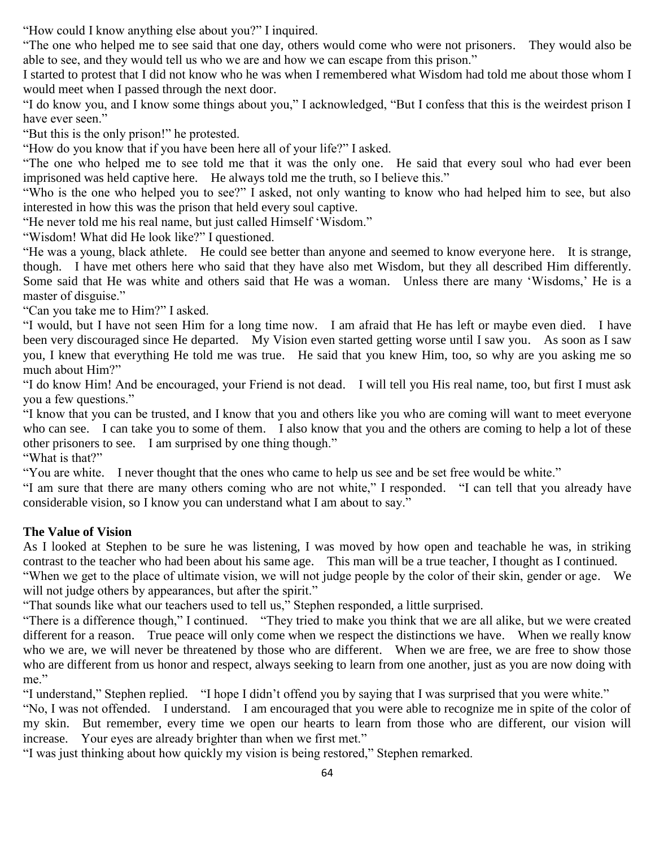"How could I know anything else about you?" I inquired.

"The one who helped me to see said that one day, others would come who were not prisoners. They would also be able to see, and they would tell us who we are and how we can escape from this prison."

I started to protest that I did not know who he was when I remembered what Wisdom had told me about those whom I would meet when I passed through the next door.

"I do know you, and I know some things about you," I acknowledged, "But I confess that this is the weirdest prison I have ever seen."

"But this is the only prison!" he protested.

"How do you know that if you have been here all of your life?" I asked.

"The one who helped me to see told me that it was the only one. He said that every soul who had ever been imprisoned was held captive here. He always told me the truth, so I believe this."

"Who is the one who helped you to see?" I asked, not only wanting to know who had helped him to see, but also interested in how this was the prison that held every soul captive.

"He never told me his real name, but just called Himself "Wisdom."

"Wisdom! What did He look like?" I questioned.

"He was a young, black athlete. He could see better than anyone and seemed to know everyone here. It is strange, though. I have met others here who said that they have also met Wisdom, but they all described Him differently. Some said that He was white and others said that He was a woman. Unless there are many "Wisdoms," He is a master of disguise."

"Can you take me to Him?" I asked.

"I would, but I have not seen Him for a long time now. I am afraid that He has left or maybe even died. I have been very discouraged since He departed. My Vision even started getting worse until I saw you. As soon as I saw you, I knew that everything He told me was true. He said that you knew Him, too, so why are you asking me so much about Him?"

"I do know Him! And be encouraged, your Friend is not dead. I will tell you His real name, too, but first I must ask you a few questions."

"I know that you can be trusted, and I know that you and others like you who are coming will want to meet everyone who can see. I can take you to some of them. I also know that you and the others are coming to help a lot of these other prisoners to see. I am surprised by one thing though."

"What is that?"

"You are white. I never thought that the ones who came to help us see and be set free would be white."

"I am sure that there are many others coming who are not white," I responded. "I can tell that you already have considerable vision, so I know you can understand what I am about to say."

# **The Value of Vision**

As I looked at Stephen to be sure he was listening, I was moved by how open and teachable he was, in striking contrast to the teacher who had been about his same age. This man will be a true teacher, I thought as I continued.

"When we get to the place of ultimate vision, we will not judge people by the color of their skin, gender or age. We will not judge others by appearances, but after the spirit."

"That sounds like what our teachers used to tell us," Stephen responded, a little surprised.

"There is a difference though," I continued. "They tried to make you think that we are all alike, but we were created different for a reason. True peace will only come when we respect the distinctions we have. When we really know who we are, we will never be threatened by those who are different. When we are free, we are free to show those who are different from us honor and respect, always seeking to learn from one another, just as you are now doing with me."

"I understand," Stephen replied. "I hope I didn"t offend you by saying that I was surprised that you were white."

"No, I was not offended. I understand. I am encouraged that you were able to recognize me in spite of the color of my skin. But remember, every time we open our hearts to learn from those who are different, our vision will increase. Your eyes are already brighter than when we first met."

"I was just thinking about how quickly my vision is being restored," Stephen remarked.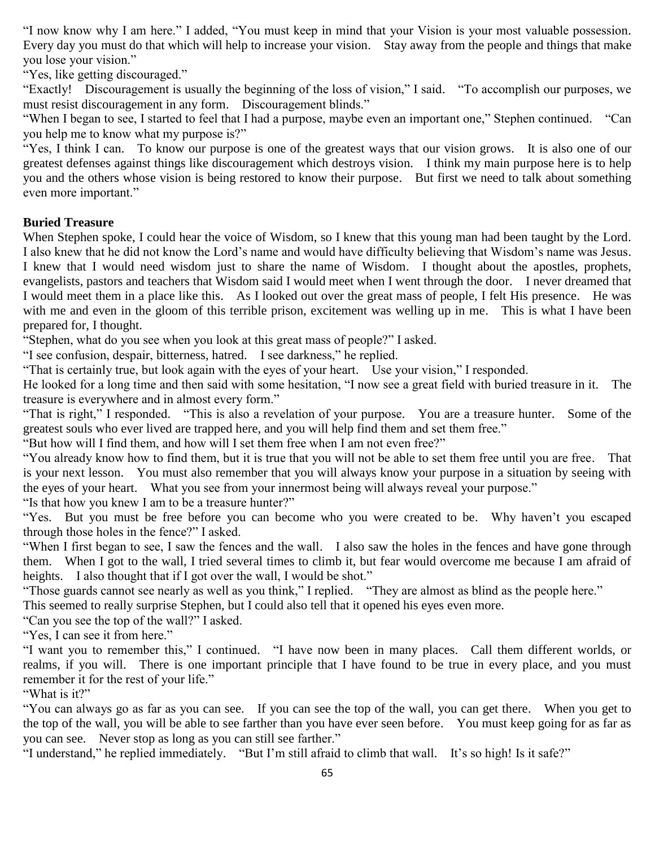"I now know why I am here." I added, "You must keep in mind that your Vision is your most valuable possession. Every day you must do that which will help to increase your vision. Stay away from the people and things that make you lose your vision."

"Yes, like getting discouraged."

"Exactly! Discouragement is usually the beginning of the loss of vision," I said. "To accomplish our purposes, we must resist discouragement in any form. Discouragement blinds."

"When I began to see, I started to feel that I had a purpose, maybe even an important one," Stephen continued. "Can you help me to know what my purpose is?"

"Yes, I think I can. To know our purpose is one of the greatest ways that our vision grows. It is also one of our greatest defenses against things like discouragement which destroys vision. I think my main purpose here is to help you and the others whose vision is being restored to know their purpose. But first we need to talk about something even more important."

## **Buried Treasure**

When Stephen spoke, I could hear the voice of Wisdom, so I knew that this young man had been taught by the Lord. I also knew that he did not know the Lord"s name and would have difficulty believing that Wisdom"s name was Jesus. I knew that I would need wisdom just to share the name of Wisdom. I thought about the apostles, prophets, evangelists, pastors and teachers that Wisdom said I would meet when I went through the door. I never dreamed that I would meet them in a place like this. As I looked out over the great mass of people, I felt His presence. He was with me and even in the gloom of this terrible prison, excitement was welling up in me. This is what I have been prepared for, I thought.

"Stephen, what do you see when you look at this great mass of people?" I asked.

"I see confusion, despair, bitterness, hatred. I see darkness," he replied.

"That is certainly true, but look again with the eyes of your heart. Use your vision," I responded.

He looked for a long time and then said with some hesitation, "I now see a great field with buried treasure in it. The treasure is everywhere and in almost every form."

"That is right," I responded. "This is also a revelation of your purpose. You are a treasure hunter. Some of the greatest souls who ever lived are trapped here, and you will help find them and set them free."

"But how will I find them, and how will I set them free when I am not even free?"

"You already know how to find them, but it is true that you will not be able to set them free until you are free. That is your next lesson. You must also remember that you will always know your purpose in a situation by seeing with the eyes of your heart. What you see from your innermost being will always reveal your purpose."

"Is that how you knew I am to be a treasure hunter?"

"Yes. But you must be free before you can become who you were created to be. Why haven"t you escaped through those holes in the fence?" I asked.

"When I first began to see, I saw the fences and the wall. I also saw the holes in the fences and have gone through them. When I got to the wall, I tried several times to climb it, but fear would overcome me because I am afraid of heights. I also thought that if I got over the wall, I would be shot."

"Those guards cannot see nearly as well as you think," I replied. "They are almost as blind as the people here."

This seemed to really surprise Stephen, but I could also tell that it opened his eyes even more.

"Can you see the top of the wall?" I asked.

"Yes, I can see it from here."

"I want you to remember this," I continued. "I have now been in many places. Call them different worlds, or realms, if you will. There is one important principle that I have found to be true in every place, and you must remember it for the rest of your life."

"What is it?"

"You can always go as far as you can see. If you can see the top of the wall, you can get there. When you get to the top of the wall, you will be able to see farther than you have ever seen before. You must keep going for as far as you can see. Never stop as long as you can still see farther."

"I understand," he replied immediately. "But I"m still afraid to climb that wall. It"s so high! Is it safe?"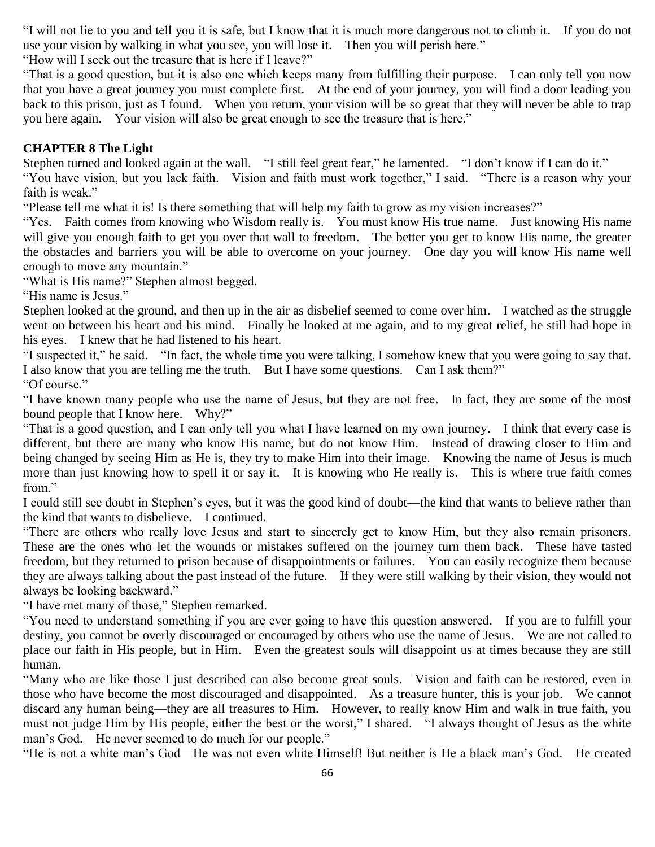"I will not lie to you and tell you it is safe, but I know that it is much more dangerous not to climb it. If you do not use your vision by walking in what you see, you will lose it. Then you will perish here."

"How will I seek out the treasure that is here if I leave?"

"That is a good question, but it is also one which keeps many from fulfilling their purpose. I can only tell you now that you have a great journey you must complete first. At the end of your journey, you will find a door leading you back to this prison, just as I found. When you return, your vision will be so great that they will never be able to trap you here again. Your vision will also be great enough to see the treasure that is here."

## **CHAPTER 8 The Light**

Stephen turned and looked again at the wall. "I still feel great fear," he lamented. "I don"t know if I can do it."

"You have vision, but you lack faith. Vision and faith must work together," I said. "There is a reason why your faith is weak."

"Please tell me what it is! Is there something that will help my faith to grow as my vision increases?"

"Yes. Faith comes from knowing who Wisdom really is. You must know His true name. Just knowing His name will give you enough faith to get you over that wall to freedom. The better you get to know His name, the greater the obstacles and barriers you will be able to overcome on your journey. One day you will know His name well enough to move any mountain."

"What is His name?" Stephen almost begged.

"His name is Jesus."

Stephen looked at the ground, and then up in the air as disbelief seemed to come over him. I watched as the struggle went on between his heart and his mind. Finally he looked at me again, and to my great relief, he still had hope in his eyes. I knew that he had listened to his heart.

"I suspected it," he said. "In fact, the whole time you were talking, I somehow knew that you were going to say that. I also know that you are telling me the truth. But I have some questions. Can I ask them?" "Of course."

"I have known many people who use the name of Jesus, but they are not free. In fact, they are some of the most bound people that I know here. Why?"

"That is a good question, and I can only tell you what I have learned on my own journey. I think that every case is different, but there are many who know His name, but do not know Him. Instead of drawing closer to Him and being changed by seeing Him as He is, they try to make Him into their image. Knowing the name of Jesus is much more than just knowing how to spell it or say it. It is knowing who He really is. This is where true faith comes from."

I could still see doubt in Stephen"s eyes, but it was the good kind of doubt—the kind that wants to believe rather than the kind that wants to disbelieve. I continued.

"There are others who really love Jesus and start to sincerely get to know Him, but they also remain prisoners. These are the ones who let the wounds or mistakes suffered on the journey turn them back. These have tasted freedom, but they returned to prison because of disappointments or failures. You can easily recognize them because they are always talking about the past instead of the future. If they were still walking by their vision, they would not always be looking backward."

"I have met many of those," Stephen remarked.

"You need to understand something if you are ever going to have this question answered. If you are to fulfill your destiny, you cannot be overly discouraged or encouraged by others who use the name of Jesus. We are not called to place our faith in His people, but in Him. Even the greatest souls will disappoint us at times because they are still human.

"Many who are like those I just described can also become great souls. Vision and faith can be restored, even in those who have become the most discouraged and disappointed. As a treasure hunter, this is your job. We cannot discard any human being—they are all treasures to Him. However, to really know Him and walk in true faith, you must not judge Him by His people, either the best or the worst," I shared. "I always thought of Jesus as the white man"s God. He never seemed to do much for our people."

"He is not a white man"s God—He was not even white Himself! But neither is He a black man"s God. He created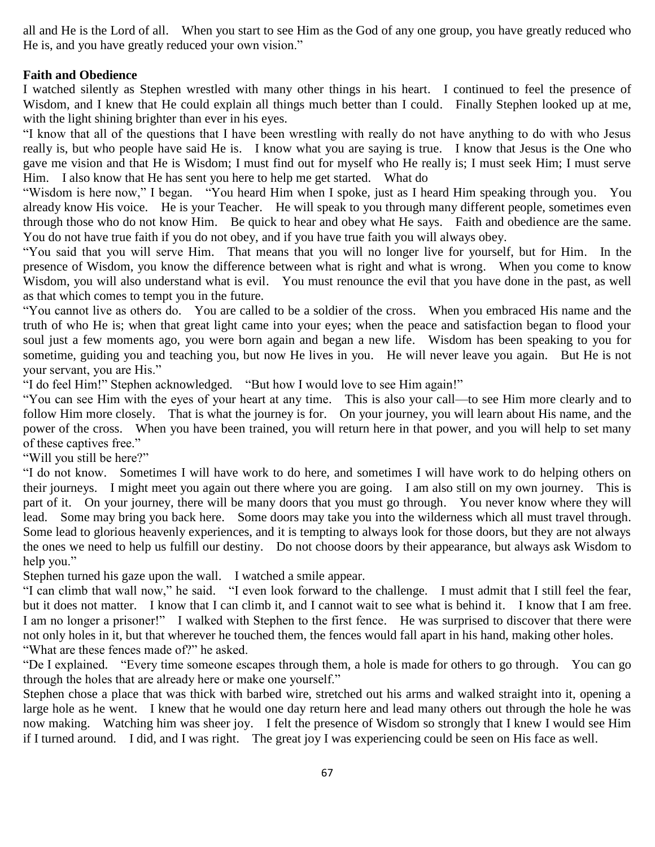all and He is the Lord of all. When you start to see Him as the God of any one group, you have greatly reduced who He is, and you have greatly reduced your own vision."

## **Faith and Obedience**

I watched silently as Stephen wrestled with many other things in his heart. I continued to feel the presence of Wisdom, and I knew that He could explain all things much better than I could. Finally Stephen looked up at me, with the light shining brighter than ever in his eyes.

"I know that all of the questions that I have been wrestling with really do not have anything to do with who Jesus really is, but who people have said He is. I know what you are saying is true. I know that Jesus is the One who gave me vision and that He is Wisdom; I must find out for myself who He really is; I must seek Him; I must serve Him. I also know that He has sent you here to help me get started. What do

"Wisdom is here now," I began. "You heard Him when I spoke, just as I heard Him speaking through you. You already know His voice. He is your Teacher. He will speak to you through many different people, sometimes even through those who do not know Him. Be quick to hear and obey what He says. Faith and obedience are the same. You do not have true faith if you do not obey, and if you have true faith you will always obey.

"You said that you will serve Him. That means that you will no longer live for yourself, but for Him. In the presence of Wisdom, you know the difference between what is right and what is wrong. When you come to know Wisdom, you will also understand what is evil. You must renounce the evil that you have done in the past, as well as that which comes to tempt you in the future.

"You cannot live as others do. You are called to be a soldier of the cross. When you embraced His name and the truth of who He is; when that great light came into your eyes; when the peace and satisfaction began to flood your soul just a few moments ago, you were born again and began a new life. Wisdom has been speaking to you for sometime, guiding you and teaching you, but now He lives in you. He will never leave you again. But He is not your servant, you are His."

"I do feel Him!" Stephen acknowledged. "But how I would love to see Him again!"

"You can see Him with the eyes of your heart at any time. This is also your call—to see Him more clearly and to follow Him more closely. That is what the journey is for. On your journey, you will learn about His name, and the power of the cross. When you have been trained, you will return here in that power, and you will help to set many of these captives free."

"Will you still be here?"

"I do not know. Sometimes I will have work to do here, and sometimes I will have work to do helping others on their journeys. I might meet you again out there where you are going. I am also still on my own journey. This is part of it. On your journey, there will be many doors that you must go through. You never know where they will lead. Some may bring you back here. Some doors may take you into the wilderness which all must travel through. Some lead to glorious heavenly experiences, and it is tempting to always look for those doors, but they are not always the ones we need to help us fulfill our destiny. Do not choose doors by their appearance, but always ask Wisdom to help you."

Stephen turned his gaze upon the wall. I watched a smile appear.

"I can climb that wall now," he said. "I even look forward to the challenge. I must admit that I still feel the fear, but it does not matter. I know that I can climb it, and I cannot wait to see what is behind it. I know that I am free. I am no longer a prisoner!" I walked with Stephen to the first fence. He was surprised to discover that there were not only holes in it, but that wherever he touched them, the fences would fall apart in his hand, making other holes. "What are these fences made of?" he asked.

"De I explained. "Every time someone escapes through them, a hole is made for others to go through. You can go through the holes that are already here or make one yourself."

Stephen chose a place that was thick with barbed wire, stretched out his arms and walked straight into it, opening a large hole as he went. I knew that he would one day return here and lead many others out through the hole he was now making. Watching him was sheer joy. I felt the presence of Wisdom so strongly that I knew I would see Him if I turned around. I did, and I was right. The great joy I was experiencing could be seen on His face as well.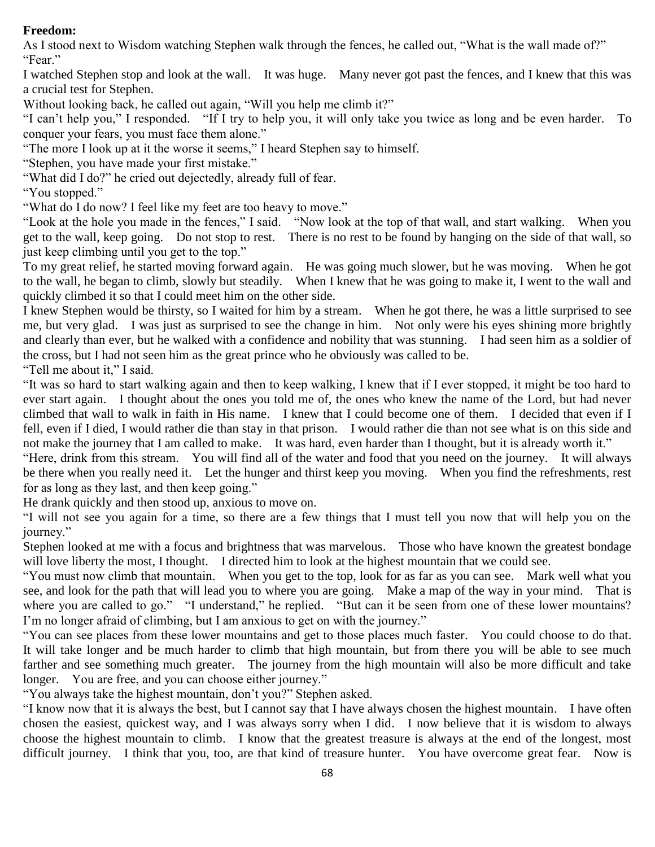## **Freedom:**

As I stood next to Wisdom watching Stephen walk through the fences, he called out, "What is the wall made of?" "Fear."

I watched Stephen stop and look at the wall. It was huge. Many never got past the fences, and I knew that this was a crucial test for Stephen.

Without looking back, he called out again, "Will you help me climb it?"

"I can"t help you," I responded. "If I try to help you, it will only take you twice as long and be even harder. To conquer your fears, you must face them alone."

"The more I look up at it the worse it seems," I heard Stephen say to himself.

"Stephen, you have made your first mistake."

"What did I do?" he cried out dejectedly, already full of fear.

"You stopped."

"What do I do now? I feel like my feet are too heavy to move."

"Look at the hole you made in the fences," I said. "Now look at the top of that wall, and start walking. When you get to the wall, keep going. Do not stop to rest. There is no rest to be found by hanging on the side of that wall, so just keep climbing until you get to the top."

To my great relief, he started moving forward again. He was going much slower, but he was moving. When he got to the wall, he began to climb, slowly but steadily. When I knew that he was going to make it, I went to the wall and quickly climbed it so that I could meet him on the other side.

I knew Stephen would be thirsty, so I waited for him by a stream. When he got there, he was a little surprised to see me, but very glad. I was just as surprised to see the change in him. Not only were his eyes shining more brightly and clearly than ever, but he walked with a confidence and nobility that was stunning. I had seen him as a soldier of the cross, but I had not seen him as the great prince who he obviously was called to be.

"Tell me about it," I said.

"It was so hard to start walking again and then to keep walking, I knew that if I ever stopped, it might be too hard to ever start again. I thought about the ones you told me of, the ones who knew the name of the Lord, but had never climbed that wall to walk in faith in His name. I knew that I could become one of them. I decided that even if I fell, even if I died, I would rather die than stay in that prison. I would rather die than not see what is on this side and not make the journey that I am called to make. It was hard, even harder than I thought, but it is already worth it."

"Here, drink from this stream. You will find all of the water and food that you need on the journey. It will always be there when you really need it. Let the hunger and thirst keep you moving. When you find the refreshments, rest for as long as they last, and then keep going."

He drank quickly and then stood up, anxious to move on.

"I will not see you again for a time, so there are a few things that I must tell you now that will help you on the iourney."

Stephen looked at me with a focus and brightness that was marvelous. Those who have known the greatest bondage will love liberty the most, I thought. I directed him to look at the highest mountain that we could see.

"You must now climb that mountain. When you get to the top, look for as far as you can see. Mark well what you see, and look for the path that will lead you to where you are going. Make a map of the way in your mind. That is where you are called to go." "I understand," he replied. "But can it be seen from one of these lower mountains? I"m no longer afraid of climbing, but I am anxious to get on with the journey."

"You can see places from these lower mountains and get to those places much faster. You could choose to do that. It will take longer and be much harder to climb that high mountain, but from there you will be able to see much farther and see something much greater. The journey from the high mountain will also be more difficult and take longer. You are free, and you can choose either journey."

"You always take the highest mountain, don"t you?" Stephen asked.

"I know now that it is always the best, but I cannot say that I have always chosen the highest mountain. I have often chosen the easiest, quickest way, and I was always sorry when I did. I now believe that it is wisdom to always choose the highest mountain to climb. I know that the greatest treasure is always at the end of the longest, most difficult journey. I think that you, too, are that kind of treasure hunter. You have overcome great fear. Now is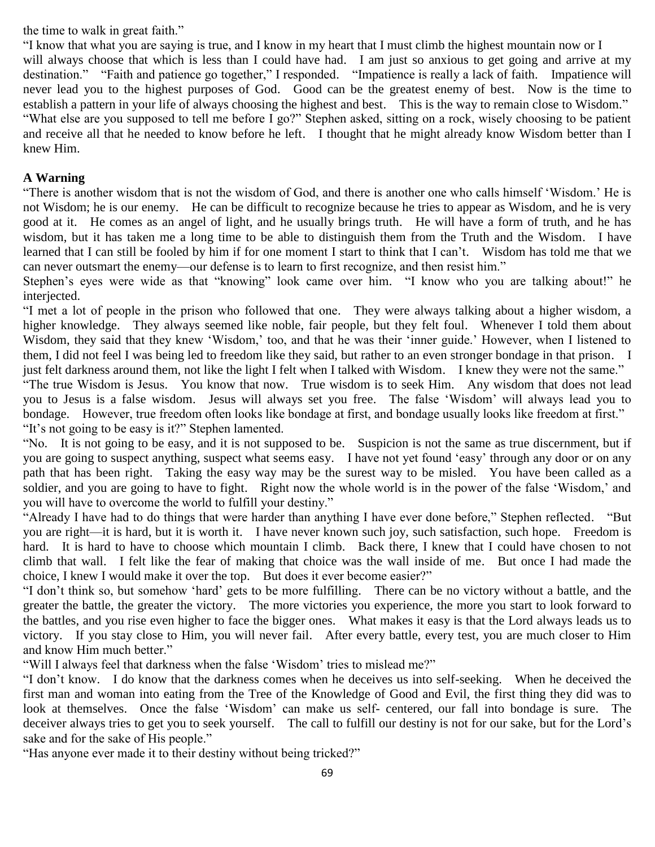the time to walk in great faith."

"I know that what you are saying is true, and I know in my heart that I must climb the highest mountain now or I will always choose that which is less than I could have had. I am just so anxious to get going and arrive at my destination." "Faith and patience go together," I responded. "Impatience is really a lack of faith. Impatience will never lead you to the highest purposes of God. Good can be the greatest enemy of best. Now is the time to establish a pattern in your life of always choosing the highest and best. This is the way to remain close to Wisdom." "What else are you supposed to tell me before I go?" Stephen asked, sitting on a rock, wisely choosing to be patient and receive all that he needed to know before he left. I thought that he might already know Wisdom better than I knew Him.

# **A Warning**

"There is another wisdom that is not the wisdom of God, and there is another one who calls himself "Wisdom." He is not Wisdom; he is our enemy. He can be difficult to recognize because he tries to appear as Wisdom, and he is very good at it. He comes as an angel of light, and he usually brings truth. He will have a form of truth, and he has wisdom, but it has taken me a long time to be able to distinguish them from the Truth and the Wisdom. I have learned that I can still be fooled by him if for one moment I start to think that I can't. Wisdom has told me that we can never outsmart the enemy—our defense is to learn to first recognize, and then resist him."

Stephen's eyes were wide as that "knowing" look came over him. "I know who you are talking about!" he interjected.

"I met a lot of people in the prison who followed that one. They were always talking about a higher wisdom, a higher knowledge. They always seemed like noble, fair people, but they felt foul. Whenever I told them about Wisdom, they said that they knew 'Wisdom,' too, and that he was their 'inner guide.' However, when I listened to them, I did not feel I was being led to freedom like they said, but rather to an even stronger bondage in that prison. I just felt darkness around them, not like the light I felt when I talked with Wisdom. I knew they were not the same."

"The true Wisdom is Jesus. You know that now. True wisdom is to seek Him. Any wisdom that does not lead you to Jesus is a false wisdom. Jesus will always set you free. The false "Wisdom" will always lead you to bondage. However, true freedom often looks like bondage at first, and bondage usually looks like freedom at first." "It"s not going to be easy is it?" Stephen lamented.

"No. It is not going to be easy, and it is not supposed to be. Suspicion is not the same as true discernment, but if you are going to suspect anything, suspect what seems easy. I have not yet found "easy" through any door or on any path that has been right. Taking the easy way may be the surest way to be misled. You have been called as a soldier, and you are going to have to fight. Right now the whole world is in the power of the false 'Wisdom,' and you will have to overcome the world to fulfill your destiny."

"Already I have had to do things that were harder than anything I have ever done before," Stephen reflected. "But you are right—it is hard, but it is worth it. I have never known such joy, such satisfaction, such hope. Freedom is hard. It is hard to have to choose which mountain I climb. Back there, I knew that I could have chosen to not climb that wall. I felt like the fear of making that choice was the wall inside of me. But once I had made the choice, I knew I would make it over the top. But does it ever become easier?"

"I don"t think so, but somehow "hard" gets to be more fulfilling. There can be no victory without a battle, and the greater the battle, the greater the victory. The more victories you experience, the more you start to look forward to the battles, and you rise even higher to face the bigger ones. What makes it easy is that the Lord always leads us to victory. If you stay close to Him, you will never fail. After every battle, every test, you are much closer to Him and know Him much better."

"Will I always feel that darkness when the false "Wisdom" tries to mislead me?"

"I don"t know. I do know that the darkness comes when he deceives us into self-seeking. When he deceived the first man and woman into eating from the Tree of the Knowledge of Good and Evil, the first thing they did was to look at themselves. Once the false 'Wisdom' can make us self- centered, our fall into bondage is sure. The deceiver always tries to get you to seek yourself. The call to fulfill our destiny is not for our sake, but for the Lord"s sake and for the sake of His people."

"Has anyone ever made it to their destiny without being tricked?"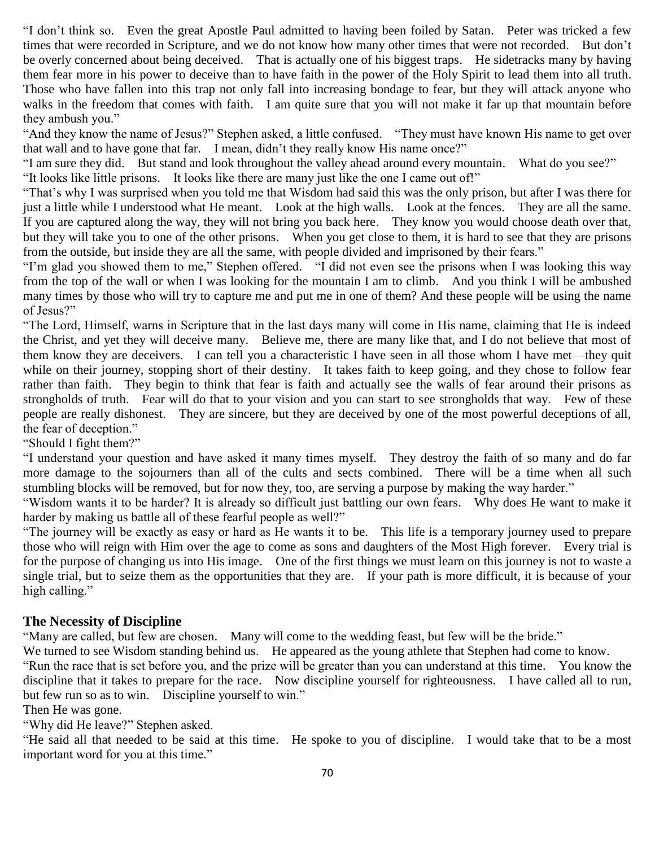"I don"t think so. Even the great Apostle Paul admitted to having been foiled by Satan. Peter was tricked a few times that were recorded in Scripture, and we do not know how many other times that were not recorded. But don"t be overly concerned about being deceived. That is actually one of his biggest traps. He sidetracks many by having them fear more in his power to deceive than to have faith in the power of the Holy Spirit to lead them into all truth. Those who have fallen into this trap not only fall into increasing bondage to fear, but they will attack anyone who walks in the freedom that comes with faith. I am quite sure that you will not make it far up that mountain before they ambush you."

"And they know the name of Jesus?" Stephen asked, a little confused. "They must have known His name to get over that wall and to have gone that far. I mean, didn"t they really know His name once?"

"I am sure they did. But stand and look throughout the valley ahead around every mountain. What do you see?" "It looks like little prisons. It looks like there are many just like the one I came out of!"

"That's why I was surprised when you told me that Wisdom had said this was the only prison, but after I was there for just a little while I understood what He meant. Look at the high walls. Look at the fences. They are all the same. If you are captured along the way, they will not bring you back here. They know you would choose death over that, but they will take you to one of the other prisons. When you get close to them, it is hard to see that they are prisons from the outside, but inside they are all the same, with people divided and imprisoned by their fears."

"I"m glad you showed them to me," Stephen offered. "I did not even see the prisons when I was looking this way from the top of the wall or when I was looking for the mountain I am to climb. And you think I will be ambushed many times by those who will try to capture me and put me in one of them? And these people will be using the name of Jesus?"

"The Lord, Himself, warns in Scripture that in the last days many will come in His name, claiming that He is indeed the Christ, and yet they will deceive many. Believe me, there are many like that, and I do not believe that most of them know they are deceivers. I can tell you a characteristic I have seen in all those whom I have met—they quit while on their journey, stopping short of their destiny. It takes faith to keep going, and they chose to follow fear rather than faith. They begin to think that fear is faith and actually see the walls of fear around their prisons as strongholds of truth. Fear will do that to your vision and you can start to see strongholds that way. Few of these people are really dishonest. They are sincere, but they are deceived by one of the most powerful deceptions of all, the fear of deception."

"Should I fight them?"

"I understand your question and have asked it many times myself. They destroy the faith of so many and do far more damage to the sojourners than all of the cults and sects combined. There will be a time when all such stumbling blocks will be removed, but for now they, too, are serving a purpose by making the way harder."

"Wisdom wants it to be harder? It is already so difficult just battling our own fears. Why does He want to make it harder by making us battle all of these fearful people as well?"

"The journey will be exactly as easy or hard as He wants it to be. This life is a temporary journey used to prepare those who will reign with Him over the age to come as sons and daughters of the Most High forever. Every trial is for the purpose of changing us into His image. One of the first things we must learn on this journey is not to waste a single trial, but to seize them as the opportunities that they are. If your path is more difficult, it is because of your high calling."

# **The Necessity of Discipline**

"Many are called, but few are chosen. Many will come to the wedding feast, but few will be the bride."

We turned to see Wisdom standing behind us. He appeared as the young athlete that Stephen had come to know.

"Run the race that is set before you, and the prize will be greater than you can understand at this time. You know the discipline that it takes to prepare for the race. Now discipline yourself for righteousness. I have called all to run, but few run so as to win. Discipline yourself to win."

Then He was gone.

"Why did He leave?" Stephen asked.

"He said all that needed to be said at this time. He spoke to you of discipline. I would take that to be a most important word for you at this time."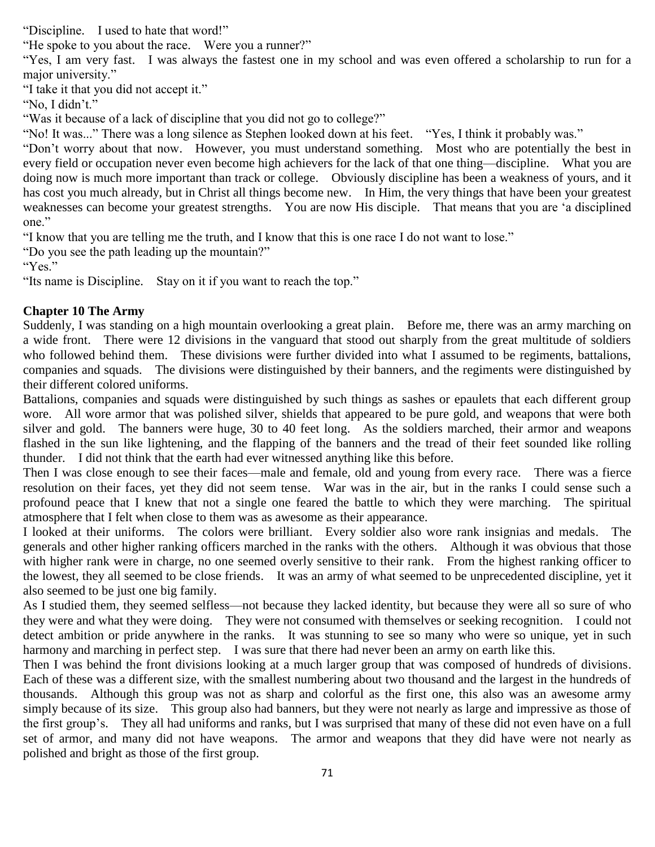"Discipline. I used to hate that word!"

"He spoke to you about the race. Were you a runner?"

"Yes, I am very fast. I was always the fastest one in my school and was even offered a scholarship to run for a major university."

"I take it that you did not accept it."

"No, I didn't."

"Was it because of a lack of discipline that you did not go to college?"

"No! It was..." There was a long silence as Stephen looked down at his feet. "Yes, I think it probably was."

"Don"t worry about that now. However, you must understand something. Most who are potentially the best in every field or occupation never even become high achievers for the lack of that one thing—discipline. What you are doing now is much more important than track or college. Obviously discipline has been a weakness of yours, and it has cost you much already, but in Christ all things become new. In Him, the very things that have been your greatest weaknesses can become your greatest strengths. You are now His disciple. That means that you are "a disciplined one."

"I know that you are telling me the truth, and I know that this is one race I do not want to lose."

"Do you see the path leading up the mountain?"

"Yes."

"Its name is Discipline. Stay on it if you want to reach the top."

## **Chapter 10 The Army**

Suddenly, I was standing on a high mountain overlooking a great plain. Before me, there was an army marching on a wide front. There were 12 divisions in the vanguard that stood out sharply from the great multitude of soldiers who followed behind them. These divisions were further divided into what I assumed to be regiments, battalions, companies and squads. The divisions were distinguished by their banners, and the regiments were distinguished by their different colored uniforms.

Battalions, companies and squads were distinguished by such things as sashes or epaulets that each different group wore. All wore armor that was polished silver, shields that appeared to be pure gold, and weapons that were both silver and gold. The banners were huge, 30 to 40 feet long. As the soldiers marched, their armor and weapons flashed in the sun like lightening, and the flapping of the banners and the tread of their feet sounded like rolling thunder. I did not think that the earth had ever witnessed anything like this before.

Then I was close enough to see their faces—male and female, old and young from every race. There was a fierce resolution on their faces, yet they did not seem tense. War was in the air, but in the ranks I could sense such a profound peace that I knew that not a single one feared the battle to which they were marching. The spiritual atmosphere that I felt when close to them was as awesome as their appearance.

I looked at their uniforms. The colors were brilliant. Every soldier also wore rank insignias and medals. The generals and other higher ranking officers marched in the ranks with the others. Although it was obvious that those with higher rank were in charge, no one seemed overly sensitive to their rank. From the highest ranking officer to the lowest, they all seemed to be close friends. It was an army of what seemed to be unprecedented discipline, yet it also seemed to be just one big family.

As I studied them, they seemed selfless—not because they lacked identity, but because they were all so sure of who they were and what they were doing. They were not consumed with themselves or seeking recognition. I could not detect ambition or pride anywhere in the ranks. It was stunning to see so many who were so unique, yet in such harmony and marching in perfect step. I was sure that there had never been an army on earth like this.

Then I was behind the front divisions looking at a much larger group that was composed of hundreds of divisions. Each of these was a different size, with the smallest numbering about two thousand and the largest in the hundreds of thousands. Although this group was not as sharp and colorful as the first one, this also was an awesome army simply because of its size. This group also had banners, but they were not nearly as large and impressive as those of the first group"s. They all had uniforms and ranks, but I was surprised that many of these did not even have on a full set of armor, and many did not have weapons. The armor and weapons that they did have were not nearly as polished and bright as those of the first group.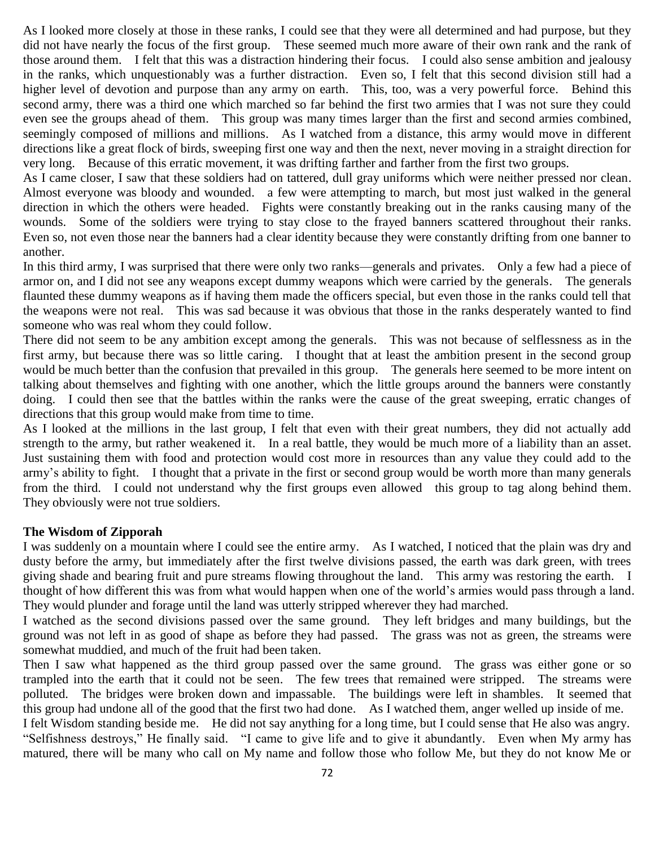As I looked more closely at those in these ranks, I could see that they were all determined and had purpose, but they did not have nearly the focus of the first group. These seemed much more aware of their own rank and the rank of those around them. I felt that this was a distraction hindering their focus. I could also sense ambition and jealousy in the ranks, which unquestionably was a further distraction. Even so, I felt that this second division still had a higher level of devotion and purpose than any army on earth. This, too, was a very powerful force. Behind this second army, there was a third one which marched so far behind the first two armies that I was not sure they could even see the groups ahead of them. This group was many times larger than the first and second armies combined, seemingly composed of millions and millions. As I watched from a distance, this army would move in different directions like a great flock of birds, sweeping first one way and then the next, never moving in a straight direction for very long. Because of this erratic movement, it was drifting farther and farther from the first two groups.

As I came closer, I saw that these soldiers had on tattered, dull gray uniforms which were neither pressed nor clean. Almost everyone was bloody and wounded. a few were attempting to march, but most just walked in the general direction in which the others were headed. Fights were constantly breaking out in the ranks causing many of the wounds. Some of the soldiers were trying to stay close to the frayed banners scattered throughout their ranks. Even so, not even those near the banners had a clear identity because they were constantly drifting from one banner to another.

In this third army, I was surprised that there were only two ranks—generals and privates. Only a few had a piece of armor on, and I did not see any weapons except dummy weapons which were carried by the generals. The generals flaunted these dummy weapons as if having them made the officers special, but even those in the ranks could tell that the weapons were not real. This was sad because it was obvious that those in the ranks desperately wanted to find someone who was real whom they could follow.

There did not seem to be any ambition except among the generals. This was not because of selflessness as in the first army, but because there was so little caring. I thought that at least the ambition present in the second group would be much better than the confusion that prevailed in this group. The generals here seemed to be more intent on talking about themselves and fighting with one another, which the little groups around the banners were constantly doing. I could then see that the battles within the ranks were the cause of the great sweeping, erratic changes of directions that this group would make from time to time.

As I looked at the millions in the last group, I felt that even with their great numbers, they did not actually add strength to the army, but rather weakened it. In a real battle, they would be much more of a liability than an asset. Just sustaining them with food and protection would cost more in resources than any value they could add to the army"s ability to fight. I thought that a private in the first or second group would be worth more than many generals from the third. I could not understand why the first groups even allowed this group to tag along behind them. They obviously were not true soldiers.

#### **The Wisdom of Zipporah**

I was suddenly on a mountain where I could see the entire army. As I watched, I noticed that the plain was dry and dusty before the army, but immediately after the first twelve divisions passed, the earth was dark green, with trees giving shade and bearing fruit and pure streams flowing throughout the land. This army was restoring the earth. I thought of how different this was from what would happen when one of the world"s armies would pass through a land. They would plunder and forage until the land was utterly stripped wherever they had marched.

I watched as the second divisions passed over the same ground. They left bridges and many buildings, but the ground was not left in as good of shape as before they had passed. The grass was not as green, the streams were somewhat muddied, and much of the fruit had been taken.

Then I saw what happened as the third group passed over the same ground. The grass was either gone or so trampled into the earth that it could not be seen. The few trees that remained were stripped. The streams were polluted. The bridges were broken down and impassable. The buildings were left in shambles. It seemed that this group had undone all of the good that the first two had done. As I watched them, anger welled up inside of me.

I felt Wisdom standing beside me. He did not say anything for a long time, but I could sense that He also was angry. "Selfishness destroys," He finally said. "I came to give life and to give it abundantly. Even when My army has matured, there will be many who call on My name and follow those who follow Me, but they do not know Me or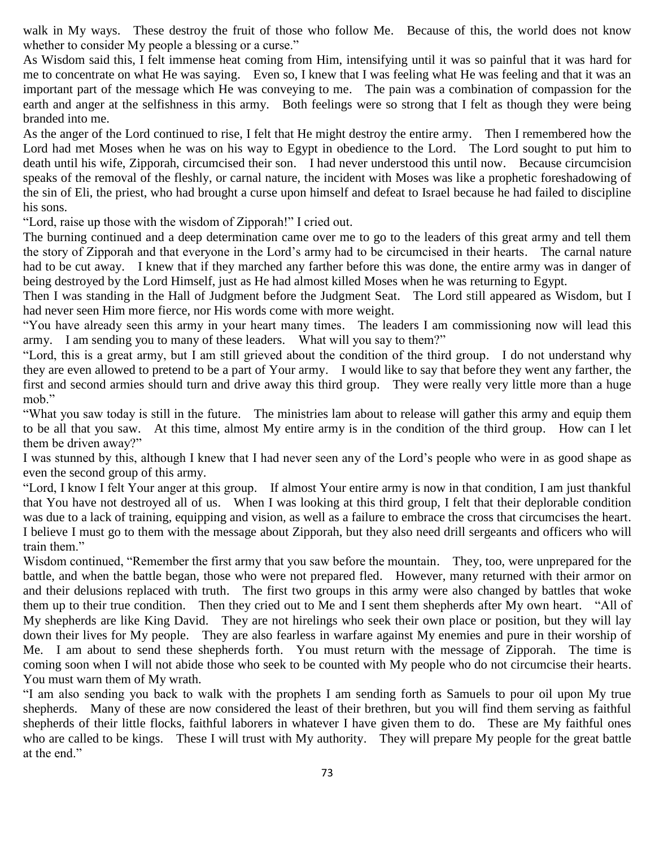walk in My ways. These destroy the fruit of those who follow Me. Because of this, the world does not know whether to consider My people a blessing or a curse."

As Wisdom said this, I felt immense heat coming from Him, intensifying until it was so painful that it was hard for me to concentrate on what He was saying. Even so, I knew that I was feeling what He was feeling and that it was an important part of the message which He was conveying to me. The pain was a combination of compassion for the earth and anger at the selfishness in this army. Both feelings were so strong that I felt as though they were being branded into me.

As the anger of the Lord continued to rise, I felt that He might destroy the entire army. Then I remembered how the Lord had met Moses when he was on his way to Egypt in obedience to the Lord. The Lord sought to put him to death until his wife, Zipporah, circumcised their son. I had never understood this until now. Because circumcision speaks of the removal of the fleshly, or carnal nature, the incident with Moses was like a prophetic foreshadowing of the sin of Eli, the priest, who had brought a curse upon himself and defeat to Israel because he had failed to discipline his sons.

"Lord, raise up those with the wisdom of Zipporah!" I cried out.

The burning continued and a deep determination came over me to go to the leaders of this great army and tell them the story of Zipporah and that everyone in the Lord"s army had to be circumcised in their hearts. The carnal nature had to be cut away. I knew that if they marched any farther before this was done, the entire army was in danger of being destroyed by the Lord Himself, just as He had almost killed Moses when he was returning to Egypt.

Then I was standing in the Hall of Judgment before the Judgment Seat. The Lord still appeared as Wisdom, but I had never seen Him more fierce, nor His words come with more weight.

"You have already seen this army in your heart many times. The leaders I am commissioning now will lead this army. I am sending you to many of these leaders. What will you say to them?"

"Lord, this is a great army, but I am still grieved about the condition of the third group. I do not understand why they are even allowed to pretend to be a part of Your army. I would like to say that before they went any farther, the first and second armies should turn and drive away this third group. They were really very little more than a huge mob."

"What you saw today is still in the future. The ministries lam about to release will gather this army and equip them to be all that you saw. At this time, almost My entire army is in the condition of the third group. How can I let them be driven away?"

I was stunned by this, although I knew that I had never seen any of the Lord"s people who were in as good shape as even the second group of this army.

"Lord, I know I felt Your anger at this group. If almost Your entire army is now in that condition, I am just thankful that You have not destroyed all of us. When I was looking at this third group, I felt that their deplorable condition was due to a lack of training, equipping and vision, as well as a failure to embrace the cross that circumcises the heart. I believe I must go to them with the message about Zipporah, but they also need drill sergeants and officers who will train them."

Wisdom continued, "Remember the first army that you saw before the mountain. They, too, were unprepared for the battle, and when the battle began, those who were not prepared fled. However, many returned with their armor on and their delusions replaced with truth. The first two groups in this army were also changed by battles that woke them up to their true condition. Then they cried out to Me and I sent them shepherds after My own heart. "All of My shepherds are like King David. They are not hirelings who seek their own place or position, but they will lay down their lives for My people. They are also fearless in warfare against My enemies and pure in their worship of Me. I am about to send these shepherds forth. You must return with the message of Zipporah. The time is coming soon when I will not abide those who seek to be counted with My people who do not circumcise their hearts. You must warn them of My wrath.

"I am also sending you back to walk with the prophets I am sending forth as Samuels to pour oil upon My true shepherds. Many of these are now considered the least of their brethren, but you will find them serving as faithful shepherds of their little flocks, faithful laborers in whatever I have given them to do. These are My faithful ones who are called to be kings. These I will trust with My authority. They will prepare My people for the great battle at the end."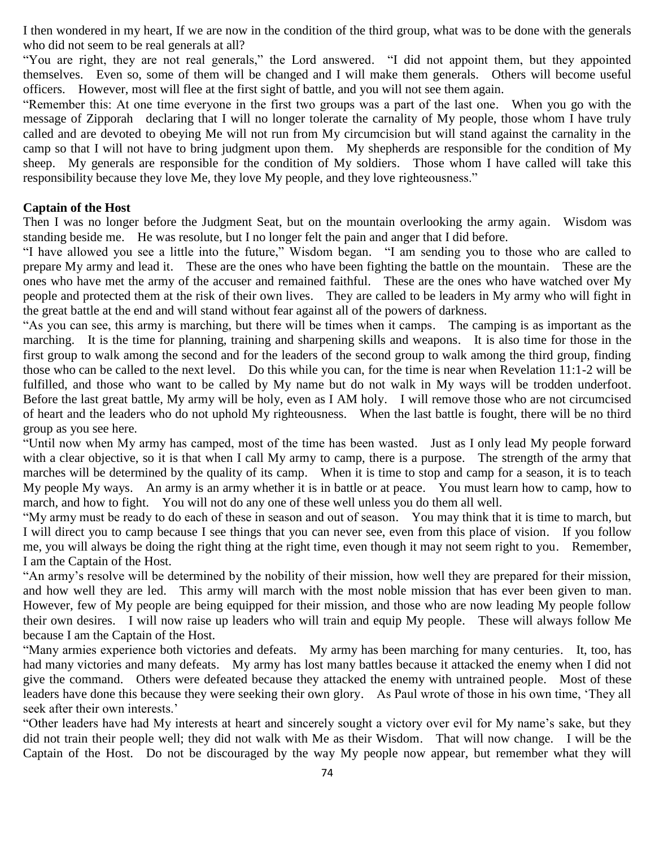I then wondered in my heart, If we are now in the condition of the third group, what was to be done with the generals who did not seem to be real generals at all?

"You are right, they are not real generals," the Lord answered. "I did not appoint them, but they appointed themselves. Even so, some of them will be changed and I will make them generals. Others will become useful officers. However, most will flee at the first sight of battle, and you will not see them again.

"Remember this: At one time everyone in the first two groups was a part of the last one. When you go with the message of Zipporah declaring that I will no longer tolerate the carnality of My people, those whom I have truly called and are devoted to obeying Me will not run from My circumcision but will stand against the carnality in the camp so that I will not have to bring judgment upon them. My shepherds are responsible for the condition of My sheep. My generals are responsible for the condition of My soldiers. Those whom I have called will take this responsibility because they love Me, they love My people, and they love righteousness."

#### **Captain of the Host**

Then I was no longer before the Judgment Seat, but on the mountain overlooking the army again. Wisdom was standing beside me. He was resolute, but I no longer felt the pain and anger that I did before.

"I have allowed you see a little into the future," Wisdom began. "I am sending you to those who are called to prepare My army and lead it. These are the ones who have been fighting the battle on the mountain. These are the ones who have met the army of the accuser and remained faithful. These are the ones who have watched over My people and protected them at the risk of their own lives. They are called to be leaders in My army who will fight in the great battle at the end and will stand without fear against all of the powers of darkness.

"As you can see, this army is marching, but there will be times when it camps. The camping is as important as the marching. It is the time for planning, training and sharpening skills and weapons. It is also time for those in the first group to walk among the second and for the leaders of the second group to walk among the third group, finding those who can be called to the next level. Do this while you can, for the time is near when Revelation 11:1-2 will be fulfilled, and those who want to be called by My name but do not walk in My ways will be trodden underfoot. Before the last great battle, My army will be holy, even as I AM holy. I will remove those who are not circumcised of heart and the leaders who do not uphold My righteousness. When the last battle is fought, there will be no third group as you see here.

"Until now when My army has camped, most of the time has been wasted. Just as I only lead My people forward with a clear objective, so it is that when I call My army to camp, there is a purpose. The strength of the army that marches will be determined by the quality of its camp. When it is time to stop and camp for a season, it is to teach My people My ways. An army is an army whether it is in battle or at peace. You must learn how to camp, how to march, and how to fight. You will not do any one of these well unless you do them all well.

"My army must be ready to do each of these in season and out of season. You may think that it is time to march, but I will direct you to camp because I see things that you can never see, even from this place of vision. If you follow me, you will always be doing the right thing at the right time, even though it may not seem right to you. Remember, I am the Captain of the Host.

"An army"s resolve will be determined by the nobility of their mission, how well they are prepared for their mission, and how well they are led. This army will march with the most noble mission that has ever been given to man. However, few of My people are being equipped for their mission, and those who are now leading My people follow their own desires. I will now raise up leaders who will train and equip My people. These will always follow Me because I am the Captain of the Host.

"Many armies experience both victories and defeats. My army has been marching for many centuries. It, too, has had many victories and many defeats. My army has lost many battles because it attacked the enemy when I did not give the command. Others were defeated because they attacked the enemy with untrained people. Most of these leaders have done this because they were seeking their own glory. As Paul wrote of those in his own time, "They all seek after their own interests.'

"Other leaders have had My interests at heart and sincerely sought a victory over evil for My name"s sake, but they did not train their people well; they did not walk with Me as their Wisdom. That will now change. I will be the Captain of the Host. Do not be discouraged by the way My people now appear, but remember what they will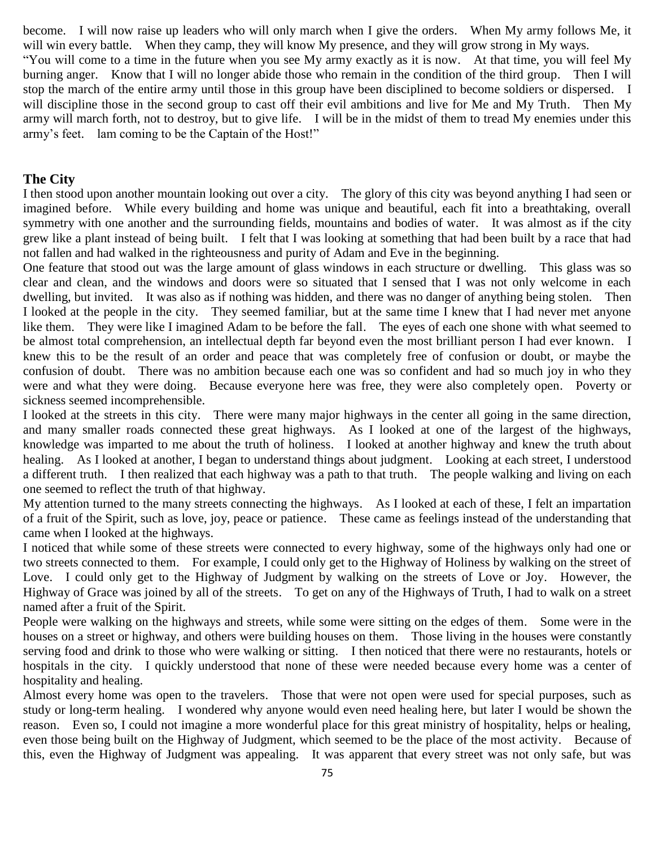become. I will now raise up leaders who will only march when I give the orders. When My army follows Me, it will win every battle. When they camp, they will know My presence, and they will grow strong in My ways.

"You will come to a time in the future when you see My army exactly as it is now. At that time, you will feel My burning anger. Know that I will no longer abide those who remain in the condition of the third group. Then I will stop the march of the entire army until those in this group have been disciplined to become soldiers or dispersed. I will discipline those in the second group to cast off their evil ambitions and live for Me and My Truth. Then My army will march forth, not to destroy, but to give life. I will be in the midst of them to tread My enemies under this army"s feet. lam coming to be the Captain of the Host!"

#### **The City**

I then stood upon another mountain looking out over a city. The glory of this city was beyond anything I had seen or imagined before. While every building and home was unique and beautiful, each fit into a breathtaking, overall symmetry with one another and the surrounding fields, mountains and bodies of water. It was almost as if the city grew like a plant instead of being built. I felt that I was looking at something that had been built by a race that had not fallen and had walked in the righteousness and purity of Adam and Eve in the beginning.

One feature that stood out was the large amount of glass windows in each structure or dwelling. This glass was so clear and clean, and the windows and doors were so situated that I sensed that I was not only welcome in each dwelling, but invited. It was also as if nothing was hidden, and there was no danger of anything being stolen. Then I looked at the people in the city. They seemed familiar, but at the same time I knew that I had never met anyone like them. They were like I imagined Adam to be before the fall. The eyes of each one shone with what seemed to be almost total comprehension, an intellectual depth far beyond even the most brilliant person I had ever known. I knew this to be the result of an order and peace that was completely free of confusion or doubt, or maybe the confusion of doubt. There was no ambition because each one was so confident and had so much joy in who they were and what they were doing. Because everyone here was free, they were also completely open. Poverty or sickness seemed incomprehensible.

I looked at the streets in this city. There were many major highways in the center all going in the same direction, and many smaller roads connected these great highways. As I looked at one of the largest of the highways, knowledge was imparted to me about the truth of holiness. I looked at another highway and knew the truth about healing. As I looked at another, I began to understand things about judgment. Looking at each street, I understood a different truth. I then realized that each highway was a path to that truth. The people walking and living on each one seemed to reflect the truth of that highway.

My attention turned to the many streets connecting the highways. As I looked at each of these, I felt an impartation of a fruit of the Spirit, such as love, joy, peace or patience. These came as feelings instead of the understanding that came when I looked at the highways.

I noticed that while some of these streets were connected to every highway, some of the highways only had one or two streets connected to them. For example, I could only get to the Highway of Holiness by walking on the street of Love. I could only get to the Highway of Judgment by walking on the streets of Love or Joy. However, the Highway of Grace was joined by all of the streets. To get on any of the Highways of Truth, I had to walk on a street named after a fruit of the Spirit.

People were walking on the highways and streets, while some were sitting on the edges of them. Some were in the houses on a street or highway, and others were building houses on them. Those living in the houses were constantly serving food and drink to those who were walking or sitting. I then noticed that there were no restaurants, hotels or hospitals in the city. I quickly understood that none of these were needed because every home was a center of hospitality and healing.

Almost every home was open to the travelers. Those that were not open were used for special purposes, such as study or long-term healing. I wondered why anyone would even need healing here, but later I would be shown the reason. Even so, I could not imagine a more wonderful place for this great ministry of hospitality, helps or healing, even those being built on the Highway of Judgment, which seemed to be the place of the most activity. Because of this, even the Highway of Judgment was appealing. It was apparent that every street was not only safe, but was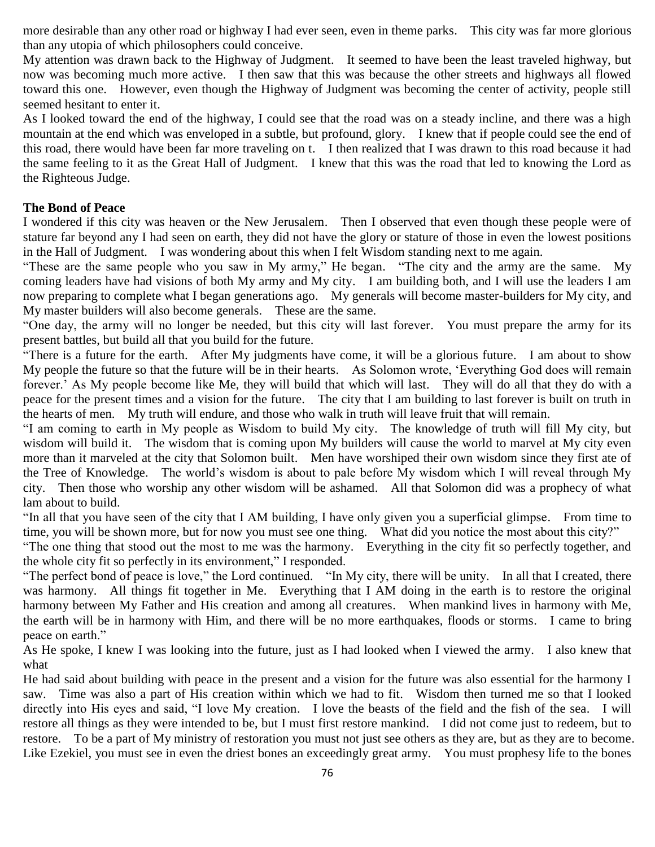more desirable than any other road or highway I had ever seen, even in theme parks. This city was far more glorious than any utopia of which philosophers could conceive.

My attention was drawn back to the Highway of Judgment. It seemed to have been the least traveled highway, but now was becoming much more active. I then saw that this was because the other streets and highways all flowed toward this one. However, even though the Highway of Judgment was becoming the center of activity, people still seemed hesitant to enter it.

As I looked toward the end of the highway, I could see that the road was on a steady incline, and there was a high mountain at the end which was enveloped in a subtle, but profound, glory. I knew that if people could see the end of this road, there would have been far more traveling on t. I then realized that I was drawn to this road because it had the same feeling to it as the Great Hall of Judgment. I knew that this was the road that led to knowing the Lord as the Righteous Judge.

# **The Bond of Peace**

I wondered if this city was heaven or the New Jerusalem. Then I observed that even though these people were of stature far beyond any I had seen on earth, they did not have the glory or stature of those in even the lowest positions in the Hall of Judgment. I was wondering about this when I felt Wisdom standing next to me again.

"These are the same people who you saw in My army," He began. "The city and the army are the same. My coming leaders have had visions of both My army and My city. I am building both, and I will use the leaders I am now preparing to complete what I began generations ago. My generals will become master-builders for My city, and My master builders will also become generals. These are the same.

"One day, the army will no longer be needed, but this city will last forever. You must prepare the army for its present battles, but build all that you build for the future.

"There is a future for the earth. After My judgments have come, it will be a glorious future. I am about to show My people the future so that the future will be in their hearts. As Solomon wrote, "Everything God does will remain forever." As My people become like Me, they will build that which will last. They will do all that they do with a peace for the present times and a vision for the future. The city that I am building to last forever is built on truth in the hearts of men. My truth will endure, and those who walk in truth will leave fruit that will remain.

"I am coming to earth in My people as Wisdom to build My city. The knowledge of truth will fill My city, but wisdom will build it. The wisdom that is coming upon My builders will cause the world to marvel at My city even more than it marveled at the city that Solomon built. Men have worshiped their own wisdom since they first ate of the Tree of Knowledge. The world"s wisdom is about to pale before My wisdom which I will reveal through My city. Then those who worship any other wisdom will be ashamed. All that Solomon did was a prophecy of what lam about to build.

"In all that you have seen of the city that I AM building, I have only given you a superficial glimpse. From time to time, you will be shown more, but for now you must see one thing. What did you notice the most about this city?"

"The one thing that stood out the most to me was the harmony. Everything in the city fit so perfectly together, and the whole city fit so perfectly in its environment," I responded.

"The perfect bond of peace is love," the Lord continued. "In My city, there will be unity. In all that I created, there was harmony. All things fit together in Me. Everything that I AM doing in the earth is to restore the original harmony between My Father and His creation and among all creatures. When mankind lives in harmony with Me, the earth will be in harmony with Him, and there will be no more earthquakes, floods or storms. I came to bring peace on earth."

As He spoke, I knew I was looking into the future, just as I had looked when I viewed the army. I also knew that what

He had said about building with peace in the present and a vision for the future was also essential for the harmony I saw. Time was also a part of His creation within which we had to fit. Wisdom then turned me so that I looked directly into His eyes and said, "I love My creation. I love the beasts of the field and the fish of the sea. I will restore all things as they were intended to be, but I must first restore mankind. I did not come just to redeem, but to restore. To be a part of My ministry of restoration you must not just see others as they are, but as they are to become. Like Ezekiel, you must see in even the driest bones an exceedingly great army. You must prophesy life to the bones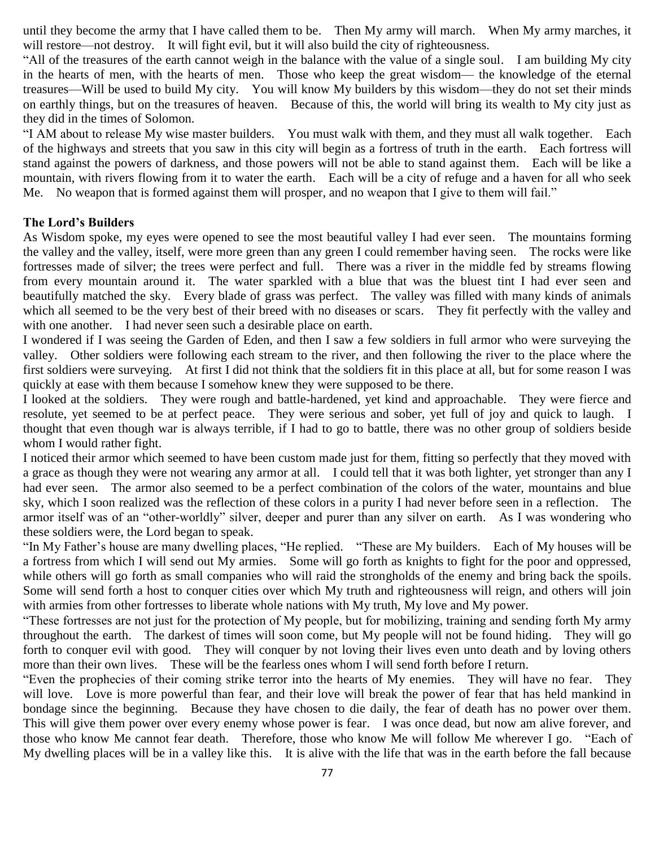until they become the army that I have called them to be. Then My army will march. When My army marches, it will restore—not destroy. It will fight evil, but it will also build the city of righteousness.

"All of the treasures of the earth cannot weigh in the balance with the value of a single soul. I am building My city in the hearts of men, with the hearts of men. Those who keep the great wisdom— the knowledge of the eternal treasures—Will be used to build My city. You will know My builders by this wisdom—they do not set their minds on earthly things, but on the treasures of heaven. Because of this, the world will bring its wealth to My city just as they did in the times of Solomon.

"I AM about to release My wise master builders. You must walk with them, and they must all walk together. Each of the highways and streets that you saw in this city will begin as a fortress of truth in the earth. Each fortress will stand against the powers of darkness, and those powers will not be able to stand against them. Each will be like a mountain, with rivers flowing from it to water the earth. Each will be a city of refuge and a haven for all who seek Me. No weapon that is formed against them will prosper, and no weapon that I give to them will fail."

#### **The Lord's Builders**

As Wisdom spoke, my eyes were opened to see the most beautiful valley I had ever seen. The mountains forming the valley and the valley, itself, were more green than any green I could remember having seen. The rocks were like fortresses made of silver; the trees were perfect and full. There was a river in the middle fed by streams flowing from every mountain around it. The water sparkled with a blue that was the bluest tint I had ever seen and beautifully matched the sky. Every blade of grass was perfect. The valley was filled with many kinds of animals which all seemed to be the very best of their breed with no diseases or scars. They fit perfectly with the valley and with one another. I had never seen such a desirable place on earth.

I wondered if I was seeing the Garden of Eden, and then I saw a few soldiers in full armor who were surveying the valley. Other soldiers were following each stream to the river, and then following the river to the place where the first soldiers were surveying. At first I did not think that the soldiers fit in this place at all, but for some reason I was quickly at ease with them because I somehow knew they were supposed to be there.

I looked at the soldiers. They were rough and battle-hardened, yet kind and approachable. They were fierce and resolute, yet seemed to be at perfect peace. They were serious and sober, yet full of joy and quick to laugh. I thought that even though war is always terrible, if I had to go to battle, there was no other group of soldiers beside whom I would rather fight.

I noticed their armor which seemed to have been custom made just for them, fitting so perfectly that they moved with a grace as though they were not wearing any armor at all. I could tell that it was both lighter, yet stronger than any I had ever seen. The armor also seemed to be a perfect combination of the colors of the water, mountains and blue sky, which I soon realized was the reflection of these colors in a purity I had never before seen in a reflection. The armor itself was of an "other-worldly" silver, deeper and purer than any silver on earth. As I was wondering who these soldiers were, the Lord began to speak.

"In My Father"s house are many dwelling places, "He replied. "These are My builders. Each of My houses will be a fortress from which I will send out My armies. Some will go forth as knights to fight for the poor and oppressed, while others will go forth as small companies who will raid the strongholds of the enemy and bring back the spoils. Some will send forth a host to conquer cities over which My truth and righteousness will reign, and others will join with armies from other fortresses to liberate whole nations with My truth, My love and My power.

"These fortresses are not just for the protection of My people, but for mobilizing, training and sending forth My army throughout the earth. The darkest of times will soon come, but My people will not be found hiding. They will go forth to conquer evil with good. They will conquer by not loving their lives even unto death and by loving others more than their own lives. These will be the fearless ones whom I will send forth before I return.

"Even the prophecies of their coming strike terror into the hearts of My enemies. They will have no fear. They will love. Love is more powerful than fear, and their love will break the power of fear that has held mankind in bondage since the beginning. Because they have chosen to die daily, the fear of death has no power over them. This will give them power over every enemy whose power is fear. I was once dead, but now am alive forever, and those who know Me cannot fear death. Therefore, those who know Me will follow Me wherever I go. "Each of My dwelling places will be in a valley like this. It is alive with the life that was in the earth before the fall because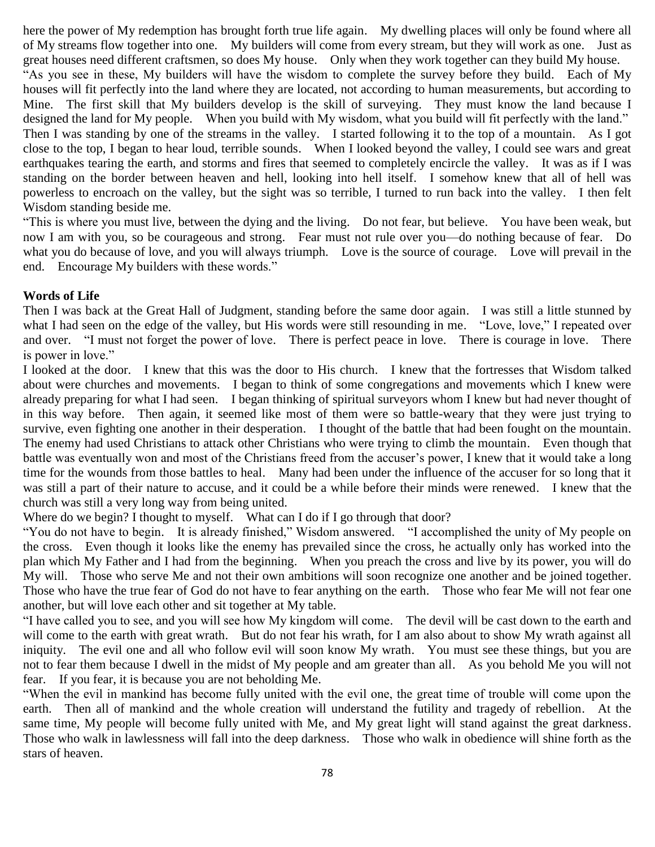here the power of My redemption has brought forth true life again. My dwelling places will only be found where all of My streams flow together into one. My builders will come from every stream, but they will work as one. Just as great houses need different craftsmen, so does My house. Only when they work together can they build My house. "As you see in these, My builders will have the wisdom to complete the survey before they build. Each of My houses will fit perfectly into the land where they are located, not according to human measurements, but according to Mine. The first skill that My builders develop is the skill of surveying. They must know the land because I designed the land for My people. When you build with My wisdom, what you build will fit perfectly with the land." Then I was standing by one of the streams in the valley. I started following it to the top of a mountain. As I got close to the top, I began to hear loud, terrible sounds. When I looked beyond the valley, I could see wars and great earthquakes tearing the earth, and storms and fires that seemed to completely encircle the valley. It was as if I was standing on the border between heaven and hell, looking into hell itself. I somehow knew that all of hell was powerless to encroach on the valley, but the sight was so terrible, I turned to run back into the valley. I then felt Wisdom standing beside me.

"This is where you must live, between the dying and the living. Do not fear, but believe. You have been weak, but now I am with you, so be courageous and strong. Fear must not rule over you—do nothing because of fear. Do what you do because of love, and you will always triumph. Love is the source of courage. Love will prevail in the end. Encourage My builders with these words."

#### **Words of Life**

Then I was back at the Great Hall of Judgment, standing before the same door again. I was still a little stunned by what I had seen on the edge of the valley, but His words were still resounding in me. "Love, love," I repeated over and over. "I must not forget the power of love. There is perfect peace in love. There is courage in love. There is power in love."

I looked at the door. I knew that this was the door to His church. I knew that the fortresses that Wisdom talked about were churches and movements. I began to think of some congregations and movements which I knew were already preparing for what I had seen. I began thinking of spiritual surveyors whom I knew but had never thought of in this way before. Then again, it seemed like most of them were so battle-weary that they were just trying to survive, even fighting one another in their desperation. I thought of the battle that had been fought on the mountain. The enemy had used Christians to attack other Christians who were trying to climb the mountain. Even though that battle was eventually won and most of the Christians freed from the accuser's power, I knew that it would take a long time for the wounds from those battles to heal. Many had been under the influence of the accuser for so long that it was still a part of their nature to accuse, and it could be a while before their minds were renewed. I knew that the church was still a very long way from being united.

Where do we begin? I thought to myself. What can I do if I go through that door?

"You do not have to begin. It is already finished," Wisdom answered. "I accomplished the unity of My people on the cross. Even though it looks like the enemy has prevailed since the cross, he actually only has worked into the plan which My Father and I had from the beginning. When you preach the cross and live by its power, you will do My will. Those who serve Me and not their own ambitions will soon recognize one another and be joined together. Those who have the true fear of God do not have to fear anything on the earth. Those who fear Me will not fear one another, but will love each other and sit together at My table.

"I have called you to see, and you will see how My kingdom will come. The devil will be cast down to the earth and will come to the earth with great wrath. But do not fear his wrath, for I am also about to show My wrath against all iniquity. The evil one and all who follow evil will soon know My wrath. You must see these things, but you are not to fear them because I dwell in the midst of My people and am greater than all. As you behold Me you will not fear. If you fear, it is because you are not beholding Me.

"When the evil in mankind has become fully united with the evil one, the great time of trouble will come upon the earth. Then all of mankind and the whole creation will understand the futility and tragedy of rebellion. At the same time, My people will become fully united with Me, and My great light will stand against the great darkness. Those who walk in lawlessness will fall into the deep darkness. Those who walk in obedience will shine forth as the stars of heaven.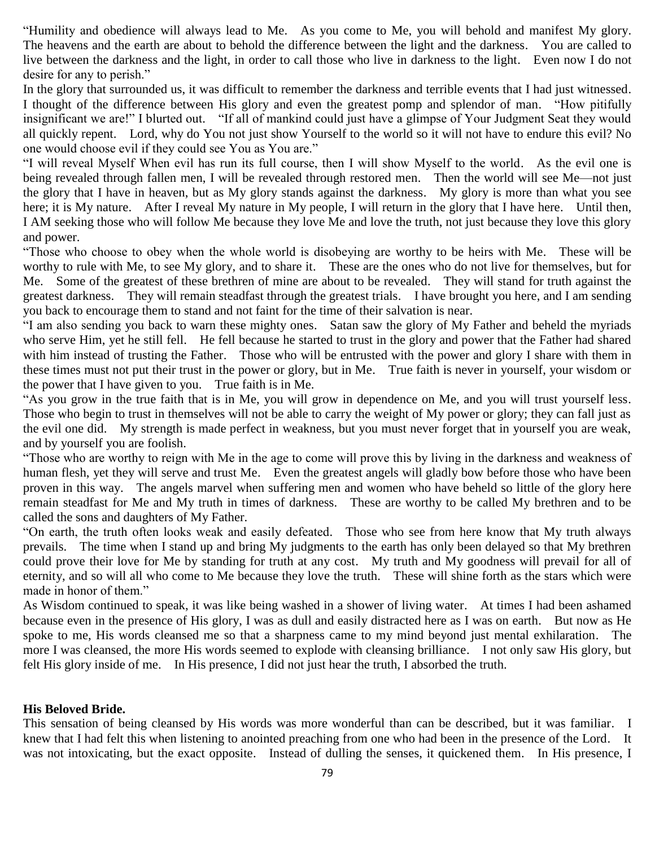"Humility and obedience will always lead to Me. As you come to Me, you will behold and manifest My glory. The heavens and the earth are about to behold the difference between the light and the darkness. You are called to live between the darkness and the light, in order to call those who live in darkness to the light. Even now I do not desire for any to perish."

In the glory that surrounded us, it was difficult to remember the darkness and terrible events that I had just witnessed. I thought of the difference between His glory and even the greatest pomp and splendor of man. "How pitifully insignificant we are!" I blurted out. "If all of mankind could just have a glimpse of Your Judgment Seat they would all quickly repent. Lord, why do You not just show Yourself to the world so it will not have to endure this evil? No one would choose evil if they could see You as You are."

"I will reveal Myself When evil has run its full course, then I will show Myself to the world. As the evil one is being revealed through fallen men, I will be revealed through restored men. Then the world will see Me—not just the glory that I have in heaven, but as My glory stands against the darkness. My glory is more than what you see here; it is My nature. After I reveal My nature in My people, I will return in the glory that I have here. Until then, I AM seeking those who will follow Me because they love Me and love the truth, not just because they love this glory and power.

"Those who choose to obey when the whole world is disobeying are worthy to be heirs with Me. These will be worthy to rule with Me, to see My glory, and to share it. These are the ones who do not live for themselves, but for Me. Some of the greatest of these brethren of mine are about to be revealed. They will stand for truth against the greatest darkness. They will remain steadfast through the greatest trials. I have brought you here, and I am sending you back to encourage them to stand and not faint for the time of their salvation is near.

"I am also sending you back to warn these mighty ones. Satan saw the glory of My Father and beheld the myriads who serve Him, yet he still fell. He fell because he started to trust in the glory and power that the Father had shared with him instead of trusting the Father. Those who will be entrusted with the power and glory I share with them in these times must not put their trust in the power or glory, but in Me. True faith is never in yourself, your wisdom or the power that I have given to you. True faith is in Me.

"As you grow in the true faith that is in Me, you will grow in dependence on Me, and you will trust yourself less. Those who begin to trust in themselves will not be able to carry the weight of My power or glory; they can fall just as the evil one did. My strength is made perfect in weakness, but you must never forget that in yourself you are weak, and by yourself you are foolish.

"Those who are worthy to reign with Me in the age to come will prove this by living in the darkness and weakness of human flesh, yet they will serve and trust Me. Even the greatest angels will gladly bow before those who have been proven in this way. The angels marvel when suffering men and women who have beheld so little of the glory here remain steadfast for Me and My truth in times of darkness. These are worthy to be called My brethren and to be called the sons and daughters of My Father.

"On earth, the truth often looks weak and easily defeated. Those who see from here know that My truth always prevails. The time when I stand up and bring My judgments to the earth has only been delayed so that My brethren could prove their love for Me by standing for truth at any cost. My truth and My goodness will prevail for all of eternity, and so will all who come to Me because they love the truth. These will shine forth as the stars which were made in honor of them."

As Wisdom continued to speak, it was like being washed in a shower of living water. At times I had been ashamed because even in the presence of His glory, I was as dull and easily distracted here as I was on earth. But now as He spoke to me, His words cleansed me so that a sharpness came to my mind beyond just mental exhilaration. The more I was cleansed, the more His words seemed to explode with cleansing brilliance. I not only saw His glory, but felt His glory inside of me. In His presence, I did not just hear the truth, I absorbed the truth.

### **His Beloved Bride.**

This sensation of being cleansed by His words was more wonderful than can be described, but it was familiar. I knew that I had felt this when listening to anointed preaching from one who had been in the presence of the Lord. It was not intoxicating, but the exact opposite. Instead of dulling the senses, it quickened them. In His presence, I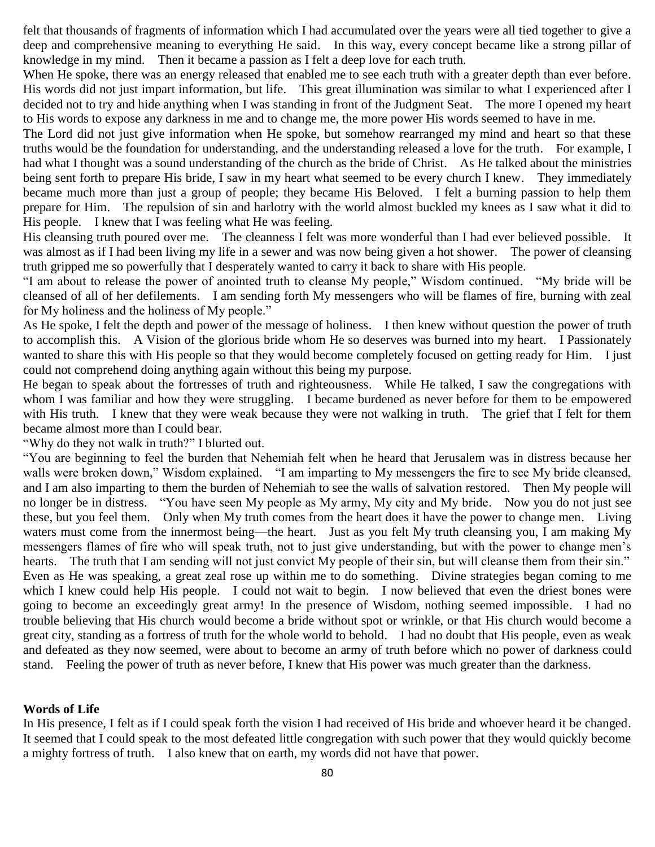felt that thousands of fragments of information which I had accumulated over the years were all tied together to give a deep and comprehensive meaning to everything He said. In this way, every concept became like a strong pillar of knowledge in my mind. Then it became a passion as I felt a deep love for each truth.

When He spoke, there was an energy released that enabled me to see each truth with a greater depth than ever before. His words did not just impart information, but life. This great illumination was similar to what I experienced after I decided not to try and hide anything when I was standing in front of the Judgment Seat. The more I opened my heart to His words to expose any darkness in me and to change me, the more power His words seemed to have in me.

The Lord did not just give information when He spoke, but somehow rearranged my mind and heart so that these truths would be the foundation for understanding, and the understanding released a love for the truth. For example, I had what I thought was a sound understanding of the church as the bride of Christ. As He talked about the ministries being sent forth to prepare His bride, I saw in my heart what seemed to be every church I knew. They immediately became much more than just a group of people; they became His Beloved. I felt a burning passion to help them prepare for Him. The repulsion of sin and harlotry with the world almost buckled my knees as I saw what it did to His people. I knew that I was feeling what He was feeling.

His cleansing truth poured over me. The cleanness I felt was more wonderful than I had ever believed possible. It was almost as if I had been living my life in a sewer and was now being given a hot shower. The power of cleansing truth gripped me so powerfully that I desperately wanted to carry it back to share with His people.

"I am about to release the power of anointed truth to cleanse My people," Wisdom continued. "My bride will be cleansed of all of her defilements. I am sending forth My messengers who will be flames of fire, burning with zeal for My holiness and the holiness of My people."

As He spoke, I felt the depth and power of the message of holiness. I then knew without question the power of truth to accomplish this. A Vision of the glorious bride whom He so deserves was burned into my heart. I Passionately wanted to share this with His people so that they would become completely focused on getting ready for Him. I just could not comprehend doing anything again without this being my purpose.

He began to speak about the fortresses of truth and righteousness. While He talked, I saw the congregations with whom I was familiar and how they were struggling. I became burdened as never before for them to be empowered with His truth. I knew that they were weak because they were not walking in truth. The grief that I felt for them became almost more than I could bear.

"Why do they not walk in truth?" I blurted out.

"You are beginning to feel the burden that Nehemiah felt when he heard that Jerusalem was in distress because her walls were broken down," Wisdom explained. "I am imparting to My messengers the fire to see My bride cleansed, and I am also imparting to them the burden of Nehemiah to see the walls of salvation restored. Then My people will no longer be in distress. "You have seen My people as My army, My city and My bride. Now you do not just see these, but you feel them. Only when My truth comes from the heart does it have the power to change men. Living waters must come from the innermost being—the heart. Just as you felt My truth cleansing you, I am making My messengers flames of fire who will speak truth, not to just give understanding, but with the power to change men"s hearts. The truth that I am sending will not just convict My people of their sin, but will cleanse them from their sin." Even as He was speaking, a great zeal rose up within me to do something. Divine strategies began coming to me which I knew could help His people. I could not wait to begin. I now believed that even the driest bones were going to become an exceedingly great army! In the presence of Wisdom, nothing seemed impossible. I had no trouble believing that His church would become a bride without spot or wrinkle, or that His church would become a great city, standing as a fortress of truth for the whole world to behold. I had no doubt that His people, even as weak and defeated as they now seemed, were about to become an army of truth before which no power of darkness could stand. Feeling the power of truth as never before, I knew that His power was much greater than the darkness.

### **Words of Life**

In His presence, I felt as if I could speak forth the vision I had received of His bride and whoever heard it be changed. It seemed that I could speak to the most defeated little congregation with such power that they would quickly become a mighty fortress of truth. I also knew that on earth, my words did not have that power.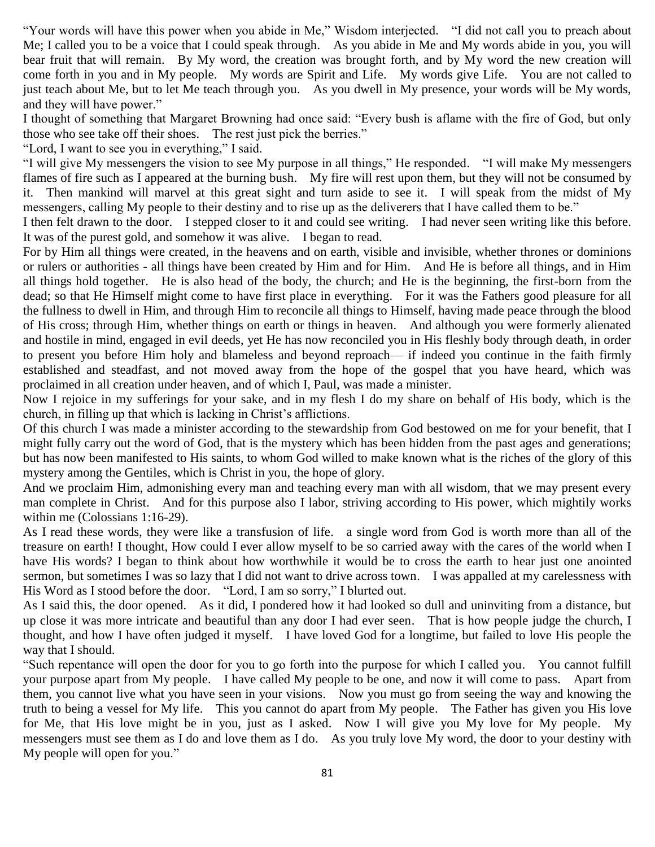"Your words will have this power when you abide in Me," Wisdom interjected. "I did not call you to preach about Me; I called you to be a voice that I could speak through. As you abide in Me and My words abide in you, you will bear fruit that will remain. By My word, the creation was brought forth, and by My word the new creation will come forth in you and in My people. My words are Spirit and Life. My words give Life. You are not called to just teach about Me, but to let Me teach through you. As you dwell in My presence, your words will be My words, and they will have power."

I thought of something that Margaret Browning had once said: "Every bush is aflame with the fire of God, but only those who see take off their shoes. The rest just pick the berries."

"Lord, I want to see you in everything," I said.

"I will give My messengers the vision to see My purpose in all things," He responded. "I will make My messengers flames of fire such as I appeared at the burning bush. My fire will rest upon them, but they will not be consumed by it. Then mankind will marvel at this great sight and turn aside to see it. I will speak from the midst of My messengers, calling My people to their destiny and to rise up as the deliverers that I have called them to be."

I then felt drawn to the door. I stepped closer to it and could see writing. I had never seen writing like this before. It was of the purest gold, and somehow it was alive. I began to read.

For by Him all things were created, in the heavens and on earth, visible and invisible, whether thrones or dominions or rulers or authorities - all things have been created by Him and for Him. And He is before all things, and in Him all things hold together. He is also head of the body, the church; and He is the beginning, the first-born from the dead; so that He Himself might come to have first place in everything. For it was the Fathers good pleasure for all the fullness to dwell in Him, and through Him to reconcile all things to Himself, having made peace through the blood of His cross; through Him, whether things on earth or things in heaven. And although you were formerly alienated and hostile in mind, engaged in evil deeds, yet He has now reconciled you in His fleshly body through death, in order to present you before Him holy and blameless and beyond reproach— if indeed you continue in the faith firmly established and steadfast, and not moved away from the hope of the gospel that you have heard, which was proclaimed in all creation under heaven, and of which I, Paul, was made a minister.

Now I rejoice in my sufferings for your sake, and in my flesh I do my share on behalf of His body, which is the church, in filling up that which is lacking in Christ"s afflictions.

Of this church I was made a minister according to the stewardship from God bestowed on me for your benefit, that I might fully carry out the word of God, that is the mystery which has been hidden from the past ages and generations; but has now been manifested to His saints, to whom God willed to make known what is the riches of the glory of this mystery among the Gentiles, which is Christ in you, the hope of glory.

And we proclaim Him, admonishing every man and teaching every man with all wisdom, that we may present every man complete in Christ. And for this purpose also I labor, striving according to His power, which mightily works within me (Colossians 1:16-29).

As I read these words, they were like a transfusion of life. a single word from God is worth more than all of the treasure on earth! I thought, How could I ever allow myself to be so carried away with the cares of the world when I have His words? I began to think about how worthwhile it would be to cross the earth to hear just one anointed sermon, but sometimes I was so lazy that I did not want to drive across town. I was appalled at my carelessness with His Word as I stood before the door. "Lord, I am so sorry," I blurted out.

As I said this, the door opened. As it did, I pondered how it had looked so dull and uninviting from a distance, but up close it was more intricate and beautiful than any door I had ever seen. That is how people judge the church, I thought, and how I have often judged it myself. I have loved God for a longtime, but failed to love His people the way that I should.

"Such repentance will open the door for you to go forth into the purpose for which I called you. You cannot fulfill your purpose apart from My people. I have called My people to be one, and now it will come to pass. Apart from them, you cannot live what you have seen in your visions. Now you must go from seeing the way and knowing the truth to being a vessel for My life. This you cannot do apart from My people. The Father has given you His love for Me, that His love might be in you, just as I asked. Now I will give you My love for My people. My messengers must see them as I do and love them as I do. As you truly love My word, the door to your destiny with My people will open for you."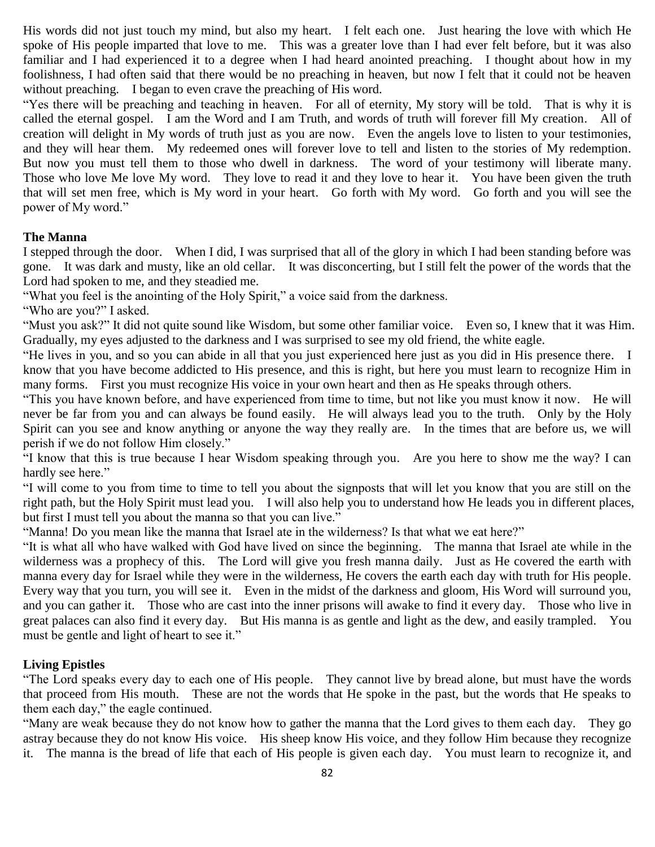His words did not just touch my mind, but also my heart. I felt each one. Just hearing the love with which He spoke of His people imparted that love to me. This was a greater love than I had ever felt before, but it was also familiar and I had experienced it to a degree when I had heard anointed preaching. I thought about how in my foolishness, I had often said that there would be no preaching in heaven, but now I felt that it could not be heaven without preaching. I began to even crave the preaching of His word.

"Yes there will be preaching and teaching in heaven. For all of eternity, My story will be told. That is why it is called the eternal gospel. I am the Word and I am Truth, and words of truth will forever fill My creation. All of creation will delight in My words of truth just as you are now. Even the angels love to listen to your testimonies, and they will hear them. My redeemed ones will forever love to tell and listen to the stories of My redemption. But now you must tell them to those who dwell in darkness. The word of your testimony will liberate many. Those who love Me love My word. They love to read it and they love to hear it. You have been given the truth that will set men free, which is My word in your heart. Go forth with My word. Go forth and you will see the power of My word."

### **The Manna**

I stepped through the door. When I did, I was surprised that all of the glory in which I had been standing before was gone. It was dark and musty, like an old cellar. It was disconcerting, but I still felt the power of the words that the Lord had spoken to me, and they steadied me.

"What you feel is the anointing of the Holy Spirit," a voice said from the darkness.

"Who are you?" I asked.

"Must you ask?" It did not quite sound like Wisdom, but some other familiar voice. Even so, I knew that it was Him. Gradually, my eyes adjusted to the darkness and I was surprised to see my old friend, the white eagle.

"He lives in you, and so you can abide in all that you just experienced here just as you did in His presence there. I know that you have become addicted to His presence, and this is right, but here you must learn to recognize Him in many forms. First you must recognize His voice in your own heart and then as He speaks through others.

"This you have known before, and have experienced from time to time, but not like you must know it now. He will never be far from you and can always be found easily. He will always lead you to the truth. Only by the Holy Spirit can you see and know anything or anyone the way they really are. In the times that are before us, we will perish if we do not follow Him closely."

"I know that this is true because I hear Wisdom speaking through you. Are you here to show me the way? I can hardly see here."

"I will come to you from time to time to tell you about the signposts that will let you know that you are still on the right path, but the Holy Spirit must lead you. I will also help you to understand how He leads you in different places, but first I must tell you about the manna so that you can live."

"Manna! Do you mean like the manna that Israel ate in the wilderness? Is that what we eat here?"

"It is what all who have walked with God have lived on since the beginning. The manna that Israel ate while in the wilderness was a prophecy of this. The Lord will give you fresh manna daily. Just as He covered the earth with manna every day for Israel while they were in the wilderness, He covers the earth each day with truth for His people. Every way that you turn, you will see it. Even in the midst of the darkness and gloom, His Word will surround you, and you can gather it. Those who are cast into the inner prisons will awake to find it every day. Those who live in great palaces can also find it every day. But His manna is as gentle and light as the dew, and easily trampled. You must be gentle and light of heart to see it."

### **Living Epistles**

"The Lord speaks every day to each one of His people. They cannot live by bread alone, but must have the words that proceed from His mouth. These are not the words that He spoke in the past, but the words that He speaks to them each day," the eagle continued.

"Many are weak because they do not know how to gather the manna that the Lord gives to them each day. They go astray because they do not know His voice. His sheep know His voice, and they follow Him because they recognize it. The manna is the bread of life that each of His people is given each day. You must learn to recognize it, and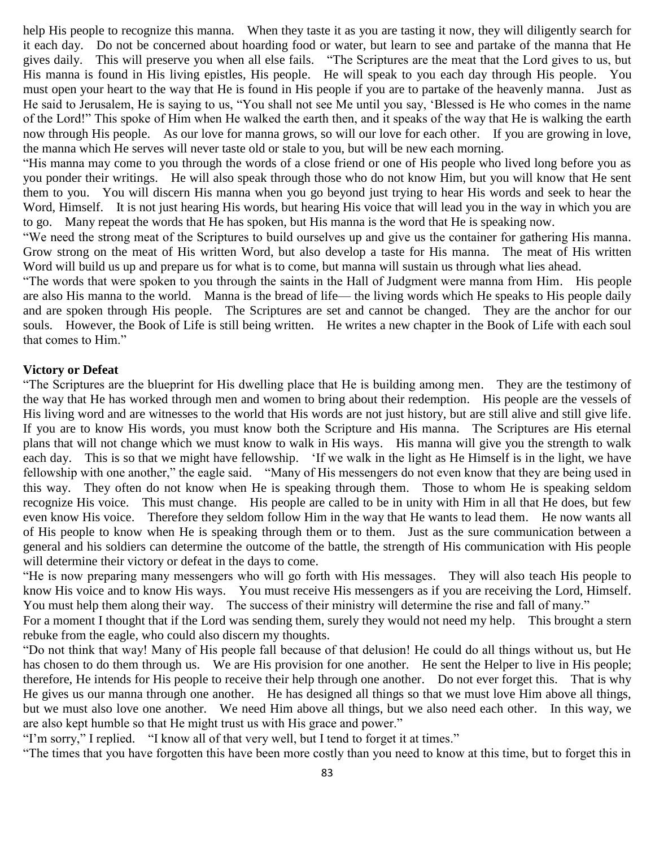help His people to recognize this manna. When they taste it as you are tasting it now, they will diligently search for it each day. Do not be concerned about hoarding food or water, but learn to see and partake of the manna that He gives daily. This will preserve you when all else fails. "The Scriptures are the meat that the Lord gives to us, but His manna is found in His living epistles, His people. He will speak to you each day through His people. You must open your heart to the way that He is found in His people if you are to partake of the heavenly manna. Just as He said to Jerusalem, He is saying to us, "You shall not see Me until you say, "Blessed is He who comes in the name of the Lord!" This spoke of Him when He walked the earth then, and it speaks of the way that He is walking the earth now through His people. As our love for manna grows, so will our love for each other. If you are growing in love, the manna which He serves will never taste old or stale to you, but will be new each morning.

"His manna may come to you through the words of a close friend or one of His people who lived long before you as you ponder their writings. He will also speak through those who do not know Him, but you will know that He sent them to you. You will discern His manna when you go beyond just trying to hear His words and seek to hear the Word, Himself. It is not just hearing His words, but hearing His voice that will lead you in the way in which you are to go. Many repeat the words that He has spoken, but His manna is the word that He is speaking now.

"We need the strong meat of the Scriptures to build ourselves up and give us the container for gathering His manna. Grow strong on the meat of His written Word, but also develop a taste for His manna. The meat of His written Word will build us up and prepare us for what is to come, but manna will sustain us through what lies ahead.

"The words that were spoken to you through the saints in the Hall of Judgment were manna from Him. His people are also His manna to the world. Manna is the bread of life— the living words which He speaks to His people daily and are spoken through His people. The Scriptures are set and cannot be changed. They are the anchor for our souls. However, the Book of Life is still being written. He writes a new chapter in the Book of Life with each soul that comes to Him."

#### **Victory or Defeat**

"The Scriptures are the blueprint for His dwelling place that He is building among men. They are the testimony of the way that He has worked through men and women to bring about their redemption. His people are the vessels of His living word and are witnesses to the world that His words are not just history, but are still alive and still give life. If you are to know His words, you must know both the Scripture and His manna. The Scriptures are His eternal plans that will not change which we must know to walk in His ways. His manna will give you the strength to walk each day. This is so that we might have fellowship. "If we walk in the light as He Himself is in the light, we have fellowship with one another," the eagle said. "Many of His messengers do not even know that they are being used in this way. They often do not know when He is speaking through them. Those to whom He is speaking seldom recognize His voice. This must change. His people are called to be in unity with Him in all that He does, but few even know His voice. Therefore they seldom follow Him in the way that He wants to lead them. He now wants all of His people to know when He is speaking through them or to them. Just as the sure communication between a general and his soldiers can determine the outcome of the battle, the strength of His communication with His people will determine their victory or defeat in the days to come.

"He is now preparing many messengers who will go forth with His messages. They will also teach His people to know His voice and to know His ways. You must receive His messengers as if you are receiving the Lord, Himself. You must help them along their way. The success of their ministry will determine the rise and fall of many."

For a moment I thought that if the Lord was sending them, surely they would not need my help. This brought a stern rebuke from the eagle, who could also discern my thoughts.

"Do not think that way! Many of His people fall because of that delusion! He could do all things without us, but He has chosen to do them through us. We are His provision for one another. He sent the Helper to live in His people; therefore, He intends for His people to receive their help through one another. Do not ever forget this. That is why He gives us our manna through one another. He has designed all things so that we must love Him above all things, but we must also love one another. We need Him above all things, but we also need each other. In this way, we are also kept humble so that He might trust us with His grace and power."

"I"m sorry," I replied. "I know all of that very well, but I tend to forget it at times."

"The times that you have forgotten this have been more costly than you need to know at this time, but to forget this in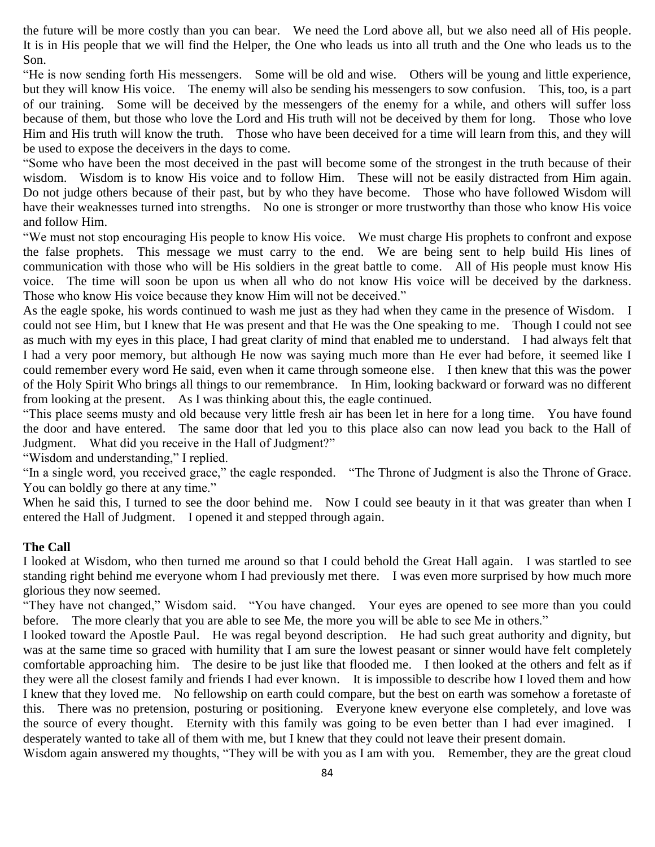the future will be more costly than you can bear. We need the Lord above all, but we also need all of His people. It is in His people that we will find the Helper, the One who leads us into all truth and the One who leads us to the Son.

"He is now sending forth His messengers. Some will be old and wise. Others will be young and little experience, but they will know His voice. The enemy will also be sending his messengers to sow confusion. This, too, is a part of our training. Some will be deceived by the messengers of the enemy for a while, and others will suffer loss because of them, but those who love the Lord and His truth will not be deceived by them for long. Those who love Him and His truth will know the truth. Those who have been deceived for a time will learn from this, and they will be used to expose the deceivers in the days to come.

"Some who have been the most deceived in the past will become some of the strongest in the truth because of their wisdom. Wisdom is to know His voice and to follow Him. These will not be easily distracted from Him again. Do not judge others because of their past, but by who they have become. Those who have followed Wisdom will have their weaknesses turned into strengths. No one is stronger or more trustworthy than those who know His voice and follow Him.

"We must not stop encouraging His people to know His voice. We must charge His prophets to confront and expose the false prophets. This message we must carry to the end. We are being sent to help build His lines of communication with those who will be His soldiers in the great battle to come. All of His people must know His voice. The time will soon be upon us when all who do not know His voice will be deceived by the darkness. Those who know His voice because they know Him will not be deceived."

As the eagle spoke, his words continued to wash me just as they had when they came in the presence of Wisdom. I could not see Him, but I knew that He was present and that He was the One speaking to me. Though I could not see as much with my eyes in this place, I had great clarity of mind that enabled me to understand. I had always felt that I had a very poor memory, but although He now was saying much more than He ever had before, it seemed like I could remember every word He said, even when it came through someone else. I then knew that this was the power of the Holy Spirit Who brings all things to our remembrance. In Him, looking backward or forward was no different from looking at the present. As I was thinking about this, the eagle continued.

"This place seems musty and old because very little fresh air has been let in here for a long time. You have found the door and have entered. The same door that led you to this place also can now lead you back to the Hall of Judgment. What did you receive in the Hall of Judgment?"

"Wisdom and understanding," I replied.

"In a single word, you received grace," the eagle responded. "The Throne of Judgment is also the Throne of Grace. You can boldly go there at any time."

When he said this, I turned to see the door behind me. Now I could see beauty in it that was greater than when I entered the Hall of Judgment. I opened it and stepped through again.

# **The Call**

I looked at Wisdom, who then turned me around so that I could behold the Great Hall again. I was startled to see standing right behind me everyone whom I had previously met there. I was even more surprised by how much more glorious they now seemed.

"They have not changed," Wisdom said. "You have changed. Your eyes are opened to see more than you could before. The more clearly that you are able to see Me, the more you will be able to see Me in others."

I looked toward the Apostle Paul. He was regal beyond description. He had such great authority and dignity, but was at the same time so graced with humility that I am sure the lowest peasant or sinner would have felt completely comfortable approaching him. The desire to be just like that flooded me. I then looked at the others and felt as if they were all the closest family and friends I had ever known. It is impossible to describe how I loved them and how I knew that they loved me. No fellowship on earth could compare, but the best on earth was somehow a foretaste of this. There was no pretension, posturing or positioning. Everyone knew everyone else completely, and love was the source of every thought. Eternity with this family was going to be even better than I had ever imagined. I desperately wanted to take all of them with me, but I knew that they could not leave their present domain.

Wisdom again answered my thoughts, "They will be with you as I am with you. Remember, they are the great cloud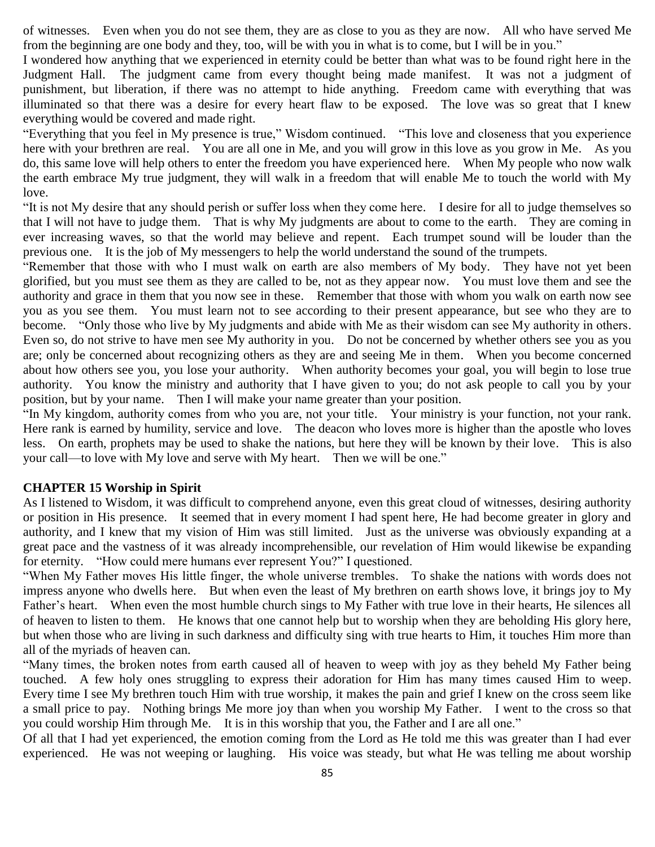of witnesses. Even when you do not see them, they are as close to you as they are now. All who have served Me from the beginning are one body and they, too, will be with you in what is to come, but I will be in you."

I wondered how anything that we experienced in eternity could be better than what was to be found right here in the Judgment Hall. The judgment came from every thought being made manifest. It was not a judgment of punishment, but liberation, if there was no attempt to hide anything. Freedom came with everything that was illuminated so that there was a desire for every heart flaw to be exposed. The love was so great that I knew everything would be covered and made right.

"Everything that you feel in My presence is true," Wisdom continued. "This love and closeness that you experience here with your brethren are real. You are all one in Me, and you will grow in this love as you grow in Me. As you do, this same love will help others to enter the freedom you have experienced here. When My people who now walk the earth embrace My true judgment, they will walk in a freedom that will enable Me to touch the world with My love.

"It is not My desire that any should perish or suffer loss when they come here. I desire for all to judge themselves so that I will not have to judge them. That is why My judgments are about to come to the earth. They are coming in ever increasing waves, so that the world may believe and repent. Each trumpet sound will be louder than the previous one. It is the job of My messengers to help the world understand the sound of the trumpets.

"Remember that those with who I must walk on earth are also members of My body. They have not yet been glorified, but you must see them as they are called to be, not as they appear now. You must love them and see the authority and grace in them that you now see in these. Remember that those with whom you walk on earth now see you as you see them. You must learn not to see according to their present appearance, but see who they are to become. "Only those who live by My judgments and abide with Me as their wisdom can see My authority in others. Even so, do not strive to have men see My authority in you. Do not be concerned by whether others see you as you are; only be concerned about recognizing others as they are and seeing Me in them. When you become concerned about how others see you, you lose your authority. When authority becomes your goal, you will begin to lose true authority. You know the ministry and authority that I have given to you; do not ask people to call you by your position, but by your name. Then I will make your name greater than your position.

"In My kingdom, authority comes from who you are, not your title. Your ministry is your function, not your rank. Here rank is earned by humility, service and love. The deacon who loves more is higher than the apostle who loves less. On earth, prophets may be used to shake the nations, but here they will be known by their love. This is also your call—to love with My love and serve with My heart. Then we will be one."

### **CHAPTER 15 Worship in Spirit**

As I listened to Wisdom, it was difficult to comprehend anyone, even this great cloud of witnesses, desiring authority or position in His presence. It seemed that in every moment I had spent here, He had become greater in glory and authority, and I knew that my vision of Him was still limited. Just as the universe was obviously expanding at a great pace and the vastness of it was already incomprehensible, our revelation of Him would likewise be expanding for eternity. "How could mere humans ever represent You?" I questioned.

"When My Father moves His little finger, the whole universe trembles. To shake the nations with words does not impress anyone who dwells here. But when even the least of My brethren on earth shows love, it brings joy to My Father's heart. When even the most humble church sings to My Father with true love in their hearts, He silences all of heaven to listen to them. He knows that one cannot help but to worship when they are beholding His glory here, but when those who are living in such darkness and difficulty sing with true hearts to Him, it touches Him more than all of the myriads of heaven can.

"Many times, the broken notes from earth caused all of heaven to weep with joy as they beheld My Father being touched. A few holy ones struggling to express their adoration for Him has many times caused Him to weep. Every time I see My brethren touch Him with true worship, it makes the pain and grief I knew on the cross seem like a small price to pay. Nothing brings Me more joy than when you worship My Father. I went to the cross so that you could worship Him through Me. It is in this worship that you, the Father and I are all one."

Of all that I had yet experienced, the emotion coming from the Lord as He told me this was greater than I had ever experienced. He was not weeping or laughing. His voice was steady, but what He was telling me about worship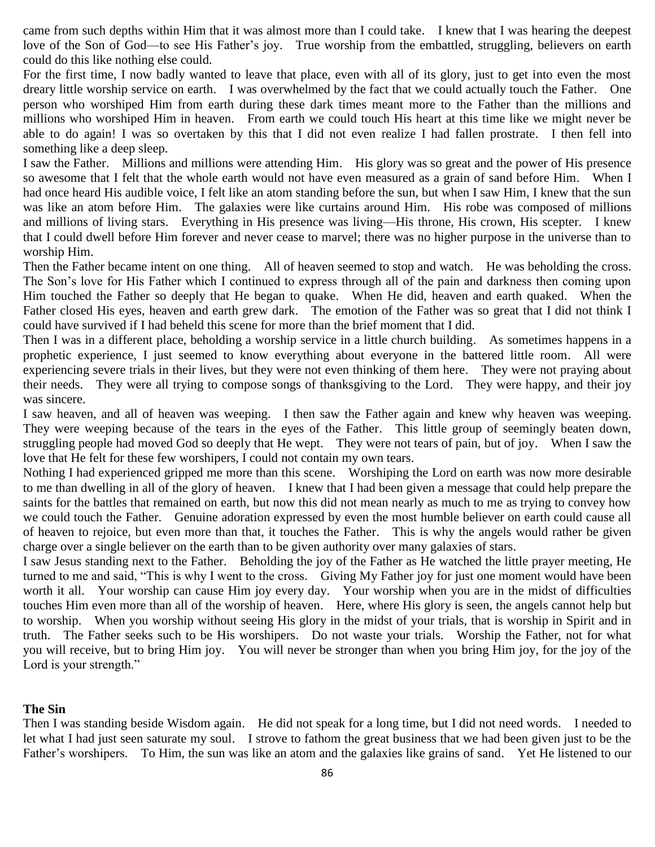came from such depths within Him that it was almost more than I could take. I knew that I was hearing the deepest love of the Son of God—to see His Father's joy. True worship from the embattled, struggling, believers on earth could do this like nothing else could.

For the first time, I now badly wanted to leave that place, even with all of its glory, just to get into even the most dreary little worship service on earth. I was overwhelmed by the fact that we could actually touch the Father. One person who worshiped Him from earth during these dark times meant more to the Father than the millions and millions who worshiped Him in heaven. From earth we could touch His heart at this time like we might never be able to do again! I was so overtaken by this that I did not even realize I had fallen prostrate. I then fell into something like a deep sleep.

I saw the Father. Millions and millions were attending Him. His glory was so great and the power of His presence so awesome that I felt that the whole earth would not have even measured as a grain of sand before Him. When I had once heard His audible voice, I felt like an atom standing before the sun, but when I saw Him, I knew that the sun was like an atom before Him. The galaxies were like curtains around Him. His robe was composed of millions and millions of living stars. Everything in His presence was living—His throne, His crown, His scepter. I knew that I could dwell before Him forever and never cease to marvel; there was no higher purpose in the universe than to worship Him.

Then the Father became intent on one thing. All of heaven seemed to stop and watch. He was beholding the cross. The Son"s love for His Father which I continued to express through all of the pain and darkness then coming upon Him touched the Father so deeply that He began to quake. When He did, heaven and earth quaked. When the Father closed His eyes, heaven and earth grew dark. The emotion of the Father was so great that I did not think I could have survived if I had beheld this scene for more than the brief moment that I did.

Then I was in a different place, beholding a worship service in a little church building. As sometimes happens in a prophetic experience, I just seemed to know everything about everyone in the battered little room. All were experiencing severe trials in their lives, but they were not even thinking of them here. They were not praying about their needs. They were all trying to compose songs of thanksgiving to the Lord. They were happy, and their joy was sincere.

I saw heaven, and all of heaven was weeping. I then saw the Father again and knew why heaven was weeping. They were weeping because of the tears in the eyes of the Father. This little group of seemingly beaten down, struggling people had moved God so deeply that He wept. They were not tears of pain, but of joy. When I saw the love that He felt for these few worshipers, I could not contain my own tears.

Nothing I had experienced gripped me more than this scene. Worshiping the Lord on earth was now more desirable to me than dwelling in all of the glory of heaven. I knew that I had been given a message that could help prepare the saints for the battles that remained on earth, but now this did not mean nearly as much to me as trying to convey how we could touch the Father. Genuine adoration expressed by even the most humble believer on earth could cause all of heaven to rejoice, but even more than that, it touches the Father. This is why the angels would rather be given charge over a single believer on the earth than to be given authority over many galaxies of stars.

I saw Jesus standing next to the Father. Beholding the joy of the Father as He watched the little prayer meeting, He turned to me and said, "This is why I went to the cross. Giving My Father joy for just one moment would have been worth it all. Your worship can cause Him joy every day. Your worship when you are in the midst of difficulties touches Him even more than all of the worship of heaven. Here, where His glory is seen, the angels cannot help but to worship. When you worship without seeing His glory in the midst of your trials, that is worship in Spirit and in truth. The Father seeks such to be His worshipers. Do not waste your trials. Worship the Father, not for what you will receive, but to bring Him joy. You will never be stronger than when you bring Him joy, for the joy of the Lord is your strength."

# **The Sin**

Then I was standing beside Wisdom again. He did not speak for a long time, but I did not need words. I needed to let what I had just seen saturate my soul. I strove to fathom the great business that we had been given just to be the Father's worshipers. To Him, the sun was like an atom and the galaxies like grains of sand. Yet He listened to our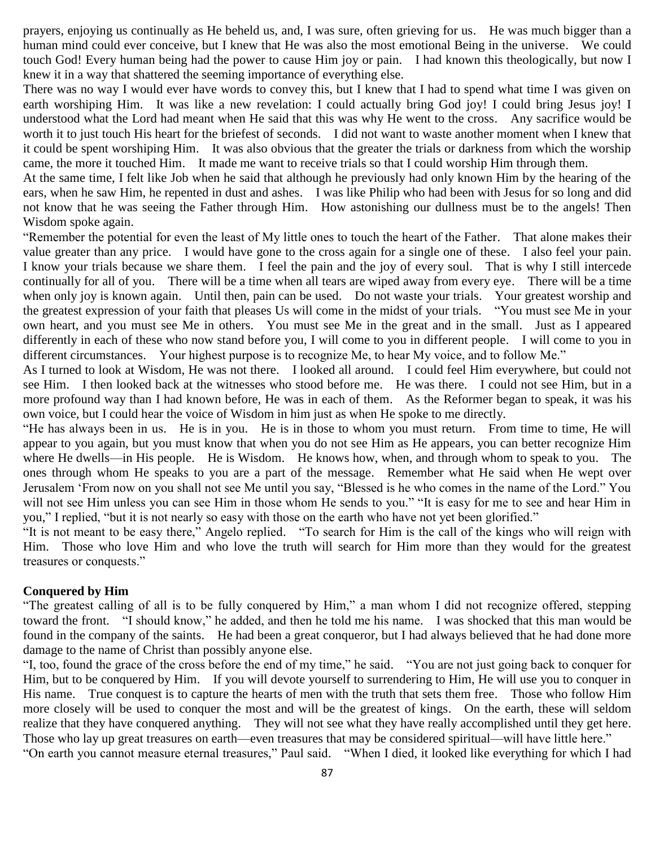prayers, enjoying us continually as He beheld us, and, I was sure, often grieving for us. He was much bigger than a human mind could ever conceive, but I knew that He was also the most emotional Being in the universe. We could touch God! Every human being had the power to cause Him joy or pain. I had known this theologically, but now I knew it in a way that shattered the seeming importance of everything else.

There was no way I would ever have words to convey this, but I knew that I had to spend what time I was given on earth worshiping Him. It was like a new revelation: I could actually bring God joy! I could bring Jesus joy! I understood what the Lord had meant when He said that this was why He went to the cross. Any sacrifice would be worth it to just touch His heart for the briefest of seconds. I did not want to waste another moment when I knew that it could be spent worshiping Him. It was also obvious that the greater the trials or darkness from which the worship came, the more it touched Him. It made me want to receive trials so that I could worship Him through them.

At the same time, I felt like Job when he said that although he previously had only known Him by the hearing of the ears, when he saw Him, he repented in dust and ashes. I was like Philip who had been with Jesus for so long and did not know that he was seeing the Father through Him. How astonishing our dullness must be to the angels! Then Wisdom spoke again.

"Remember the potential for even the least of My little ones to touch the heart of the Father. That alone makes their value greater than any price. I would have gone to the cross again for a single one of these. I also feel your pain. I know your trials because we share them. I feel the pain and the joy of every soul. That is why I still intercede continually for all of you. There will be a time when all tears are wiped away from every eye. There will be a time when only joy is known again. Until then, pain can be used. Do not waste your trials. Your greatest worship and the greatest expression of your faith that pleases Us will come in the midst of your trials. "You must see Me in your own heart, and you must see Me in others. You must see Me in the great and in the small. Just as I appeared differently in each of these who now stand before you, I will come to you in different people. I will come to you in different circumstances. Your highest purpose is to recognize Me, to hear My voice, and to follow Me."

As I turned to look at Wisdom, He was not there. I looked all around. I could feel Him everywhere, but could not see Him. I then looked back at the witnesses who stood before me. He was there. I could not see Him, but in a more profound way than I had known before, He was in each of them. As the Reformer began to speak, it was his own voice, but I could hear the voice of Wisdom in him just as when He spoke to me directly.

"He has always been in us. He is in you. He is in those to whom you must return. From time to time, He will appear to you again, but you must know that when you do not see Him as He appears, you can better recognize Him where He dwells—in His people. He is Wisdom. He knows how, when, and through whom to speak to you. The ones through whom He speaks to you are a part of the message. Remember what He said when He wept over Jerusalem "From now on you shall not see Me until you say, "Blessed is he who comes in the name of the Lord." You will not see Him unless you can see Him in those whom He sends to you." "It is easy for me to see and hear Him in you," I replied, "but it is not nearly so easy with those on the earth who have not yet been glorified."

"It is not meant to be easy there," Angelo replied. "To search for Him is the call of the kings who will reign with Him. Those who love Him and who love the truth will search for Him more than they would for the greatest treasures or conquests."

### **Conquered by Him**

"The greatest calling of all is to be fully conquered by Him," a man whom I did not recognize offered, stepping toward the front. "I should know," he added, and then he told me his name. I was shocked that this man would be found in the company of the saints. He had been a great conqueror, but I had always believed that he had done more damage to the name of Christ than possibly anyone else.

"I, too, found the grace of the cross before the end of my time," he said. "You are not just going back to conquer for Him, but to be conquered by Him. If you will devote yourself to surrendering to Him, He will use you to conquer in His name. True conquest is to capture the hearts of men with the truth that sets them free. Those who follow Him more closely will be used to conquer the most and will be the greatest of kings. On the earth, these will seldom realize that they have conquered anything. They will not see what they have really accomplished until they get here. Those who lay up great treasures on earth—even treasures that may be considered spiritual—will have little here." "On earth you cannot measure eternal treasures," Paul said. "When I died, it looked like everything for which I had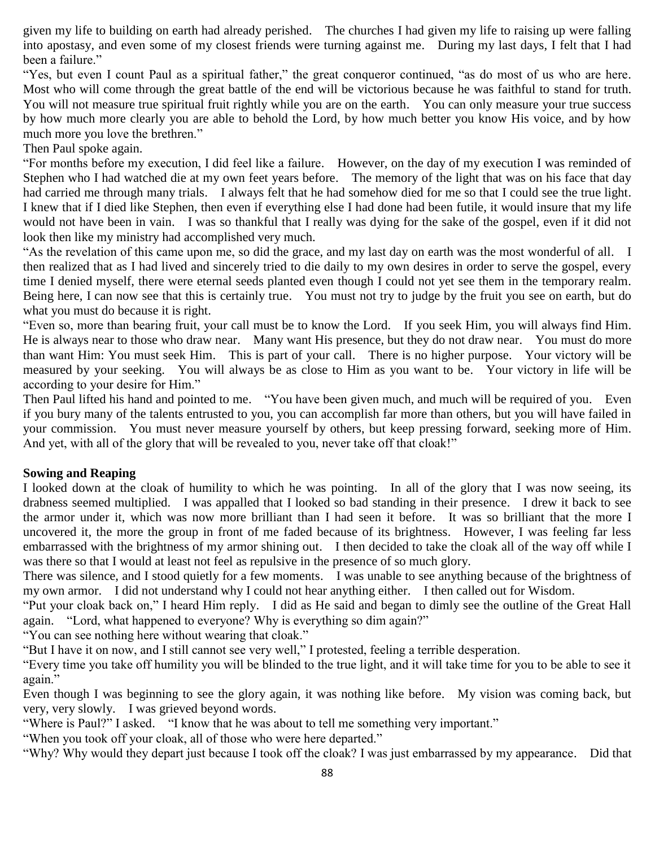given my life to building on earth had already perished. The churches I had given my life to raising up were falling into apostasy, and even some of my closest friends were turning against me. During my last days, I felt that I had been a failure."

"Yes, but even I count Paul as a spiritual father," the great conqueror continued, "as do most of us who are here. Most who will come through the great battle of the end will be victorious because he was faithful to stand for truth. You will not measure true spiritual fruit rightly while you are on the earth. You can only measure your true success by how much more clearly you are able to behold the Lord, by how much better you know His voice, and by how much more you love the brethren."

Then Paul spoke again.

"For months before my execution, I did feel like a failure. However, on the day of my execution I was reminded of Stephen who I had watched die at my own feet years before. The memory of the light that was on his face that day had carried me through many trials. I always felt that he had somehow died for me so that I could see the true light. I knew that if I died like Stephen, then even if everything else I had done had been futile, it would insure that my life would not have been in vain. I was so thankful that I really was dying for the sake of the gospel, even if it did not look then like my ministry had accomplished very much.

"As the revelation of this came upon me, so did the grace, and my last day on earth was the most wonderful of all. I then realized that as I had lived and sincerely tried to die daily to my own desires in order to serve the gospel, every time I denied myself, there were eternal seeds planted even though I could not yet see them in the temporary realm. Being here, I can now see that this is certainly true. You must not try to judge by the fruit you see on earth, but do what you must do because it is right.

"Even so, more than bearing fruit, your call must be to know the Lord. If you seek Him, you will always find Him. He is always near to those who draw near. Many want His presence, but they do not draw near. You must do more than want Him: You must seek Him. This is part of your call. There is no higher purpose. Your victory will be measured by your seeking. You will always be as close to Him as you want to be. Your victory in life will be according to your desire for Him."

Then Paul lifted his hand and pointed to me. "You have been given much, and much will be required of you. Even if you bury many of the talents entrusted to you, you can accomplish far more than others, but you will have failed in your commission. You must never measure yourself by others, but keep pressing forward, seeking more of Him. And yet, with all of the glory that will be revealed to you, never take off that cloak!"

### **Sowing and Reaping**

I looked down at the cloak of humility to which he was pointing. In all of the glory that I was now seeing, its drabness seemed multiplied. I was appalled that I looked so bad standing in their presence. I drew it back to see the armor under it, which was now more brilliant than I had seen it before. It was so brilliant that the more I uncovered it, the more the group in front of me faded because of its brightness. However, I was feeling far less embarrassed with the brightness of my armor shining out. I then decided to take the cloak all of the way off while I was there so that I would at least not feel as repulsive in the presence of so much glory.

There was silence, and I stood quietly for a few moments. I was unable to see anything because of the brightness of my own armor. I did not understand why I could not hear anything either. I then called out for Wisdom.

"Put your cloak back on," I heard Him reply. I did as He said and began to dimly see the outline of the Great Hall again. "Lord, what happened to everyone? Why is everything so dim again?"

"You can see nothing here without wearing that cloak."

"But I have it on now, and I still cannot see very well," I protested, feeling a terrible desperation.

"Every time you take off humility you will be blinded to the true light, and it will take time for you to be able to see it again."

Even though I was beginning to see the glory again, it was nothing like before. My vision was coming back, but very, very slowly. I was grieved beyond words.

"Where is Paul?" I asked. "I know that he was about to tell me something very important."

"When you took off your cloak, all of those who were here departed."

"Why? Why would they depart just because I took off the cloak? I was just embarrassed by my appearance. Did that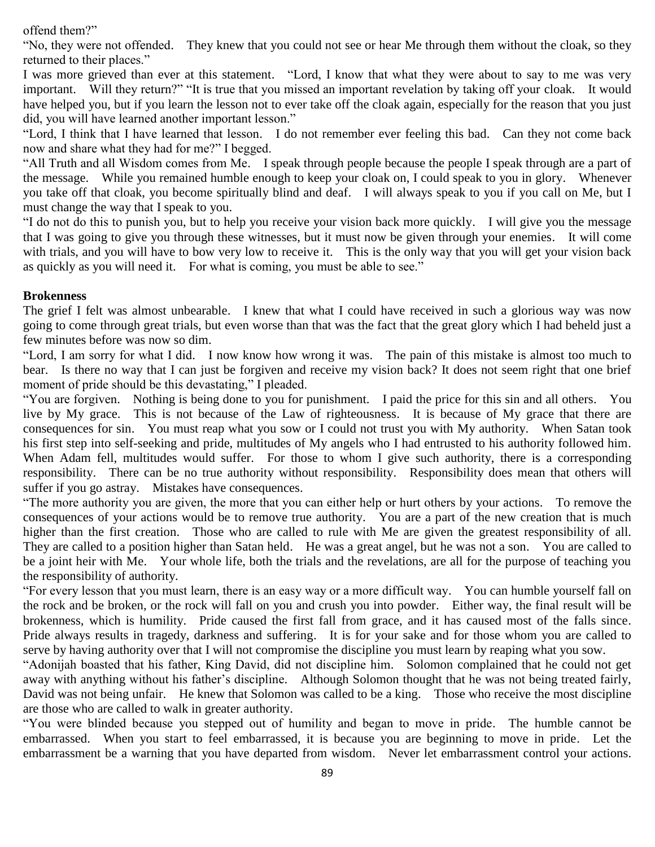offend them?"

"No, they were not offended. They knew that you could not see or hear Me through them without the cloak, so they returned to their places."

I was more grieved than ever at this statement. "Lord, I know that what they were about to say to me was very important. Will they return?" "It is true that you missed an important revelation by taking off your cloak. It would have helped you, but if you learn the lesson not to ever take off the cloak again, especially for the reason that you just did, you will have learned another important lesson."

"Lord, I think that I have learned that lesson. I do not remember ever feeling this bad. Can they not come back now and share what they had for me?" I begged.

"All Truth and all Wisdom comes from Me. I speak through people because the people I speak through are a part of the message. While you remained humble enough to keep your cloak on, I could speak to you in glory. Whenever you take off that cloak, you become spiritually blind and deaf. I will always speak to you if you call on Me, but I must change the way that I speak to you.

"I do not do this to punish you, but to help you receive your vision back more quickly. I will give you the message that I was going to give you through these witnesses, but it must now be given through your enemies. It will come with trials, and you will have to bow very low to receive it. This is the only way that you will get your vision back as quickly as you will need it. For what is coming, you must be able to see."

# **Brokenness**

The grief I felt was almost unbearable. I knew that what I could have received in such a glorious way was now going to come through great trials, but even worse than that was the fact that the great glory which I had beheld just a few minutes before was now so dim.

"Lord, I am sorry for what I did. I now know how wrong it was. The pain of this mistake is almost too much to bear. Is there no way that I can just be forgiven and receive my vision back? It does not seem right that one brief moment of pride should be this devastating," I pleaded.

"You are forgiven. Nothing is being done to you for punishment. I paid the price for this sin and all others. You live by My grace. This is not because of the Law of righteousness. It is because of My grace that there are consequences for sin. You must reap what you sow or I could not trust you with My authority. When Satan took his first step into self-seeking and pride, multitudes of My angels who I had entrusted to his authority followed him. When Adam fell, multitudes would suffer. For those to whom I give such authority, there is a corresponding responsibility. There can be no true authority without responsibility. Responsibility does mean that others will suffer if you go astray. Mistakes have consequences.

"The more authority you are given, the more that you can either help or hurt others by your actions. To remove the consequences of your actions would be to remove true authority. You are a part of the new creation that is much higher than the first creation. Those who are called to rule with Me are given the greatest responsibility of all. They are called to a position higher than Satan held. He was a great angel, but he was not a son. You are called to be a joint heir with Me. Your whole life, both the trials and the revelations, are all for the purpose of teaching you the responsibility of authority.

"For every lesson that you must learn, there is an easy way or a more difficult way. You can humble yourself fall on the rock and be broken, or the rock will fall on you and crush you into powder. Either way, the final result will be brokenness, which is humility. Pride caused the first fall from grace, and it has caused most of the falls since. Pride always results in tragedy, darkness and suffering. It is for your sake and for those whom you are called to serve by having authority over that I will not compromise the discipline you must learn by reaping what you sow.

"Adonijah boasted that his father, King David, did not discipline him. Solomon complained that he could not get away with anything without his father"s discipline. Although Solomon thought that he was not being treated fairly, David was not being unfair. He knew that Solomon was called to be a king. Those who receive the most discipline are those who are called to walk in greater authority.

"You were blinded because you stepped out of humility and began to move in pride. The humble cannot be embarrassed. When you start to feel embarrassed, it is because you are beginning to move in pride. Let the embarrassment be a warning that you have departed from wisdom. Never let embarrassment control your actions.